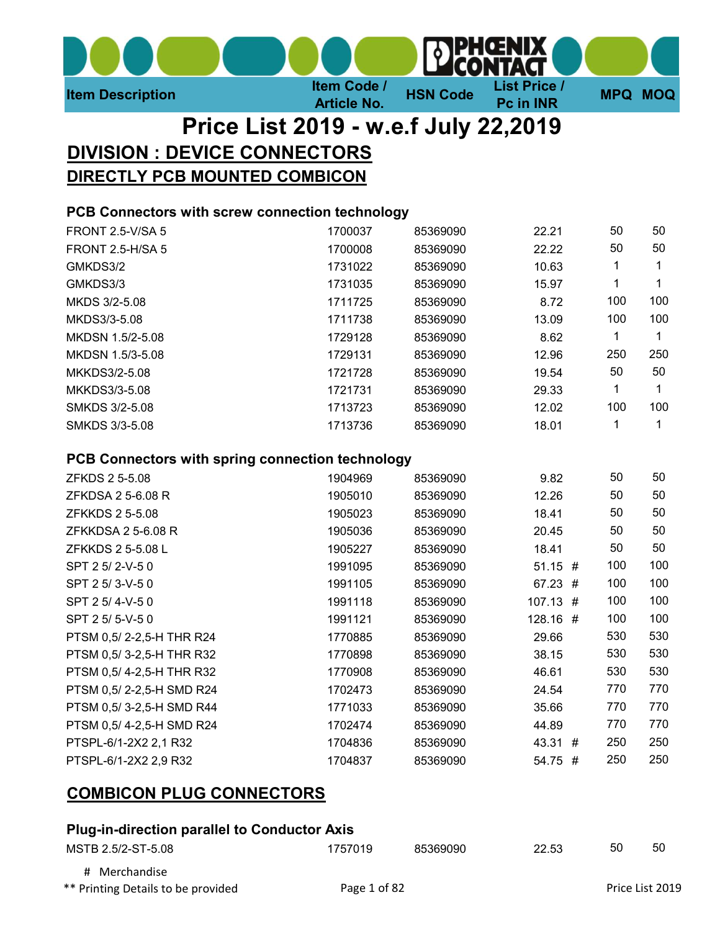

# DIVISION : DEVICE CONNECTORS DIRECTLY PCB MOUNTED COMBICON Price List 2019 - w.e.f July 22,2019

#### PCB Connectors with screw connection technology

| <b>FRONT 2.5-V/SA 5</b> | 1700037 | 85369090 | 22.21 | 50  | 50  |
|-------------------------|---------|----------|-------|-----|-----|
| <b>FRONT 2.5-H/SA 5</b> | 1700008 | 85369090 | 22.22 | 50  | 50  |
| GMKDS3/2                | 1731022 | 85369090 | 10.63 |     |     |
| GMKDS3/3                | 1731035 | 85369090 | 15.97 |     |     |
| MKDS 3/2-5.08           | 1711725 | 85369090 | 8.72  | 100 | 100 |
| MKDS3/3-5.08            | 1711738 | 85369090 | 13.09 | 100 | 100 |
| MKDSN 1.5/2-5.08        | 1729128 | 85369090 | 8.62  | 1   |     |
| MKDSN 1.5/3-5.08        | 1729131 | 85369090 | 12.96 | 250 | 250 |
| MKKDS3/2-5.08           | 1721728 | 85369090 | 19.54 | 50  | 50  |
| MKKDS3/3-5.08           | 1721731 | 85369090 | 29.33 | 1   |     |
| SMKDS 3/2-5.08          | 1713723 | 85369090 | 12.02 | 100 | 100 |
| SMKDS 3/3-5.08          | 1713736 | 85369090 | 18.01 | 1   |     |
|                         |         |          |       |     |     |

#### PCB Connectors with spring connection technology

| 1904969 | 85369090 | 9.82       | 50  | 50  |
|---------|----------|------------|-----|-----|
| 1905010 | 85369090 | 12.26      | 50  | 50  |
| 1905023 | 85369090 | 18.41      | 50  | 50  |
| 1905036 | 85369090 | 20.45      | 50  | 50  |
| 1905227 | 85369090 | 18.41      | 50  | 50  |
| 1991095 | 85369090 | $51.15$ #  | 100 | 100 |
| 1991105 | 85369090 | 67.23 #    | 100 | 100 |
| 1991118 | 85369090 | $107.13$ # | 100 | 100 |
| 1991121 | 85369090 | 128.16 #   | 100 | 100 |
| 1770885 | 85369090 | 29.66      | 530 | 530 |
| 1770898 | 85369090 | 38.15      | 530 | 530 |
| 1770908 | 85369090 | 46.61      | 530 | 530 |
| 1702473 | 85369090 | 24.54      | 770 | 770 |
| 1771033 | 85369090 | 35.66      | 770 | 770 |
| 1702474 | 85369090 | 44.89      | 770 | 770 |
| 1704836 | 85369090 | 43.31 #    | 250 | 250 |
| 1704837 | 85369090 | 54.75 #    | 250 | 250 |
|         |          |            |     |     |

### COMBICON PLUG CONNECTORS

#### Plug-in-direction parallel to Conductor Axis

| MSTB 2.5/2-ST-5.08                 | 1757019      | 85369090 | 22.53 | 50 | 50              |
|------------------------------------|--------------|----------|-------|----|-----------------|
| # Merchandise                      |              |          |       |    |                 |
| ** Printing Details to be provided | Page 1 of 82 |          |       |    | Price List 2019 |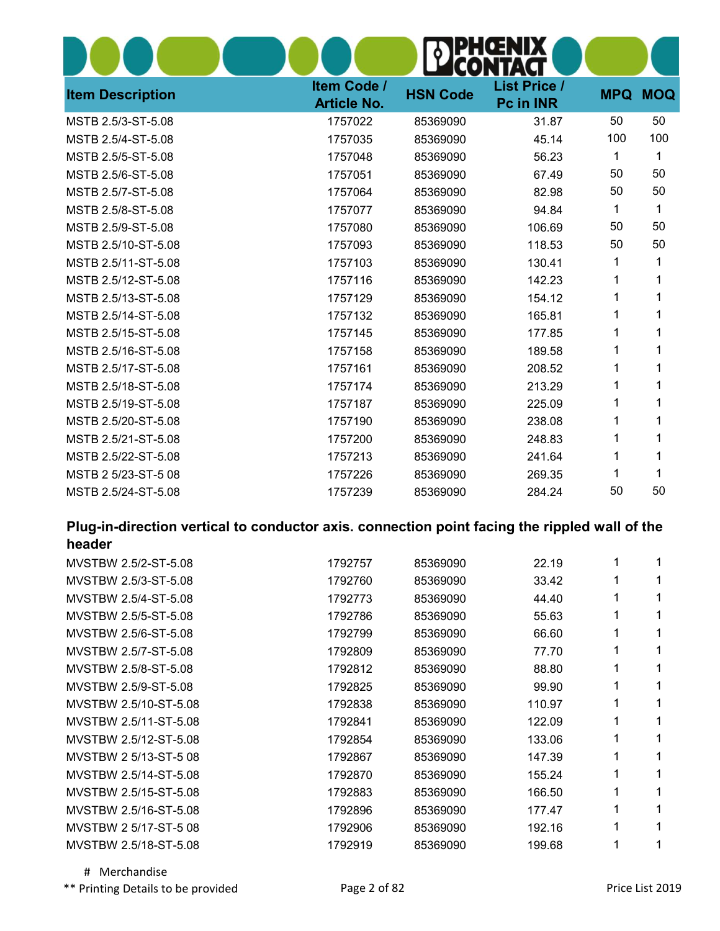| <b>Item Description</b> | Item Code /<br><b>Article No.</b> | <b>HSN Code</b> | <b>List Price /</b><br>Pc in INR | <b>MPQ</b> | <b>MOQ</b> |
|-------------------------|-----------------------------------|-----------------|----------------------------------|------------|------------|
| MSTB 2.5/3-ST-5.08      | 1757022                           | 85369090        | 31.87                            | 50         | 50         |
| MSTB 2.5/4-ST-5.08      | 1757035                           | 85369090        | 45.14                            | 100        | 100        |
| MSTB 2.5/5-ST-5.08      | 1757048                           | 85369090        | 56.23                            | 1          | 1          |
| MSTB 2.5/6-ST-5.08      | 1757051                           | 85369090        | 67.49                            | 50         | 50         |
| MSTB 2.5/7-ST-5.08      | 1757064                           | 85369090        | 82.98                            | 50         | 50         |
| MSTB 2.5/8-ST-5.08      | 1757077                           | 85369090        | 94.84                            | 1          | 1          |
| MSTB 2.5/9-ST-5.08      | 1757080                           | 85369090        | 106.69                           | 50         | 50         |
| MSTB 2.5/10-ST-5.08     | 1757093                           | 85369090        | 118.53                           | 50         | 50         |
| MSTB 2.5/11-ST-5.08     | 1757103                           | 85369090        | 130.41                           | 1          | 1          |
| MSTB 2.5/12-ST-5.08     | 1757116                           | 85369090        | 142.23                           | 1          |            |
| MSTB 2.5/13-ST-5.08     | 1757129                           | 85369090        | 154.12                           | 1          |            |
| MSTB 2.5/14-ST-5.08     | 1757132                           | 85369090        | 165.81                           | 1          |            |
| MSTB 2.5/15-ST-5.08     | 1757145                           | 85369090        | 177.85                           |            |            |
| MSTB 2.5/16-ST-5.08     | 1757158                           | 85369090        | 189.58                           | 1          |            |
| MSTB 2.5/17-ST-5.08     | 1757161                           | 85369090        | 208.52                           | 1          | 1          |
| MSTB 2.5/18-ST-5.08     | 1757174                           | 85369090        | 213.29                           | 1          |            |
| MSTB 2.5/19-ST-5.08     | 1757187                           | 85369090        | 225.09                           | 1          |            |
| MSTB 2.5/20-ST-5.08     | 1757190                           | 85369090        | 238.08                           | 1          |            |
| MSTB 2.5/21-ST-5.08     | 1757200                           | 85369090        | 248.83                           | 1          |            |
| MSTB 2.5/22-ST-5.08     | 1757213                           | 85369090        | 241.64                           | 1          |            |
| MSTB 2 5/23-ST-5 08     | 1757226                           | 85369090        | 269.35                           | 1          | 1          |
| MSTB 2.5/24-ST-5.08     | 1757239                           | 85369090        | 284.24                           | 50         | 50         |

#### Plug-in-direction vertical to conductor axis. connection point facing the rippled wall of the header

| MVSTBW 2.5/2-ST-5.08  | 1792757 | 85369090 | 22.19  |   |  |
|-----------------------|---------|----------|--------|---|--|
| MVSTBW 2.5/3-ST-5.08  | 1792760 | 85369090 | 33.42  |   |  |
| MVSTBW 2.5/4-ST-5.08  | 1792773 | 85369090 | 44.40  |   |  |
| MVSTBW 2.5/5-ST-5.08  | 1792786 | 85369090 | 55.63  |   |  |
| MVSTBW 2.5/6-ST-5.08  | 1792799 | 85369090 | 66.60  | 1 |  |
| MVSTBW 2.5/7-ST-5.08  | 1792809 | 85369090 | 77.70  | 1 |  |
| MVSTBW 2.5/8-ST-5.08  | 1792812 | 85369090 | 88.80  |   |  |
| MVSTBW 2.5/9-ST-5.08  | 1792825 | 85369090 | 99.90  |   |  |
| MVSTBW 2.5/10-ST-5.08 | 1792838 | 85369090 | 110.97 |   |  |
| MVSTBW 2.5/11-ST-5.08 | 1792841 | 85369090 | 122.09 |   |  |
| MVSTBW 2.5/12-ST-5.08 | 1792854 | 85369090 | 133.06 | 1 |  |
| MVSTBW 2 5/13-ST-5 08 | 1792867 | 85369090 | 147.39 | 1 |  |
| MVSTBW 2.5/14-ST-5.08 | 1792870 | 85369090 | 155.24 | 1 |  |
| MVSTBW 2.5/15-ST-5.08 | 1792883 | 85369090 | 166.50 |   |  |
| MVSTBW 2.5/16-ST-5.08 | 1792896 | 85369090 | 177.47 |   |  |
| MVSTBW 2 5/17-ST-5 08 | 1792906 | 85369090 | 192.16 |   |  |
| MVSTBW 2.5/18-ST-5.08 | 1792919 | 85369090 | 199.68 |   |  |

 # Merchandise \*\* Printing Details to be provided Page 2 of 82 Price List 2019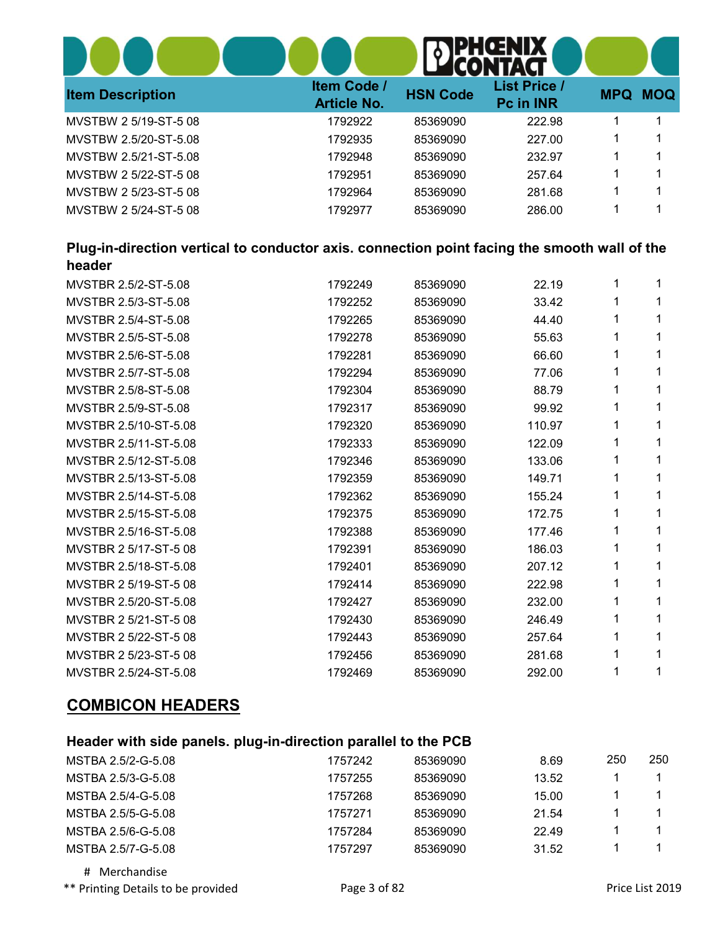| <b>Item Description</b> | <b>Item Code /</b><br><b>Article No.</b> | <b>HSN Code</b> | <b>List Price /</b><br>Pc in INR | <b>MPQ</b> | <b>MOQ</b> |
|-------------------------|------------------------------------------|-----------------|----------------------------------|------------|------------|
| MVSTBW 2 5/19-ST-5 08   | 1792922                                  | 85369090        | 222.98                           |            |            |
| MVSTBW 2.5/20-ST-5.08   | 1792935                                  | 85369090        | 227.00                           |            |            |
| MVSTBW 2.5/21-ST-5.08   | 1792948                                  | 85369090        | 232.97                           |            |            |
| MVSTBW 2 5/22-ST-5 08   | 1792951                                  | 85369090        | 257.64                           |            |            |
| MVSTBW 2 5/23-ST-5 08   | 1792964                                  | 85369090        | 281.68                           |            |            |
| MVSTBW 2 5/24-ST-5 08   | 1792977                                  | 85369090        | 286.00                           |            |            |

#### Plug-in-direction vertical to conductor axis. connection point facing the smooth wall of the header

| MVSTBR 2.5/2-ST-5.08  | 1792249 | 85369090 | 22.19  |   | 1 |
|-----------------------|---------|----------|--------|---|---|
| MVSTBR 2.5/3-ST-5.08  | 1792252 | 85369090 | 33.42  | 1 | 1 |
| MVSTBR 2.5/4-ST-5.08  | 1792265 | 85369090 | 44.40  |   |   |
| MVSTBR 2.5/5-ST-5.08  | 1792278 | 85369090 | 55.63  |   | 1 |
| MVSTBR 2.5/6-ST-5.08  | 1792281 | 85369090 | 66.60  | 1 | 1 |
| MVSTBR 2.5/7-ST-5.08  | 1792294 | 85369090 | 77.06  | 1 | 1 |
| MVSTBR 2.5/8-ST-5.08  | 1792304 | 85369090 | 88.79  |   | 1 |
| MVSTBR 2.5/9-ST-5.08  | 1792317 | 85369090 | 99.92  | 1 | 1 |
| MVSTBR 2.5/10-ST-5.08 | 1792320 | 85369090 | 110.97 |   | 1 |
| MVSTBR 2.5/11-ST-5.08 | 1792333 | 85369090 | 122.09 | 1 | 1 |
| MVSTBR 2.5/12-ST-5.08 | 1792346 | 85369090 | 133.06 |   | 1 |
| MVSTBR 2.5/13-ST-5.08 | 1792359 | 85369090 | 149.71 | 1 | 1 |
| MVSTBR 2.5/14-ST-5.08 | 1792362 | 85369090 | 155.24 |   | 1 |
| MVSTBR 2.5/15-ST-5.08 | 1792375 | 85369090 | 172.75 | 1 |   |
| MVSTBR 2.5/16-ST-5.08 | 1792388 | 85369090 | 177.46 |   | 1 |
| MVSTBR 2 5/17-ST-5 08 | 1792391 | 85369090 | 186.03 | 1 | 1 |
| MVSTBR 2.5/18-ST-5.08 | 1792401 | 85369090 | 207.12 |   | 1 |
| MVSTBR 2 5/19-ST-5 08 | 1792414 | 85369090 | 222.98 | 1 | 1 |
| MVSTBR 2.5/20-ST-5.08 | 1792427 | 85369090 | 232.00 |   | 1 |
| MVSTBR 2 5/21-ST-5 08 | 1792430 | 85369090 | 246.49 |   | 1 |
| MVSTBR 2 5/22-ST-5 08 | 1792443 | 85369090 | 257.64 |   | 1 |
| MVSTBR 2 5/23-ST-5 08 | 1792456 | 85369090 | 281.68 | 1 | 1 |
| MVSTBR 2.5/24-ST-5.08 | 1792469 | 85369090 | 292.00 |   | 1 |

### COMBICON HEADERS

#### Header with side panels. plug-in-direction parallel to the PCB

| MSTBA 2.5/2-G-5.08 | 1757242 | 85369090 | 8.69  | 250 | 250 |
|--------------------|---------|----------|-------|-----|-----|
| MSTBA 2.5/3-G-5.08 | 1757255 | 85369090 | 13.52 |     |     |
| MSTBA 2.5/4-G-5.08 | 1757268 | 85369090 | 15.00 |     |     |
| MSTBA 2.5/5-G-5.08 | 1757271 | 85369090 | 21.54 |     |     |
| MSTBA 2.5/6-G-5.08 | 1757284 | 85369090 | 22.49 |     |     |
| MSTBA 2.5/7-G-5.08 | 1757297 | 85369090 | 31.52 |     |     |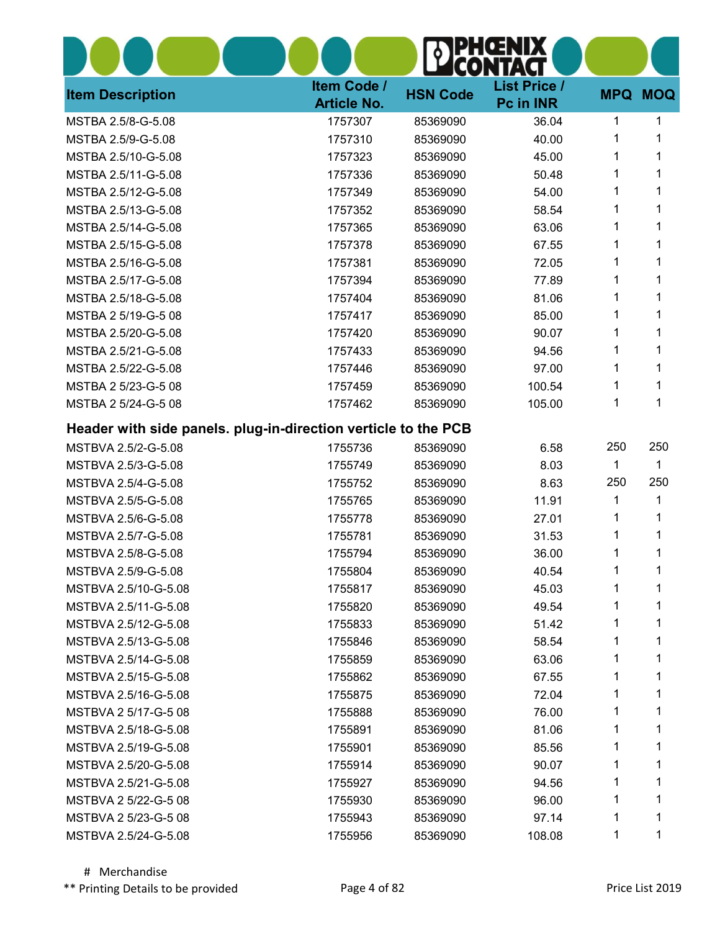| <b>Item Description</b>                                        | Item Code /<br><b>Article No.</b> | <b>HSN Code</b> | <b>List Price /</b><br>Pc in INR | <b>MPQ MOQ</b> |     |
|----------------------------------------------------------------|-----------------------------------|-----------------|----------------------------------|----------------|-----|
| MSTBA 2.5/8-G-5.08                                             | 1757307                           | 85369090        | 36.04                            | 1              | 1   |
| MSTBA 2.5/9-G-5.08                                             | 1757310                           | 85369090        | 40.00                            | 1              | 1   |
| MSTBA 2.5/10-G-5.08                                            | 1757323                           | 85369090        | 45.00                            | 1              | 1   |
| MSTBA 2.5/11-G-5.08                                            | 1757336                           | 85369090        | 50.48                            | 1              | 1   |
| MSTBA 2.5/12-G-5.08                                            | 1757349                           | 85369090        | 54.00                            | 1              | 1   |
| MSTBA 2.5/13-G-5.08                                            | 1757352                           | 85369090        | 58.54                            | 1              | 1   |
| MSTBA 2.5/14-G-5.08                                            | 1757365                           | 85369090        | 63.06                            | 1              |     |
| MSTBA 2.5/15-G-5.08                                            | 1757378                           | 85369090        | 67.55                            | 1              | 1   |
| MSTBA 2.5/16-G-5.08                                            | 1757381                           | 85369090        | 72.05                            | 1              | 1   |
| MSTBA 2.5/17-G-5.08                                            | 1757394                           | 85369090        | 77.89                            | 1              | 1   |
| MSTBA 2.5/18-G-5.08                                            | 1757404                           | 85369090        | 81.06                            | 1              |     |
| MSTBA 2 5/19-G-5 08                                            | 1757417                           | 85369090        | 85.00                            | 1              | 1   |
| MSTBA 2.5/20-G-5.08                                            | 1757420                           | 85369090        | 90.07                            | 1              | 1   |
| MSTBA 2.5/21-G-5.08                                            | 1757433                           | 85369090        | 94.56                            | 1              | 1   |
| MSTBA 2.5/22-G-5.08                                            | 1757446                           | 85369090        | 97.00                            | 1              | 1   |
| MSTBA 2 5/23-G-5 08                                            | 1757459                           | 85369090        | 100.54                           | 1              | 1   |
| MSTBA 2 5/24-G-5 08                                            | 1757462                           | 85369090        | 105.00                           | 1              | 1   |
| Header with side panels. plug-in-direction verticle to the PCB |                                   |                 |                                  |                |     |
| MSTBVA 2.5/2-G-5.08                                            | 1755736                           | 85369090        | 6.58                             | 250            | 250 |
| MSTBVA 2.5/3-G-5.08                                            | 1755749                           | 85369090        | 8.03                             | $\mathbf{1}$   | 1   |
| MSTBVA 2.5/4-G-5.08                                            | 1755752                           | 85369090        | 8.63                             | 250            | 250 |
| MSTBVA 2.5/5-G-5.08                                            | 1755765                           | 85369090        | 11.91                            | 1              | 1   |
| MSTBVA 2.5/6-G-5.08                                            | 1755778                           | 85369090        | 27.01                            | 1              |     |
| MSTBVA 2.5/7-G-5.08                                            | 1755781                           | 85369090        | 31.53                            | 1              | 1   |
| MSTBVA 2.5/8-G-5.08                                            | 1755794                           | 85369090        | 36.00                            | 1              | 1   |
| MSTBVA 2.5/9-G-5.08                                            | 1755804                           | 85369090        | 40.54                            | 1              | 1   |
| MSTBVA 2.5/10-G-5.08                                           | 1755817                           | 85369090        | 45.03                            | 1              |     |
| MSTBVA 2.5/11-G-5.08                                           | 1755820                           | 85369090        | 49.54                            | 1              | 1   |
| MSTBVA 2.5/12-G-5.08                                           | 1755833                           | 85369090        | 51.42                            | 1              |     |
| MSTBVA 2.5/13-G-5.08                                           | 1755846                           | 85369090        | 58.54                            | 1              |     |
| MSTBVA 2.5/14-G-5.08                                           | 1755859                           | 85369090        | 63.06                            | 1              |     |
| MSTBVA 2.5/15-G-5.08                                           | 1755862                           | 85369090        | 67.55                            | 1              |     |
| MSTBVA 2.5/16-G-5.08                                           | 1755875                           | 85369090        | 72.04                            | 1              |     |
| MSTBVA 2 5/17-G-5 08                                           | 1755888                           | 85369090        | 76.00                            | 1              |     |
| MSTBVA 2.5/18-G-5.08                                           | 1755891                           | 85369090        | 81.06                            | 1              |     |
| MSTBVA 2.5/19-G-5.08                                           | 1755901                           | 85369090        | 85.56                            | 1              |     |
| MSTBVA 2.5/20-G-5.08                                           | 1755914                           | 85369090        | 90.07                            | 1              |     |
| MSTBVA 2.5/21-G-5.08                                           | 1755927                           | 85369090        | 94.56                            | 1              |     |
| MSTBVA 2 5/22-G-5 08                                           | 1755930                           | 85369090        | 96.00                            | 1              |     |
| MSTBVA 2 5/23-G-5 08                                           | 1755943                           | 85369090        | 97.14                            | 1              |     |
| MSTBVA 2.5/24-G-5.08                                           | 1755956                           | 85369090        | 108.08                           | 1              | 1   |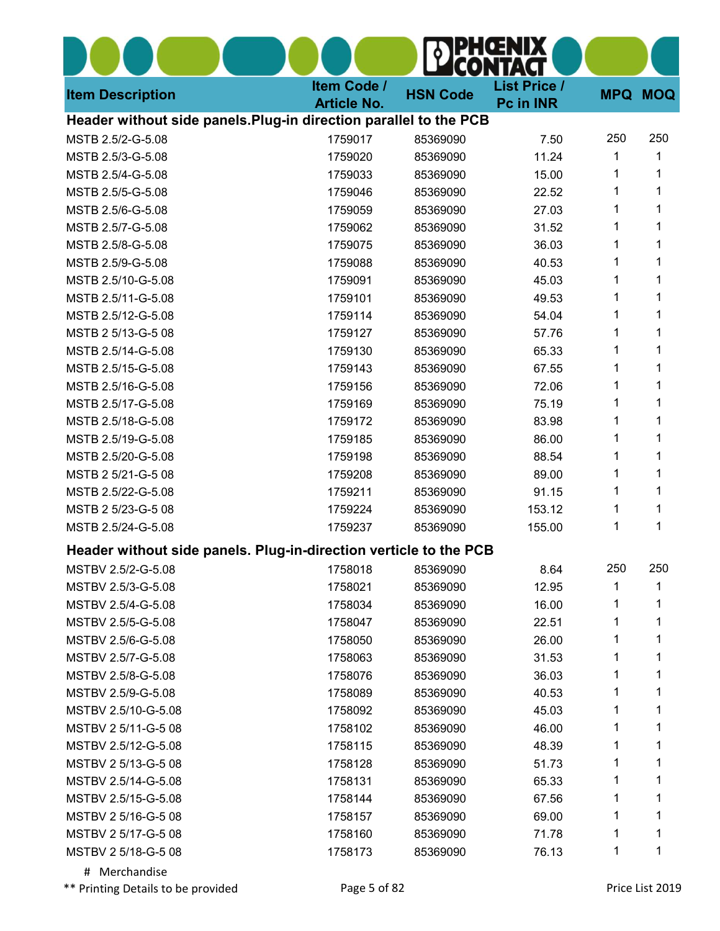| <b>Item Description</b>                                           | Item Code /<br><b>Article No.</b> | <b>HSN Code</b> | <b>List Price /</b><br>Pc in INR |     | <b>MPQ MOQ</b> |
|-------------------------------------------------------------------|-----------------------------------|-----------------|----------------------------------|-----|----------------|
| Header without side panels. Plug-in direction parallel to the PCB |                                   |                 |                                  |     |                |
| MSTB 2.5/2-G-5.08                                                 | 1759017                           | 85369090        | 7.50                             | 250 | 250            |
| MSTB 2.5/3-G-5.08                                                 | 1759020                           | 85369090        | 11.24                            | 1   | 1              |
| MSTB 2.5/4-G-5.08                                                 | 1759033                           | 85369090        | 15.00                            | 1   | 1              |
| MSTB 2.5/5-G-5.08                                                 | 1759046                           | 85369090        | 22.52                            | 1   | 1              |
| MSTB 2.5/6-G-5.08                                                 | 1759059                           | 85369090        | 27.03                            | 1   |                |
| MSTB 2.5/7-G-5.08                                                 | 1759062                           | 85369090        | 31.52                            | 1   |                |
| MSTB 2.5/8-G-5.08                                                 | 1759075                           | 85369090        | 36.03                            | 1   | 1              |
| MSTB 2.5/9-G-5.08                                                 | 1759088                           | 85369090        | 40.53                            | 1   |                |
| MSTB 2.5/10-G-5.08                                                | 1759091                           | 85369090        | 45.03                            | 1   |                |
| MSTB 2.5/11-G-5.08                                                | 1759101                           | 85369090        | 49.53                            | 1   |                |
| MSTB 2.5/12-G-5.08                                                | 1759114                           | 85369090        | 54.04                            | 1   | 1              |
| MSTB 2 5/13-G-5 08                                                | 1759127                           | 85369090        | 57.76                            | 1   |                |
| MSTB 2.5/14-G-5.08                                                | 1759130                           | 85369090        | 65.33                            | 1   |                |
| MSTB 2.5/15-G-5.08                                                | 1759143                           | 85369090        | 67.55                            | 1   |                |
| MSTB 2.5/16-G-5.08                                                | 1759156                           | 85369090        | 72.06                            | 1   |                |
| MSTB 2.5/17-G-5.08                                                | 1759169                           | 85369090        | 75.19                            | 1   |                |
| MSTB 2.5/18-G-5.08                                                | 1759172                           | 85369090        | 83.98                            | 1   | 1              |
| MSTB 2.5/19-G-5.08                                                | 1759185                           | 85369090        | 86.00                            | 1   |                |
| MSTB 2.5/20-G-5.08                                                | 1759198                           | 85369090        | 88.54                            | 1   |                |
| MSTB 2 5/21-G-5 08                                                | 1759208                           | 85369090        | 89.00                            | 1   | 1              |
| MSTB 2.5/22-G-5.08                                                | 1759211                           | 85369090        | 91.15                            | 1   | 1              |
| MSTB 2 5/23-G-5 08                                                | 1759224                           | 85369090        | 153.12                           | 1   |                |
| MSTB 2.5/24-G-5.08                                                | 1759237                           | 85369090        | 155.00                           | 1   | 1              |
| Header without side panels. Plug-in-direction verticle to the PCB |                                   |                 |                                  |     |                |
| MSTBV 2.5/2-G-5.08                                                | 1758018                           | 85369090        | 8.64                             | 250 | 250            |
| MSTBV 2.5/3-G-5.08                                                | 1758021                           | 85369090        | 12.95                            | 1   | 1              |
| MSTBV 2.5/4-G-5.08                                                | 1758034                           | 85369090        | 16.00                            | 1   | 1              |
| MSTBV 2.5/5-G-5.08                                                | 1758047                           | 85369090        | 22.51                            | 1   | 1              |
| MSTBV 2.5/6-G-5.08                                                | 1758050                           | 85369090        | 26.00                            | 1   | 1              |
| MSTBV 2.5/7-G-5.08                                                | 1758063                           | 85369090        | 31.53                            | 1   |                |
| MSTBV 2.5/8-G-5.08                                                | 1758076                           | 85369090        | 36.03                            | 1   | 1              |
| MSTBV 2.5/9-G-5.08                                                | 1758089                           | 85369090        | 40.53                            | 1   | 1              |
| MSTBV 2.5/10-G-5.08                                               | 1758092                           | 85369090        | 45.03                            | 1   |                |
| MSTBV 2 5/11-G-5 08                                               | 1758102                           | 85369090        | 46.00                            | 1   |                |
| MSTBV 2.5/12-G-5.08                                               | 1758115                           | 85369090        | 48.39                            | 1   | 1              |
| MSTBV 2 5/13-G-5 08                                               | 1758128                           | 85369090        | 51.73                            | 1   |                |
| MSTBV 2.5/14-G-5.08                                               | 1758131                           | 85369090        | 65.33                            | 1   |                |
| MSTBV 2.5/15-G-5.08                                               | 1758144                           | 85369090        | 67.56                            | 1   | 1              |
| MSTBV 2 5/16-G-5 08                                               | 1758157                           | 85369090        | 69.00                            | 1   | 1              |
| MSTBV 2 5/17-G-5 08                                               | 1758160                           | 85369090        | 71.78                            |     | 1              |
| MSTBV 2 5/18-G-5 08                                               | 1758173                           | 85369090        | 76.13                            | 1   | 1              |
| # Merchandise                                                     |                                   |                 |                                  |     |                |

\*\* Printing Details to be provided **Page 5 of 82** Printing Details to be provided **Page 5 of 82** Price List 2019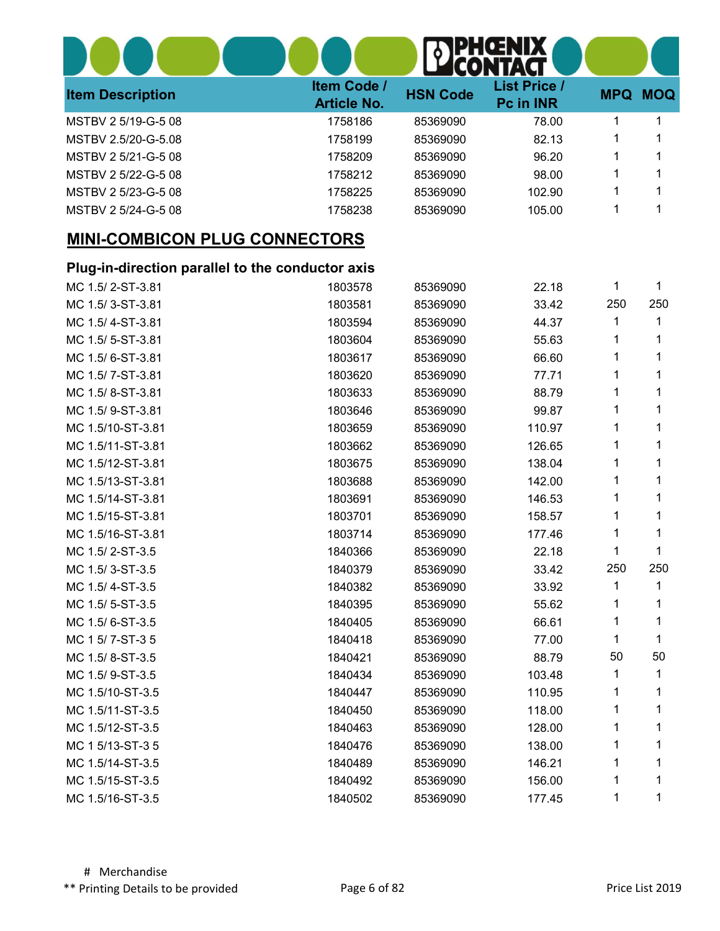| <b>Item Description</b>                          | Item Code /<br><b>Article No.</b> | <b>HSN Code</b> | <b>List Price /</b><br>Pc in INR |     | <b>MPQ MOQ</b> |
|--------------------------------------------------|-----------------------------------|-----------------|----------------------------------|-----|----------------|
| MSTBV 2 5/19-G-5 08                              | 1758186                           | 85369090        | 78.00                            | 1   | 1              |
| MSTBV 2.5/20-G-5.08                              | 1758199                           | 85369090        | 82.13                            | 1   | 1              |
| MSTBV 2 5/21-G-5 08                              | 1758209                           | 85369090        | 96.20                            | 1   | 1              |
| MSTBV 2 5/22-G-5 08                              | 1758212                           | 85369090        | 98.00                            | 1   | 1              |
| MSTBV 2 5/23-G-5 08                              | 1758225                           | 85369090        | 102.90                           | 1   | 1              |
| MSTBV 2 5/24-G-5 08                              | 1758238                           | 85369090        | 105.00                           | 1   | 1              |
| <b>MINI-COMBICON PLUG CONNECTORS</b>             |                                   |                 |                                  |     |                |
| Plug-in-direction parallel to the conductor axis |                                   |                 |                                  |     |                |
| MC 1.5/2-ST-3.81                                 | 1803578                           | 85369090        | 22.18                            | 1   | 1              |
| MC 1.5/3-ST-3.81                                 | 1803581                           | 85369090        | 33.42                            | 250 | 250            |
| MC 1.5/4-ST-3.81                                 | 1803594                           | 85369090        | 44.37                            | 1   | 1              |
| MC 1.5/5-ST-3.81                                 | 1803604                           | 85369090        | 55.63                            | 1   | 1              |
| MC 1.5/6-ST-3.81                                 | 1803617                           | 85369090        | 66.60                            | 1   | 1              |
| MC 1.5/7-ST-3.81                                 | 1803620                           | 85369090        | 77.71                            | 1   | 1              |
| MC 1.5/8-ST-3.81                                 | 1803633                           | 85369090        | 88.79                            | 1   | 1              |
| MC 1.5/9-ST-3.81                                 | 1803646                           | 85369090        | 99.87                            | 1   |                |
| MC 1.5/10-ST-3.81                                | 1803659                           | 85369090        | 110.97                           | 1   | 1              |
| MC 1.5/11-ST-3.81                                | 1803662                           | 85369090        | 126.65                           | 1   | 1              |
| MC 1.5/12-ST-3.81                                | 1803675                           | 85369090        | 138.04                           | 1   | 1              |
| MC 1.5/13-ST-3.81                                | 1803688                           | 85369090        | 142.00                           | 1   | 1              |
| MC 1.5/14-ST-3.81                                | 1803691                           | 85369090        | 146.53                           | 1   | 1              |
| MC 1.5/15-ST-3.81                                | 1803701                           | 85369090        | 158.57                           | 1   | 1              |
| MC 1.5/16-ST-3.81                                | 1803714                           | 85369090        | 177.46                           | 1   | 1              |
| MC 1.5/2-ST-3.5                                  | 1840366                           | 85369090        | 22.18                            | 1   | 1              |
| MC 1.5/3-ST-3.5                                  | 1840379                           | 85369090        | 33.42                            | 250 | 250            |
| MC 1.5/4-ST-3.5                                  | 1840382                           | 85369090        | 33.92                            | 1   | 1              |
| MC 1.5/5-ST-3.5                                  | 1840395                           | 85369090        | 55.62                            | 1   | 1              |
| MC 1.5/6-ST-3.5                                  | 1840405                           | 85369090        | 66.61                            | 1   | 1              |
| MC 1 5/7-ST-3 5                                  | 1840418                           | 85369090        | 77.00                            | 1   | 1              |
| MC 1.5/8-ST-3.5                                  | 1840421                           | 85369090        | 88.79                            | 50  | 50             |
| MC 1.5/9-ST-3.5                                  | 1840434                           | 85369090        | 103.48                           | 1   | 1              |
| MC 1.5/10-ST-3.5                                 | 1840447                           | 85369090        | 110.95                           | 1   | 1              |
| MC 1.5/11-ST-3.5                                 | 1840450                           | 85369090        | 118.00                           | 1   | 1              |
| MC 1.5/12-ST-3.5                                 | 1840463                           | 85369090        | 128.00                           | 1   | 1              |
| MC 1 5/13-ST-3 5                                 | 1840476                           | 85369090        | 138.00                           | 1   | 1              |
| MC 1.5/14-ST-3.5                                 | 1840489                           | 85369090        | 146.21                           | 1   | 1              |
| MC 1.5/15-ST-3.5                                 | 1840492                           | 85369090        | 156.00                           | 1   |                |
| MC 1.5/16-ST-3.5                                 | 1840502                           | 85369090        | 177.45                           | 1   | 1              |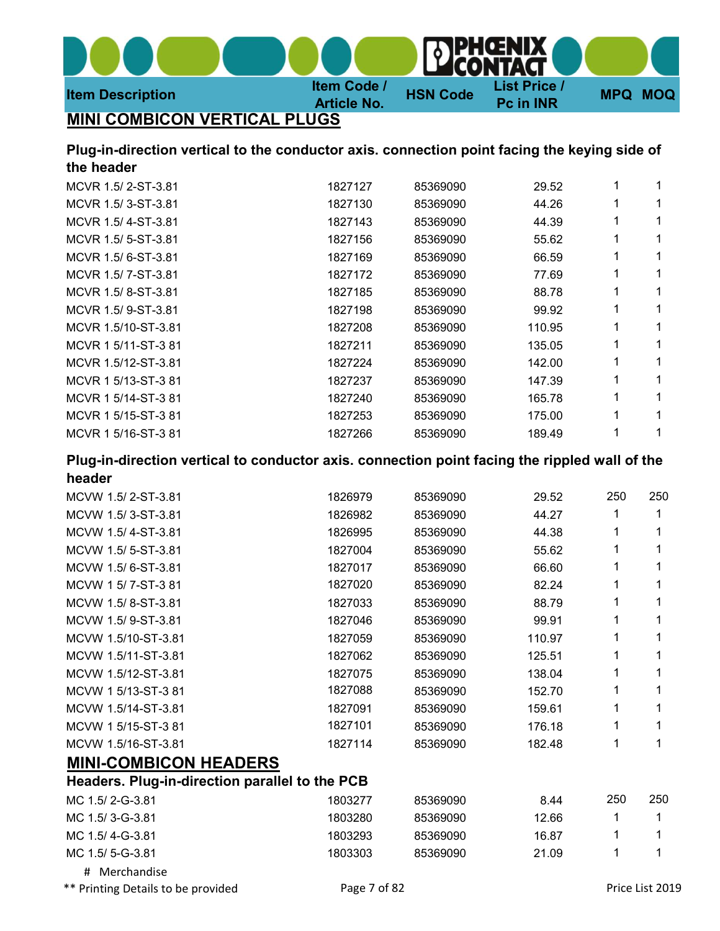# Item Description **Item Code** /<br>Article No. HSN Code List Price /<br>Pc in INR **MPQ MOQ**

### MINI COMBICON VERTICAL PLUGS

#### Plug-in-direction vertical to the conductor axis. connection point facing the keying side of the header

| MCVR 1.5/2-ST-3.81  | 1827127 | 85369090 | 29.52  |   |  |
|---------------------|---------|----------|--------|---|--|
| MCVR 1.5/3-ST-3.81  | 1827130 | 85369090 | 44.26  | 1 |  |
| MCVR 1.5/4-ST-3.81  | 1827143 | 85369090 | 44.39  |   |  |
| MCVR 1.5/ 5-ST-3.81 | 1827156 | 85369090 | 55.62  |   |  |
| MCVR 1.5/6-ST-3.81  | 1827169 | 85369090 | 66.59  |   |  |
| MCVR 1.5/7-ST-3.81  | 1827172 | 85369090 | 77.69  |   |  |
| MCVR 1.5/8-ST-3.81  | 1827185 | 85369090 | 88.78  |   |  |
| MCVR 1.5/9-ST-3.81  | 1827198 | 85369090 | 99.92  |   |  |
| MCVR 1.5/10-ST-3.81 | 1827208 | 85369090 | 110.95 |   |  |
| MCVR 1 5/11-ST-3 81 | 1827211 | 85369090 | 135.05 |   |  |
| MCVR 1.5/12-ST-3.81 | 1827224 | 85369090 | 142.00 | 1 |  |
| MCVR 1 5/13-ST-3 81 | 1827237 | 85369090 | 147.39 | 1 |  |
| MCVR 1 5/14-ST-3 81 | 1827240 | 85369090 | 165.78 |   |  |
| MCVR 1 5/15-ST-3 81 | 1827253 | 85369090 | 175.00 | 1 |  |
| MCVR 1 5/16-ST-3 81 | 1827266 | 85369090 | 189.49 |   |  |
|                     |         |          |        |   |  |

#### Plug-in-direction vertical to conductor axis. connection point facing the rippled wall of the header

| MCVW 1.5/2-ST-3.81                             | 1826979 | 85369090 | 29.52  | 250 | 250 |
|------------------------------------------------|---------|----------|--------|-----|-----|
| MCVW 1.5/3-ST-3.81                             | 1826982 | 85369090 | 44.27  |     |     |
| MCVW 1.5/4-ST-3.81                             | 1826995 | 85369090 | 44.38  | 1   |     |
| MCVW 1.5/5-ST-3.81                             | 1827004 | 85369090 | 55.62  |     |     |
| MCVW 1.5/6-ST-3.81                             | 1827017 | 85369090 | 66.60  |     |     |
| MCVW 1 5/7-ST-3 81                             | 1827020 | 85369090 | 82.24  |     |     |
| MCVW 1.5/8-ST-3.81                             | 1827033 | 85369090 | 88.79  | 1   |     |
| MCVW 1.5/9-ST-3.81                             | 1827046 | 85369090 | 99.91  | 1   |     |
| MCVW 1.5/10-ST-3.81                            | 1827059 | 85369090 | 110.97 |     |     |
| MCVW 1.5/11-ST-3.81                            | 1827062 | 85369090 | 125.51 | 1   |     |
| MCVW 1.5/12-ST-3.81                            | 1827075 | 85369090 | 138.04 | 1   |     |
| MCVW 1 5/13-ST-3 81                            | 1827088 | 85369090 | 152.70 | 1   | 1   |
| MCVW 1.5/14-ST-3.81                            | 1827091 | 85369090 | 159.61 |     | 1   |
| MCVW 1 5/15-ST-3 81                            | 1827101 | 85369090 | 176.18 |     |     |
| MCVW 1.5/16-ST-3.81                            | 1827114 | 85369090 | 182.48 |     | 1   |
| <b>MINI-COMBICON HEADERS</b>                   |         |          |        |     |     |
| Headers. Plug-in-direction parallel to the PCB |         |          |        |     |     |
| MC 1.5/2-G-3.81                                | 1803277 | 85369090 | 8.44   | 250 | 250 |
| MC 1.5/3-G-3.81                                | 1803280 | 85369090 | 12.66  |     | 1   |
|                                                |         |          |        |     |     |

# Merchandise

\*\* Printing Details to be provided Page 7 of 82 Price List 2019

MC 1.5/ 4-G-3.81 1803293 85369090 16.87 1 1 MC 1.5/ 5-G-3.81 1803303 1803303 85369090 21.09 1 1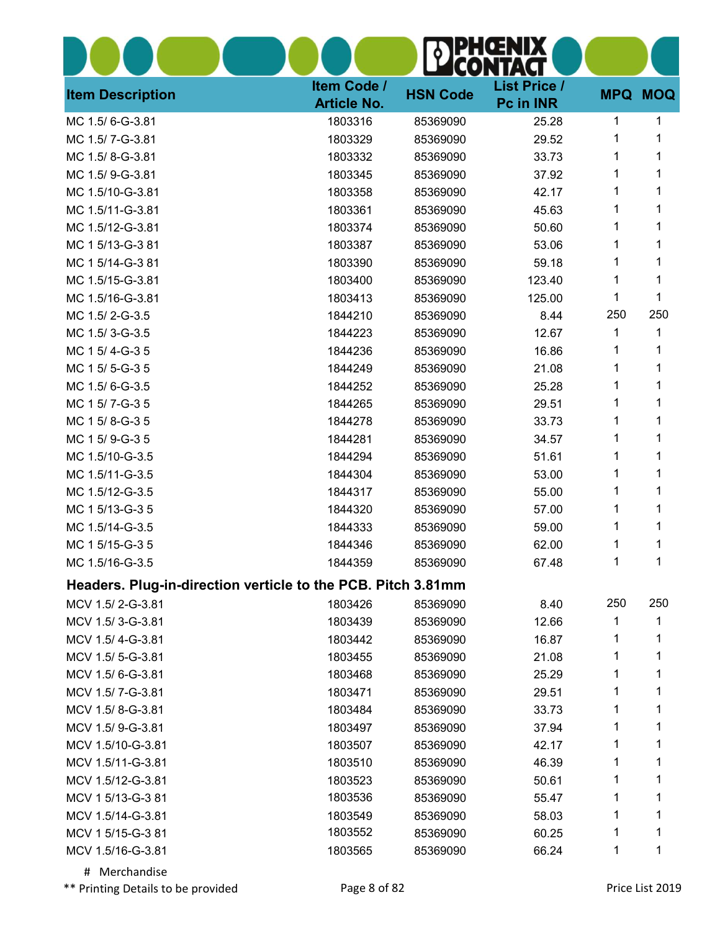| <b>Item Description</b>                                      | Item Code /<br><b>Article No.</b> | <b>HSN Code</b> | <b>List Price /</b><br>Pc in INR |     | <b>MPQ MOQ</b> |
|--------------------------------------------------------------|-----------------------------------|-----------------|----------------------------------|-----|----------------|
| MC 1.5/6-G-3.81                                              | 1803316                           | 85369090        | 25.28                            | 1   | 1              |
| MC 1.5/7-G-3.81                                              | 1803329                           | 85369090        | 29.52                            | 1   | 1              |
| MC 1.5/8--3.81                                               | 1803332                           | 85369090        | 33.73                            | 1   |                |
| MC 1.5/9--3.81                                               | 1803345                           | 85369090        | 37.92                            | 1   |                |
| MC 1.5/10-G-3.81                                             | 1803358                           | 85369090        | 42.17                            | 1   |                |
| MC 1.5/11-G-3.81                                             | 1803361                           | 85369090        | 45.63                            | 1   |                |
| MC 1.5/12-G-3.81                                             | 1803374                           | 85369090        | 50.60                            | 1   |                |
| MC 15/13-G-381                                               | 1803387                           | 85369090        | 53.06                            | 1   |                |
| MC 15/14-G-381                                               | 1803390                           | 85369090        | 59.18                            | 1   |                |
| MC 1.5/15-G-3.81                                             | 1803400                           | 85369090        | 123.40                           | 1   |                |
| MC 1.5/16-G-3.81                                             | 1803413                           | 85369090        | 125.00                           | 1   | 1              |
| MC 1.5/2-G-3.5                                               | 1844210                           | 85369090        | 8.44                             | 250 | 250            |
| MC 1.5/3-G-3.5                                               | 1844223                           | 85369090        | 12.67                            | 1   | 1              |
| MC 1 5/4-G-3 5                                               | 1844236                           | 85369090        | 16.86                            | 1   | 1              |
| MC 1 5/5-G-35                                                | 1844249                           | 85369090        | 21.08                            | 1   |                |
| MC 1.5/6-G-3.5                                               | 1844252                           | 85369090        | 25.28                            | 1   |                |
| MC 1 5/7-G-3 5                                               | 1844265                           | 85369090        | 29.51                            | 1   |                |
| MC 1 5/8-G-35                                                | 1844278                           | 85369090        | 33.73                            | 1   |                |
| MC 1 5/9-G-3 5                                               | 1844281                           | 85369090        | 34.57                            | 1   |                |
| MC 1.5/10-G-3.5                                              | 1844294                           | 85369090        | 51.61                            | 1   |                |
| MC 1.5/11-G-3.5                                              | 1844304                           | 85369090        | 53.00                            | 1   |                |
| MC 1.5/12-G-3.5                                              | 1844317                           | 85369090        | 55.00                            | 1   |                |
| MC 15/13-G-35                                                | 1844320                           | 85369090        | 57.00                            | 1   |                |
| MC 1.5/14-G-3.5                                              | 1844333                           | 85369090        | 59.00                            | 1   |                |
| MC 15/15-G-35                                                | 1844346                           | 85369090        | 62.00                            | 1   |                |
| MC 1.5/16-G-3.5                                              | 1844359                           | 85369090        | 67.48                            | 1   |                |
| Headers. Plug-in-direction verticle to the PCB. Pitch 3.81mm |                                   |                 |                                  |     |                |
| MCV 1.5/2-G-3.81                                             | 1803426                           | 85369090        | 8.40                             | 250 | 250            |
| MCV 1.5/3-G-3.81                                             | 1803439                           | 85369090        | 12.66                            | 1   | 1              |
| MCV 1.5/4-G-3.81                                             | 1803442                           | 85369090        | 16.87                            | 1   | 1              |
| MCV 1.5/5-G-3.81                                             | 1803455                           | 85369090        | 21.08                            | 1   | 1              |
| MCV 1.5/6-G-3.81                                             | 1803468                           | 85369090        | 25.29                            | 1   |                |
| MCV 1.5/7-G-3.81                                             | 1803471                           | 85369090        | 29.51                            | 1   | 1              |
| MCV 1.5/8--3.81                                              | 1803484                           | 85369090        | 33.73                            | 1   | 1              |
| MCV 1.5/9-G-3.81                                             | 1803497                           | 85369090        | 37.94                            | 1   |                |
| MCV 1.5/10-G-3.81                                            | 1803507                           | 85369090        | 42.17                            | 1   |                |
| MCV 1.5/11-G-3.81                                            | 1803510                           | 85369090        | 46.39                            | 1   | 1              |
| MCV 1.5/12-G-3.81                                            | 1803523                           | 85369090        | 50.61                            | 1   | 1              |
| MCV 1 5/13-G-3 81                                            | 1803536                           | 85369090        | 55.47                            | 1   |                |
| MCV 1.5/14-G-3.81                                            | 1803549                           | 85369090        | 58.03                            | 1   |                |
| MCV 1 5/15-G-3 81                                            | 1803552                           | 85369090        | 60.25                            | 1   | 1              |
| MCV 1.5/16-G-3.81                                            | 1803565                           | 85369090        | 66.24                            | 1   | 1              |
| # Merchandise                                                |                                   |                 |                                  |     |                |

\*\* Printing Details to be provided **Page 8 of 82** Printing Details to be provided **Page 8 of 82** Price List 2019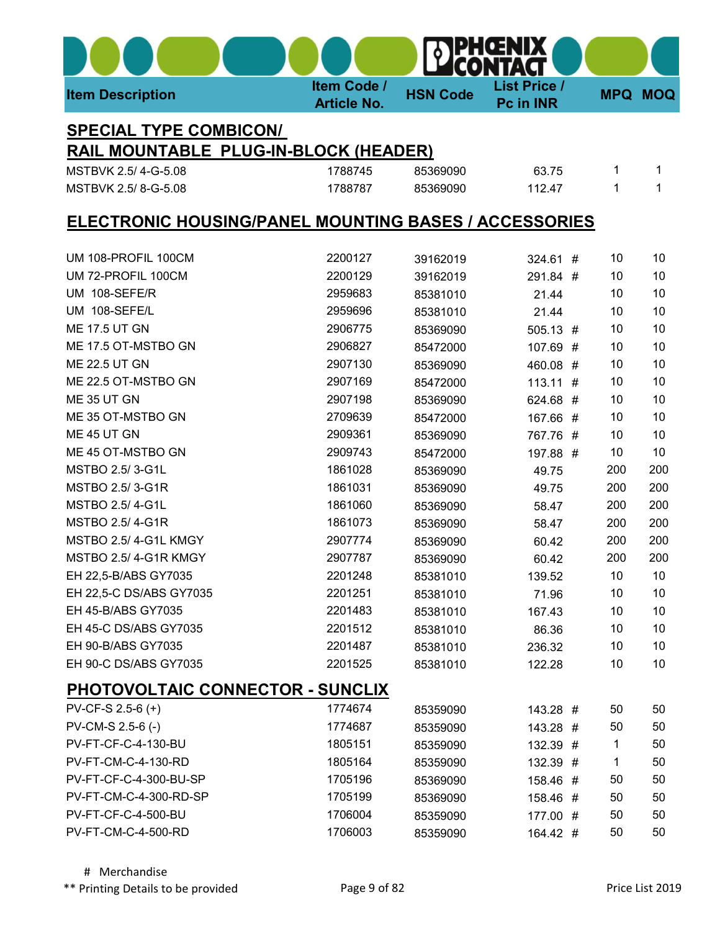# Item Description **Item Code** /<br>Article No. HSN Code List Price /<br>Pc in INR **MPQ MOQ** MSTBVK 2.5/ 4-G-5.08 1788745 85369090 63.75 1 1 MSTBVK 2.5/ 8-G-5.08 1788787 1788787 85369090 112.47 1 1 SPECIAL TYPE COMBICON/ RAIL MOUNTABLE PLUG-IN-BLOCK (HEADER)

### ELECTRONIC HOUSING/PANEL MOUNTING BASES / ACCESSORIES

| UM 108-PROFIL 100CM              | 2200127 | 39162019 | 324.61 #   | 10  | 10  |
|----------------------------------|---------|----------|------------|-----|-----|
| UM 72-PROFIL 100CM               | 2200129 | 39162019 | 291.84 #   | 10  | 10  |
| UM 108-SEFE/R                    | 2959683 | 85381010 | 21.44      | 10  | 10  |
| UM 108-SEFE/L                    | 2959696 | 85381010 | 21.44      | 10  | 10  |
| <b>ME 17.5 UT GN</b>             | 2906775 | 85369090 | $505.13$ # | 10  | 10  |
| ME 17.5 OT-MSTBO GN              | 2906827 | 85472000 | 107.69 #   | 10  | 10  |
| <b>ME 22.5 UT GN</b>             | 2907130 | 85369090 | 460.08 #   | 10  | 10  |
| ME 22.5 OT-MSTBO GN              | 2907169 | 85472000 | $113.11$ # | 10  | 10  |
| ME 35 UT GN                      | 2907198 | 85369090 | 624.68 #   | 10  | 10  |
| ME 35 OT-MSTBO GN                | 2709639 | 85472000 | 167.66 #   | 10  | 10  |
| ME 45 UT GN                      | 2909361 | 85369090 | 767.76 #   | 10  | 10  |
| ME 45 OT-MSTBO GN                | 2909743 | 85472000 | 197.88 #   | 10  | 10  |
| MSTBO 2.5/3-G1L                  | 1861028 | 85369090 | 49.75      | 200 | 200 |
| MSTBO 2.5/3-G1R                  | 1861031 | 85369090 | 49.75      | 200 | 200 |
| MSTBO 2.5/4-G1L                  | 1861060 | 85369090 | 58.47      | 200 | 200 |
| MSTBO 2.5/4-G1R                  | 1861073 | 85369090 | 58.47      | 200 | 200 |
| MSTBO 2.5/4-G1L KMGY             | 2907774 | 85369090 | 60.42      | 200 | 200 |
| MSTBO 2.5/4-G1R KMGY             | 2907787 | 85369090 | 60.42      | 200 | 200 |
| EH 22,5-B/ABS GY7035             | 2201248 | 85381010 | 139.52     | 10  | 10  |
| EH 22,5-C DS/ABS GY7035          | 2201251 | 85381010 | 71.96      | 10  | 10  |
| EH 45-B/ABS GY7035               | 2201483 | 85381010 | 167.43     | 10  | 10  |
| EH 45-C DS/ABS GY7035            | 2201512 | 85381010 | 86.36      | 10  | 10  |
| EH 90-B/ABS GY7035               | 2201487 | 85381010 | 236.32     | 10  | 10  |
| EH 90-C DS/ABS GY7035            | 2201525 | 85381010 | 122.28     | 10  | 10  |
| PHOTOVOLTAIC CONNECTOR - SUNCLIX |         |          |            |     |     |
| $PV-CF-S 2.5-6 (+)$              | 1774674 | 85359090 | 143.28 #   | 50  | 50  |
| PV-CM-S 2.5-6 (-)                | 1774687 | 85359090 | 143.28 #   | 50  | 50  |
| PV-FT-CF-C-4-130-BU              | 1805151 | 85359090 | 132.39 #   | 1   | 50  |
| PV-FT-CM-C-4-130-RD              | 1805164 | 85359090 | 132.39 #   | 1   | 50  |
| PV-FT-CF-C-4-300-BU-SP           | 1705196 | 85369090 | 158.46 #   | 50  | 50  |
| PV-FT-CM-C-4-300-RD-SP           | 1705199 | 85369090 | 158.46 #   | 50  | 50  |
| PV-FT-CF-C-4-500-BU              | 1706004 | 85359090 | 177.00 #   | 50  | 50  |
| PV-FT-CM-C-4-500-RD              | 1706003 | 85359090 | 164.42 #   | 50  | 50  |
|                                  |         |          |            |     |     |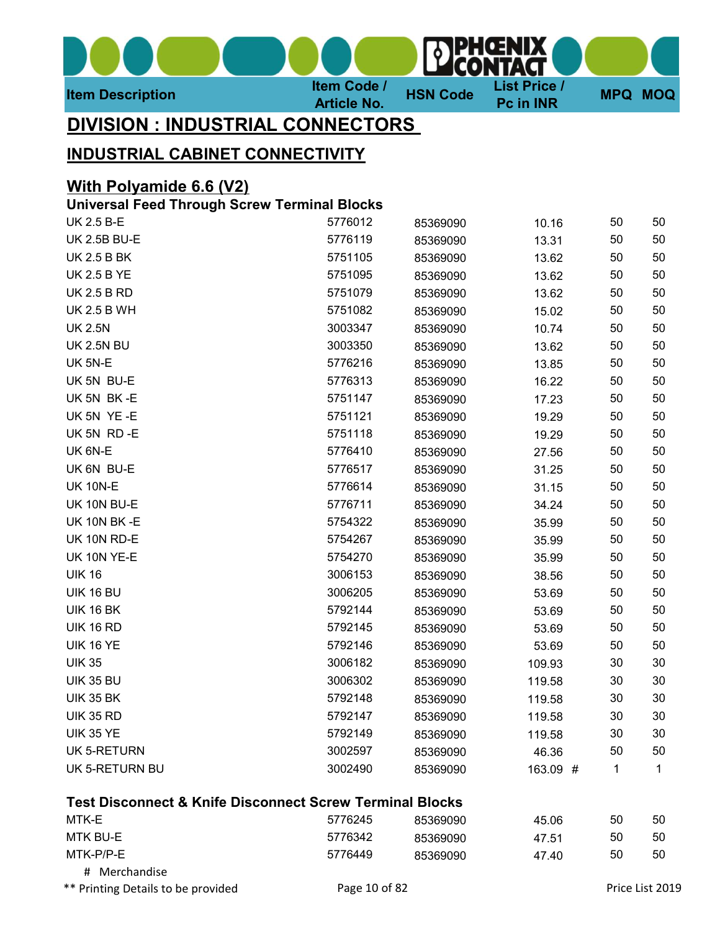

# DIVISION : INDUSTRIAL CONNECTORS

### INDUSTRIAL CABINET CONNECTIVITY

#### With Polyamide 6.6 (V2)

Universal Feed Through Screw Terminal Blocks

| <b>UK 2.5 B-E</b>                                                   | 5776012 | 85369090 | 10.16    | 50 | 50 |
|---------------------------------------------------------------------|---------|----------|----------|----|----|
| <b>UK 2.5B BU-E</b>                                                 | 5776119 | 85369090 | 13.31    | 50 | 50 |
| <b>UK 2.5 B BK</b>                                                  | 5751105 | 85369090 | 13.62    | 50 | 50 |
| <b>UK 2.5 B YE</b>                                                  | 5751095 | 85369090 | 13.62    | 50 | 50 |
| <b>UK 2.5 B RD</b>                                                  | 5751079 | 85369090 | 13.62    | 50 | 50 |
| <b>UK 2.5 B WH</b>                                                  | 5751082 | 85369090 | 15.02    | 50 | 50 |
| <b>UK 2.5N</b>                                                      | 3003347 | 85369090 | 10.74    | 50 | 50 |
| <b>UK 2.5N BU</b>                                                   | 3003350 | 85369090 | 13.62    | 50 | 50 |
| UK 5N-E                                                             | 5776216 | 85369090 | 13.85    | 50 | 50 |
| UK 5N BU-E                                                          | 5776313 | 85369090 | 16.22    | 50 | 50 |
| UK 5N BK-E                                                          | 5751147 | 85369090 | 17.23    | 50 | 50 |
| UK 5N YE-E                                                          | 5751121 | 85369090 | 19.29    | 50 | 50 |
| UK 5N RD-E                                                          | 5751118 | 85369090 | 19.29    | 50 | 50 |
| UK 6N-E                                                             | 5776410 | 85369090 | 27.56    | 50 | 50 |
| UK 6N BU-E                                                          | 5776517 | 85369090 | 31.25    | 50 | 50 |
| <b>UK 10N-E</b>                                                     | 5776614 | 85369090 | 31.15    | 50 | 50 |
| UK 10N BU-E                                                         | 5776711 | 85369090 | 34.24    | 50 | 50 |
| UK 10N BK-E                                                         | 5754322 | 85369090 | 35.99    | 50 | 50 |
| UK 10N RD-E                                                         | 5754267 | 85369090 | 35.99    | 50 | 50 |
| UK 10N YE-E                                                         | 5754270 | 85369090 | 35.99    | 50 | 50 |
| <b>UIK 16</b>                                                       | 3006153 | 85369090 | 38.56    | 50 | 50 |
| <b>UIK 16 BU</b>                                                    | 3006205 | 85369090 | 53.69    | 50 | 50 |
| <b>UIK 16 BK</b>                                                    | 5792144 | 85369090 | 53.69    | 50 | 50 |
| <b>UIK 16 RD</b>                                                    | 5792145 | 85369090 | 53.69    | 50 | 50 |
| <b>UIK 16 YE</b>                                                    | 5792146 | 85369090 | 53.69    | 50 | 50 |
| <b>UIK 35</b>                                                       | 3006182 | 85369090 | 109.93   | 30 | 30 |
| <b>UIK 35 BU</b>                                                    | 3006302 | 85369090 | 119.58   | 30 | 30 |
| <b>UIK 35 BK</b>                                                    | 5792148 | 85369090 | 119.58   | 30 | 30 |
| <b>UIK 35 RD</b>                                                    | 5792147 | 85369090 | 119.58   | 30 | 30 |
| <b>UIK 35 YE</b>                                                    | 5792149 | 85369090 | 119.58   | 30 | 30 |
| UK 5-RETURN                                                         | 3002597 | 85369090 | 46.36    | 50 | 50 |
| UK 5-RETURN BU                                                      | 3002490 | 85369090 | 163.09 # | 1  | 1  |
| <b>Test Disconnect &amp; Knife Disconnect Screw Terminal Blocks</b> |         |          |          |    |    |
| MTK-E                                                               | 5776245 | 85369090 | 45.06    | 50 | 50 |
| <b>MTK BU-E</b>                                                     | 5776342 | 85369090 | 47.51    | 50 | 50 |
| MTK-P/P-E                                                           | 5776449 | 85369090 | 47.40    | 50 | 50 |

 # Merchandise \*\* Printing Details to be provided Page 10 of 82 Printing Details to be provided Page 10 of 82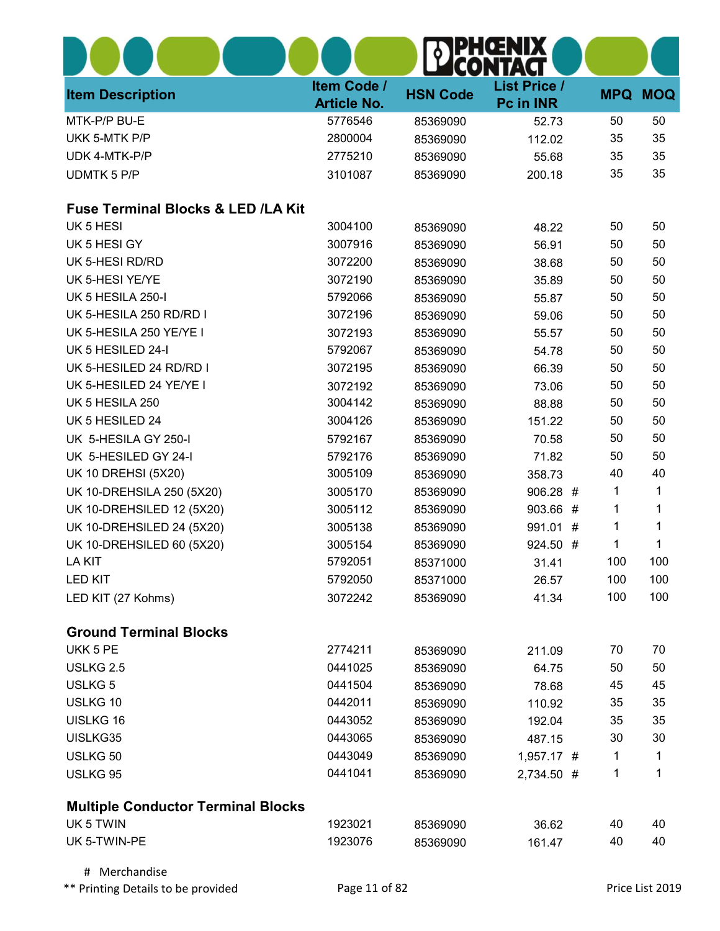|                                               |                                   | 0               |                                  |                |     |
|-----------------------------------------------|-----------------------------------|-----------------|----------------------------------|----------------|-----|
| <b>Item Description</b>                       | Item Code /<br><b>Article No.</b> | <b>HSN Code</b> | <b>List Price /</b><br>Pc in INR | <b>MPQ MOQ</b> |     |
| MTK-P/P BU-E                                  | 5776546                           | 85369090        | 52.73                            | 50             | 50  |
| UKK 5-MTK P/P                                 | 2800004                           | 85369090        | 112.02                           | 35             | 35  |
| UDK 4-MTK-P/P                                 | 2775210                           | 85369090        | 55.68                            | 35             | 35  |
| <b>UDMTK 5 P/P</b>                            | 3101087                           | 85369090        | 200.18                           | 35             | 35  |
| <b>Fuse Terminal Blocks &amp; LED /LA Kit</b> |                                   |                 |                                  |                |     |
| UK 5 HESI                                     | 3004100                           | 85369090        | 48.22                            | 50             | 50  |
| UK 5 HESI GY                                  | 3007916                           | 85369090        | 56.91                            | 50             | 50  |
| UK 5-HESI RD/RD                               | 3072200                           | 85369090        | 38.68                            | 50             | 50  |
| UK 5-HESI YE/YE                               | 3072190                           | 85369090        | 35.89                            | 50             | 50  |
| UK 5 HESILA 250-I                             | 5792066                           | 85369090        | 55.87                            | 50             | 50  |
| UK 5-HESILA 250 RD/RD I                       | 3072196                           | 85369090        | 59.06                            | 50             | 50  |
| UK 5-HESILA 250 YE/YE I                       | 3072193                           | 85369090        | 55.57                            | 50             | 50  |
| UK 5 HESILED 24-I                             | 5792067                           | 85369090        | 54.78                            | 50             | 50  |
| UK 5-HESILED 24 RD/RD I                       | 3072195                           | 85369090        | 66.39                            | 50             | 50  |
| UK 5-HESILED 24 YE/YE I                       | 3072192                           | 85369090        | 73.06                            | 50             | 50  |
| UK 5 HESILA 250                               | 3004142                           | 85369090        | 88.88                            | 50             | 50  |
| UK 5 HESILED 24                               | 3004126                           | 85369090        | 151.22                           | 50             | 50  |
| UK 5-HESILA GY 250-I                          | 5792167                           | 85369090        | 70.58                            | 50             | 50  |
| UK 5-HESILED GY 24-I                          | 5792176                           | 85369090        | 71.82                            | 50             | 50  |
| <b>UK 10 DREHSI (5X20)</b>                    | 3005109                           | 85369090        | 358.73                           | 40             | 40  |
| UK 10-DREHSILA 250 (5X20)                     | 3005170                           | 85369090        | 906.28 #                         | 1              | 1   |
| <b>UK 10-DREHSILED 12 (5X20)</b>              | 3005112                           | 85369090        | 903.66 #                         | 1              | 1   |
| <b>UK 10-DREHSILED 24 (5X20)</b>              | 3005138                           | 85369090        | 991.01 #                         | 1              | 1   |
| UK 10-DREHSILED 60 (5X20)                     | 3005154                           | 85369090        | 924.50 #                         | 1              | 1   |
| LA KIT                                        | 5792051                           | 85371000        | 31.41                            | 100            | 100 |
| <b>LED KIT</b>                                | 5792050                           | 85371000        | 26.57                            | 100            | 100 |
| LED KIT (27 Kohms)                            | 3072242                           | 85369090        | 41.34                            | 100            | 100 |
| <b>Ground Terminal Blocks</b>                 |                                   |                 |                                  |                |     |
| UKK 5 PE                                      | 2774211                           | 85369090        | 211.09                           | 70             | 70  |
| USLKG <sub>2.5</sub>                          | 0441025                           | 85369090        | 64.75                            | 50             | 50  |
| <b>USLKG5</b>                                 | 0441504                           | 85369090        | 78.68                            | 45             | 45  |
| USLKG 10                                      | 0442011                           | 85369090        | 110.92                           | 35             | 35  |
| UISLKG 16                                     | 0443052                           | 85369090        | 192.04                           | 35             | 35  |
| UISLKG35                                      | 0443065                           | 85369090        | 487.15                           | 30             | 30  |
| USLKG 50                                      | 0443049                           | 85369090        | $1,957.17$ #                     | 1              | 1   |
| USLKG 95                                      | 0441041                           | 85369090        | 2,734.50 #                       | 1              | 1   |
| <b>Multiple Conductor Terminal Blocks</b>     |                                   |                 |                                  |                |     |
| UK 5 TWIN                                     | 1923021                           | 85369090        | 36.62                            | 40             | 40  |
| UK 5-TWIN-PE                                  | 1923076                           | 85369090        | 161.47                           | 40             | 40  |
| # Merchandise                                 |                                   |                 |                                  |                |     |

\*\* Printing Details to be provided **Page 11 of 82** Printing Details to be provided **Page 11 of 82** Price List 2019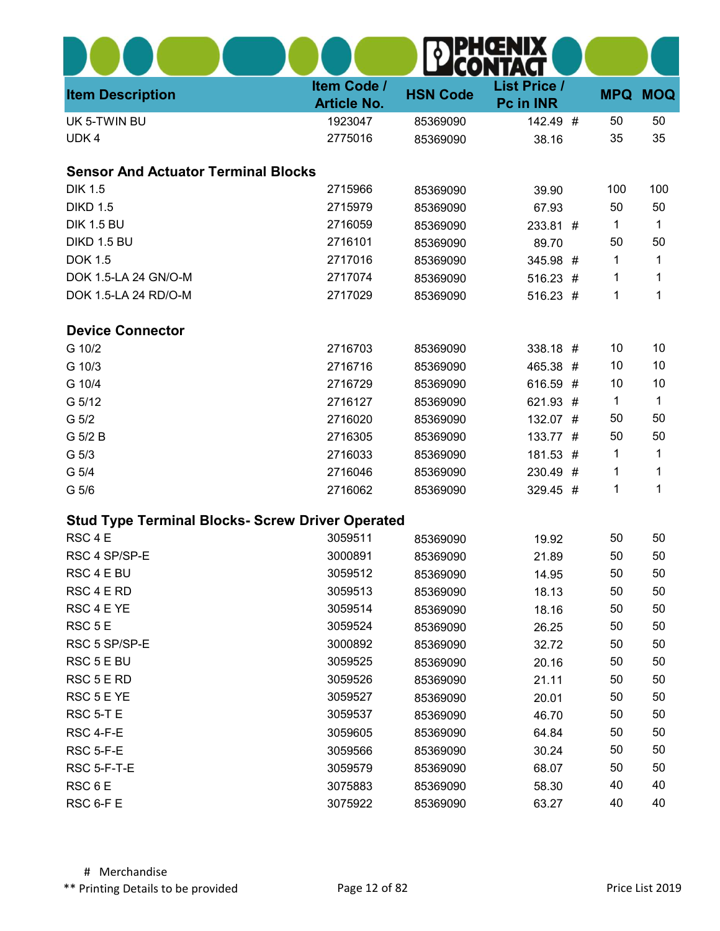| <b>Item Description</b>                                 | Item Code /<br><b>Article No.</b> | <b>HSN Code</b> | <b>List Price /</b><br>Pc in INR |              | <b>MPQ MOQ</b> |
|---------------------------------------------------------|-----------------------------------|-----------------|----------------------------------|--------------|----------------|
| UK 5-TWIN BU                                            | 1923047                           | 85369090        | 142.49 #                         | 50           | 50             |
| UDK4                                                    | 2775016                           | 85369090        | 38.16                            | 35           | 35             |
| <b>Sensor And Actuator Terminal Blocks</b>              |                                   |                 |                                  |              |                |
| <b>DIK 1.5</b>                                          | 2715966                           | 85369090        | 39.90                            | 100          | 100            |
| <b>DIKD 1.5</b>                                         | 2715979                           | 85369090        | 67.93                            | 50           | 50             |
| <b>DIK 1.5 BU</b>                                       | 2716059                           | 85369090        | 233.81 #                         | $\mathbf{1}$ | 1              |
| DIKD 1.5 BU                                             | 2716101                           | 85369090        | 89.70                            | 50           | 50             |
| <b>DOK 1.5</b>                                          | 2717016                           | 85369090        | 345.98 #                         | 1            | 1              |
| DOK 1.5-LA 24 GN/O-M                                    | 2717074                           | 85369090        | 516.23 #                         | 1            | 1              |
| DOK 1.5-LA 24 RD/O-M                                    | 2717029                           | 85369090        | 516.23 #                         | 1            | 1              |
| <b>Device Connector</b>                                 |                                   |                 |                                  |              |                |
| G 10/2                                                  | 2716703                           | 85369090        | 338.18 #                         | 10           | 10             |
| G 10/3                                                  | 2716716                           | 85369090        | 465.38 #                         | 10           | 10             |
| G 10/4                                                  | 2716729                           | 85369090        | 616.59 #                         | 10           | 10             |
| G 5/12                                                  | 2716127                           | 85369090        | 621.93 #                         | 1            | 1              |
| G 5/2                                                   | 2716020                           | 85369090        | 132.07 #                         | 50           | 50             |
| G 5/2 B                                                 | 2716305                           | 85369090        | 133.77#                          | 50           | 50             |
| G 5/3                                                   | 2716033                           | 85369090        | 181.53 #                         | 1            | 1              |
| G 5/4                                                   | 2716046                           | 85369090        | 230.49 #                         | 1            | 1              |
| G 5/6                                                   | 2716062                           | 85369090        | 329.45 #                         | 1            | 1              |
| <b>Stud Type Terminal Blocks- Screw Driver Operated</b> |                                   |                 |                                  |              |                |
| RSC <sub>4</sub> E                                      | 3059511                           | 85369090        | 19.92                            | 50           | 50             |
| RSC 4 SP/SP-E                                           | 3000891                           | 85369090        | 21.89                            | 50           | 50             |
| RSC 4 E BU                                              | 3059512                           | 85369090        | 14.95                            | 50           | 50             |
| RSC 4 E RD                                              | 3059513                           | 85369090        | 18.13                            | 50           | 50             |
| RSC 4 E YE                                              | 3059514                           | 85369090        | 18.16                            | 50           | 50             |
| RSC 5 E                                                 | 3059524                           | 85369090        | 26.25                            | 50           | 50             |
| RSC 5 SP/SP-E                                           | 3000892                           | 85369090        | 32.72                            | 50           | 50             |
| RSC 5 E BU                                              | 3059525                           | 85369090        | 20.16                            | 50           | 50             |
| RSC 5 E RD                                              | 3059526                           | 85369090        | 21.11                            | 50           | 50             |
| RSC 5 E YE                                              | 3059527                           | 85369090        | 20.01                            | 50           | 50             |
| RSC 5-T E                                               | 3059537                           | 85369090        | 46.70                            | 50           | 50             |
| RSC 4-F-E                                               | 3059605                           | 85369090        | 64.84                            | 50           | 50             |
| RSC 5-F-E                                               | 3059566                           | 85369090        | 30.24                            | 50           | 50             |
| RSC 5-F-T-E                                             | 3059579                           | 85369090        | 68.07                            | 50           | 50             |
| RSC 6 E                                                 | 3075883                           | 85369090        | 58.30                            | 40           | 40             |
| RSC 6-F E                                               | 3075922                           | 85369090        | 63.27                            | 40           | 40             |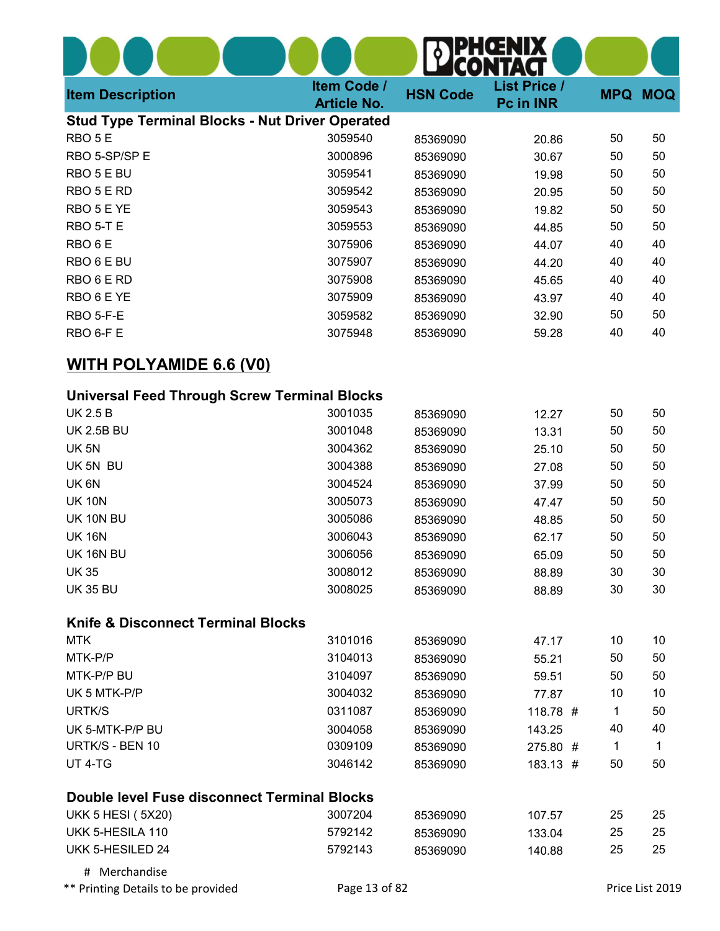| <b>Item Description</b>                                | Item Code /<br><b>Article No.</b> | <b>HSN Code</b> | <b>List Price /</b><br>Pc in INR |    | <b>MPQ MOQ</b> |
|--------------------------------------------------------|-----------------------------------|-----------------|----------------------------------|----|----------------|
| <b>Stud Type Terminal Blocks - Nut Driver Operated</b> |                                   |                 |                                  |    |                |
| RBO <sub>5</sub> E                                     | 3059540                           | 85369090        | 20.86                            | 50 | 50             |
| RBO 5-SP/SP E                                          | 3000896                           | 85369090        | 30.67                            | 50 | 50             |
| RBO 5 E BU                                             | 3059541                           | 85369090        | 19.98                            | 50 | 50             |
| RBO 5 E RD                                             | 3059542                           | 85369090        | 20.95                            | 50 | 50             |
| RBO 5 E YE                                             | 3059543                           | 85369090        | 19.82                            | 50 | 50             |
| RBO 5-T E                                              | 3059553                           | 85369090        | 44.85                            | 50 | 50             |
| RBO <sub>6</sub> E                                     | 3075906                           | 85369090        | 44.07                            | 40 | 40             |
| RBO 6 E BU                                             | 3075907                           | 85369090        | 44.20                            | 40 | 40             |
| RBO 6 E RD                                             | 3075908                           | 85369090        | 45.65                            | 40 | 40             |
| RBO 6 E YE                                             | 3075909                           | 85369090        | 43.97                            | 40 | 40             |
| RBO 5-F-E                                              | 3059582                           | 85369090        | 32.90                            | 50 | 50             |
| RBO 6-F E                                              | 3075948                           | 85369090        | 59.28                            | 40 | 40             |
| <b>WITH POLYAMIDE 6.6 (V0)</b>                         |                                   |                 |                                  |    |                |
| <b>Universal Feed Through Screw Terminal Blocks</b>    |                                   |                 |                                  |    |                |
| <b>UK 2.5 B</b>                                        | 3001035                           | 85369090        | 12.27                            | 50 | 50             |
| <b>UK 2.5B BU</b>                                      | 3001048                           | 85369090        | 13.31                            | 50 | 50             |
| UK <sub>5N</sub>                                       | 3004362                           | 85369090        | 25.10                            | 50 | 50             |
| UK 5N BU                                               | 3004388                           | 85369090        | 27.08                            | 50 | 50             |
| UK 6N                                                  | 3004524                           | 85369090        | 37.99                            | 50 | 50             |
| <b>UK 10N</b>                                          | 3005073                           | 85369090        | 47.47                            | 50 | 50             |
| UK 10N BU                                              | 3005086                           | 85369090        | 48.85                            | 50 | 50             |
| <b>UK 16N</b>                                          | 3006043                           | 85369090        | 62.17                            | 50 | 50             |
| UK 16N BU                                              | 3006056                           | 85369090        | 65.09                            | 50 | 50             |
| <b>UK 35</b>                                           | 3008012                           | 85369090        | 88.89                            | 30 | 30             |
| <b>UK 35 BU</b>                                        | 3008025                           | 85369090        | 88.89                            | 30 | 30             |
| <b>Knife &amp; Disconnect Terminal Blocks</b>          |                                   |                 |                                  |    |                |
| <b>MTK</b>                                             | 3101016                           | 85369090        | 47.17                            | 10 | 10             |
| MTK-P/P                                                | 3104013                           | 85369090        | 55.21                            | 50 | 50             |
| MTK-P/P BU                                             | 3104097                           | 85369090        | 59.51                            | 50 | 50             |
| UK 5 MTK-P/P                                           | 3004032                           | 85369090        | 77.87                            | 10 | 10             |
| URTK/S                                                 | 0311087                           | 85369090        | 118.78 #                         | 1  | 50             |
| UK 5-MTK-P/P BU                                        | 3004058                           | 85369090        | 143.25                           | 40 | 40             |
| URTK/S - BEN 10                                        | 0309109                           | 85369090        | 275.80 #                         | 1  | 1              |
| UT 4-TG                                                | 3046142                           | 85369090        | 183.13 #                         | 50 | 50             |
| Double level Fuse disconnect Terminal Blocks           |                                   |                 |                                  |    |                |
| <b>UKK 5 HESI (5X20)</b>                               | 3007204                           | 85369090        | 107.57                           | 25 | 25             |
| UKK 5-HESILA 110                                       | 5792142                           | 85369090        | 133.04                           | 25 | 25             |
| UKK 5-HESILED 24                                       | 5792143                           | 85369090        | 140.88                           | 25 | 25             |
| # Merchandise                                          |                                   |                 |                                  |    |                |

\*\* Printing Details to be provided **Page 13 of 82** Printing Details to be provided **Page 13 of 82** Price List 2019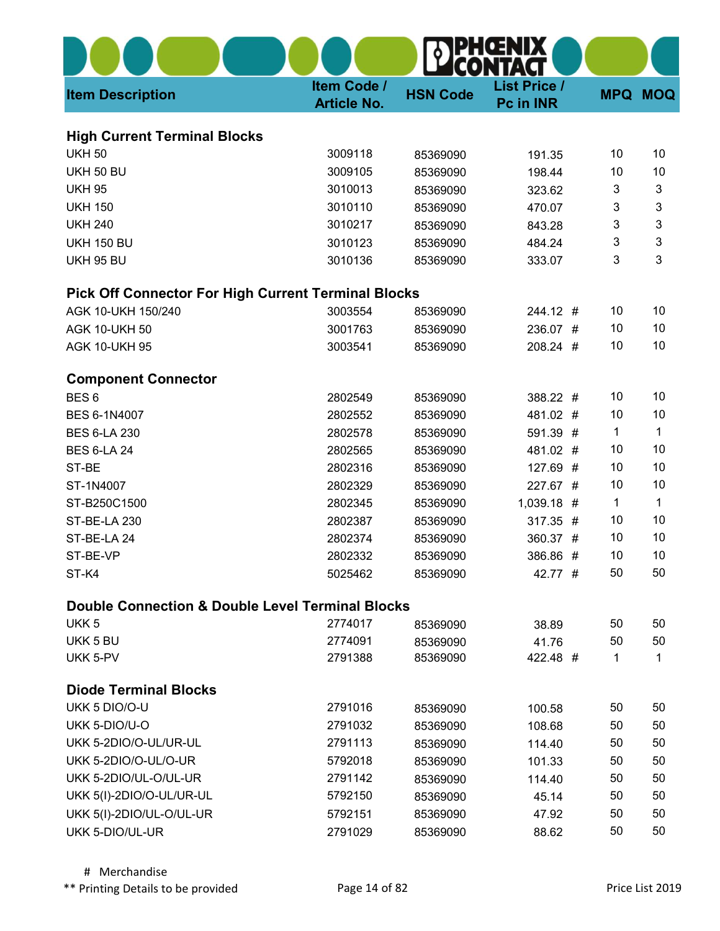| <b>Item Description</b>                                    | Item Code /<br><b>Article No.</b> | <b>HSN Code</b> | <b>List Price /</b><br>Pc in INR |    | <b>MPQ MOQ</b> |
|------------------------------------------------------------|-----------------------------------|-----------------|----------------------------------|----|----------------|
| <b>High Current Terminal Blocks</b>                        |                                   |                 |                                  |    |                |
| <b>UKH 50</b>                                              | 3009118                           | 85369090        | 191.35                           | 10 | 10             |
| <b>UKH 50 BU</b>                                           | 3009105                           | 85369090        | 198.44                           | 10 | 10             |
| <b>UKH 95</b>                                              | 3010013                           | 85369090        | 323.62                           | 3  | $\mathsf 3$    |
| <b>UKH 150</b>                                             | 3010110                           | 85369090        | 470.07                           | 3  | 3              |
| <b>UKH 240</b>                                             | 3010217                           | 85369090        | 843.28                           | 3  | $\mathbf{3}$   |
| <b>UKH 150 BU</b>                                          | 3010123                           | 85369090        | 484.24                           | 3  | $\mathbf{3}$   |
| <b>UKH 95 BU</b>                                           | 3010136                           | 85369090        | 333.07                           | 3  | 3              |
| <b>Pick Off Connector For High Current Terminal Blocks</b> |                                   |                 |                                  |    |                |
| AGK 10-UKH 150/240                                         | 3003554                           | 85369090        | 244.12 #                         | 10 | 10             |
| <b>AGK 10-UKH 50</b>                                       | 3001763                           | 85369090        | 236.07 #                         | 10 | 10             |
| <b>AGK 10-UKH 95</b>                                       | 3003541                           | 85369090        | 208.24 #                         | 10 | 10             |
| <b>Component Connector</b>                                 |                                   |                 |                                  |    |                |
| BES <sub>6</sub>                                           | 2802549                           | 85369090        | 388.22 #                         | 10 | 10             |
| BES 6-1N4007                                               | 2802552                           | 85369090        | 481.02 #                         | 10 | 10             |
| <b>BES 6-LA 230</b>                                        | 2802578                           | 85369090        | 591.39 #                         | 1  | 1              |
| <b>BES 6-LA 24</b>                                         | 2802565                           | 85369090        | 481.02 #                         | 10 | 10             |
| ST-BE                                                      | 2802316                           | 85369090        | 127.69 #                         | 10 | 10             |
| ST-1N4007                                                  | 2802329                           | 85369090        | 227.67 #                         | 10 | 10             |
| ST-B250C1500                                               | 2802345                           | 85369090        | 1,039.18 #                       | 1  | $\mathbf 1$    |
| ST-BE-LA 230                                               | 2802387                           | 85369090        | 317.35 #                         | 10 | 10             |
| ST-BE-LA 24                                                | 2802374                           | 85369090        | 360.37 #                         | 10 | 10             |
| ST-BE-VP                                                   | 2802332                           | 85369090        | 386.86 #                         | 10 | 10             |
| ST-K4                                                      | 5025462                           | 85369090        | 42.77 #                          | 50 | 50             |
| Double Connection & Double Level Terminal Blocks           |                                   |                 |                                  |    |                |
| UKK <sub>5</sub>                                           | 2774017                           | 85369090        | 38.89                            | 50 | 50             |
| UKK 5 BU                                                   | 2774091                           | 85369090        | 41.76                            | 50 | 50             |
| UKK 5-PV                                                   | 2791388                           | 85369090        | 422.48 #                         | 1  | 1              |
| <b>Diode Terminal Blocks</b>                               |                                   |                 |                                  |    |                |
| UKK 5 DIO/O-U                                              | 2791016                           | 85369090        | 100.58                           | 50 | 50             |
| UKK 5-DIO/U-O                                              | 2791032                           | 85369090        | 108.68                           | 50 | 50             |
| UKK 5-2DIO/O-UL/UR-UL                                      | 2791113                           | 85369090        | 114.40                           | 50 | 50             |
| UKK 5-2DIO/O-UL/O-UR                                       | 5792018                           | 85369090        | 101.33                           | 50 | 50             |
| UKK 5-2DIO/UL-O/UL-UR                                      | 2791142                           | 85369090        | 114.40                           | 50 | 50             |
| UKK 5(I)-2DIO/O-UL/UR-UL                                   | 5792150                           | 85369090        | 45.14                            | 50 | 50             |
| UKK 5(I)-2DIO/UL-O/UL-UR                                   | 5792151                           | 85369090        | 47.92                            | 50 | 50             |
| UKK 5-DIO/UL-UR                                            | 2791029                           | 85369090        | 88.62                            | 50 | 50             |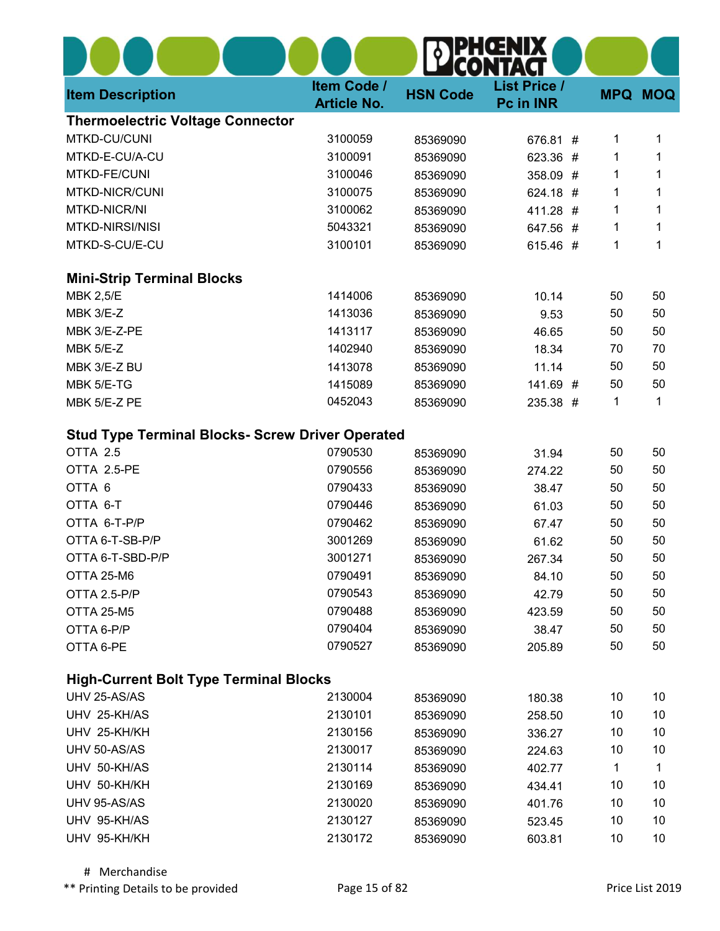| <b>Item Description</b>                                 | Item Code /<br><b>Article No.</b> | <b>HSN Code</b> | <b>List Price /</b><br>Pc in INR | <b>MPQ</b> | <b>MOQ</b> |
|---------------------------------------------------------|-----------------------------------|-----------------|----------------------------------|------------|------------|
| <b>Thermoelectric Voltage Connector</b>                 |                                   |                 |                                  |            |            |
| MTKD-CU/CUNI                                            | 3100059                           | 85369090        | 676.81 #                         | 1          | 1          |
| MTKD-E-CU/A-CU                                          | 3100091                           | 85369090        | 623.36 #                         | 1          | 1          |
| MTKD-FE/CUNI                                            | 3100046                           | 85369090        | 358.09 #                         | 1          | 1          |
| MTKD-NICR/CUNI                                          | 3100075                           | 85369090        | 624.18 #                         | 1          | 1          |
| MTKD-NICR/NI                                            | 3100062                           | 85369090        | 411.28 #                         | 1          | 1          |
| MTKD-NIRSI/NISI                                         | 5043321                           | 85369090        | 647.56 #                         | 1          | 1          |
| MTKD-S-CU/E-CU                                          | 3100101                           | 85369090        | 615.46 #                         | 1          | 1          |
| <b>Mini-Strip Terminal Blocks</b>                       |                                   |                 |                                  |            |            |
| <b>MBK 2,5/E</b>                                        | 1414006                           | 85369090        | 10.14                            | 50         | 50         |
| MBK 3/E-Z                                               | 1413036                           | 85369090        | 9.53                             | 50         | 50         |
| MBK 3/E-Z-PE                                            | 1413117                           | 85369090        | 46.65                            | 50         | 50         |
| MBK 5/E-Z                                               | 1402940                           | 85369090        | 18.34                            | 70         | 70         |
| MBK 3/E-Z BU                                            | 1413078                           | 85369090        | 11.14                            | 50         | 50         |
| MBK 5/E-TG                                              | 1415089                           | 85369090        | 141.69 #                         | 50         | 50         |
| MBK 5/E-Z PE                                            | 0452043                           | 85369090        | 235.38 #                         | 1          | 1          |
| <b>Stud Type Terminal Blocks- Screw Driver Operated</b> |                                   |                 |                                  |            |            |
| OTTA 2.5                                                | 0790530                           | 85369090        | 31.94                            | 50         | 50         |
| OTTA 2.5-PE                                             | 0790556                           | 85369090        | 274.22                           | 50         | 50         |
| OTTA 6                                                  | 0790433                           | 85369090        | 38.47                            | 50         | 50         |
| OTTA 6-T                                                | 0790446                           | 85369090        | 61.03                            | 50         | 50         |
| OTTA 6-T-P/P                                            | 0790462                           | 85369090        | 67.47                            | 50         | 50         |
| OTTA 6-T-SB-P/P                                         | 3001269                           | 85369090        | 61.62                            | 50         | 50         |
| OTTA 6-T-SBD-P/P                                        | 3001271                           | 85369090        | 267.34                           | 50         | 50         |
| OTTA 25-M6                                              | 0790491                           | 85369090        | 84.10                            | 50         | 50         |
| OTTA 2.5-P/P                                            | 0790543                           | 85369090        | 42.79                            | 50         | 50         |
| OTTA 25-M5                                              | 0790488                           | 85369090        | 423.59                           | 50         | 50         |
| OTTA 6-P/P                                              | 0790404                           | 85369090        | 38.47                            | 50         | 50         |
| OTTA 6-PE                                               | 0790527                           | 85369090        | 205.89                           | 50         | 50         |
| <b>High-Current Bolt Type Terminal Blocks</b>           |                                   |                 |                                  |            |            |
| UHV 25-AS/AS                                            | 2130004                           | 85369090        | 180.38                           | 10         | 10         |
| UHV 25-KH/AS                                            | 2130101                           | 85369090        | 258.50                           | 10         | 10         |
| UHV 25-KH/KH                                            | 2130156                           | 85369090        | 336.27                           | 10         | 10         |
| UHV 50-AS/AS                                            | 2130017                           | 85369090        | 224.63                           | 10         | 10         |
| UHV 50-KH/AS                                            | 2130114                           | 85369090        | 402.77                           | 1          | 1          |
| UHV 50-KH/KH                                            | 2130169                           | 85369090        | 434.41                           | 10         | 10         |
| UHV 95-AS/AS                                            | 2130020                           | 85369090        | 401.76                           | 10         | 10         |
| UHV 95-KH/AS                                            | 2130127                           | 85369090        | 523.45                           | 10         | 10         |
| UHV 95-KH/KH                                            | 2130172                           | 85369090        | 603.81                           | 10         | 10         |

\*\* Printing Details to be provided **Page 15 of 82** Printing Details to be provided **Page 15 of 82** Price List 2019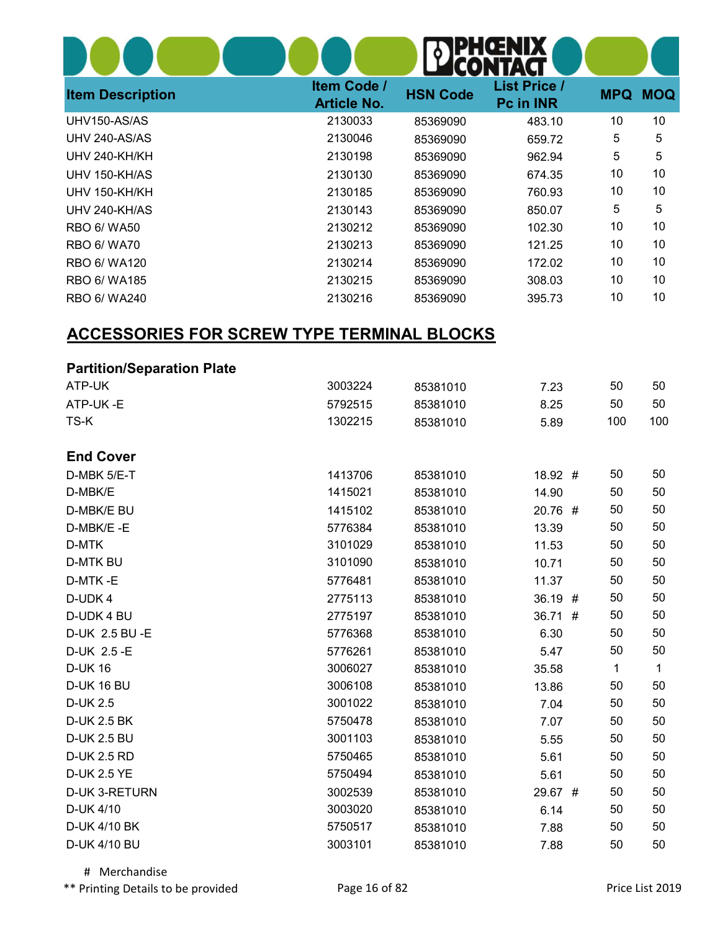| <b>Item Description</b> | Item Code /<br><b>Article No.</b> | <b>HSN Code</b> | <b>List Price /</b><br><b>Pc in INR</b> | <b>MPQ</b> | <b>MOQ</b> |
|-------------------------|-----------------------------------|-----------------|-----------------------------------------|------------|------------|
| UHV150-AS/AS            | 2130033                           | 85369090        | 483.10                                  | 10         | 10         |
| <b>UHV 240-AS/AS</b>    | 2130046                           | 85369090        | 659.72                                  | 5          | 5          |
| UHV 240-KH/KH           | 2130198                           | 85369090        | 962.94                                  | 5          | 5          |
| UHV 150-KH/AS           | 2130130                           | 85369090        | 674.35                                  | 10         | 10         |
| UHV 150-KH/KH           | 2130185                           | 85369090        | 760.93                                  | 10         | 10         |
| UHV 240-KH/AS           | 2130143                           | 85369090        | 850.07                                  | 5          | 5          |
| <b>RBO 6/ WA50</b>      | 2130212                           | 85369090        | 102.30                                  | 10         | 10         |
| <b>RBO 6/ WA70</b>      | 2130213                           | 85369090        | 121.25                                  | 10         | 10         |
| RBO 6/ WA120            | 2130214                           | 85369090        | 172.02                                  | 10         | 10         |
| <b>RBO 6/ WA185</b>     | 2130215                           | 85369090        | 308.03                                  | 10         | 10         |
| RBO 6/ WA240            | 2130216                           | 85369090        | 395.73                                  | 10         | 10         |

# ACCESSORIES FOR SCREW TYPE TERMINAL BLOCKS

| <b>Partition/Separation Plate</b> |         |          |         |     |              |
|-----------------------------------|---------|----------|---------|-----|--------------|
| ATP-UK                            | 3003224 | 85381010 | 7.23    | 50  | 50           |
| ATP-UK-E                          | 5792515 | 85381010 | 8.25    | 50  | 50           |
| TS-K                              | 1302215 | 85381010 | 5.89    | 100 | 100          |
| <b>End Cover</b>                  |         |          |         |     |              |
| D-MBK 5/E-T                       | 1413706 | 85381010 | 18.92 # | 50  | 50           |
| D-MBK/E                           | 1415021 | 85381010 | 14.90   | 50  | 50           |
| D-MBK/E BU                        | 1415102 | 85381010 | 20.76 # | 50  | 50           |
| D-MBK/E-E                         | 5776384 | 85381010 | 13.39   | 50  | 50           |
| D-MTK                             | 3101029 | 85381010 | 11.53   | 50  | 50           |
| <b>D-MTK BU</b>                   | 3101090 | 85381010 | 10.71   | 50  | 50           |
| D-MTK-E                           | 5776481 | 85381010 | 11.37   | 50  | 50           |
| D-UDK4                            | 2775113 | 85381010 | 36.19 # | 50  | 50           |
| D-UDK 4 BU                        | 2775197 | 85381010 | 36.71 # | 50  | 50           |
| D-UK 2.5 BU -E                    | 5776368 | 85381010 | 6.30    | 50  | 50           |
| D-UK 2.5 - E                      | 5776261 | 85381010 | 5.47    | 50  | 50           |
| <b>D-UK 16</b>                    | 3006027 | 85381010 | 35.58   | 1   | $\mathbf{1}$ |
| <b>D-UK 16 BU</b>                 | 3006108 | 85381010 | 13.86   | 50  | 50           |
| <b>D-UK 2.5</b>                   | 3001022 | 85381010 | 7.04    | 50  | 50           |
| <b>D-UK 2.5 BK</b>                | 5750478 | 85381010 | 7.07    | 50  | 50           |
| <b>D-UK 2.5 BU</b>                | 3001103 | 85381010 | 5.55    | 50  | 50           |
| <b>D-UK 2.5 RD</b>                | 5750465 | 85381010 | 5.61    | 50  | 50           |
| <b>D-UK 2.5 YE</b>                | 5750494 | 85381010 | 5.61    | 50  | 50           |
| <b>D-UK 3-RETURN</b>              | 3002539 | 85381010 | 29.67 # | 50  | 50           |
| D-UK 4/10                         | 3003020 | 85381010 | 6.14    | 50  | 50           |
| D-UK 4/10 BK                      | 5750517 | 85381010 | 7.88    | 50  | 50           |
| D-UK 4/10 BU                      | 3003101 | 85381010 | 7.88    | 50  | 50           |

# Merchandise

\*\* Printing Details to be provided **Page 16 of 82** Printing Details to be provided **Page 16 of 82** Price List 2019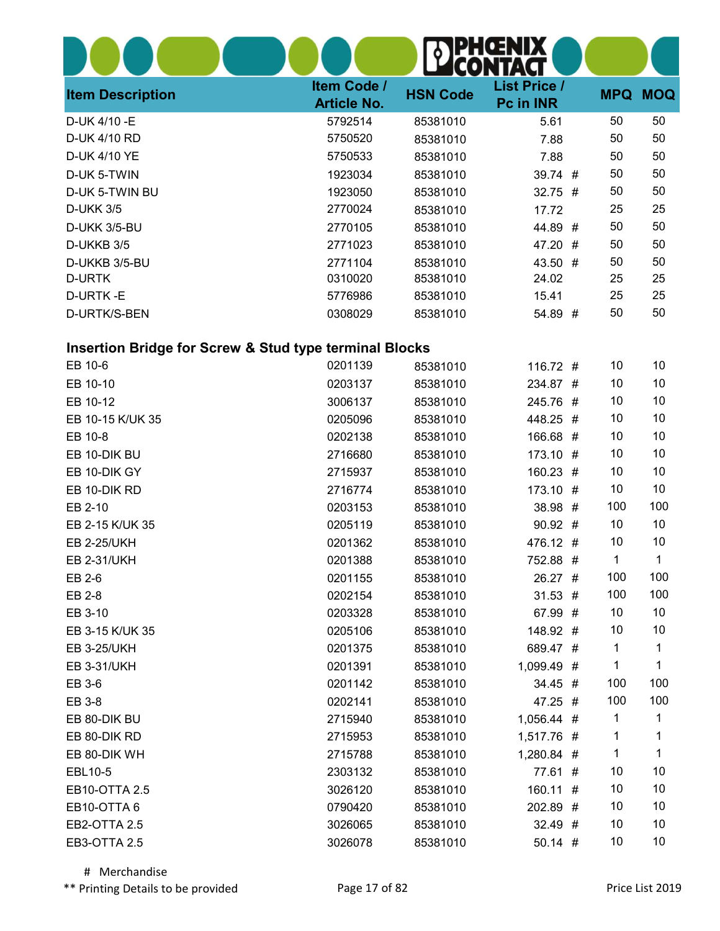| <b>Item Description</b>                                           | Item Code /<br><b>Article No.</b> | <b>HSN Code</b> | <b>List Price /</b><br>Pc in INR |     | <b>MPQ MOQ</b> |
|-------------------------------------------------------------------|-----------------------------------|-----------------|----------------------------------|-----|----------------|
| D-UK 4/10 - E                                                     | 5792514                           | 85381010        | 5.61                             | 50  | 50             |
| D-UK 4/10 RD                                                      | 5750520                           | 85381010        | 7.88                             | 50  | 50             |
| D-UK 4/10 YE                                                      | 5750533                           | 85381010        | 7.88                             | 50  | 50             |
| D-UK 5-TWIN                                                       | 1923034                           | 85381010        | 39.74 #                          | 50  | 50             |
| D-UK 5-TWIN BU                                                    | 1923050                           | 85381010        | $32.75$ #                        | 50  | 50             |
| <b>D-UKK 3/5</b>                                                  | 2770024                           | 85381010        | 17.72                            | 25  | 25             |
| D-UKK 3/5-BU                                                      | 2770105                           | 85381010        | 44.89 #                          | 50  | 50             |
| D-UKKB 3/5                                                        | 2771023                           | 85381010        | 47.20 #                          | 50  | 50             |
| D-UKKB 3/5-BU                                                     | 2771104                           | 85381010        | 43.50 #                          | 50  | 50             |
| <b>D-URTK</b>                                                     | 0310020                           | 85381010        | 24.02                            | 25  | 25             |
| D-URTK-E                                                          | 5776986                           | 85381010        | 15.41                            | 25  | 25             |
| D-URTK/S-BEN                                                      | 0308029                           | 85381010        | 54.89 #                          | 50  | 50             |
| <b>Insertion Bridge for Screw &amp; Stud type terminal Blocks</b> |                                   |                 |                                  |     |                |
| EB 10-6                                                           | 0201139                           | 85381010        | 116.72 #                         | 10  | 10             |
| EB 10-10                                                          | 0203137                           | 85381010        | 234.87 #                         | 10  | 10             |
| EB 10-12                                                          | 3006137                           | 85381010        | 245.76 #                         | 10  | 10             |
| EB 10-15 K/UK 35                                                  | 0205096                           | 85381010        | 448.25 #                         | 10  | 10             |
| EB 10-8                                                           | 0202138                           | 85381010        | 166.68 #                         | 10  | 10             |
| EB 10-DIK BU                                                      | 2716680                           | 85381010        | 173.10 #                         | 10  | 10             |
| EB 10-DIK GY                                                      | 2715937                           | 85381010        | 160.23 #                         | 10  | 10             |
| EB 10-DIK RD                                                      | 2716774                           | 85381010        | $173.10$ #                       | 10  | 10             |
| EB 2-10                                                           | 0203153                           | 85381010        | 38.98 #                          | 100 | 100            |
| EB 2-15 K/UK 35                                                   | 0205119                           | 85381010        | $90.92$ #                        | 10  | 10             |
| <b>EB 2-25/UKH</b>                                                | 0201362                           | 85381010        | 476.12 #                         | 10  | 10             |
| <b>EB 2-31/UKH</b>                                                | 0201388                           | 85381010        | 752.88 #                         | 1   | $\mathbf{1}$   |
| EB 2-6                                                            | 0201155                           | 85381010        | 26.27#                           | 100 | 100            |
| EB 2-8                                                            | 0202154                           | 85381010        | $31.53$ #                        | 100 | 100            |
| EB 3-10                                                           | 0203328                           | 85381010        | 67.99 #                          | 10  | 10             |
| EB 3-15 K/UK 35                                                   | 0205106                           | 85381010        | 148.92 #                         | 10  | 10             |
| <b>EB 3-25/UKH</b>                                                | 0201375                           | 85381010        | 689.47 #                         | 1   | 1              |
| <b>EB 3-31/UKH</b>                                                | 0201391                           | 85381010        | 1,099.49 #                       | 1   | 1              |
| EB 3-6                                                            | 0201142                           | 85381010        | $34.45$ #                        | 100 | 100            |
| EB 3-8                                                            | 0202141                           | 85381010        | 47.25 #                          | 100 | 100            |
| EB 80-DIK BU                                                      | 2715940                           | 85381010        | 1,056.44 #                       | 1   | 1              |
| EB 80-DIK RD                                                      | 2715953                           | 85381010        | 1,517.76 #                       | 1   | 1              |
| EB 80-DIK WH                                                      | 2715788                           | 85381010        | 1,280.84 #                       | 1   | 1              |
| EBL10-5                                                           | 2303132                           | 85381010        | 77.61 #                          | 10  | 10             |
| EB10-OTTA 2.5                                                     | 3026120                           | 85381010        | 160.11 #                         | 10  | 10             |
| EB10-OTTA6                                                        | 0790420                           | 85381010        | 202.89 #                         | 10  | 10             |
| EB2-OTTA 2.5                                                      | 3026065                           | 85381010        | 32.49 #                          | 10  | 10             |
| <b>EB3-OTTA 2.5</b>                                               | 3026078                           | 85381010        | 50.14 #                          | 10  | 10             |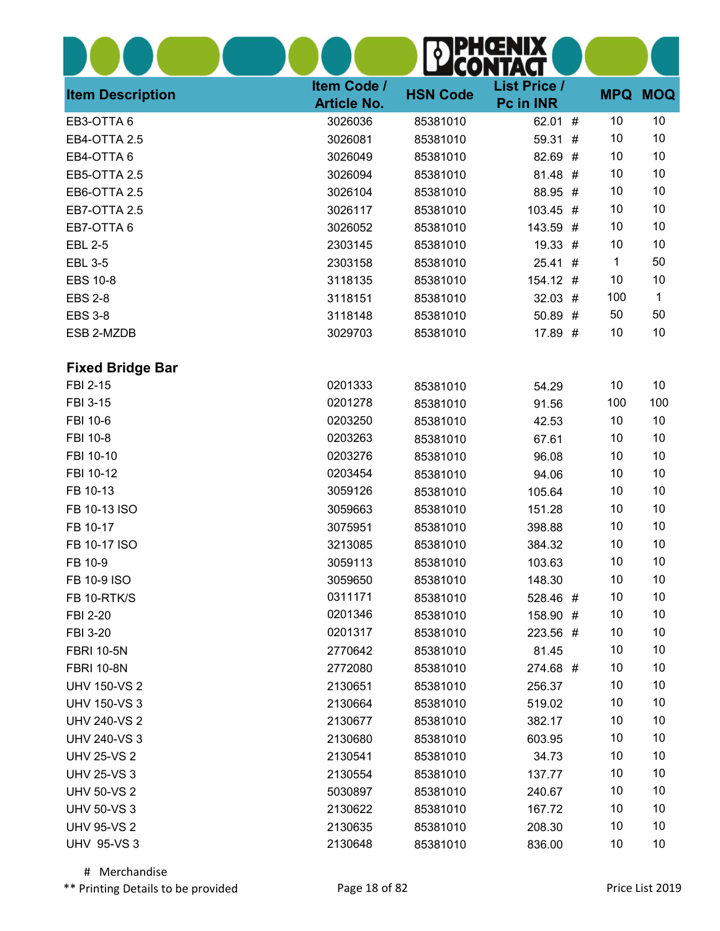| <b>Item Description</b> | Item Code /<br><b>Article No.</b> | <b>HSN Code</b> | <b>List Price /</b><br>Pc in INR |         | <b>MPQ MOQ</b>  |
|-------------------------|-----------------------------------|-----------------|----------------------------------|---------|-----------------|
| EB3-OTTA6               | 3026036                           | 85381010        | 62.01                            | 10<br># | 10              |
| EB4-OTTA 2.5            | 3026081                           | 85381010        | 59.31                            | 10<br># | 10              |
| EB4-OTTA6               | 3026049                           | 85381010        | 82.69 #                          | 10      | 10              |
| <b>EB5-OTTA 2.5</b>     | 3026094                           | 85381010        | 81.48 #                          | 10      | 10              |
| <b>EB6-OTTA 2.5</b>     | 3026104                           | 85381010        | 88.95 #                          | 10      | 10              |
| EB7-OTTA 2.5            | 3026117                           | 85381010        | $103.45$ #                       | 10      | 10              |
| EB7-OTTA6               | 3026052                           | 85381010        | 143.59 #                         | 10      | 10              |
| <b>EBL 2-5</b>          | 2303145                           | 85381010        | 19.33#                           | 10      | 10              |
| <b>EBL 3-5</b>          | 2303158                           | 85381010        | 25.41 #                          | 1       | 50              |
| <b>EBS 10-8</b>         | 3118135                           | 85381010        | 154.12 #                         | 10      | 10              |
| <b>EBS 2-8</b>          | 3118151                           | 85381010        | $32.03$ #                        | 100     | $\mathbf{1}$    |
| <b>EBS 3-8</b>          | 3118148                           | 85381010        | 50.89 #                          | 50      | 50              |
| ESB 2-MZDB              | 3029703                           | 85381010        | 17.89 #                          | 10      | 10              |
| <b>Fixed Bridge Bar</b> |                                   |                 |                                  |         |                 |
| FBI 2-15                | 0201333                           | 85381010        | 54.29                            | 10      | 10              |
| FBI 3-15                | 0201278                           | 85381010        | 91.56                            | 100     | 100             |
| FBI 10-6                | 0203250                           | 85381010        | 42.53                            | 10      | 10              |
| FBI 10-8                | 0203263                           | 85381010        | 67.61                            | 10      | 10              |
| FBI 10-10               | 0203276                           | 85381010        | 96.08                            | 10      | 10              |
| FBI 10-12               | 0203454                           | 85381010        | 94.06                            | 10      | 10              |
| FB 10-13                | 3059126                           | 85381010        | 105.64                           | 10      | 10              |
| FB 10-13 ISO            | 3059663                           | 85381010        | 151.28                           | 10      | 10              |
| FB 10-17                | 3075951                           | 85381010        | 398.88                           | 10      | 10              |
| FB 10-17 ISO            | 3213085                           | 85381010        | 384.32                           | 10      | 10              |
| FB 10-9                 | 3059113                           | 85381010        | 103.63                           | 10      | 10 <sup>°</sup> |
| FB 10-9 ISO             | 3059650                           | 85381010        | 148.30                           | 10      | 10              |
| FB 10-RTK/S             | 0311171                           | 85381010        | 528.46 #                         | 10      | 10              |
| FBI 2-20                | 0201346                           | 85381010        | 158.90 #                         | 10      | 10              |
| FBI 3-20                | 0201317                           | 85381010        | 223.56 #                         | 10      | 10              |
| <b>FBRI 10-5N</b>       | 2770642                           | 85381010        | 81.45                            | 10      | 10              |
| <b>FBRI 10-8N</b>       | 2772080                           | 85381010        | 274.68 #                         | 10      | 10              |
| <b>UHV 150-VS 2</b>     | 2130651                           | 85381010        | 256.37                           | 10      | 10              |
| <b>UHV 150-VS 3</b>     | 2130664                           | 85381010        | 519.02                           | 10      | 10              |
| <b>UHV 240-VS 2</b>     | 2130677                           | 85381010        | 382.17                           | 10      | 10              |
| <b>UHV 240-VS 3</b>     | 2130680                           | 85381010        | 603.95                           | 10      | 10              |
| <b>UHV 25-VS 2</b>      | 2130541                           | 85381010        | 34.73                            | 10      | 10              |
| <b>UHV 25-VS 3</b>      | 2130554                           | 85381010        | 137.77                           | 10      | 10              |
| <b>UHV 50-VS 2</b>      | 5030897                           | 85381010        | 240.67                           | 10      | 10              |
| <b>UHV 50-VS 3</b>      | 2130622                           | 85381010        | 167.72                           | 10      | 10              |
| <b>UHV 95-VS 2</b>      | 2130635                           | 85381010        | 208.30                           | 10      | 10              |
| <b>UHV 95-VS 3</b>      | 2130648                           | 85381010        | 836.00                           | 10      | 10              |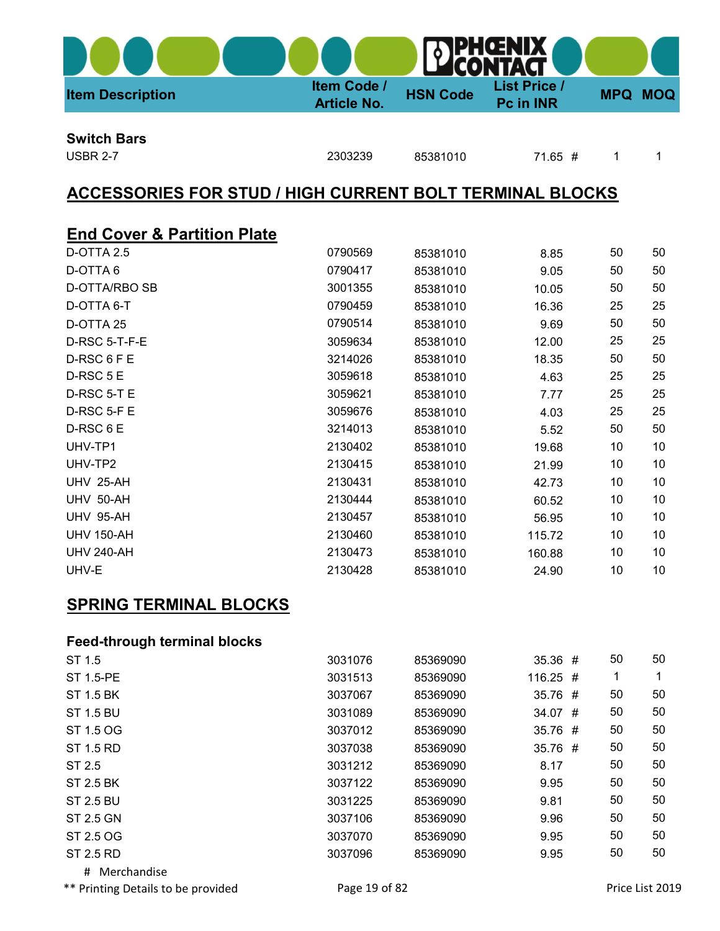

#### Switch Bars

| USBR 2-7 | 2303239 | 85381010 | 71.65<br>$\boldsymbol{\pi}$ |  |
|----------|---------|----------|-----------------------------|--|
|          |         |          |                             |  |

### ACCESSORIES FOR STUD / HIGH CURRENT BOLT TERMINAL BLOCKS

### **End Cover & Partition Plate**

| <b>D-OTTA 2.5</b> | 0790569 | 85381010 | 8.85   | 50 | 50 |
|-------------------|---------|----------|--------|----|----|
| D-OTTA 6          | 0790417 | 85381010 | 9.05   | 50 | 50 |
| D-OTTA/RBO SB     | 3001355 | 85381010 | 10.05  | 50 | 50 |
| D-OTTA 6-T        | 0790459 | 85381010 | 16.36  | 25 | 25 |
| D-OTTA 25         | 0790514 | 85381010 | 9.69   | 50 | 50 |
| D-RSC 5-T-F-E     | 3059634 | 85381010 | 12.00  | 25 | 25 |
| $D-RSC 6 F E$     | 3214026 | 85381010 | 18.35  | 50 | 50 |
| D-RSC 5 E         | 3059618 | 85381010 | 4.63   | 25 | 25 |
| D-RSC 5-T E       | 3059621 | 85381010 | 7.77   | 25 | 25 |
| D-RSC 5-F E       | 3059676 | 85381010 | 4.03   | 25 | 25 |
| D-RSC 6 E         | 3214013 | 85381010 | 5.52   | 50 | 50 |
| UHV-TP1           | 2130402 | 85381010 | 19.68  | 10 | 10 |
| UHV-TP2           | 2130415 | 85381010 | 21.99  | 10 | 10 |
| UHV 25-AH         | 2130431 | 85381010 | 42.73  | 10 | 10 |
| UHV 50-AH         | 2130444 | 85381010 | 60.52  | 10 | 10 |
| <b>UHV 95-AH</b>  | 2130457 | 85381010 | 56.95  | 10 | 10 |
| <b>UHV 150-AH</b> | 2130460 | 85381010 | 115.72 | 10 | 10 |
| <b>UHV 240-AH</b> | 2130473 | 85381010 | 160.88 | 10 | 10 |
| UHV-E             | 2130428 | 85381010 | 24.90  | 10 | 10 |

### SPRING TERMINAL BLOCKS

### Feed-through terminal blocks

| ST 1.5           | 3031076 | 85369090 | 35.36#      | 50 | 50 |
|------------------|---------|----------|-------------|----|----|
| ST 1.5-PE        | 3031513 | 85369090 | $116.25 \#$ | 1  | 1  |
| ST 1.5 BK        | 3037067 | 85369090 | 35.76 #     | 50 | 50 |
| ST 1.5 BU        | 3031089 | 85369090 | 34.07#      | 50 | 50 |
| ST 1.5 OG        | 3037012 | 85369090 | 35.76 #     | 50 | 50 |
| ST 1.5 RD        | 3037038 | 85369090 | 35.76#      | 50 | 50 |
| ST 2.5           | 3031212 | 85369090 | 8.17        | 50 | 50 |
| ST 2.5 BK        | 3037122 | 85369090 | 9.95        | 50 | 50 |
| ST 2.5 BU        | 3031225 | 85369090 | 9.81        | 50 | 50 |
| ST 2.5 GN        | 3037106 | 85369090 | 9.96        | 50 | 50 |
| ST 2.5 OG        | 3037070 | 85369090 | 9.95        | 50 | 50 |
| ST 2.5 RD        | 3037096 | 85369090 | 9.95        | 50 | 50 |
| Merchandise<br># |         |          |             |    |    |

\*\* Printing Details to be provided Page 19 of 82 Printing Details to be provided Page 19 of 82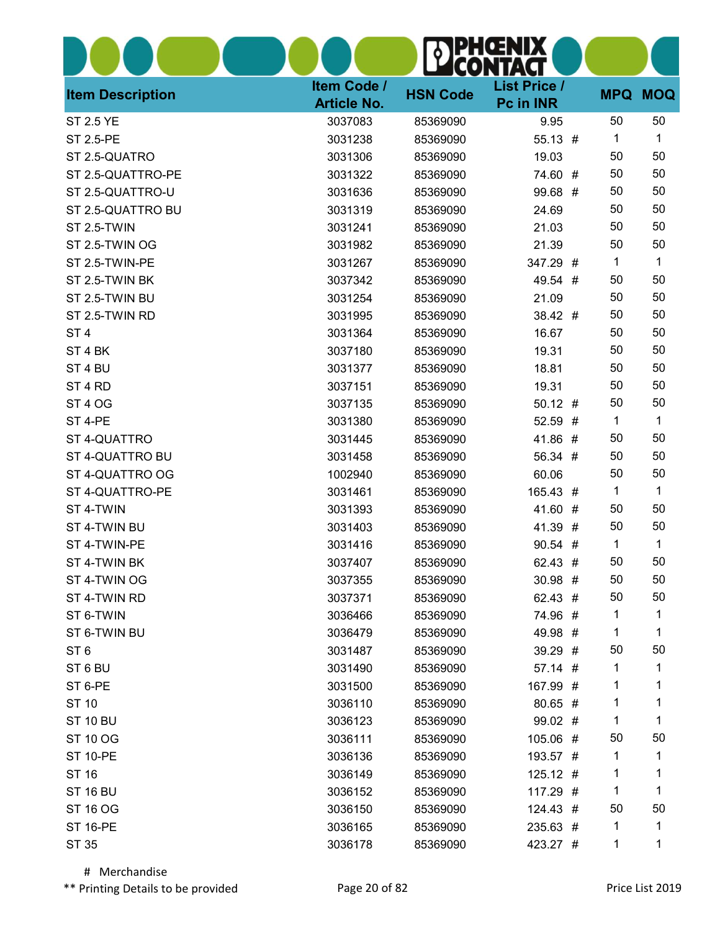|                         |                                   |                 | JENIX<br>AG                      |    |                |
|-------------------------|-----------------------------------|-----------------|----------------------------------|----|----------------|
| <b>Item Description</b> | Item Code /<br><b>Article No.</b> | <b>HSN Code</b> | <b>List Price /</b><br>Pc in INR |    | <b>MPQ MOQ</b> |
| <b>ST 2.5 YE</b>        | 3037083                           | 85369090        | 9.95                             | 50 | 50             |
| <b>ST 2.5-PE</b>        | 3031238                           | 85369090        | 55.13 #                          | 1  | $\mathbf{1}$   |
| ST 2.5-QUATRO           | 3031306                           | 85369090        | 19.03                            | 50 | 50             |
| ST 2.5-QUATTRO-PE       | 3031322                           | 85369090        | 74.60 #                          | 50 | 50             |
| ST 2.5-QUATTRO-U        | 3031636                           | 85369090        | 99.68 #                          | 50 | 50             |
| ST 2.5-QUATTRO BU       | 3031319                           | 85369090        | 24.69                            | 50 | 50             |
| ST 2.5-TWIN             | 3031241                           | 85369090        | 21.03                            | 50 | 50             |
| ST 2.5-TWIN OG          | 3031982                           | 85369090        | 21.39                            | 50 | 50             |
| ST 2.5-TWIN-PE          | 3031267                           | 85369090        | 347.29 #                         | 1  | 1              |
| ST 2.5-TWIN BK          | 3037342                           | 85369090        | 49.54 #                          | 50 | 50             |
| ST 2.5-TWIN BU          | 3031254                           | 85369090        | 21.09                            | 50 | 50             |
| ST 2.5-TWIN RD          | 3031995                           | 85369090        | 38.42 #                          | 50 | 50             |
| ST <sub>4</sub>         | 3031364                           | 85369090        | 16.67                            | 50 | 50             |
| ST 4 BK                 | 3037180                           | 85369090        | 19.31                            | 50 | 50             |
| ST <sub>4</sub> BU      | 3031377                           | 85369090        | 18.81                            | 50 | 50             |
| ST <sub>4</sub> RD      | 3037151                           | 85369090        | 19.31                            | 50 | 50             |
| ST <sub>4</sub> OG      | 3037135                           | 85369090        | $50.12$ #                        | 50 | 50             |
| ST 4-PE                 | 3031380                           | 85369090        | 52.59 #                          | 1  | $\mathbf 1$    |
| ST 4-QUATTRO            | 3031445                           | 85369090        | 41.86 #                          | 50 | 50             |
| ST 4-QUATTRO BU         | 3031458                           | 85369090        | 56.34 #                          | 50 | 50             |
| ST 4-QUATTRO OG         | 1002940                           | 85369090        | 60.06                            | 50 | 50             |
| ST 4-QUATTRO-PE         | 3031461                           | 85369090        | 165.43 #                         | 1  | $\mathbf 1$    |
| ST 4-TWIN               | 3031393                           | 85369090        | 41.60 #                          | 50 | 50             |
| ST 4-TWIN BU            | 3031403                           | 85369090        | 41.39 #                          | 50 | 50             |
| ST 4-TWIN-PE            | 3031416                           | 85369090        | $90.54$ #                        | 1  | 1              |
| ST 4-TWIN BK            | 3037407                           | 85369090        | 62.43 #                          | 50 | 50             |
| ST 4-TWIN OG            | 3037355                           | 85369090        | 30.98 #                          | 50 | 50             |
| ST 4-TWIN RD            | 3037371                           | 85369090        | 62.43 #                          | 50 | 50             |
| ST 6-TWIN               | 3036466                           | 85369090        | 74.96 #                          | 1  | 1              |
| ST 6-TWIN BU            | 3036479                           | 85369090        | 49.98 #                          | 1  | 1              |
| ST <sub>6</sub>         | 3031487                           | 85369090        | 39.29 #                          | 50 | 50             |
| ST <sub>6</sub> BU      | 3031490                           | 85369090        | 57.14 #                          | 1  | 1              |
| ST <sub>6-PE</sub>      | 3031500                           | 85369090        | 167.99 #                         | 1  | 1              |
| ST 10                   | 3036110                           | 85369090        | 80.65 #                          | 1  | 1              |
| <b>ST 10 BU</b>         | 3036123                           | 85369090        | 99.02 #                          | 1  | 1              |
| <b>ST 10 OG</b>         | 3036111                           | 85369090        | 105.06 #                         | 50 | 50             |
| <b>ST 10-PE</b>         | 3036136                           | 85369090        | 193.57 #                         | 1  | 1              |
| ST 16                   | 3036149                           | 85369090        | $125.12$ #                       | 1  | 1              |
| <b>ST 16 BU</b>         | 3036152                           | 85369090        | 117.29 #                         | 1  | 1              |
| <b>ST 16 OG</b>         | 3036150                           | 85369090        | 124.43 #                         | 50 | 50             |
| <b>ST 16-PE</b>         | 3036165                           | 85369090        | 235.63 #                         | 1  | 1              |
| <b>ST 35</b>            | 3036178                           | 85369090        | 423.27 #                         | 1  | 1              |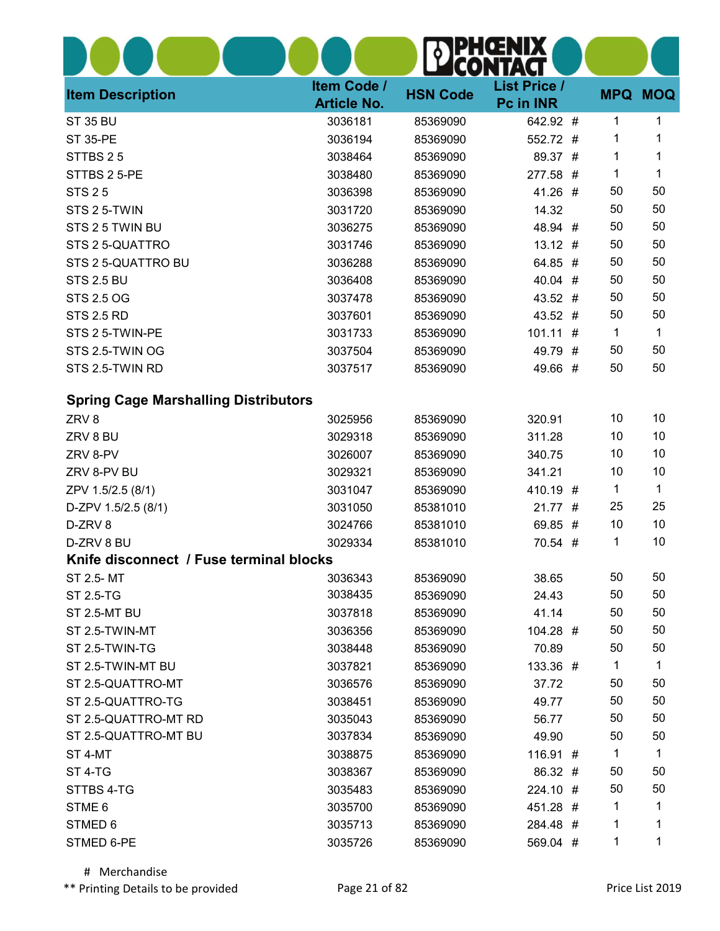| <b>Item Description</b>                     | Item Code /<br><b>Article No.</b> | <b>HSN Code</b> | <b>List Price /</b><br>Pc in INR |    | <b>MPQ MOQ</b> |
|---------------------------------------------|-----------------------------------|-----------------|----------------------------------|----|----------------|
| <b>ST 35 BU</b>                             | 3036181                           | 85369090        | 642.92 #                         | 1  | 1              |
| <b>ST 35-PE</b>                             | 3036194                           | 85369090        | 552.72 #                         | 1  | 1              |
| STTBS 25                                    | 3038464                           | 85369090        | 89.37 #                          | 1  | 1              |
| STTBS 2 5-PE                                | 3038480                           | 85369090        | 277.58 #                         | 1  | 1              |
| <b>STS 25</b>                               | 3036398                           | 85369090        | 41.26 #                          | 50 | 50             |
| STS 2 5-TWIN                                | 3031720                           | 85369090        | 14.32                            | 50 | 50             |
| STS 25 TWIN BU                              | 3036275                           | 85369090        | 48.94 #                          | 50 | 50             |
| STS 2 5-QUATTRO                             | 3031746                           | 85369090        | $13.12$ #                        | 50 | 50             |
| STS 2 5-QUATTRO BU                          | 3036288                           | 85369090        | 64.85 #                          | 50 | 50             |
| <b>STS 2.5 BU</b>                           | 3036408                           | 85369090        | 40.04 #                          | 50 | 50             |
| STS 2.5 OG                                  | 3037478                           | 85369090        | 43.52 #                          | 50 | 50             |
| <b>STS 2.5 RD</b>                           | 3037601                           | 85369090        | 43.52 #                          | 50 | 50             |
| STS 2 5-TWIN-PE                             | 3031733                           | 85369090        | 101.11#                          | 1  | 1              |
| STS 2.5-TWIN OG                             | 3037504                           | 85369090        | 49.79 #                          | 50 | 50             |
| STS 2.5-TWIN RD                             | 3037517                           | 85369090        | 49.66 #                          | 50 | 50             |
| <b>Spring Cage Marshalling Distributors</b> |                                   |                 |                                  |    |                |
| ZRV8                                        | 3025956                           | 85369090        | 320.91                           | 10 | 10             |
| ZRV 8 BU                                    | 3029318                           | 85369090        | 311.28                           | 10 | 10             |
| ZRV 8-PV                                    | 3026007                           | 85369090        | 340.75                           | 10 | 10             |
| ZRV 8-PV BU                                 | 3029321                           | 85369090        | 341.21                           | 10 | 10             |
| ZPV 1.5/2.5 (8/1)                           | 3031047                           | 85369090        | 410.19 #                         | 1  | 1              |
| D-ZPV 1.5/2.5 (8/1)                         | 3031050                           | 85381010        | 21.77#                           | 25 | 25             |
| D-ZRV8                                      | 3024766                           | 85381010        | 69.85 #                          | 10 | 10             |
| D-ZRV 8 BU                                  | 3029334                           | 85381010        | 70.54 #                          | 1  | 10             |
| Knife disconnect / Fuse terminal blocks     |                                   |                 |                                  |    |                |
| ST 2.5- MT                                  | 3036343                           | 85369090        | 38.65                            | 50 | 50             |
| ST 2.5-TG                                   | 3038435                           | 85369090        | 24.43                            | 50 | 50             |
| ST 2.5-MT BU                                | 3037818                           | 85369090        | 41.14                            | 50 | 50             |
| ST 2.5-TWIN-MT                              | 3036356                           | 85369090        | 104.28 #                         | 50 | 50             |
| ST 2.5-TWIN-TG                              | 3038448                           | 85369090        | 70.89                            | 50 | 50             |
| ST 2.5-TWIN-MT BU                           | 3037821                           | 85369090        | 133.36 #                         | 1  | 1              |
| ST 2.5-QUATTRO-MT                           | 3036576                           | 85369090        | 37.72                            | 50 | 50             |
| ST 2.5-QUATTRO-TG                           | 3038451                           | 85369090        | 49.77                            | 50 | 50             |
| ST 2.5-QUATTRO-MT RD                        | 3035043                           | 85369090        | 56.77                            | 50 | 50             |
| ST 2.5-QUATTRO-MT BU                        | 3037834                           | 85369090        | 49.90                            | 50 | 50             |
| ST 4-MT                                     | 3038875                           | 85369090        | 116.91#                          | 1  | $\mathbf 1$    |
| ST 4-TG                                     | 3038367                           | 85369090        | 86.32 #                          | 50 | 50             |
| STTBS 4-TG                                  | 3035483                           | 85369090        | 224.10 #                         | 50 | 50             |
| STME <sub>6</sub>                           | 3035700                           | 85369090        | 451.28 #                         | 1  | 1              |
| STMED 6                                     | 3035713                           | 85369090        | 284.48 #                         | 1  | 1              |
| STMED 6-PE                                  | 3035726                           | 85369090        | 569.04 #                         | 1  | 1              |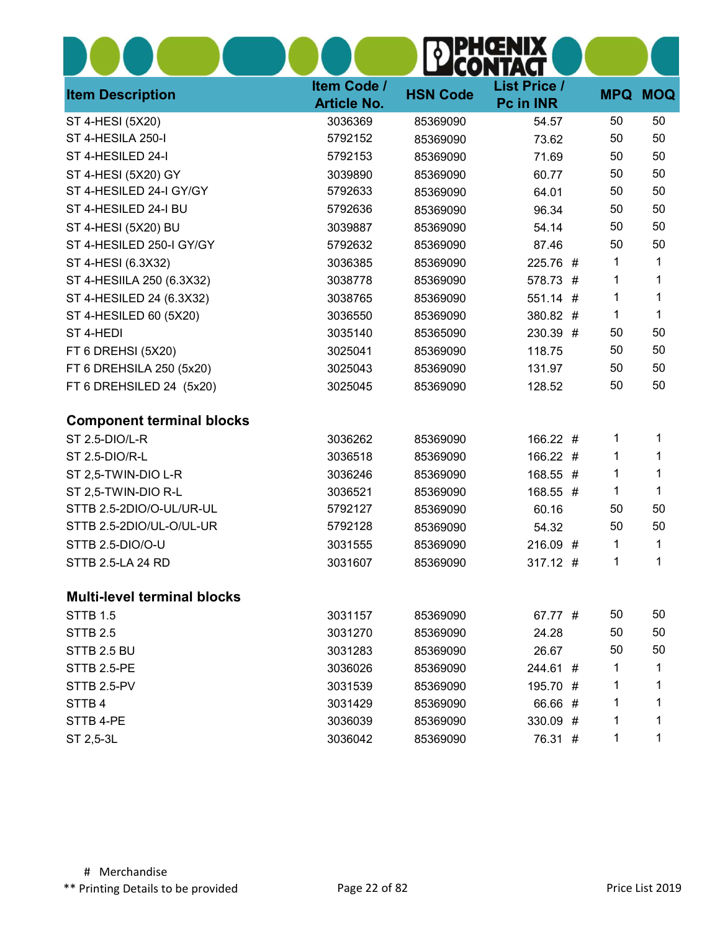| <b>Item Description</b>            | Item Code /<br><b>Article No.</b> | <b>HSN Code</b> | <b>List Price /</b><br>Pc in INR | <b>MPQ</b> | <b>MOQ</b> |
|------------------------------------|-----------------------------------|-----------------|----------------------------------|------------|------------|
| ST 4-HESI (5X20)                   | 3036369                           | 85369090        | 54.57                            | 50         | 50         |
| ST 4-HESILA 250-I                  | 5792152                           | 85369090        | 73.62                            | 50         | 50         |
| ST 4-HESILED 24-I                  | 5792153                           | 85369090        | 71.69                            | 50         | 50         |
| ST 4-HESI (5X20) GY                | 3039890                           | 85369090        | 60.77                            | 50         | 50         |
| ST 4-HESILED 24-I GY/GY            | 5792633                           | 85369090        | 64.01                            | 50         | 50         |
| ST 4-HESILED 24-I BU               | 5792636                           | 85369090        | 96.34                            | 50         | 50         |
| ST 4-HESI (5X20) BU                | 3039887                           | 85369090        | 54.14                            | 50         | 50         |
| ST 4-HESILED 250-I GY/GY           | 5792632                           | 85369090        | 87.46                            | 50         | 50         |
| ST 4-HESI (6.3X32)                 | 3036385                           | 85369090        | 225.76 #                         | 1          | 1          |
| ST 4-HESIILA 250 (6.3X32)          | 3038778                           | 85369090        | 578.73 #                         | 1          | 1          |
| ST 4-HESILED 24 (6.3X32)           | 3038765                           | 85369090        | 551.14 #                         | 1          | 1          |
| ST 4-HESILED 60 (5X20)             | 3036550                           | 85369090        | 380.82 #                         | 1          | 1          |
| ST 4-HEDI                          | 3035140                           | 85365090        | 230.39 #                         | 50         | 50         |
| FT 6 DREHSI (5X20)                 | 3025041                           | 85369090        | 118.75                           | 50         | 50         |
| FT 6 DREHSILA 250 (5x20)           | 3025043                           | 85369090        | 131.97                           | 50         | 50         |
| FT 6 DREHSILED 24 (5x20)           | 3025045                           | 85369090        | 128.52                           | 50         | 50         |
| <b>Component terminal blocks</b>   |                                   |                 |                                  |            |            |
| ST 2.5-DIO/L-R                     | 3036262                           | 85369090        | 166.22 #                         | 1          | 1          |
| ST 2.5-DIO/R-L                     | 3036518                           | 85369090        | 166.22 #                         | 1          | 1          |
| ST 2,5-TWIN-DIO L-R                | 3036246                           | 85369090        | 168.55 #                         | 1          | 1          |
| ST 2,5-TWIN-DIO R-L                | 3036521                           | 85369090        | 168.55 #                         | 1          | 1          |
| STTB 2.5-2DIO/O-UL/UR-UL           | 5792127                           | 85369090        | 60.16                            | 50         | 50         |
| STTB 2.5-2DIO/UL-O/UL-UR           | 5792128                           | 85369090        | 54.32                            | 50         | 50         |
| STTB 2.5-DIO/O-U                   | 3031555                           | 85369090        | 216.09 #                         | 1          | 1          |
| <b>STTB 2.5-LA 24 RD</b>           | 3031607                           | 85369090        | $317.12$ #                       | 1          |            |
| <b>Multi-level terminal blocks</b> |                                   |                 |                                  |            |            |
| <b>STTB 1.5</b>                    | 3031157                           | 85369090        | 67.77 #                          | 50         | 50         |
| <b>STTB 2.5</b>                    | 3031270                           | 85369090        | 24.28                            | 50         | 50         |
| STTB 2.5 BU                        | 3031283                           | 85369090        | 26.67                            | 50         | 50         |
| STTB 2.5-PE                        | 3036026                           | 85369090        | 244.61 #                         | 1          | 1          |
| STTB 2.5-PV                        | 3031539                           | 85369090        | 195.70 #                         | 1          | 1          |
| STTB4                              | 3031429                           | 85369090        | 66.66 #                          | 1          | 1          |
| STTB 4-PE                          | 3036039                           | 85369090        | 330.09 #                         | 1          | 1          |
| ST 2,5-3L                          | 3036042                           | 85369090        | 76.31 #                          | 1          | 1          |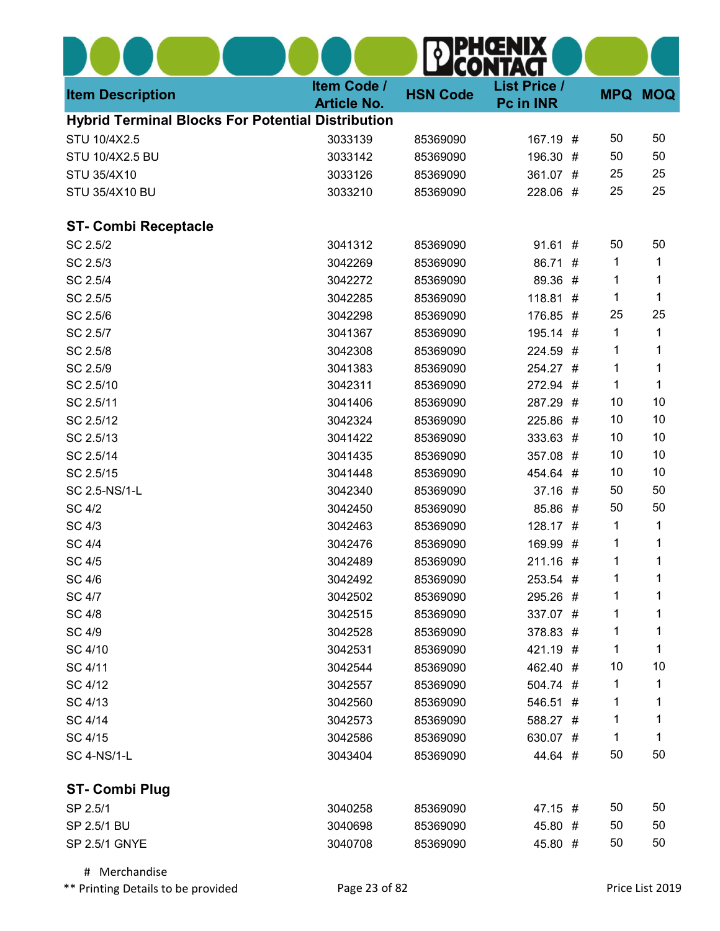|                                                          |                    | ON              | QENI<br>TA          |            |            |
|----------------------------------------------------------|--------------------|-----------------|---------------------|------------|------------|
| <b>Item Description</b>                                  | Item Code /        | <b>HSN Code</b> | <b>List Price /</b> | <b>MPQ</b> | <b>MOQ</b> |
|                                                          | <b>Article No.</b> |                 | Pc in INR           |            |            |
| <b>Hybrid Terminal Blocks For Potential Distribution</b> |                    |                 |                     |            |            |
| STU 10/4X2.5                                             | 3033139            | 85369090        | 167.19 #            | 50         | 50         |
| STU 10/4X2.5 BU                                          | 3033142            | 85369090        | 196.30 #            | 50         | 50         |
| STU 35/4X10                                              | 3033126            | 85369090        | 361.07 #            | 25         | 25         |
| STU 35/4X10 BU                                           | 3033210            | 85369090        | 228.06 #            | 25         | 25         |
| <b>ST- Combi Receptacle</b>                              |                    |                 |                     |            |            |
| SC 2.5/2                                                 | 3041312            | 85369090        | 91.61#              | 50         | 50         |
| SC 2.5/3                                                 | 3042269            | 85369090        | 86.71 #             | 1          | 1          |
| SC 2.5/4                                                 | 3042272            | 85369090        | 89.36 #             | 1          | 1          |
| SC 2.5/5                                                 | 3042285            | 85369090        | 118.81 #            | 1          | 1          |
| SC 2.5/6                                                 | 3042298            | 85369090        | 176.85 #            | 25         | 25         |
| SC 2.5/7                                                 | 3041367            | 85369090        | 195.14 #            | 1          | 1          |
| SC 2.5/8                                                 | 3042308            | 85369090        | 224.59 #            | 1          | 1          |
| SC 2.5/9                                                 | 3041383            | 85369090        | 254.27 #            | 1          | 1          |
| SC 2.5/10                                                | 3042311            | 85369090        | 272.94 #            | 1          | 1          |
| SC 2.5/11                                                | 3041406            | 85369090        | 287.29 #            | 10         | 10         |
| SC 2.5/12                                                | 3042324            | 85369090        | 225.86 #            | 10         | 10         |
| SC 2.5/13                                                | 3041422            | 85369090        | 333.63 #            | 10         | 10         |
| SC 2.5/14                                                | 3041435            | 85369090        | 357.08 #            | 10         | 10         |
| SC 2.5/15                                                | 3041448            | 85369090        | 454.64 #            | 10         | 10         |
| SC 2.5-NS/1-L                                            | 3042340            | 85369090        | 37.16#              | 50         | 50         |
| <b>SC 4/2</b>                                            | 3042450            | 85369090        | 85.86 #             | 50         | 50         |
| SC 4/3                                                   | 3042463            | 85369090        | 128.17 #            | 1          | 1          |
| <b>SC 4/4</b>                                            | 3042476            | 85369090        | 169.99 #            | 1          | 1          |
| <b>SC 4/5</b>                                            | 3042489            | 85369090        | 211.16 #            | 1          | 1          |
| SC 4/6                                                   | 3042492            | 85369090        | 253.54 #            | 1          | 1          |
| <b>SC 4/7</b>                                            | 3042502            | 85369090        | 295.26 #            | 1          | 1          |
| <b>SC 4/8</b>                                            | 3042515            | 85369090        | 337.07 #            | 1          | 1          |
| SC 4/9                                                   | 3042528            | 85369090        | 378.83 #            | 1          | 1          |
| SC 4/10                                                  | 3042531            | 85369090        | 421.19 #            | 1          | 1          |
| SC 4/11                                                  | 3042544            | 85369090        | 462.40 #            | 10         | 10         |
| SC 4/12                                                  | 3042557            | 85369090        | 504.74 #            | 1          | 1          |
| SC 4/13                                                  | 3042560            | 85369090        | 546.51 #            | 1          | 1          |
| SC 4/14                                                  | 3042573            | 85369090        | 588.27 #            | 1          | 1          |
| SC 4/15                                                  | 3042586            | 85369090        | 630.07 #            | 1          | 1          |
| <b>SC 4-NS/1-L</b>                                       | 3043404            | 85369090        | 44.64 #             | 50         | 50         |
| <b>ST-Combi Plug</b>                                     |                    |                 |                     |            |            |
| SP 2.5/1                                                 | 3040258            | 85369090        | 47.15 #             | 50         | 50         |
| SP 2.5/1 BU                                              | 3040698            | 85369090        | 45.80 #             | 50         | 50         |
| SP 2.5/1 GNYE                                            | 3040708            | 85369090        | 45.80 #             | 50         | 50         |
|                                                          |                    |                 |                     |            |            |

 $= 100$ 

н.

# Merchandise

\*\* Printing Details to be provided **Page 23 of 82** Printing Details to be provided **Page 23 of 82** Price List 2019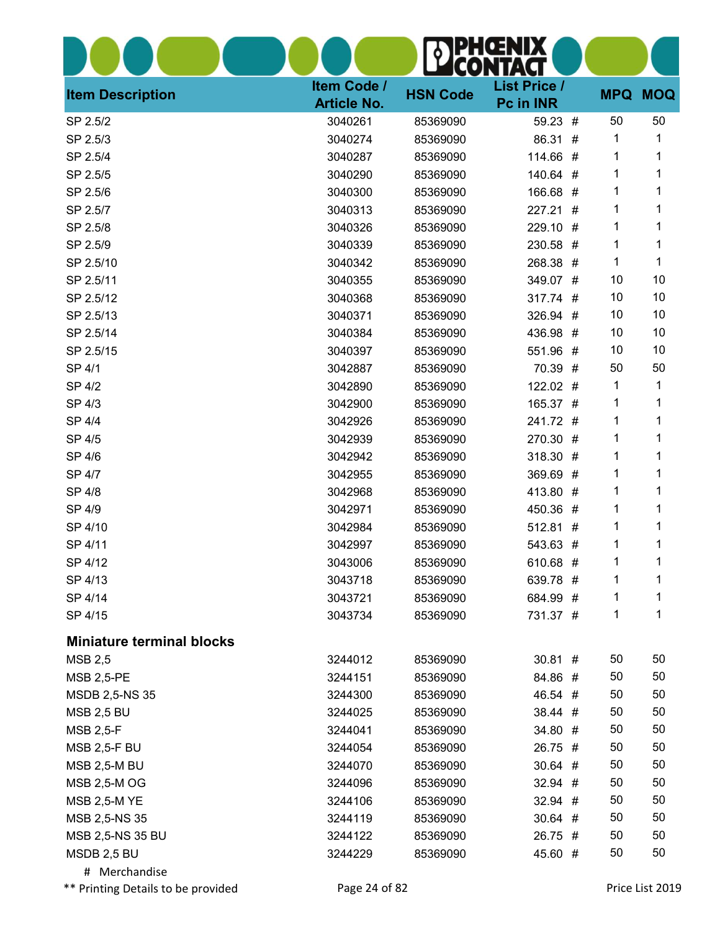| <b>Item Description</b>          | Item Code /<br><b>Article No.</b> | <b>HSN Code</b> | <b>List Price /</b><br>Pc in INR | <b>MPQ</b> | <b>MOQ</b> |
|----------------------------------|-----------------------------------|-----------------|----------------------------------|------------|------------|
| SP 2.5/2                         | 3040261                           | 85369090        | 59.23 #                          | 50         | 50         |
| SP 2.5/3                         | 3040274                           | 85369090        | 86.31                            | 1<br>#     | 1          |
| SP 2.5/4                         | 3040287                           | 85369090        | 114.66 #                         | 1          |            |
| SP 2.5/5                         | 3040290                           | 85369090        | 140.64 #                         | 1          | 1          |
| SP 2.5/6                         | 3040300                           | 85369090        | 166.68 #                         | 1          |            |
| SP 2.5/7                         | 3040313                           | 85369090        | 227.21                           | 1<br>#     |            |
| SP 2.5/8                         | 3040326                           | 85369090        | 229.10 #                         | 1          |            |
| SP 2.5/9                         | 3040339                           | 85369090        | 230.58 #                         | 1          | 1          |
| SP 2.5/10                        | 3040342                           | 85369090        | 268.38 #                         | 1          | 1          |
| SP 2.5/11                        | 3040355                           | 85369090        | 349.07 #                         | 10         | 10         |
| SP 2.5/12                        | 3040368                           | 85369090        | 317.74 #                         | 10         | 10         |
| SP 2.5/13                        | 3040371                           | 85369090        | 326.94 #                         | 10         | 10         |
| SP 2.5/14                        | 3040384                           | 85369090        | 436.98 #                         | 10         | 10         |
| SP 2.5/15                        | 3040397                           | 85369090        | 551.96 #                         | 10         | 10         |
| SP 4/1                           | 3042887                           | 85369090        | 70.39 #                          | 50         | 50         |
| SP 4/2                           | 3042890                           | 85369090        | 122.02 #                         | 1          | 1          |
| SP 4/3                           | 3042900                           | 85369090        | 165.37 #                         | 1          | 1          |
| SP 4/4                           | 3042926                           | 85369090        | 241.72 #                         | 1          | 1          |
| SP 4/5                           | 3042939                           | 85369090        | 270.30 #                         | 1          |            |
| SP 4/6                           | 3042942                           | 85369090        | 318.30 #                         | 1          |            |
| SP 4/7                           | 3042955                           | 85369090        | 369.69 #                         | 1          |            |
| SP 4/8                           | 3042968                           | 85369090        | 413.80 #                         | 1          |            |
| SP 4/9                           | 3042971                           | 85369090        | 450.36 #                         | 1          |            |
| SP 4/10                          | 3042984                           | 85369090        | 512.81                           | 1<br>#     | 1          |
| SP 4/11                          | 3042997                           | 85369090        | 543.63 #                         | 1          |            |
| SP 4/12                          | 3043006                           | 85369090        | 610.68 #                         | 1          |            |
| SP 4/13                          | 3043718                           | 85369090        | 639.78 #                         | 1          | 1          |
| SP 4/14                          | 3043721                           | 85369090        | 684.99 #                         | 1          | 1          |
| SP 4/15                          | 3043734                           | 85369090        | 731.37 #                         | 1          | 1          |
| <b>Miniature terminal blocks</b> |                                   |                 |                                  |            |            |
| <b>MSB 2,5</b>                   | 3244012                           | 85369090        | 30.81#                           | 50         | 50         |
| <b>MSB 2,5-PE</b>                | 3244151                           | 85369090        | 84.86 #                          | 50         | 50         |
| MSDB 2,5-NS 35                   | 3244300                           | 85369090        | 46.54 #                          | 50         | 50         |
| <b>MSB 2,5 BU</b>                | 3244025                           | 85369090        | 38.44 #                          | 50         | 50         |
| <b>MSB 2,5-F</b>                 | 3244041                           | 85369090        | 34.80 #                          | 50         | 50         |
| <b>MSB 2,5-F BU</b>              | 3244054                           | 85369090        | 26.75 #                          | 50         | 50         |
| <b>MSB 2,5-M BU</b>              | 3244070                           | 85369090        | 30.64 #                          | 50         | 50         |
| <b>MSB 2,5-M OG</b>              | 3244096                           | 85369090        | 32.94 #                          | 50         | 50         |
| <b>MSB 2,5-M YE</b>              | 3244106                           | 85369090        | 32.94 #                          | 50         | 50         |
| MSB 2,5-NS 35                    | 3244119                           | 85369090        | $30.64$ #                        | 50         | 50         |
| MSB 2,5-NS 35 BU                 | 3244122                           | 85369090        | 26.75 #                          | 50         | 50         |
| MSDB 2,5 BU                      | 3244229                           | 85369090        | 45.60 #                          | 50         | 50         |
| # Merchandise                    |                                   |                 |                                  |            |            |

\*\* Printing Details to be provided **Page 24 of 82** Price List 2019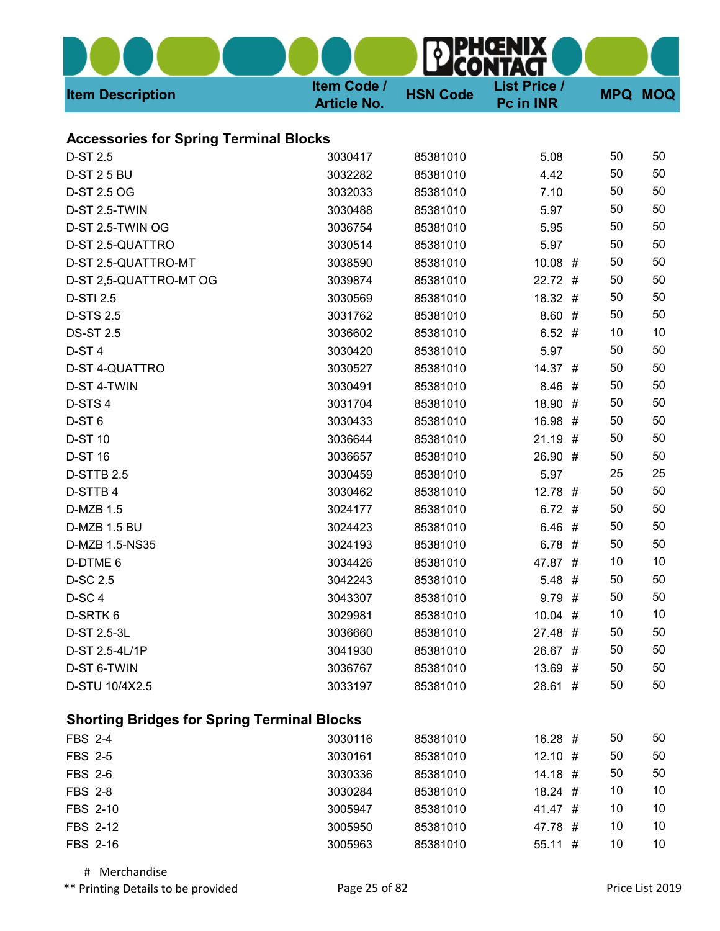| <b>Item Description</b>                            | Item Code /<br><b>Article No.</b> | <b>HSN Code</b> | <b>List Price /</b><br>Pc in INR |    | <b>MPQ MOQ</b> |
|----------------------------------------------------|-----------------------------------|-----------------|----------------------------------|----|----------------|
|                                                    |                                   |                 |                                  |    |                |
| <b>Accessories for Spring Terminal Blocks</b>      |                                   |                 |                                  |    |                |
| D-ST 2.5                                           | 3030417                           | 85381010        | 5.08                             | 50 | 50             |
| <b>D-ST 2 5 BU</b>                                 | 3032282                           | 85381010        | 4.42                             | 50 | 50             |
| D-ST 2.5 OG                                        | 3032033                           | 85381010        | 7.10                             | 50 | 50             |
| D-ST 2.5-TWIN                                      | 3030488                           | 85381010        | 5.97                             | 50 | 50             |
| D-ST 2.5-TWIN OG                                   | 3036754                           | 85381010        | 5.95                             | 50 | 50             |
| D-ST 2.5-QUATTRO                                   | 3030514                           | 85381010        | 5.97                             | 50 | 50             |
| D-ST 2.5-QUATTRO-MT                                | 3038590                           | 85381010        | $10.08$ #                        | 50 | 50             |
| D-ST 2,5-QUATTRO-MT OG                             | 3039874                           | 85381010        | $22.72$ #                        | 50 | 50             |
| <b>D-STI 2.5</b>                                   | 3030569                           | 85381010        | 18.32 #                          | 50 | 50             |
| <b>D-STS 2.5</b>                                   | 3031762                           | 85381010        | 8.60#                            | 50 | 50             |
| <b>DS-ST 2.5</b>                                   | 3036602                           | 85381010        | $6.52$ #                         | 10 | 10             |
| D-ST <sub>4</sub>                                  | 3030420                           | 85381010        | 5.97                             | 50 | 50             |
| <b>D-ST 4-QUATTRO</b>                              | 3030527                           | 85381010        | 14.37#                           | 50 | 50             |
| D-ST 4-TWIN                                        | 3030491                           | 85381010        | 8.46 #                           | 50 | 50             |
| D-STS 4                                            | 3031704                           | 85381010        | 18.90 #                          | 50 | 50             |
| D-ST <sub>6</sub>                                  | 3030433                           | 85381010        | 16.98 #                          | 50 | 50             |
| <b>D-ST 10</b>                                     | 3036644                           | 85381010        | $21.19$ #                        | 50 | 50             |
| <b>D-ST 16</b>                                     | 3036657                           | 85381010        | 26.90 #                          | 50 | 50             |
| D-STTB 2.5                                         | 3030459                           | 85381010        | 5.97                             | 25 | 25             |
| D-STTB4                                            | 3030462                           | 85381010        | $12.78$ #                        | 50 | 50             |
| D-MZB 1.5                                          | 3024177                           | 85381010        | 6.72#                            | 50 | 50             |
| D-MZB 1.5 BU                                       | 3024423                           | 85381010        | 6.46#                            | 50 | 50             |
| D-MZB 1.5-NS35                                     | 3024193                           | 85381010        | 6.78#                            | 50 | 50             |
| D-DTME 6                                           | 3034426                           | 85381010        | 47.87 #                          | 10 | 10             |
| D-SC 2.5                                           | 3042243                           | 85381010        | 5.48#                            | 50 | 50             |
| D-SC <sub>4</sub>                                  | 3043307                           | 85381010        | 9.79#                            | 50 | 50             |
| D-SRTK 6                                           | 3029981                           | 85381010        | $10.04$ #                        | 10 | 10             |
| D-ST 2.5-3L                                        | 3036660                           | 85381010        | 27.48 #                          | 50 | 50             |
| D-ST 2.5-4L/1P                                     | 3041930                           | 85381010        | 26.67 #                          | 50 | 50             |
| D-ST 6-TWIN                                        | 3036767                           | 85381010        | 13.69 #                          | 50 | 50             |
| D-STU 10/4X2.5                                     | 3033197                           | 85381010        | 28.61 #                          | 50 | 50             |
| <b>Shorting Bridges for Spring Terminal Blocks</b> |                                   |                 |                                  |    |                |
| <b>FBS 2-4</b>                                     | 3030116                           | 85381010        | 16.28 #                          | 50 | 50             |
| <b>FBS 2-5</b>                                     | 3030161                           | 85381010        | $12.10$ #                        | 50 | 50             |
| <b>FBS 2-6</b>                                     | 3030336                           | 85381010        | 14.18#                           | 50 | 50             |
| <b>FBS 2-8</b>                                     | 3030284                           | 85381010        | 18.24 #                          | 10 | 10             |
| FBS 2-10                                           | 3005947                           | 85381010        | 41.47 #                          | 10 | 10             |
| FBS 2-12                                           | 3005950                           | 85381010        | 47.78 #                          | 10 | 10             |
| FBS 2-16                                           | 3005963                           | 85381010        | 55.11 #                          | 10 | 10             |
|                                                    |                                   |                 |                                  |    |                |

\*\* Printing Details to be provided **Page 25 of 82** Printing Details to be provided **Page 25 of 82** Price List 2019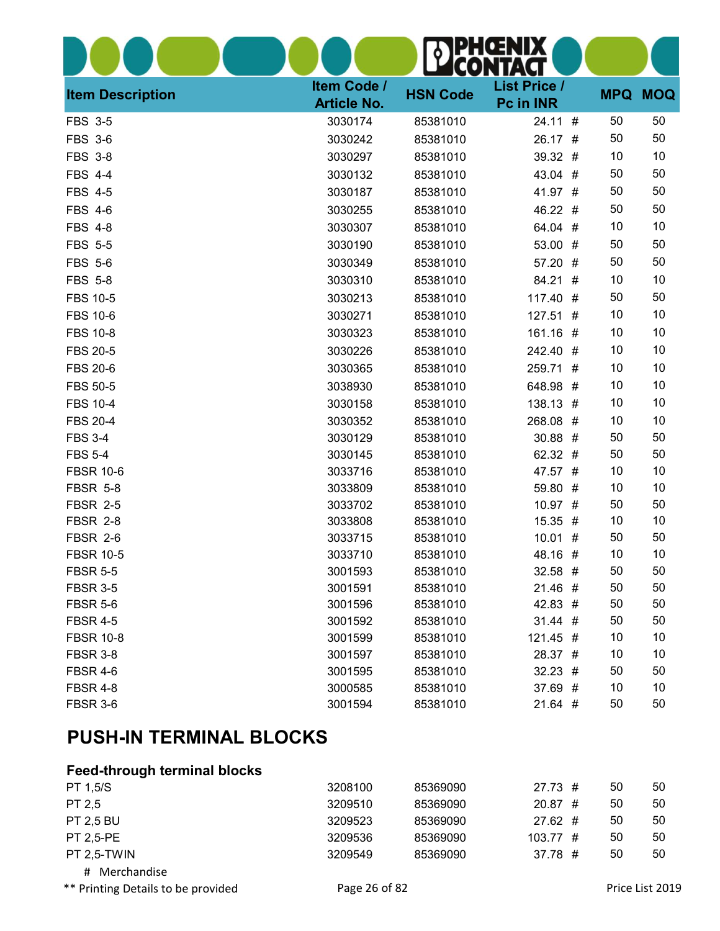| <b>Item Description</b> | Item Code /<br><b>Article No.</b> | <b>HSN Code</b> | <b>List Price /</b><br>Pc in INR |         | <b>MPQ MOQ</b> |
|-------------------------|-----------------------------------|-----------------|----------------------------------|---------|----------------|
| <b>FBS 3-5</b>          | 3030174                           | 85381010        | 24.11#                           | 50      | 50             |
| <b>FBS 3-6</b>          | 3030242                           | 85381010        | 26.17 #                          | 50      | 50             |
| <b>FBS 3-8</b>          | 3030297                           | 85381010        | 39.32 #                          | 10      | 10             |
| <b>FBS 4-4</b>          | 3030132                           | 85381010        | 43.04 #                          | 50      | 50             |
| <b>FBS 4-5</b>          | 3030187                           | 85381010        | 41.97 #                          | 50      | 50             |
| <b>FBS 4-6</b>          | 3030255                           | 85381010        | 46.22 #                          | 50      | 50             |
| <b>FBS 4-8</b>          | 3030307                           | 85381010        | 64.04 #                          | 10      | 10             |
| <b>FBS 5-5</b>          | 3030190                           | 85381010        | 53.00 #                          | 50      | 50             |
| <b>FBS 5-6</b>          | 3030349                           | 85381010        | 57.20 #                          | 50      | 50             |
| <b>FBS 5-8</b>          | 3030310                           | 85381010        | 84.21 #                          | 10      | 10             |
| <b>FBS 10-5</b>         | 3030213                           | 85381010        | 117.40 #                         | 50      | 50             |
| <b>FBS 10-6</b>         | 3030271                           | 85381010        | 127.51 #                         | 10      | 10             |
| <b>FBS 10-8</b>         | 3030323                           | 85381010        | 161.16 #                         | 10      | 10             |
| <b>FBS 20-5</b>         | 3030226                           | 85381010        | 242.40 #                         | 10      | 10             |
| <b>FBS 20-6</b>         | 3030365                           | 85381010        | 259.71 #                         | 10      | 10             |
| <b>FBS 50-5</b>         | 3038930                           | 85381010        | 648.98 #                         | 10      | 10             |
| <b>FBS 10-4</b>         | 3030158                           | 85381010        | 138.13 #                         | 10      | 10             |
| <b>FBS 20-4</b>         | 3030352                           | 85381010        | 268.08 #                         | 10      | 10             |
| <b>FBS 3-4</b>          | 3030129                           | 85381010        | 30.88 #                          | 50      | 50             |
| <b>FBS 5-4</b>          | 3030145                           | 85381010        | 62.32 #                          | 50      | 50             |
| <b>FBSR 10-6</b>        | 3033716                           | 85381010        | 47.57 #                          | 10      | 10             |
| <b>FBSR 5-8</b>         | 3033809                           | 85381010        | 59.80                            | 10<br># | 10             |
| <b>FBSR 2-5</b>         | 3033702                           | 85381010        | 10.97#                           | 50      | 50             |
| <b>FBSR 2-8</b>         | 3033808                           | 85381010        | 15.35 #                          | 10      | 10             |
| <b>FBSR 2-6</b>         | 3033715                           | 85381010        | 10.01#                           | 50      | 50             |
| <b>FBSR 10-5</b>        | 3033710                           | 85381010        | 48.16 #                          | 10      | 10             |
| <b>FBSR 5-5</b>         | 3001593                           | 85381010        | $32.58$ #                        | 50      | 50             |
| <b>FBSR 3-5</b>         | 3001591                           | 85381010        | 21.46 #                          | 50      | 50             |
| <b>FBSR 5-6</b>         | 3001596                           | 85381010        | 42.83 #                          | 50      | 50             |
| <b>FBSR 4-5</b>         | 3001592                           | 85381010        | 31.44 #                          | 50      | 50             |
| <b>FBSR 10-8</b>        | 3001599                           | 85381010        | $121.45$ #                       | 10      | 10             |
| <b>FBSR 3-8</b>         | 3001597                           | 85381010        | 28.37 #                          | 10      | 10             |
| <b>FBSR 4-6</b>         | 3001595                           | 85381010        | $32.23$ #                        | 50      | 50             |
| <b>FBSR 4-8</b>         | 3000585                           | 85381010        | 37.69 #                          | 10      | 10             |
| <b>FBSR 3-6</b>         | 3001594                           | 85381010        | $21.64$ #                        | 50      | 50             |

# PUSH-IN TERMINAL BLOCKS

#### Feed-through terminal blocks

| PT 1,5/S         | 3208100 | 85369090 | 27.73#     | 50 | 50 |
|------------------|---------|----------|------------|----|----|
| PT 2.5           | 3209510 | 85369090 | 20.87#     | 50 | 50 |
| <b>PT 2.5 BU</b> | 3209523 | 85369090 | $27.62 \#$ | 50 | 50 |
| <b>PT 2.5-PE</b> | 3209536 | 85369090 | 103.77#    | 50 | 50 |
| PT 2.5-TWIN      | 3209549 | 85369090 | 37.78#     | 50 | 50 |
| # Merchandise    |         |          |            |    |    |

\*\* Printing Details to be provided **Page 26 of 82** Price List 2019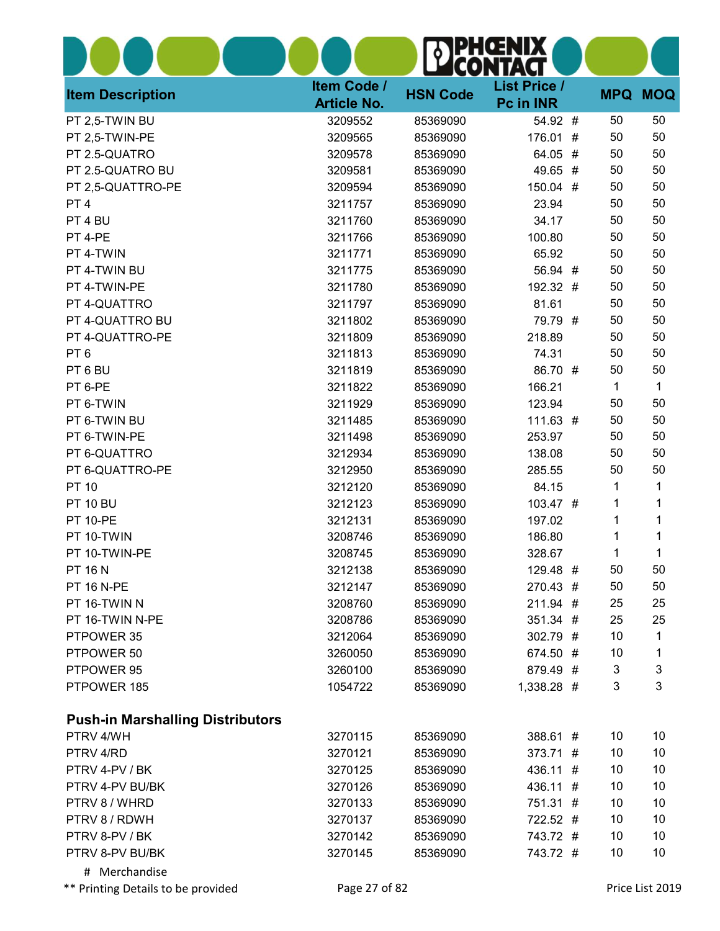| <b>Item Description</b>                 | Item Code /<br><b>Article No.</b> | <b>HSN Code</b> | <b>List Price /</b><br>Pc in INR |              | <b>MPQ MOQ</b> |
|-----------------------------------------|-----------------------------------|-----------------|----------------------------------|--------------|----------------|
| PT 2,5-TWIN BU                          | 3209552                           | 85369090        | 54.92 #                          | 50           | 50             |
| PT 2,5-TWIN-PE                          | 3209565                           | 85369090        | 176.01 #                         | 50           | 50             |
| PT 2.5-QUATRO                           | 3209578                           | 85369090        | 64.05 #                          | 50           | 50             |
| PT 2.5-QUATRO BU                        | 3209581                           | 85369090        | 49.65 #                          | 50           | 50             |
| PT 2,5-QUATTRO-PE                       | 3209594                           | 85369090        | 150.04 #                         | 50           | 50             |
| PT <sub>4</sub>                         | 3211757                           | 85369090        | 23.94                            | 50           | 50             |
| PT 4 BU                                 | 3211760                           | 85369090        | 34.17                            | 50           | 50             |
| PT 4-PE                                 | 3211766                           | 85369090        | 100.80                           | 50           | 50             |
| PT 4-TWIN                               | 3211771                           | 85369090        | 65.92                            | 50           | 50             |
| PT 4-TWIN BU                            | 3211775                           | 85369090        | 56.94 #                          | 50           | 50             |
| PT 4-TWIN-PE                            | 3211780                           | 85369090        | 192.32 #                         | 50           | 50             |
| PT 4-QUATTRO                            | 3211797                           | 85369090        | 81.61                            | 50           | 50             |
| PT 4-QUATTRO BU                         | 3211802                           | 85369090        | 79.79 #                          | 50           | 50             |
| PT 4-QUATTRO-PE                         | 3211809                           | 85369090        | 218.89                           | 50           | 50             |
| PT <sub>6</sub>                         | 3211813                           | 85369090        | 74.31                            | 50           | 50             |
| PT6BU                                   | 3211819                           | 85369090        | 86.70 #                          | 50           | 50             |
| PT 6-PE                                 | 3211822                           | 85369090        | 166.21                           | $\mathbf{1}$ | $\mathbf 1$    |
| PT 6-TWIN                               | 3211929                           | 85369090        | 123.94                           | 50           | 50             |
| PT 6-TWIN BU                            | 3211485                           | 85369090        | 111.63 #                         | 50           | 50             |
| PT 6-TWIN-PE                            | 3211498                           | 85369090        | 253.97                           | 50           | 50             |
| PT 6-QUATTRO                            | 3212934                           | 85369090        | 138.08                           | 50           | 50             |
| PT 6-QUATTRO-PE                         | 3212950                           | 85369090        | 285.55                           | 50           | 50             |
| <b>PT 10</b>                            | 3212120                           | 85369090        | 84.15                            | 1            | 1              |
| <b>PT 10 BU</b>                         | 3212123                           | 85369090        | 103.47#                          | 1            | 1              |
| <b>PT 10-PE</b>                         | 3212131                           | 85369090        | 197.02                           | 1            | 1              |
| PT 10-TWIN                              | 3208746                           | 85369090        | 186.80                           | 1            | 1              |
| PT 10-TWIN-PE                           | 3208745                           | 85369090        | 328.67                           | 1            | 1              |
| <b>PT 16 N</b>                          | 3212138                           | 85369090        | 129.48 #                         | 50           | 50             |
| <b>PT 16 N-PE</b>                       | 3212147                           | 85369090        | 270.43 #                         | 50           | 50             |
| PT 16-TWIN N                            | 3208760                           | 85369090        | 211.94 #                         | 25           | 25             |
| PT 16-TWIN N-PE                         | 3208786                           | 85369090        | 351.34 #                         | 25           | 25             |
| PTPOWER 35                              | 3212064                           | 85369090        | 302.79 #                         | 10           | 1              |
| PTPOWER 50                              | 3260050                           | 85369090        | 674.50 #                         | 10           | 1              |
| PTPOWER 95                              | 3260100                           | 85369090        | 879.49 #                         | 3            | $\mathbf{3}$   |
| PTPOWER 185                             | 1054722                           | 85369090        | 1,338.28 #                       | 3            | 3              |
| <b>Push-in Marshalling Distributors</b> |                                   |                 |                                  |              |                |
| PTRV 4/WH                               | 3270115                           | 85369090        | 388.61 #                         | 10           | 10             |
| PTRV 4/RD                               | 3270121                           | 85369090        | 373.71 #                         | 10           | 10             |
| PTRV 4-PV / BK                          | 3270125                           | 85369090        | 436.11 #                         | 10           | 10             |
| PTRV 4-PV BU/BK                         | 3270126                           | 85369090        | 436.11 #                         | 10           | 10             |
| PTRV 8 / WHRD                           | 3270133                           | 85369090        | 751.31 #                         | 10           | 10             |
| PTRV 8 / RDWH                           | 3270137                           | 85369090        | 722.52 #                         | 10           | 10             |
| PTRV 8-PV / BK                          | 3270142                           | 85369090        | 743.72 #                         | 10           | 10             |
| PTRV 8-PV BU/BK                         | 3270145                           | 85369090        | 743.72 #                         | 10           | 10             |
| # Merchandise                           |                                   |                 |                                  |              |                |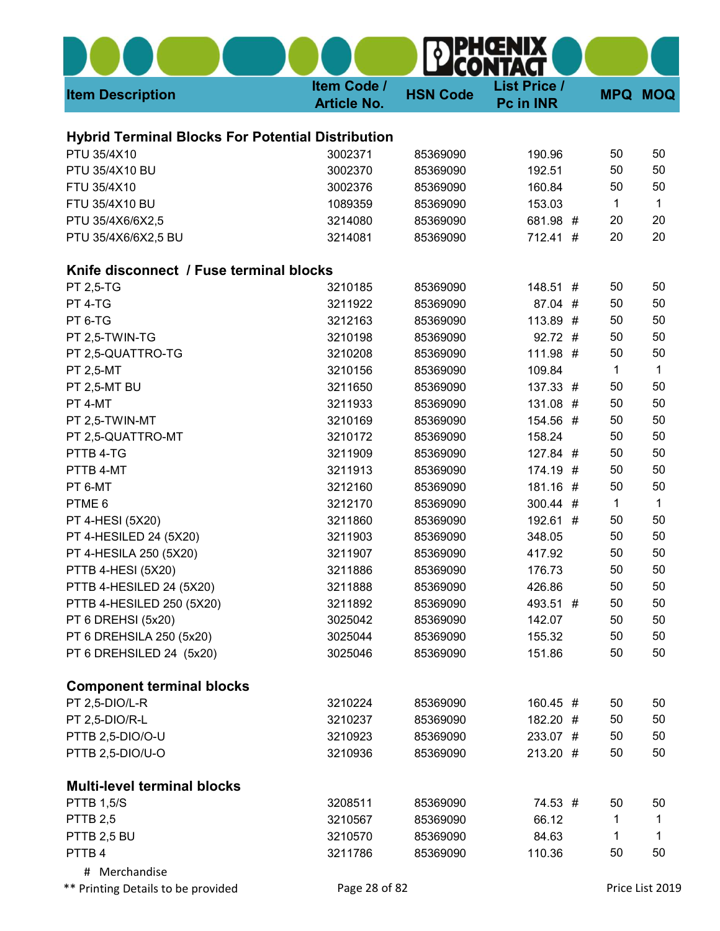| <b>Item Description</b>                                  | Item Code /<br><b>Article No.</b> | <b>HSN Code</b> | <b>List Price /</b><br>Pc in INR | <b>MPQ</b> | <b>MOQ</b> |
|----------------------------------------------------------|-----------------------------------|-----------------|----------------------------------|------------|------------|
| <b>Hybrid Terminal Blocks For Potential Distribution</b> |                                   |                 |                                  |            |            |
| PTU 35/4X10                                              | 3002371                           | 85369090        | 190.96                           | 50         | 50         |
| PTU 35/4X10 BU                                           | 3002370                           | 85369090        | 192.51                           | 50         | 50         |
| FTU 35/4X10                                              | 3002376                           | 85369090        | 160.84                           | 50         | 50         |
| FTU 35/4X10 BU                                           | 1089359                           | 85369090        | 153.03                           | 1          | 1          |
| PTU 35/4X6/6X2,5                                         | 3214080                           | 85369090        | 681.98 #                         | 20         | 20         |
| PTU 35/4X6/6X2,5 BU                                      | 3214081                           | 85369090        | 712.41 #                         | 20         | 20         |
| Knife disconnect / Fuse terminal blocks                  |                                   |                 |                                  |            |            |
| <b>PT 2,5-TG</b>                                         | 3210185                           | 85369090        | 148.51 #                         | 50         | 50         |
| PT 4-TG                                                  | 3211922                           | 85369090        | 87.04 #                          | 50         | 50         |
| PT 6-TG                                                  | 3212163                           | 85369090        | 113.89 #                         | 50         | 50         |
| PT 2,5-TWIN-TG                                           | 3210198                           | 85369090        | $92.72$ #                        | 50         | 50         |
| PT 2,5-QUATTRO-TG                                        | 3210208                           | 85369090        | 111.98 #                         | 50         | 50         |
| <b>PT 2,5-MT</b>                                         | 3210156                           | 85369090        | 109.84                           | 1          | 1          |
| <b>PT 2,5-MT BU</b>                                      | 3211650                           | 85369090        | 137.33 #                         | 50         | 50         |
| PT 4-MT                                                  | 3211933                           | 85369090        | 131.08 #                         | 50         | 50         |
| PT 2,5-TWIN-MT                                           | 3210169                           | 85369090        | 154.56 #                         | 50         | 50         |
| PT 2,5-QUATTRO-MT                                        | 3210172                           | 85369090        | 158.24                           | 50         | 50         |
| PTTB 4-TG                                                | 3211909                           | 85369090        | 127.84 #                         | 50         | 50         |
| PTTB 4-MT                                                | 3211913                           | 85369090        | 174.19 #                         | 50         | 50         |
| PT 6-MT                                                  | 3212160                           | 85369090        | 181.16 #                         | 50         | 50         |
| PTME <sub>6</sub>                                        | 3212170                           | 85369090        | 300.44 #                         | 1          | 1          |
| PT 4-HESI (5X20)                                         | 3211860                           | 85369090        | 192.61 #                         | 50         | 50         |
| PT 4-HESILED 24 (5X20)                                   | 3211903                           | 85369090        | 348.05                           | 50         | 50         |
| PT 4-HESILA 250 (5X20)                                   | 3211907                           | 85369090        | 417.92                           | 50         | 50         |
| PTTB 4-HESI (5X20)                                       | 3211886                           | 85369090        | 176.73                           | 50         | 50         |
| PTTB 4-HESILED 24 (5X20)                                 | 3211888                           | 85369090        | 426.86                           | 50         | 50         |
| PTTB 4-HESILED 250 (5X20)                                | 3211892                           | 85369090        | 493.51 #                         | 50         | 50         |
| PT 6 DREHSI (5x20)                                       | 3025042                           | 85369090        | 142.07                           | 50         | 50         |
| PT 6 DREHSILA 250 (5x20)                                 | 3025044                           | 85369090        | 155.32                           | 50         | 50         |
| PT 6 DREHSILED 24 (5x20)                                 | 3025046                           | 85369090        | 151.86                           | 50         | 50         |
| <b>Component terminal blocks</b>                         |                                   |                 |                                  |            |            |
| PT 2,5-DIO/L-R                                           | 3210224                           | 85369090        | 160.45 #                         | 50         | 50         |
| PT 2,5-DIO/R-L                                           | 3210237                           | 85369090        | 182.20 #                         | 50         | 50         |
| PTTB 2,5-DIO/O-U                                         | 3210923                           | 85369090        | 233.07 #                         | 50         | 50         |
| PTTB 2,5-DIO/U-O                                         | 3210936                           | 85369090        | 213.20 #                         | 50         | 50         |
| <b>Multi-level terminal blocks</b>                       |                                   |                 |                                  |            |            |
| <b>PTTB 1,5/S</b>                                        | 3208511                           | 85369090        | 74.53 #                          | 50         | 50         |
| <b>PTTB 2,5</b>                                          | 3210567                           | 85369090        | 66.12                            | 1          | 1          |
| PTTB 2,5 BU                                              | 3210570                           | 85369090        | 84.63                            | 1          | 1          |
| PTTB4                                                    | 3211786                           | 85369090        | 110.36                           | 50         | 50         |
| # Merchandise                                            |                                   |                 |                                  |            |            |

\*\* Printing Details to be provided **Page 28 of 82** Printing Details to be provided **Page 28 of 82** Price List 2019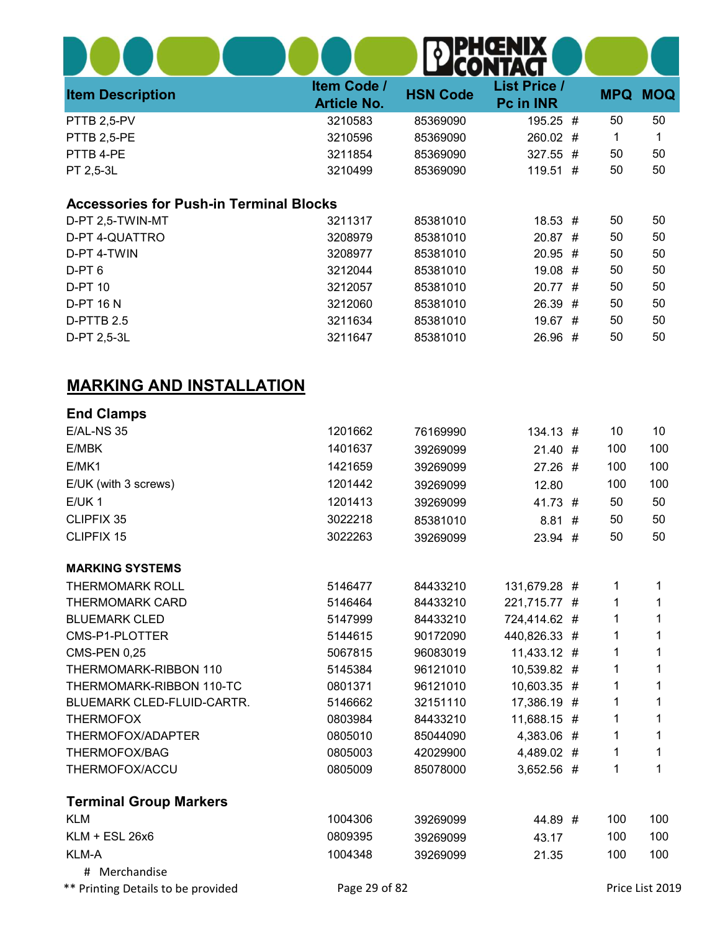| <b>Item Description</b>                        | Item Code /<br><b>Article No.</b> | <b>HSN Code</b> | <b>List Price /</b><br>Pc in INR |   | <b>MPQ</b> | <b>MOQ</b> |
|------------------------------------------------|-----------------------------------|-----------------|----------------------------------|---|------------|------------|
| PTTB 2,5-PV                                    | 3210583                           | 85369090        | 195.25 #                         |   | 50         | 50         |
| PTTB 2,5-PE                                    | 3210596                           | 85369090        | 260.02 #                         |   | 1          | 1          |
| PTTB 4-PE                                      | 3211854                           | 85369090        | $327.55$ #                       |   | 50         | 50         |
| PT 2,5-3L                                      | 3210499                           | 85369090        | 119.51 #                         |   | 50         | 50         |
| <b>Accessories for Push-in Terminal Blocks</b> |                                   |                 |                                  |   |            |            |
| D-PT 2,5-TWIN-MT                               | 3211317                           | 85381010        | $18.53$ #                        |   | 50         | 50         |
| <b>D-PT 4-QUATTRO</b>                          | 3208979                           | 85381010        | $20.87$ #                        |   | 50         | 50         |
| D-PT 4-TWIN                                    | 3208977                           | 85381010        | $20.95$ #                        |   | 50         | 50         |
| D-PT <sub>6</sub>                              | 3212044                           | 85381010        | 19.08 #                          |   | 50         | 50         |
| <b>D-PT 10</b>                                 | 3212057                           | 85381010        | 20.77                            | # | 50         | 50         |
| <b>D-PT 16 N</b>                               | 3212060                           | 85381010        | 26.39                            | # | 50         | 50         |
| D-PTTB 2.5                                     | 3211634                           | 85381010        | 19.67 #                          |   | 50         | 50         |
| D-PT 2,5-3L                                    | 3211647                           | 85381010        | 26.96 #                          |   | 50         | 50         |
| <b>MARKING AND INSTALLATION</b>                |                                   |                 |                                  |   |            |            |
| <b>End Clamps</b>                              |                                   |                 |                                  |   |            |            |
| <b>E/AL-NS 35</b>                              | 1201662                           | 76169990        | 134.13#                          |   | 10         | 10         |
| E/MBK                                          | 1401637                           | 39269099        | 21.40#                           |   | 100        | 100        |
| E/MK1                                          | 1421659                           | 39269099        | $27.26$ #                        |   | 100        | 100        |
| E/UK (with 3 screws)                           | 1201442                           | 39269099        | 12.80                            |   | 100        | 100        |
| $E/UK$ 1                                       | 1201413                           | 39269099        | 41.73 #                          |   | 50         | 50         |
| <b>CLIPFIX 35</b>                              | 3022218                           | 85381010        | 8.81                             | # | 50         | 50         |
| CLIPFIX 15                                     | 3022263                           | 39269099        | 23.94 #                          |   | 50         | 50         |
| <b>MARKING SYSTEMS</b>                         |                                   |                 |                                  |   |            |            |
| <b>THERMOMARK ROLL</b>                         | 5146477                           | 84433210        | 131,679.28 #                     |   | 1          | 1          |
| <b>THERMOMARK CARD</b>                         | 5146464                           | 84433210        | 221,715.77 #                     |   | 1          | 1          |
| <b>BLUEMARK CLED</b>                           | 5147999                           | 84433210        | 724,414.62 #                     |   | 1          | 1          |
| CMS-P1-PLOTTER                                 | 5144615                           | 90172090        | 440,826.33 #                     |   | 1          | 1          |
| <b>CMS-PEN 0,25</b>                            | 5067815                           | 96083019        | 11,433.12 #                      |   | 1          |            |
| THERMOMARK-RIBBON 110                          | 5145384                           | 96121010        | 10,539.82 #                      |   | 1          |            |
| THERMOMARK-RIBBON 110-TC                       | 0801371                           | 96121010        | 10,603.35 #                      |   | 1          |            |
| BLUEMARK CLED-FLUID-CARTR.                     | 5146662                           | 32151110        | 17,386.19 #                      |   | 1          |            |
| <b>THERMOFOX</b>                               | 0803984                           | 84433210        | 11,688.15 #                      |   | 1          | 1          |
| THERMOFOX/ADAPTER                              | 0805010                           | 85044090        | 4,383.06 #                       |   | 1          | 1          |
| THERMOFOX/BAG                                  | 0805003                           | 42029900        | 4,489.02 #                       |   | 1          | 1          |
| THERMOFOX/ACCU                                 | 0805009                           | 85078000        | 3,652.56 #                       |   | 1          | 1          |
|                                                |                                   |                 |                                  |   |            |            |

Terminal Group Markers KLM 1004306 39269099 44.89 # 100 100 KLM + ESL 26x6 **0809395** 0809395 39269099 43.17 100 100 KLM-A 1004348 39269099 21.35 100 100 # Merchandise

\*\* Printing Details to be provided **Page 29 of 82** Printing Details to be provided **Page 29 of 82** Price List 2019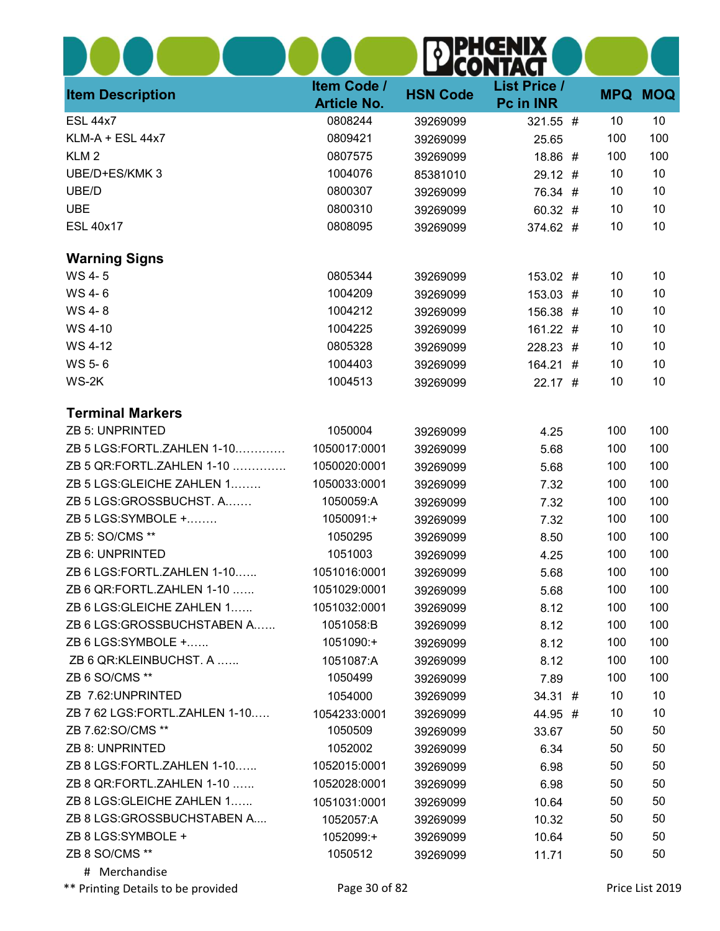| <b>Item Description</b>       | Item Code /<br><b>Article No.</b> | <b>HSN Code</b> | <b>List Price /</b><br>Pc in INR | <b>MPQ</b> | <b>MOQ</b> |
|-------------------------------|-----------------------------------|-----------------|----------------------------------|------------|------------|
| <b>ESL 44x7</b>               | 0808244                           | 39269099        | 321.55 #                         | 10         | 10         |
| KLM-A + ESL 44x7              | 0809421                           | 39269099        | 25.65                            | 100        | 100        |
| KLM <sub>2</sub>              | 0807575                           | 39269099        | 18.86 #                          | 100        | 100        |
| UBE/D+ES/KMK 3                | 1004076                           | 85381010        | $29.12$ #                        | 10         | 10         |
| UBE/D                         | 0800307                           | 39269099        | 76.34 #                          | 10         | 10         |
| <b>UBE</b>                    | 0800310                           | 39269099        | 60.32 #                          | 10         | 10         |
| <b>ESL 40x17</b>              | 0808095                           | 39269099        | 374.62 #                         | 10         | 10         |
| <b>Warning Signs</b>          |                                   |                 |                                  |            |            |
| WS 4-5                        | 0805344                           | 39269099        | 153.02 #                         | 10         | 10         |
| WS 4-6                        | 1004209                           | 39269099        | 153.03 #                         | 10         | 10         |
| WS 4-8                        | 1004212                           | 39269099        | 156.38 #                         | 10         | 10         |
| WS 4-10                       | 1004225                           | 39269099        | 161.22 #                         | 10         | 10         |
| WS 4-12                       | 0805328                           | 39269099        | 228.23 #                         | 10         | 10         |
| WS 5-6                        | 1004403                           | 39269099        | 164.21                           | 10<br>#    | 10         |
| WS-2K                         | 1004513                           | 39269099        | $22.17$ #                        | 10         | 10         |
| <b>Terminal Markers</b>       |                                   |                 |                                  |            |            |
| <b>ZB 5: UNPRINTED</b>        | 1050004                           | 39269099        | 4.25                             | 100        | 100        |
| ZB 5 LGS:FORTL.ZAHLEN 1-10    | 1050017:0001                      | 39269099        | 5.68                             | 100        | 100        |
| ZB 5 QR:FORTL.ZAHLEN 1-10     | 1050020:0001                      | 39269099        | 5.68                             | 100        | 100        |
| ZB 5 LGS: GLEICHE ZAHLEN 1    | 1050033:0001                      | 39269099        | 7.32                             | 100        | 100        |
| ZB 5 LGS:GROSSBUCHST. A       | 1050059:A                         | 39269099        | 7.32                             | 100        | 100        |
| ZB 5 LGS:SYMBOLE +            | 1050091:+                         | 39269099        | 7.32                             | 100        | 100        |
| ZB 5: SO/CMS **               | 1050295                           | 39269099        | 8.50                             | 100        | 100        |
| <b>ZB 6: UNPRINTED</b>        | 1051003                           | 39269099        | 4.25                             | 100        | 100        |
| ZB 6 LGS:FORTL.ZAHLEN 1-10    | 1051016:0001                      | 39269099        | 5.68                             | 100        | 100        |
| ZB 6 QR:FORTL.ZAHLEN 1-10     | 1051029:0001                      | 39269099        | 5.68                             | 100        | 100        |
| ZB 6 LGS: GLEICHE ZAHLEN 1    | 1051032:0001                      | 39269099        | 8.12                             | 100        | 100        |
| ZB 6 LGS: GROSSBUCHSTABEN A   | 1051058:B                         | 39269099        | 8.12                             | 100        | 100        |
| ZB 6 LGS:SYMBOLE +            | 1051090:+                         | 39269099        | 8.12                             | 100        | 100        |
| ZB 6 QR:KLEINBUCHST. A        | 1051087:A                         | 39269099        | 8.12                             | 100        | 100        |
| ZB 6 SO/CMS **                | 1050499                           | 39269099        | 7.89                             | 100        | 100        |
| ZB 7.62:UNPRINTED             | 1054000                           | 39269099        | 34.31#                           | 10         | 10         |
| ZB 7 62 LGS:FORTL.ZAHLEN 1-10 | 1054233:0001                      | 39269099        | 44.95 #                          | 10         | 10         |
| ZB 7.62:SO/CMS **             | 1050509                           | 39269099        | 33.67                            | 50         | 50         |
| <b>ZB 8: UNPRINTED</b>        | 1052002                           | 39269099        | 6.34                             | 50         | 50         |
| ZB 8 LGS:FORTL.ZAHLEN 1-10    | 1052015:0001                      | 39269099        | 6.98                             | 50         | 50         |
| ZB 8 QR:FORTL.ZAHLEN 1-10     | 1052028:0001                      | 39269099        | 6.98                             | 50         | 50         |
| ZB 8 LGS: GLEICHE ZAHLEN 1    | 1051031:0001                      | 39269099        | 10.64                            | 50         | 50         |
| ZB 8 LGS: GROSSBUCHSTABEN A   | 1052057:A                         | 39269099        | 10.32                            | 50         | 50         |
| ZB 8 LGS:SYMBOLE +            | 1052099:+                         | 39269099        | 10.64                            | 50         | 50         |
| ZB 8 SO/CMS **                | 1050512                           | 39269099        | 11.71                            | 50         | 50         |
| # Merchandise                 |                                   |                 |                                  |            |            |

\*\* Printing Details to be provided **Page 30 of 82** Price List 2019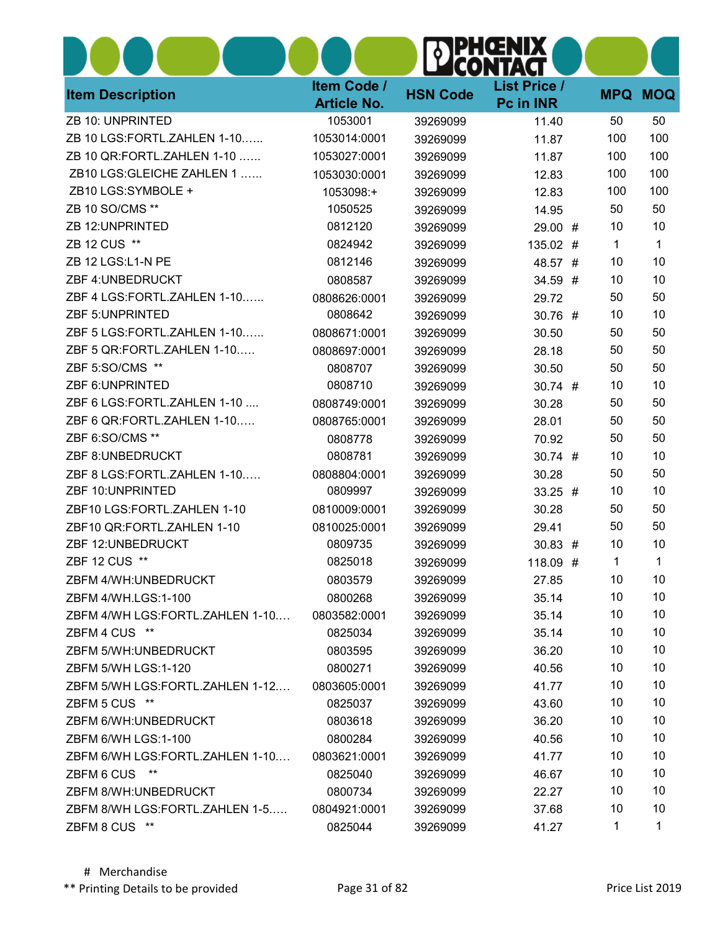|                                 |                                   |                 | HŒNIX                            |              |                |
|---------------------------------|-----------------------------------|-----------------|----------------------------------|--------------|----------------|
| <b>Item Description</b>         | Item Code /<br><b>Article No.</b> | <b>HSN Code</b> | <b>List Price /</b><br>Pc in INR |              | <b>MPQ MOQ</b> |
| ZB 10: UNPRINTED                | 1053001                           | 39269099        | 11.40                            | 50           | 50             |
| ZB 10 LGS:FORTL.ZAHLEN 1-10     | 1053014:0001                      | 39269099        | 11.87                            | 100          | 100            |
| ZB 10 QR:FORTL.ZAHLEN 1-10      | 1053027:0001                      | 39269099        | 11.87                            | 100          | 100            |
| ZB10 LGS: GLEICHE ZAHLEN 1      | 1053030:0001                      | 39269099        | 12.83                            | 100          | 100            |
| ZB10 LGS:SYMBOLE +              | 1053098:+                         | 39269099        | 12.83                            | 100          | 100            |
| ZB 10 SO/CMS **                 | 1050525                           | 39269099        | 14.95                            | 50           | 50             |
| ZB 12: UNPRINTED                | 0812120                           | 39269099        | 29.00 #                          | 10           | 10             |
| ZB 12 CUS **                    | 0824942                           | 39269099        | 135.02 #                         | 1            | 1              |
| ZB 12 LGS:L1-N PE               | 0812146                           | 39269099        | 48.57 #                          | 10           | 10             |
| ZBF 4: UNBEDRUCKT               | 0808587                           | 39269099        | 34.59 #                          | 10           | 10             |
| ZBF 4 LGS:FORTL.ZAHLEN 1-10     | 0808626:0001                      | 39269099        | 29.72                            | 50           | 50             |
| <b>ZBF 5: UNPRINTED</b>         | 0808642                           | 39269099        | 30.76#                           | 10           | 10             |
| ZBF 5 LGS:FORTL.ZAHLEN 1-10     | 0808671:0001                      | 39269099        | 30.50                            | 50           | 50             |
| ZBF 5 QR:FORTL.ZAHLEN 1-10      | 0808697:0001                      | 39269099        | 28.18                            | 50           | 50             |
| ZBF 5:SO/CMS **                 | 0808707                           | 39269099        | 30.50                            | 50           | 50             |
| ZBF 6: UNPRINTED                | 0808710                           | 39269099        | $30.74$ #                        | 10           | 10             |
| ZBF 6 LGS:FORTL.ZAHLEN 1-10     | 0808749:0001                      | 39269099        | 30.28                            | 50           | 50             |
| ZBF 6 QR:FORTL.ZAHLEN 1-10      | 0808765:0001                      | 39269099        | 28.01                            | 50           | 50             |
| ZBF 6:SO/CMS **                 | 0808778                           | 39269099        | 70.92                            | 50           | 50             |
| ZBF 8: UNBEDRUCKT               | 0808781                           | 39269099        | $30.74$ #                        | 10           | 10             |
| ZBF 8 LGS:FORTL.ZAHLEN 1-10     | 0808804:0001                      | 39269099        | 30.28                            | 50           | 50             |
| ZBF 10:UNPRINTED                | 0809997                           | 39269099        | $33.25$ #                        | 10           | 10             |
| ZBF10 LGS:FORTL.ZAHLEN 1-10     | 0810009:0001                      | 39269099        | 30.28                            | 50           | 50             |
| ZBF10 QR:FORTL.ZAHLEN 1-10      | 0810025:0001                      | 39269099        | 29.41                            | 50           | 50             |
| ZBF 12:UNBEDRUCKT               | 0809735                           | 39269099        | 30.83#                           | 10           | 10             |
| ZBF 12 CUS **                   | 0825018                           | 39269099        | 118.09 #                         | $\mathbf{1}$ | $\mathbf{1}$   |
| ZBFM 4/WH:UNBEDRUCKT            | 0803579                           | 39269099        | 27.85                            | 10           | 10             |
| ZBFM 4/WH.LGS:1-100             | 0800268                           | 39269099        | 35.14                            | 10           | 10             |
| ZBFM 4/WH LGS:FORTL.ZAHLEN 1-10 | 0803582:0001                      | 39269099        | 35.14                            | 10           | 10             |
| ZBFM 4 CUS **                   | 0825034                           | 39269099        | 35.14                            | 10           | 10             |
| ZBFM 5/WH:UNBEDRUCKT            | 0803595                           | 39269099        | 36.20                            | 10           | 10             |
| ZBFM 5/WH LGS:1-120             | 0800271                           | 39269099        | 40.56                            | 10           | 10             |
| ZBFM 5/WH LGS:FORTL.ZAHLEN 1-12 | 0803605:0001                      | 39269099        | 41.77                            | 10           | 10             |
| ZBFM 5 CUS **                   | 0825037                           | 39269099        | 43.60                            | 10           | 10             |
| ZBFM 6/WH:UNBEDRUCKT            | 0803618                           | 39269099        | 36.20                            | 10           | 10             |
| ZBFM 6/WH LGS:1-100             | 0800284                           | 39269099        | 40.56                            | 10           | 10             |
| ZBFM 6/WH LGS:FORTL.ZAHLEN 1-10 | 0803621:0001                      | 39269099        | 41.77                            | 10           | 10             |
| ZBFM 6 CUS **                   | 0825040                           | 39269099        | 46.67                            | 10           | 10             |
| ZBFM 8/WH:UNBEDRUCKT            | 0800734                           | 39269099        | 22.27                            | 10           | 10             |
| ZBFM 8/WH LGS:FORTL.ZAHLEN 1-5  | 0804921:0001                      | 39269099        | 37.68                            | 10           | 10             |
| ZBFM 8 CUS **                   | 0825044                           | 39269099        | 41.27                            | 1            | $\mathbf{1}$   |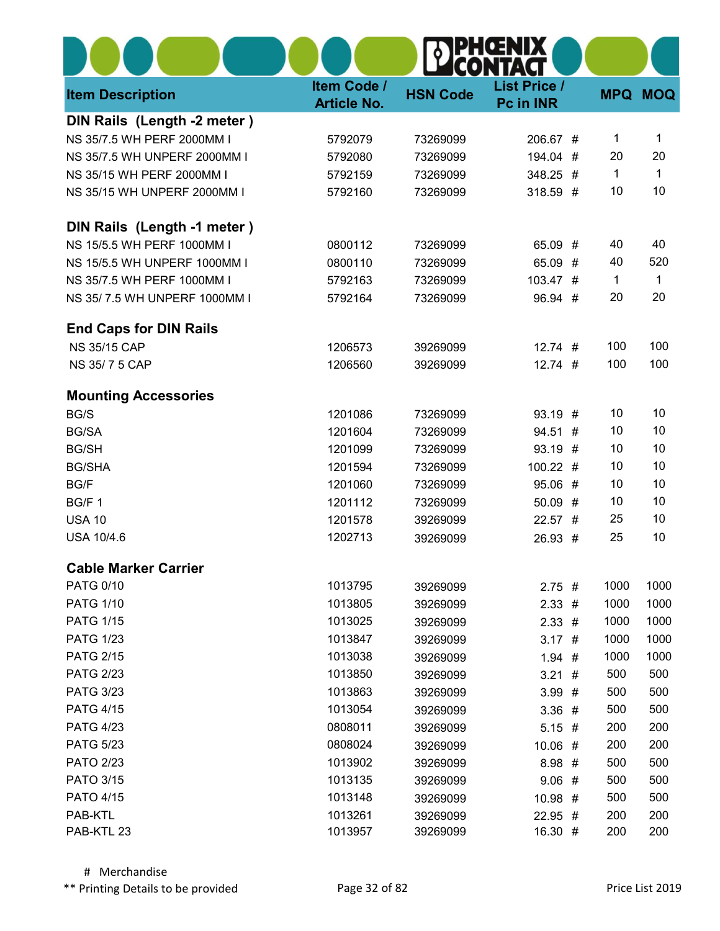| <b>Item Description</b>       | Item Code /<br><b>Article No.</b> | <b>HSN Code</b> | <b>List Price /</b><br>Pc in INR | <b>MPQ</b> | <b>MOQ</b>   |
|-------------------------------|-----------------------------------|-----------------|----------------------------------|------------|--------------|
| DIN Rails (Length -2 meter)   |                                   |                 |                                  |            |              |
| NS 35/7.5 WH PERF 2000MM I    | 5792079                           | 73269099        | 206.67 #                         | 1          | 1            |
| NS 35/7.5 WH UNPERF 2000MM I  | 5792080                           | 73269099        | 194.04 #                         | 20         | 20           |
| NS 35/15 WH PERF 2000MM I     | 5792159                           | 73269099        | 348.25 #                         | 1          | $\mathbf{1}$ |
| NS 35/15 WH UNPERF 2000MM I   | 5792160                           | 73269099        | 318.59 #                         | 10         | 10           |
| DIN Rails (Length -1 meter)   |                                   |                 |                                  |            |              |
| NS 15/5.5 WH PERF 1000MM I    | 0800112                           | 73269099        | 65.09 #                          | 40         | 40           |
| NS 15/5.5 WH UNPERF 1000MM I  | 0800110                           | 73269099        | 65.09 #                          | 40         | 520          |
| NS 35/7.5 WH PERF 1000MM I    | 5792163                           | 73269099        | 103.47#                          | 1          | $\mathbf{1}$ |
| NS 35/7.5 WH UNPERF 1000MM I  | 5792164                           | 73269099        | 96.94 #                          | 20         | 20           |
| <b>End Caps for DIN Rails</b> |                                   |                 |                                  |            |              |
| <b>NS 35/15 CAP</b>           | 1206573                           | 39269099        | $12.74$ #                        | 100        | 100          |
| NS 35/75 CAP                  | 1206560                           | 39269099        | $12.74$ #                        | 100        | 100          |
| <b>Mounting Accessories</b>   |                                   |                 |                                  |            |              |
| BG/S                          | 1201086                           | 73269099        | 93.19 #                          | 10         | 10           |
| <b>BG/SA</b>                  | 1201604                           | 73269099        | 94.51 #                          | 10         | 10           |
| <b>BG/SH</b>                  | 1201099                           | 73269099        | 93.19 #                          | 10         | 10           |
| <b>BG/SHA</b>                 | 1201594                           | 73269099        | $100.22$ #                       | 10         | 10           |
| <b>BG/F</b>                   | 1201060                           | 73269099        | 95.06 #                          | 10         | 10           |
| BG/F 1                        | 1201112                           | 73269099        | 50.09 #                          | 10         | 10           |
| <b>USA 10</b>                 | 1201578                           | 39269099        | $22.57$ #                        | 25         | 10           |
| <b>USA 10/4.6</b>             | 1202713                           | 39269099        | 26.93 #                          | 25         | 10           |
| <b>Cable Marker Carrier</b>   |                                   |                 |                                  |            |              |
| <b>PATG 0/10</b>              | 1013795                           | 39269099        | $2.75$ #                         | 1000       | 1000         |
| <b>PATG 1/10</b>              | 1013805                           | 39269099        | 2.33#                            | 1000       | 1000         |
| <b>PATG 1/15</b>              | 1013025                           | 39269099        | 2.33#                            | 1000       | 1000         |
| <b>PATG 1/23</b>              | 1013847                           | 39269099        | 3.17#                            | 1000       | 1000         |
| <b>PATG 2/15</b>              | 1013038                           | 39269099        | 1.94#                            | 1000       | 1000         |
| <b>PATG 2/23</b>              | 1013850                           | 39269099        | 3.21#                            | 500        | 500          |
| <b>PATG 3/23</b>              | 1013863                           | 39269099        | 3.99#                            | 500        | 500          |
| <b>PATG 4/15</b>              | 1013054                           | 39269099        | 3.36#                            | 500        | 500          |
| <b>PATG 4/23</b>              | 0808011                           | 39269099        | $5.15$ #                         | 200        | 200          |
| <b>PATG 5/23</b>              | 0808024                           | 39269099        | $10.06$ #                        | 200        | 200          |
| <b>PATO 2/23</b>              | 1013902                           | 39269099        | 8.98 #                           | 500        | 500          |
| <b>PATO 3/15</b>              | 1013135                           | 39269099        | 9.06#                            | 500        | 500          |
| <b>PATO 4/15</b>              | 1013148                           | 39269099        | $10.98$ #                        | 500        | 500          |
| PAB-KTL                       | 1013261                           | 39269099        | 22.95 #                          | 200        | 200          |
| PAB-KTL 23                    | 1013957                           | 39269099        | 16.30 #                          | 200        | 200          |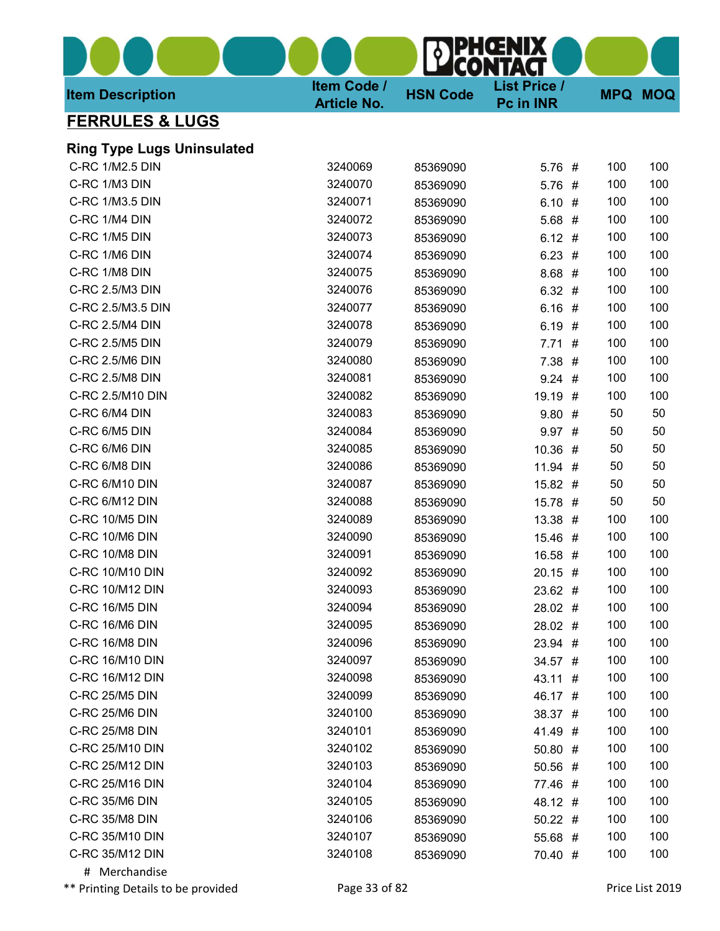| <b>Item Description</b>           | Item Code /<br><b>Article No.</b> | <b>HSN Code</b> | <b>List Price /</b><br>Pc in INR |     | <b>MPQ MOQ</b> |
|-----------------------------------|-----------------------------------|-----------------|----------------------------------|-----|----------------|
| <b>FERRULES &amp; LUGS</b>        |                                   |                 |                                  |     |                |
| <b>Ring Type Lugs Uninsulated</b> |                                   |                 |                                  |     |                |
| C-RC 1/M2.5 DIN                   | 3240069                           | 85369090        | 5.76 #                           | 100 | 100            |
| C-RC 1/M3 DIN                     | 3240070                           | 85369090        | 5.76 #                           | 100 | 100            |
| C-RC 1/M3.5 DIN                   | 3240071                           | 85369090        | 6.10#                            | 100 | 100            |
| C-RC 1/M4 DIN                     | 3240072                           | 85369090        | $5.68$ #                         | 100 | 100            |
| C-RC 1/M5 DIN                     | 3240073                           | 85369090        | 6.12#                            | 100 | 100            |
| C-RC 1/M6 DIN                     | 3240074                           | 85369090        | 6.23#                            | 100 | 100            |
| C-RC 1/M8 DIN                     | 3240075                           | 85369090        | 8.68 #                           | 100 | 100            |
| C-RC 2.5/M3 DIN                   | 3240076                           | 85369090        | 6.32#                            | 100 | 100            |
| C-RC 2.5/M3.5 DIN                 | 3240077                           | 85369090        | 6.16#                            | 100 | 100            |
| C-RC 2.5/M4 DIN                   | 3240078                           | 85369090        | 6.19#                            | 100 | 100            |
| C-RC 2.5/M5 DIN                   | 3240079                           | 85369090        | 7.71#                            | 100 | 100            |
| C-RC 2.5/M6 DIN                   | 3240080                           | 85369090        | 7.38#                            | 100 | 100            |
| C-RC 2.5/M8 DIN                   | 3240081                           | 85369090        | $9.24$ #                         | 100 | 100            |
| C-RC 2.5/M10 DIN                  | 3240082                           | 85369090        | 19.19 #                          | 100 | 100            |
| C-RC 6/M4 DIN                     | 3240083                           | 85369090        | 9.80#                            | 50  | 50             |
| C-RC 6/M5 DIN                     | 3240084                           | 85369090        | 9.97#                            | 50  | 50             |
| C-RC 6/M6 DIN                     | 3240085                           | 85369090        | 10.36#                           | 50  | 50             |
| C-RC 6/M8 DIN                     | 3240086                           | 85369090        | 11.94 #                          | 50  | 50             |
| C-RC 6/M10 DIN                    | 3240087                           | 85369090        | 15.82 #                          | 50  | 50             |
| C-RC 6/M12 DIN                    | 3240088                           | 85369090        | 15.78 #                          | 50  | 50             |
| C-RC 10/M5 DIN                    | 3240089                           | 85369090        | $13.38$ #                        | 100 | 100            |
| C-RC 10/M6 DIN                    | 3240090                           | 85369090        | 15.46 #                          | 100 | 100            |
| C-RC 10/M8 DIN                    | 3240091                           | 85369090        | 16.58 #                          | 100 | 100            |
| C-RC 10/M10 DIN                   | 3240092                           | 85369090        | $20.15$ #                        | 100 | 100            |
| C-RC 10/M12 DIN                   | 3240093                           | 85369090        | 23.62 #                          | 100 | 100            |
| C-RC 16/M5 DIN                    | 3240094                           | 85369090        | 28.02 #                          | 100 | 100            |
| C-RC 16/M6 DIN                    | 3240095                           | 85369090        | 28.02 #                          | 100 | 100            |
| C-RC 16/M8 DIN                    | 3240096                           | 85369090        | 23.94 #                          | 100 | 100            |
| C-RC 16/M10 DIN                   | 3240097                           | 85369090        | 34.57 #                          | 100 | 100            |
| C-RC 16/M12 DIN                   | 3240098                           | 85369090        | 43.11 #                          | 100 | 100            |
| C-RC 25/M5 DIN                    | 3240099                           | 85369090        | 46.17 #                          | 100 | 100            |
| C-RC 25/M6 DIN                    | 3240100                           | 85369090        | 38.37 #                          | 100 | 100            |
| C-RC 25/M8 DIN                    | 3240101                           | 85369090        | 41.49 #                          | 100 | 100            |
| C-RC 25/M10 DIN                   | 3240102                           | 85369090        | 50.80 #                          | 100 | 100            |
| C-RC 25/M12 DIN                   | 3240103                           | 85369090        | 50.56 #                          | 100 | 100            |
| C-RC 25/M16 DIN                   | 3240104                           | 85369090        | 77.46 #                          | 100 | 100            |
| C-RC 35/M6 DIN                    | 3240105                           | 85369090        | 48.12 #                          | 100 | 100            |
| C-RC 35/M8 DIN                    | 3240106                           | 85369090        | $50.22$ #                        | 100 | 100            |
| C-RC 35/M10 DIN                   | 3240107                           | 85369090        | 55.68 #                          | 100 | 100            |
| C-RC 35/M12 DIN                   | 3240108                           | 85369090        | 70.40 #                          | 100 | 100            |
| # Merchandise                     |                                   |                 |                                  |     |                |

\*\* Printing Details to be provided **Page 33 of 82** Printing Details to be provided **Page 33 of 82** Price List 2019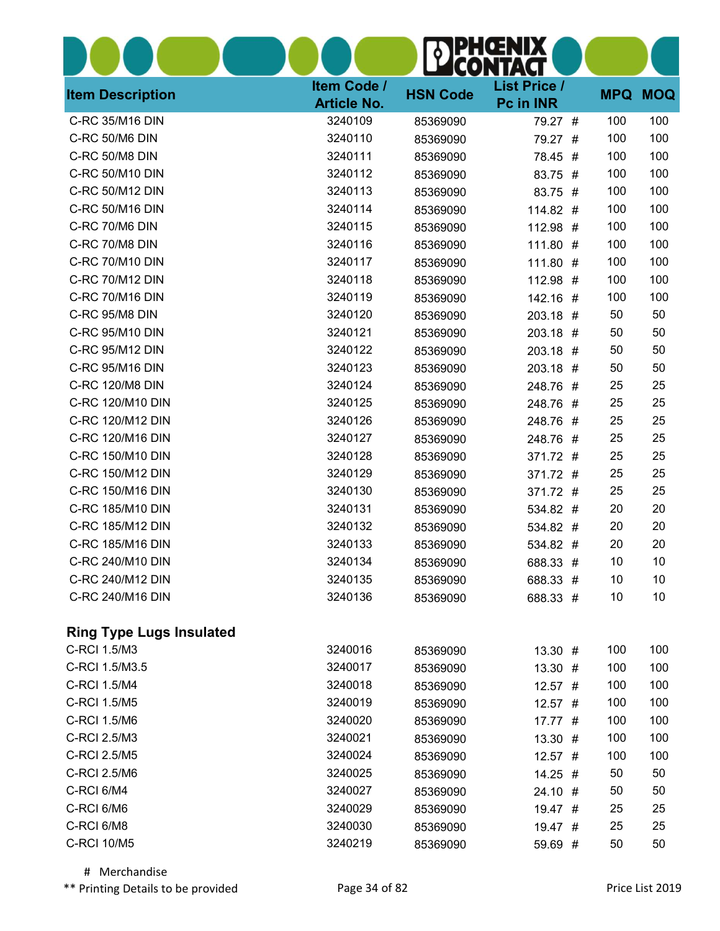| <b>Item Description</b>         | Item Code /<br><b>Article No.</b> | <b>HSN Code</b> | <b>List Price /</b><br>Pc in INR | <b>MPQ</b> | <b>MOQ</b> |
|---------------------------------|-----------------------------------|-----------------|----------------------------------|------------|------------|
| C-RC 35/M16 DIN                 | 3240109                           | 85369090        | 79.27 #                          | 100        | 100        |
| C-RC 50/M6 DIN                  | 3240110                           | 85369090        | 79.27 #                          | 100        | 100        |
| C-RC 50/M8 DIN                  | 3240111                           | 85369090        | 78.45 #                          | 100        | 100        |
| C-RC 50/M10 DIN                 | 3240112                           | 85369090        | 83.75 #                          | 100        | 100        |
| C-RC 50/M12 DIN                 | 3240113                           | 85369090        | 83.75 #                          | 100        | 100        |
| C-RC 50/M16 DIN                 | 3240114                           | 85369090        | 114.82 #                         | 100        | 100        |
| C-RC 70/M6 DIN                  | 3240115                           | 85369090        | 112.98 #                         | 100        | 100        |
| C-RC 70/M8 DIN                  | 3240116                           | 85369090        | 111.80 #                         | 100        | 100        |
| C-RC 70/M10 DIN                 | 3240117                           | 85369090        | 111.80 #                         | 100        | 100        |
| C-RC 70/M12 DIN                 | 3240118                           | 85369090        | 112.98 #                         | 100        | 100        |
| C-RC 70/M16 DIN                 | 3240119                           | 85369090        | 142.16 #                         | 100        | 100        |
| C-RC 95/M8 DIN                  | 3240120                           | 85369090        | 203.18 #                         | 50         | 50         |
| C-RC 95/M10 DIN                 | 3240121                           | 85369090        | 203.18 #                         | 50         | 50         |
| C-RC 95/M12 DIN                 | 3240122                           | 85369090        | 203.18 #                         | 50         | 50         |
| C-RC 95/M16 DIN                 | 3240123                           | 85369090        | 203.18 #                         | 50         | 50         |
| C-RC 120/M8 DIN                 | 3240124                           | 85369090        | 248.76 #                         | 25         | 25         |
| C-RC 120/M10 DIN                | 3240125                           | 85369090        | 248.76 #                         | 25         | 25         |
| C-RC 120/M12 DIN                | 3240126                           | 85369090        | 248.76 #                         | 25         | 25         |
| C-RC 120/M16 DIN                | 3240127                           | 85369090        | 248.76 #                         | 25         | 25         |
| C-RC 150/M10 DIN                | 3240128                           | 85369090        | 371.72 #                         | 25         | 25         |
| C-RC 150/M12 DIN                | 3240129                           | 85369090        | 371.72 #                         | 25         | 25         |
| C-RC 150/M16 DIN                | 3240130                           | 85369090        | 371.72 #                         | 25         | 25         |
| C-RC 185/M10 DIN                | 3240131                           | 85369090        | 534.82 #                         | 20         | 20         |
| C-RC 185/M12 DIN                | 3240132                           | 85369090        | 534.82 #                         | 20         | 20         |
| C-RC 185/M16 DIN                | 3240133                           | 85369090        | 534.82 #                         | 20         | 20         |
| C-RC 240/M10 DIN                | 3240134                           | 85369090        | 688.33 #                         | 10         | 10         |
| C-RC 240/M12 DIN                | 3240135                           | 85369090        | 688.33 #                         | 10         | 10         |
| C-RC 240/M16 DIN                | 3240136                           | 85369090        | 688.33 #                         | 10         | 10         |
| <b>Ring Type Lugs Insulated</b> |                                   |                 |                                  |            |            |
| C-RCI 1.5/M3                    | 3240016                           | 85369090        | 13.30#                           | 100        | 100        |
| C-RCI 1.5/M3.5                  | 3240017                           | 85369090        | 13.30 #                          | 100        | 100        |
| C-RCI 1.5/M4                    | 3240018                           | 85369090        | $12.57$ #                        | 100        | 100        |
| C-RCI 1.5/M5                    | 3240019                           | 85369090        | $12.57$ #                        | 100        | 100        |
| C-RCI 1.5/M6                    | 3240020                           | 85369090        | 17.77#                           | 100        | 100        |
| C-RCI 2.5/M3                    | 3240021                           | 85369090        | 13.30 #                          | 100        | 100        |
| C-RCI 2.5/M5                    | 3240024                           | 85369090        | $12.57$ #                        | 100        | 100        |
| C-RCI 2.5/M6                    | 3240025                           | 85369090        | $14.25$ #                        | 50         | 50         |
| C-RCI 6/M4                      | 3240027                           | 85369090        | 24.10 #                          | 50         | 50         |
| C-RCI 6/M6                      | 3240029                           | 85369090        | 19.47 #                          | 25         | 25         |
| C-RCI 6/M8                      | 3240030                           | 85369090        | 19.47 #                          | 25         | 25         |
| C-RCI 10/M5                     | 3240219                           | 85369090        | 59.69 #                          | 50         | 50         |

# Merchandise

\*\* Printing Details to be provided **Page 34 of 82** Printing Details to be provided **Page 34 of 82** Price List 2019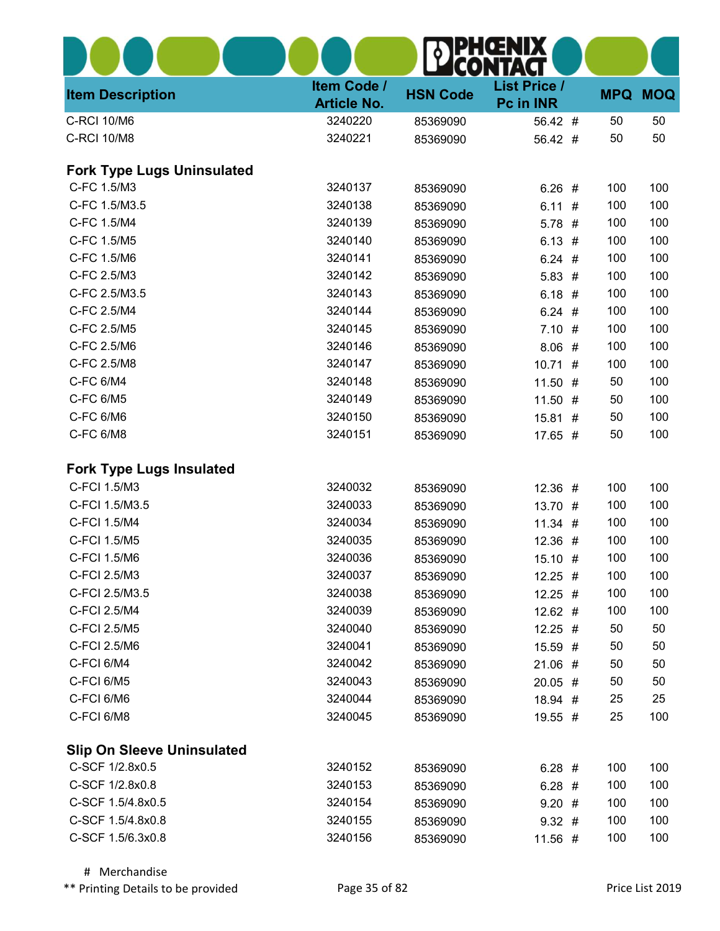| <b>Item Description</b>           | Item Code /<br><b>Article No.</b> | <b>HSN Code</b> | <b>List Price /</b><br>Pc in INR | <b>MPQ</b> | <b>MOQ</b> |
|-----------------------------------|-----------------------------------|-----------------|----------------------------------|------------|------------|
| C-RCI 10/M6                       | 3240220                           | 85369090        | 56.42 #                          | 50         | 50         |
| C-RCI 10/M8                       | 3240221                           | 85369090        | 56.42 #                          | 50         | 50         |
| <b>Fork Type Lugs Uninsulated</b> |                                   |                 |                                  |            |            |
| C-FC 1.5/M3                       | 3240137                           | 85369090        | 6.26#                            | 100        | 100        |
| C-FC 1.5/M3.5                     | 3240138                           | 85369090        | 6.11#                            | 100        | 100        |
| C-FC 1.5/M4                       | 3240139                           | 85369090        | $5.78$ #                         | 100        | 100        |
| C-FC 1.5/M5                       | 3240140                           | 85369090        | 6.13#                            | 100        | 100        |
| C-FC 1.5/M6                       | 3240141                           | 85369090        | $6.24$ #                         | 100        | 100        |
| C-FC 2.5/M3                       | 3240142                           | 85369090        | 5.83#                            | 100        | 100        |
| C-FC 2.5/M3.5                     | 3240143                           | 85369090        | 6.18#                            | 100        | 100        |
| C-FC 2.5/M4                       | 3240144                           | 85369090        | 6.24#                            | 100        | 100        |
| C-FC 2.5/M5                       | 3240145                           | 85369090        | 7.10#                            | 100        | 100        |
| C-FC 2.5/M6                       | 3240146                           | 85369090        | 8.06#                            | 100        | 100        |
| C-FC 2.5/M8                       | 3240147                           | 85369090        | 10.71#                           | 100        | 100        |
| C-FC 6/M4                         | 3240148                           | 85369090        | $11.50$ #                        | 50         | 100        |
| C-FC 6/M5                         | 3240149                           | 85369090        | $11.50$ #                        | 50         | 100        |
| C-FC 6/M6                         | 3240150                           | 85369090        | 15.81 #                          | 50         | 100        |
| C-FC 6/M8                         | 3240151                           | 85369090        | 17.65 #                          | 50         | 100        |
| <b>Fork Type Lugs Insulated</b>   |                                   |                 |                                  |            |            |
| C-FCI 1.5/M3                      | 3240032                           | 85369090        | $12.36$ #                        | 100        | 100        |
| C-FCI 1.5/M3.5                    | 3240033                           | 85369090        | 13.70 #                          | 100        | 100        |
| C-FCI 1.5/M4                      | 3240034                           | 85369090        | $11.34$ #                        | 100        | 100        |
| C-FCI 1.5/M5                      | 3240035                           | 85369090        | 12.36 #                          | 100        | 100        |
| C-FCI 1.5/M6                      | 3240036                           | 85369090        | 15.10 #                          | 100        | 100        |
| C-FCI 2.5/M3                      | 3240037                           | 85369090        | $12.25$ #                        | 100        | 100        |
| C-FCI 2.5/M3.5                    | 3240038                           | 85369090        | $12.25$ #                        | 100        | 100        |
| C-FCI 2.5/M4                      | 3240039                           | 85369090        | 12.62 #                          | 100        | 100        |
| C-FCI 2.5/M5                      | 3240040                           | 85369090        | $12.25$ #                        | 50         | 50         |
| C-FCI 2.5/M6                      | 3240041                           | 85369090        | 15.59 #                          | 50         | 50         |
| C-FCI 6/M4                        | 3240042                           | 85369090        | 21.06 #                          | 50         | 50         |
| C-FCI 6/M5                        | 3240043                           | 85369090        | 20.05 #                          | 50         | 50         |
| C-FCI 6/M6                        | 3240044                           | 85369090        | 18.94 #                          | 25         | 25         |
| C-FCI 6/M8                        | 3240045                           | 85369090        | 19.55 #                          | 25         | 100        |
| <b>Slip On Sleeve Uninsulated</b> |                                   |                 |                                  |            |            |
| C-SCF 1/2.8x0.5                   | 3240152                           | 85369090        | 6.28#                            | 100        | 100        |
| C-SCF 1/2.8x0.8                   | 3240153                           | 85369090        | 6.28#                            | 100        | 100        |
| C-SCF 1.5/4.8x0.5                 | 3240154                           | 85369090        | $9.20$ #                         | 100        | 100        |
| C-SCF 1.5/4.8x0.8                 | 3240155                           | 85369090        | 9.32#                            | 100        | 100        |
| C-SCF 1.5/6.3x0.8                 | 3240156                           | 85369090        | 11.56 #                          | 100        | 100        |
|                                   |                                   |                 |                                  |            |            |

# Merchandise

\*\* Printing Details to be provided **Page 35 of 82** Printing Details to be provided **Page 35 of 82** Price List 2019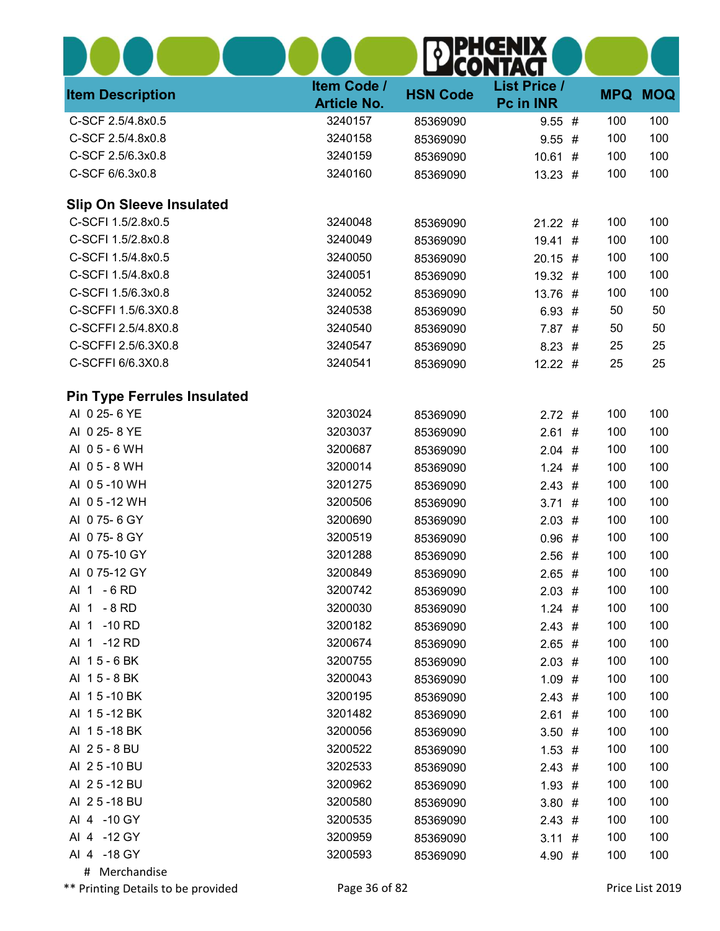| <b>Item Description</b>            | Item Code /<br><b>Article No.</b> | <b>HSN Code</b> | <b>List Price /</b><br>Pc in INR | <b>MPQ</b> | <b>MOQ</b> |
|------------------------------------|-----------------------------------|-----------------|----------------------------------|------------|------------|
| C-SCF 2.5/4.8x0.5                  | 3240157                           | 85369090        | $9.55$ #                         | 100        | 100        |
| C-SCF 2.5/4.8x0.8                  | 3240158                           | 85369090        | $9.55$ #                         | 100        | 100        |
| C-SCF 2.5/6.3x0.8                  | 3240159                           | 85369090        | 10.61#                           | 100        | 100        |
| C-SCF 6/6.3x0.8                    | 3240160                           | 85369090        | $13.23$ #                        | 100        | 100        |
| <b>Slip On Sleeve Insulated</b>    |                                   |                 |                                  |            |            |
| C-SCFI 1.5/2.8x0.5                 | 3240048                           | 85369090        | $21.22$ #                        | 100        | 100        |
| C-SCFI 1.5/2.8x0.8                 | 3240049                           | 85369090        | 19.41#                           | 100        | 100        |
| C-SCFI 1.5/4.8x0.5                 | 3240050                           | 85369090        | $20.15$ #                        | 100        | 100        |
| C-SCFI 1.5/4.8x0.8                 | 3240051                           | 85369090        | $19.32$ #                        | 100        | 100        |
| C-SCFI 1.5/6.3x0.8                 | 3240052                           | 85369090        | 13.76 #                          | 100        | 100        |
| C-SCFFI 1.5/6.3X0.8                | 3240538                           | 85369090        | 6.93#                            | 50         | 50         |
| C-SCFFI 2.5/4.8X0.8                | 3240540                           | 85369090        | 7.87#                            | 50         | 50         |
| C-SCFFI 2.5/6.3X0.8                | 3240547                           | 85369090        | 8.23#                            | 25         | 25         |
| C-SCFFI 6/6.3X0.8                  | 3240541                           | 85369090        | $12.22$ #                        | 25         | 25         |
| <b>Pin Type Ferrules Insulated</b> |                                   |                 |                                  |            |            |
| AI 0 25- 6 YE                      | 3203024                           | 85369090        | 2.72#                            | 100        | 100        |
| AI 0 25-8 YE                       | 3203037                           | 85369090        | 2.61#                            | 100        | 100        |
| AI 05-6 WH                         | 3200687                           | 85369090        | $2.04$ #                         | 100        | 100        |
| AI 05-8 WH                         | 3200014                           | 85369090        | $1.24$ #                         | 100        | 100        |
| AI 05-10 WH                        | 3201275                           | 85369090        | 2.43#                            | 100        | 100        |
| AI 05-12 WH                        | 3200506                           | 85369090        | 3.71#                            | 100        | 100        |
| AI 075-6 GY                        | 3200690                           | 85369090        | 2.03#                            | 100        | 100        |
| AI 075-8 GY                        | 3200519                           | 85369090        | 0.96#                            | 100        | 100        |
| AI 075-10 GY                       | 3201288                           | 85369090        | $2.56$ #                         | 100        | 100        |
| AI 075-12 GY                       | 3200849                           | 85369090        | $2.65$ #                         | 100        | 100        |
| AI 1 - 6 RD                        | 3200742                           | 85369090        | $2.03$ #                         | 100        | 100        |
| AI 1 - 8 RD                        | 3200030                           | 85369090        | $1.24$ #                         | 100        | 100        |
| AI 1 -10 RD                        | 3200182                           | 85369090        | 2.43#                            | 100        | 100        |
| AI 1 -12 RD                        | 3200674                           | 85369090        | $2.65$ #                         | 100        | 100        |
| AI 15-6 BK                         | 3200755                           | 85369090        | $2.03$ #                         | 100        | 100        |
| AI 15-8 BK                         | 3200043                           | 85369090        | $1.09$ #                         | 100        | 100        |
| AI 15-10 BK                        | 3200195                           | 85369090        | 2.43#                            | 100        | 100        |
| AI 15-12 BK                        | 3201482                           | 85369090        | 2.61#                            | 100        | 100        |
| AI 15-18 BK                        | 3200056                           | 85369090        | $3.50$ #                         | 100        | 100        |
| AI 25 - 8 BU                       | 3200522                           | 85369090        | $1.53$ #                         | 100        | 100        |
| AI 25-10 BU                        | 3202533                           | 85369090        | 2.43#                            | 100        | 100        |
| AI 25-12 BU                        | 3200962                           | 85369090        | 1.93#                            | 100        | 100        |
| AI 25-18 BU                        | 3200580                           | 85369090        | 3.80#                            | 100        | 100        |
| AI 4 -10 GY                        | 3200535                           | 85369090        | 2.43#                            | 100        | 100        |
| AI 4 -12 GY                        | 3200959                           | 85369090        | 3.11#                            | 100        | 100        |
| AI 4 -18 GY                        | 3200593                           | 85369090        | 4.90 #                           | 100        | 100        |
| # Merchandise                      |                                   |                 |                                  |            |            |

\*\* Printing Details to be provided **Page 36 of 82** Price List 2019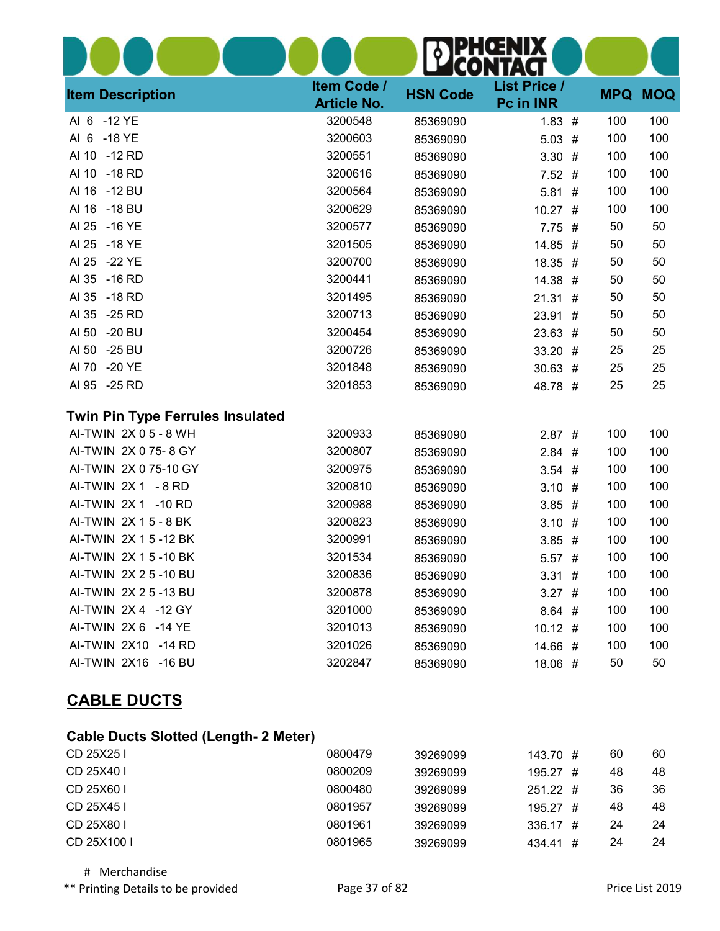| <b>Item Description</b>                      | Item Code /<br><b>Article No.</b> | <b>HSN Code</b> | <b>List Price /</b><br>Pc in INR | <b>MPQ</b> | <b>MOQ</b> |
|----------------------------------------------|-----------------------------------|-----------------|----------------------------------|------------|------------|
| AI 6 -12 YE                                  | 3200548                           | 85369090        | 1.83#                            | 100        | 100        |
| AI 6 -18 YE                                  | 3200603                           | 85369090        | $5.03$ #                         | 100        | 100        |
| AI 10 -12 RD                                 | 3200551                           | 85369090        | 3.30#                            | 100        | 100        |
| AI 10 -18 RD                                 | 3200616                           | 85369090        | 7.52#                            | 100        | 100        |
| AI 16 -12 BU                                 | 3200564                           | 85369090        | 5.81#                            | 100        | 100        |
| AI 16 -18 BU                                 | 3200629                           | 85369090        | $10.27$ #                        | 100        | 100        |
| AI 25 - 16 YE                                | 3200577                           | 85369090        | 7.75#                            | 50         | 50         |
| AI 25 - 18 YE                                | 3201505                           | 85369090        | 14.85 #                          | 50         | 50         |
| AI 25 -22 YE                                 | 3200700                           | 85369090        | 18.35 #                          | 50         | 50         |
| AI 35 - 16 RD                                | 3200441                           | 85369090        | 14.38 #                          | 50         | 50         |
| AI 35 - 18 RD                                | 3201495                           | 85369090        | 21.31#                           | 50         | 50         |
| AI 35<br>$-25$ RD                            | 3200713                           | 85369090        | 23.91 #                          | 50         | 50         |
| AI 50<br>$-20$ BU                            | 3200454                           | 85369090        | 23.63 #                          | 50         | 50         |
| AI 50<br>$-25$ BU                            | 3200726                           | 85369090        | 33.20 #                          | 25         | 25         |
| AI 70<br>$-20$ YE                            | 3201848                           | 85369090        | $30.63$ #                        | 25         | 25         |
| AI 95 -25 RD                                 | 3201853                           | 85369090        | 48.78 #                          | 25         | 25         |
| <b>Twin Pin Type Ferrules Insulated</b>      |                                   |                 |                                  |            |            |
| AI-TWIN 2X 0 5 - 8 WH                        | 3200933                           | 85369090        | 2.87#                            | 100        | 100        |
| AI-TWIN 2X 0 75-8 GY                         | 3200807                           | 85369090        | $2.84$ #                         | 100        | 100        |
| AI-TWIN 2X 0 75-10 GY                        | 3200975                           | 85369090        | $3.54$ #                         | 100        | 100        |
| AI-TWIN 2X 1 - 8 RD                          | 3200810                           | 85369090        | 3.10#                            | 100        | 100        |
| AI-TWIN 2X 1 -10 RD                          | 3200988                           | 85369090        | 3.85#                            | 100        | 100        |
| AI-TWIN 2X 1 5 - 8 BK                        | 3200823                           | 85369090        | 3.10#                            | 100        | 100        |
| AI-TWIN 2X 1 5 -12 BK                        | 3200991                           | 85369090        | $3.85$ #                         | 100        | 100        |
| AI-TWIN 2X 1 5 -10 BK                        | 3201534                           | 85369090        | $5.57$ #                         | 100        | 100        |
| AI-TWIN 2X 2 5 -10 BU                        | 3200836                           | 85369090        | 3.31#                            | 100        | 100        |
| AI-TWIN 2X 2 5 -13 BU                        | 3200878                           | 85369090        | 3.27#                            | 100        | 100        |
| AI-TWIN 2X 4 -12 GY                          | 3201000                           | 85369090        | $8.64$ #                         | 100        | 100        |
| AI-TWIN 2X 6 -14 YE                          | 3201013                           | 85369090        | $10.12$ #                        | 100        | 100        |
| AI-TWIN 2X10 -14 RD                          | 3201026                           | 85369090        | 14.66 #                          | 100        | 100        |
| AI-TWIN 2X16 -16 BU                          | 3202847                           | 85369090        | 18.06 #                          | 50         | 50         |
| <b>CABLE DUCTS</b>                           |                                   |                 |                                  |            |            |
| <b>Cable Ducts Slotted (Length- 2 Meter)</b> |                                   |                 |                                  |            |            |
| CD 25X25 I                                   | 0800479                           | 39269099        | 143.70 #                         | 60         | 60         |

| UU ZUAZU L  | <u>0000479</u> | <b>PASOROA</b> | 145.70 #    | υU | υU. |
|-------------|----------------|----------------|-------------|----|-----|
| CD 25X40 I  | 0800209        | 39269099       | 195.27#     | 48 | 48  |
| CD 25X60 I  | 0800480        | 39269099       | $251.22 \#$ | 36 | 36  |
| CD 25X45 I  | 0801957        | 39269099       | 195.27#     | 48 | 48  |
| CD 25X80 L  | 0801961        | 39269099       | $336.17 \#$ | 24 | 24  |
| CD 25X100 L | 0801965        | 39269099       | $434.41 \#$ | 24 | 24  |
|             |                |                |             |    |     |

\*\* Printing Details to be provided **Page 37 of 82** Printing Details to be provided **Page 37 of 82** Price List 2019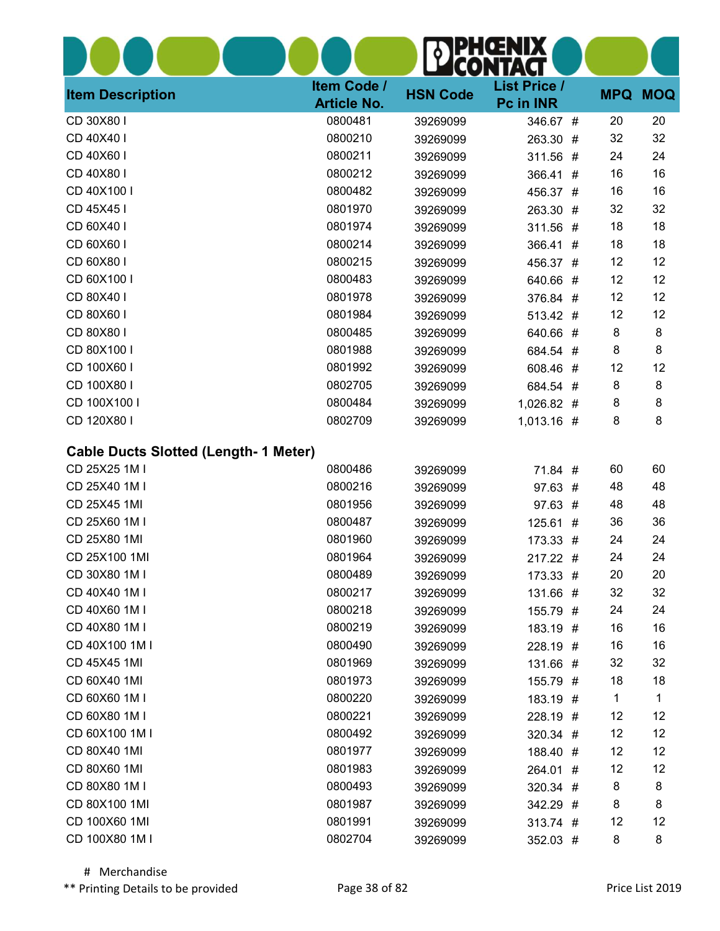| <b>Item Description</b>                      | Item Code /<br><b>Article No.</b> | <b>HSN Code</b> | <b>List Price /</b><br>Pc in INR | <b>MPQ</b> | <b>MOQ</b> |
|----------------------------------------------|-----------------------------------|-----------------|----------------------------------|------------|------------|
| CD 30X80 I                                   | 0800481                           | 39269099        | 346.67 #                         | 20         | 20         |
| CD 40X40 I                                   | 0800210                           | 39269099        | 263.30 #                         | 32         | 32         |
| CD 40X60 I                                   | 0800211                           | 39269099        | 311.56 #                         | 24         | 24         |
| CD 40X80 I                                   | 0800212                           | 39269099        | 366.41 #                         | 16         | 16         |
| CD 40X100 I                                  | 0800482                           | 39269099        | 456.37 #                         | 16         | 16         |
| CD 45X451                                    | 0801970                           | 39269099        | 263.30 #                         | 32         | 32         |
| CD 60X40 I                                   | 0801974                           | 39269099        | 311.56 #                         | 18         | 18         |
| CD 60X60 I                                   | 0800214                           | 39269099        | 366.41 #                         | 18         | 18         |
| CD 60X80 I                                   | 0800215                           | 39269099        | 456.37 #                         | 12         | 12         |
| CD 60X100 I                                  | 0800483                           | 39269099        | 640.66 #                         | 12         | 12         |
| CD 80X40 I                                   | 0801978                           | 39269099        | 376.84 #                         | 12         | 12         |
| CD 80X60 I                                   | 0801984                           | 39269099        | 513.42 #                         | 12         | 12         |
| CD 80X80 I                                   | 0800485                           | 39269099        | 640.66 #                         | 8          | 8          |
| CD 80X100 I                                  | 0801988                           | 39269099        | 684.54 #                         | 8          | 8          |
| CD 100X60 I                                  | 0801992                           | 39269099        | 608.46 #                         | 12         | 12         |
| CD 100X80 I                                  | 0802705                           | 39269099        | 684.54 #                         | 8          | 8          |
| CD 100X100 I                                 | 0800484                           | 39269099        | 1,026.82 #                       | 8          | 8          |
| CD 120X80 I                                  | 0802709                           | 39269099        | $1,013.16$ #                     | 8          | 8          |
| <b>Cable Ducts Slotted (Length- 1 Meter)</b> |                                   |                 |                                  |            |            |
| CD 25X25 1M I                                | 0800486                           | 39269099        | 71.84 #                          | 60         | 60         |
| CD 25X40 1M I                                | 0800216                           | 39269099        | 97.63 #                          | 48         | 48         |
| CD 25X45 1MI                                 | 0801956                           | 39269099        | 97.63 #                          | 48         | 48         |
| CD 25X60 1M I                                | 0800487                           | 39269099        | 125.61 #                         | 36         | 36         |
| CD 25X80 1MI                                 | 0801960                           | 39269099        | 173.33#                          | 24         | 24         |
| CD 25X100 1MI                                | 0801964                           | 39269099        | 217.22 #                         | 24         | 24         |
| CD 30X80 1M I                                | 0800489                           | 39269099        | 173.33#                          | 20         | 20         |
| CD 40X40 1M I                                | 0800217                           | 39269099        | 131.66 #                         | 32         | 32         |
| CD 40X60 1M I                                | 0800218                           | 39269099        | 155.79 #                         | 24         | 24         |
| CD 40X80 1M I                                | 0800219                           | 39269099        | 183.19 #                         | 16         | 16         |
| CD 40X100 1M I                               | 0800490                           | 39269099        | 228.19 #                         | 16         | 16         |
| CD 45X45 1MI                                 | 0801969                           | 39269099        | 131.66 #                         | 32         | 32         |
| CD 60X40 1MI                                 | 0801973                           | 39269099        | 155.79 #                         | 18         | 18         |
| CD 60X60 1M I                                | 0800220                           | 39269099        | 183.19 #                         | 1          | 1          |
| CD 60X80 1M I                                | 0800221                           | 39269099        | 228.19 #                         | 12         | 12         |
| CD 60X100 1M I                               | 0800492                           | 39269099        | 320.34 #                         | 12         | 12         |
| CD 80X40 1MI                                 | 0801977                           | 39269099        | 188.40 #                         | 12         | 12         |
| CD 80X60 1MI                                 | 0801983                           | 39269099        | 264.01 #                         | 12         | 12         |
| CD 80X80 1M I                                | 0800493                           | 39269099        | 320.34 #                         | 8          | 8          |
| CD 80X100 1MI                                | 0801987                           | 39269099        | 342.29 #                         | 8          | 8          |
| CD 100X60 1MI                                | 0801991                           | 39269099        | 313.74 #                         | 12         | 12         |
| CD 100X80 1M I                               | 0802704                           | 39269099        | 352.03 #                         | 8          | 8          |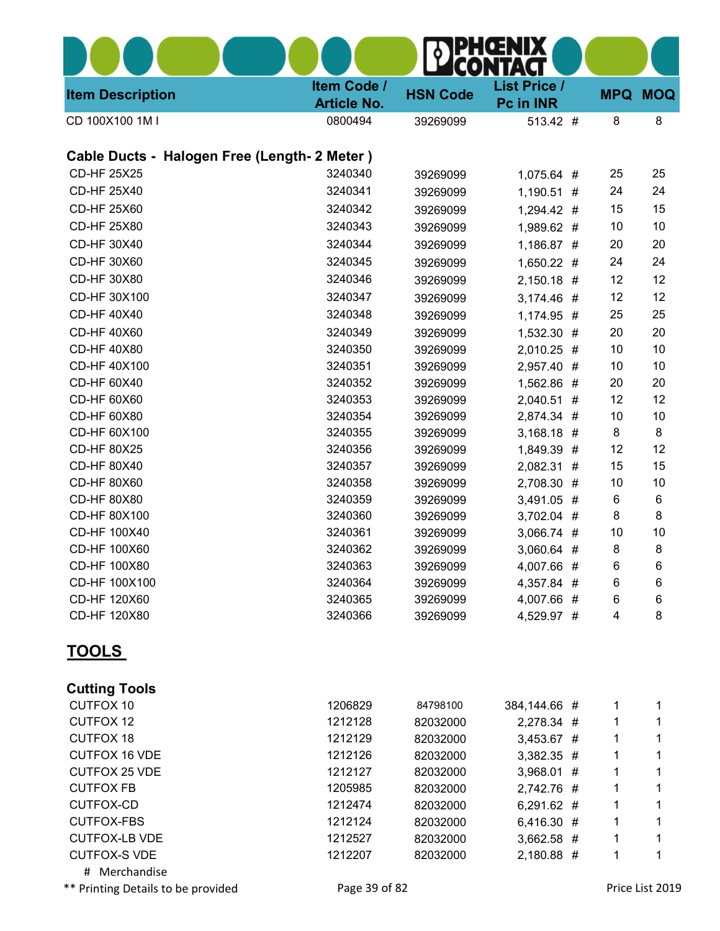| <b>Item Description</b>                      | Item Code /<br><b>Article No.</b> | <b>HSN Code</b>      | <b>List Price /</b><br>Pc in INR |   |        | <b>MPQ MOQ</b>  |
|----------------------------------------------|-----------------------------------|----------------------|----------------------------------|---|--------|-----------------|
| CD 100X100 1M I                              | 0800494                           | 39269099             | 513.42 #                         |   | 8      | 8               |
| Cable Ducts - Halogen Free (Length- 2 Meter) |                                   |                      |                                  |   |        |                 |
| <b>CD-HF 25X25</b>                           | 3240340                           | 39269099             | 1,075.64 #                       |   | 25     | 25              |
| <b>CD-HF 25X40</b>                           | 3240341                           | 39269099             | $1,190.51$ #                     |   | 24     | 24              |
| CD-HF 25X60                                  | 3240342                           | 39269099             | 1,294.42 #                       |   | 15     | 15              |
| <b>CD-HF 25X80</b>                           | 3240343                           | 39269099             | 1,989.62 #                       |   | 10     | 10              |
| CD-HF 30X40                                  | 3240344                           | 39269099             | 1,186.87 #                       |   | 20     | 20              |
| CD-HF 30X60                                  | 3240345                           | 39269099             | 1,650.22 #                       |   | 24     | 24              |
| <b>CD-HF 30X80</b>                           | 3240346                           | 39269099             | 2,150.18 #                       |   | 12     | 12              |
| CD-HF 30X100                                 | 3240347                           | 39269099             | 3,174.46 #                       |   | 12     | 12              |
| <b>CD-HF 40X40</b>                           | 3240348                           | 39269099             | 1,174.95 #                       |   | 25     | 25              |
| <b>CD-HF 40X60</b>                           | 3240349                           | 39269099             | 1,532.30 #                       |   | 20     | 20              |
| <b>CD-HF 40X80</b>                           | 3240350                           | 39269099             | 2,010.25 #                       |   | 10     | 10              |
| CD-HF 40X100                                 | 3240351                           | 39269099             | 2,957.40 #                       |   | 10     | 10              |
| CD-HF 60X40                                  | 3240352                           | 39269099             | 1,562.86 #                       |   | 20     | 20              |
| CD-HF 60X60                                  | 3240353                           | 39269099             | 2,040.51 #                       |   | 12     | 12              |
| CD-HF 60X80                                  | 3240354                           | 39269099             | 2,874.34 #                       |   | 10     | 10              |
| CD-HF 60X100                                 | 3240355                           | 39269099             | 3,168.18 #                       |   | 8      | 8               |
| <b>CD-HF 80X25</b>                           | 3240356                           | 39269099             | 1,849.39 #                       |   | 12     | 12              |
| <b>CD-HF 80X40</b>                           | 3240357                           | 39269099             | 2,082.31                         | # | 15     | 15              |
| CD-HF 80X60                                  | 3240358                           | 39269099             | 2,708.30 #                       |   | 10     | 10              |
| CD-HF 80X80                                  | 3240359                           | 39269099             | 3,491.05 #                       |   | 6      | 6               |
| CD-HF 80X100                                 | 3240360                           | 39269099             | 3,702.04 #                       |   | 8      | 8               |
| CD-HF 100X40                                 | 3240361                           | 39269099             | 3,066.74 #                       |   | 10     | 10              |
| CD-HF 100X60                                 | 3240362                           | 39269099             | 3,060.64 #                       |   | 8      | 8               |
| CD-HF 100X80                                 | 3240363                           | 39269099             | 4,007.66 #                       |   | 6      | 6               |
| CD-HF 100X100                                | 3240364                           | 39269099             | 4,357.84 #                       |   | 6      | 6               |
| CD-HF 120X60<br>CD-HF 120X80                 | 3240365<br>3240366                | 39269099<br>39269099 | 4,007.66 #                       |   | 6<br>4 | 6<br>8          |
|                                              |                                   |                      | 4,529.97 #                       |   |        |                 |
| <u>TOOLS</u>                                 |                                   |                      |                                  |   |        |                 |
| <b>Cutting Tools</b>                         |                                   |                      |                                  |   |        |                 |
| <b>CUTFOX 10</b>                             | 1206829                           | 84798100             | 384,144.66 #                     |   | 1      | 1               |
| <b>CUTFOX 12</b>                             | 1212128                           | 82032000             | 2,278.34 #                       |   | 1      |                 |
| <b>CUTFOX 18</b>                             | 1212129                           | 82032000             | 3,453.67 #                       |   | 1      | 1               |
| <b>CUTFOX 16 VDE</b>                         | 1212126                           | 82032000             | 3,382.35 #                       |   | 1      | 1               |
| CUTFOX 25 VDE                                | 1212127                           | 82032000             | 3,968.01 #                       |   | 1      | 1               |
| <b>CUTFOX FB</b>                             | 1205985                           | 82032000             | 2,742.76 #                       |   | 1      | 1               |
| <b>CUTFOX-CD</b>                             | 1212474                           | 82032000             | 6,291.62 #                       |   | 1      | 1               |
| <b>CUTFOX-FBS</b>                            | 1212124                           | 82032000             | 6,416.30 #                       |   | 1      | 1               |
| <b>CUTFOX-LB VDE</b><br><b>CUTFOX-S VDE</b>  | 1212527<br>1212207                | 82032000             | 3,662.58 #                       |   | 1      | 1<br>1          |
| # Merchandise                                |                                   | 82032000             | 2,180.88 #                       |   | 1      |                 |
| ** Printing Details to be provided           | Page 39 of 82                     |                      |                                  |   |        | Price List 2019 |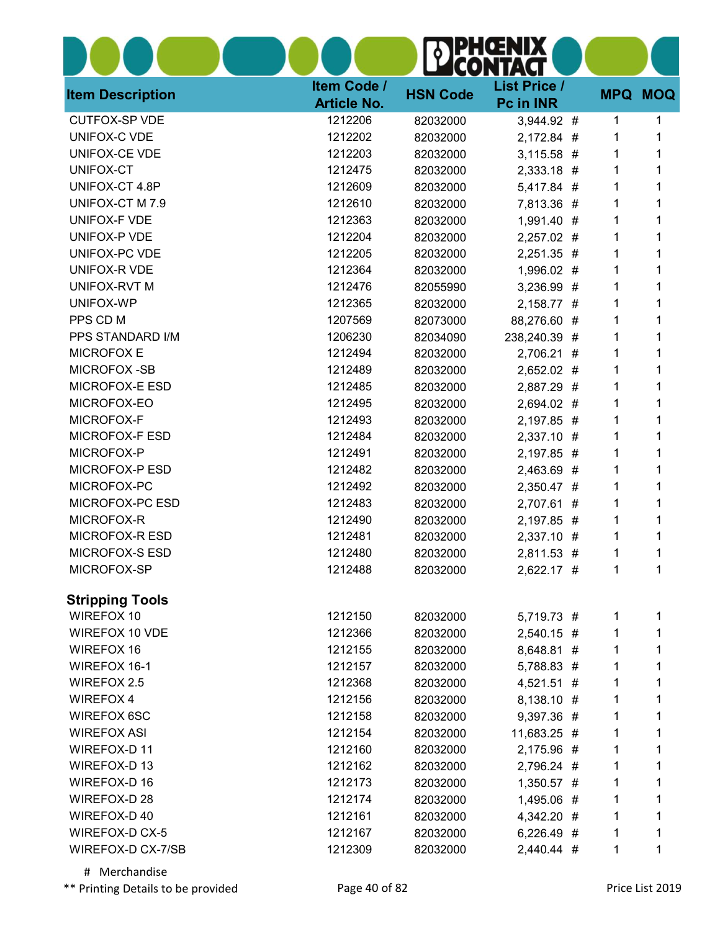|                         |                                   |                 | $\overline{\mathbf{0}}$ d        |   |                |
|-------------------------|-----------------------------------|-----------------|----------------------------------|---|----------------|
| <b>Item Description</b> | Item Code /<br><b>Article No.</b> | <b>HSN Code</b> | <b>List Price /</b><br>Pc in INR |   | <b>MPQ MOQ</b> |
| <b>CUTFOX-SP VDE</b>    | 1212206                           | 82032000        | 3,944.92 #                       | 1 | 1              |
| UNIFOX-C VDE            | 1212202                           | 82032000        | 2,172.84 #                       | 1 | 1              |
| UNIFOX-CE VDE           | 1212203                           | 82032000        | $3,115.58$ #                     | 1 | 1              |
| UNIFOX-CT               | 1212475                           | 82032000        | 2,333.18 #                       | 1 |                |
| UNIFOX-CT 4.8P          | 1212609                           | 82032000        | 5,417.84 #                       | 1 |                |
| UNIFOX-CT M 7.9         | 1212610                           | 82032000        | 7,813.36 #                       | 1 | 1              |
| UNIFOX-F VDE            | 1212363                           | 82032000        | 1,991.40 #                       | 1 |                |
| UNIFOX-P VDE            | 1212204                           | 82032000        | 2,257.02 #                       | 1 |                |
| UNIFOX-PC VDE           | 1212205                           | 82032000        | 2,251.35 #                       | 1 |                |
| UNIFOX-R VDE            | 1212364                           | 82032000        | 1,996.02 #                       | 1 |                |
| <b>UNIFOX-RVT M</b>     | 1212476                           | 82055990        | 3,236.99 #                       | 1 | 1              |
| UNIFOX-WP               | 1212365                           | 82032000        | 2,158.77 #                       | 1 |                |
| PPS CD M                | 1207569                           | 82073000        | 88,276.60 #                      | 1 |                |
| PPS STANDARD I/M        | 1206230                           | 82034090        | 238,240.39 #                     | 1 | 1              |
| <b>MICROFOXE</b>        | 1212494                           | 82032000        | 2,706.21 #                       | 1 |                |
| MICROFOX-SB             | 1212489                           | 82032000        | 2,652.02 #                       | 1 |                |
| MICROFOX-E ESD          | 1212485                           | 82032000        | 2,887.29 #                       | 1 | 1              |
| MICROFOX-EO             | 1212495                           | 82032000        | 2,694.02 #                       | 1 |                |
| MICROFOX-F              | 1212493                           | 82032000        | 2,197.85 #                       | 1 |                |
| <b>MICROFOX-F ESD</b>   | 1212484                           | 82032000        | 2,337.10 #                       | 1 |                |
| MICROFOX-P              | 1212491                           | 82032000        | 2,197.85 #                       | 1 |                |
| MICROFOX-P ESD          | 1212482                           | 82032000        | 2,463.69 #                       | 1 |                |
| MICROFOX-PC             | 1212492                           | 82032000        | 2,350.47 #                       | 1 |                |
| MICROFOX-PC ESD         | 1212483                           | 82032000        | 2,707.61 #                       | 1 |                |
| MICROFOX-R              | 1212490                           | 82032000        | 2,197.85 #                       | 1 | 1              |
| <b>MICROFOX-R ESD</b>   | 1212481                           | 82032000        | 2,337.10 #                       | 1 |                |
| <b>MICROFOX-S ESD</b>   | 1212480                           | 82032000        | 2,811.53 #                       | 1 | 1              |
| MICROFOX-SP             | 1212488                           | 82032000        | 2,622.17 #                       | 1 | 1              |
| <b>Stripping Tools</b>  |                                   |                 |                                  |   |                |
| WIREFOX 10              | 1212150                           | 82032000        | 5,719.73 #                       | 1 | 1              |
| <b>WIREFOX 10 VDE</b>   | 1212366                           | 82032000        | 2,540.15 #                       | 1 | 1              |
| WIREFOX 16              | 1212155                           | 82032000        | 8,648.81 #                       | 1 | 1              |
| WIREFOX 16-1            | 1212157                           | 82032000        | 5,788.83 #                       | 1 | 1              |
| WIREFOX 2.5             | 1212368                           | 82032000        | 4,521.51 #                       | 1 | 1              |
| <b>WIREFOX 4</b>        | 1212156                           | 82032000        | 8,138.10 #                       | 1 | 1              |
| WIREFOX 6SC             | 1212158                           | 82032000        | 9,397.36 #                       | 1 | 1              |
| <b>WIREFOX ASI</b>      | 1212154                           | 82032000        | 11,683.25 #                      | 1 | 1              |
| WIREFOX-D 11            | 1212160                           | 82032000        | 2,175.96 #                       | 1 | 1              |
| WIREFOX-D 13            | 1212162                           | 82032000        | 2,796.24 #                       | 1 | 1              |
| WIREFOX-D 16            | 1212173                           | 82032000        | $1,350.57$ #                     | 1 | 1              |
| WIREFOX-D 28            | 1212174                           | 82032000        | 1,495.06 #                       | 1 | 1              |
| WIREFOX-D 40            | 1212161                           | 82032000        | 4,342.20 #                       | 1 | 1              |
| WIREFOX-D CX-5          | 1212167                           | 82032000        | 6,226.49 #                       | 1 | 1              |
| WIREFOX-D CX-7/SB       | 1212309                           | 82032000        | 2,440.44 #                       | 1 | 1              |

\*\* Printing Details to be provided **Page 40 of 82** Printing Details to be provided **Page 40 of 82** Price List 2019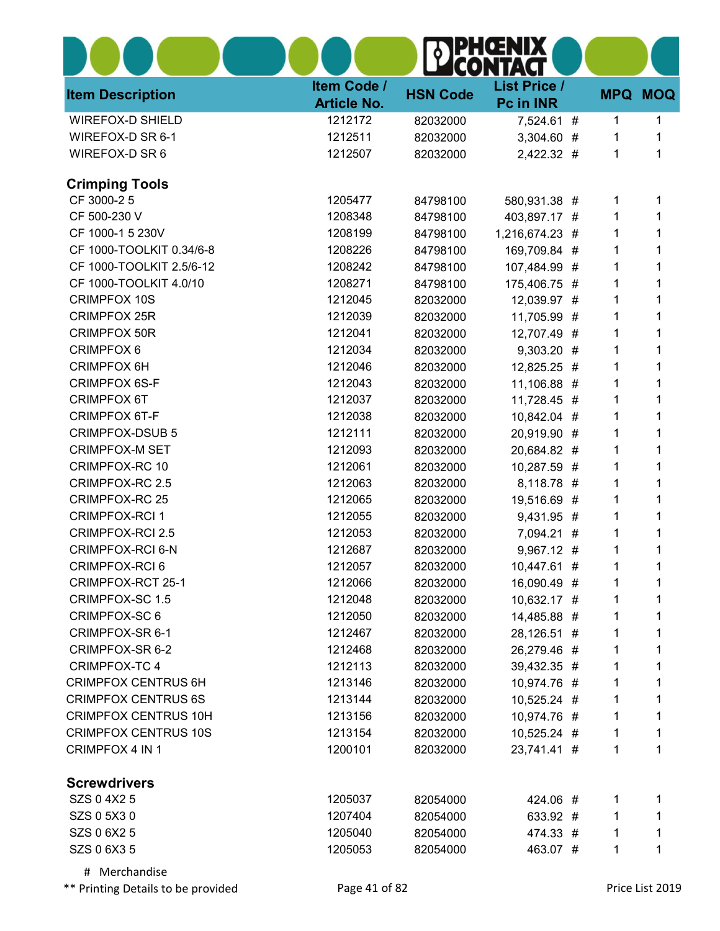|                             |                    |                 | PHŒNI<br>CONTACI    |            |            |
|-----------------------------|--------------------|-----------------|---------------------|------------|------------|
|                             | Item Code /        |                 | <b>List Price /</b> |            |            |
| <b>Item Description</b>     | <b>Article No.</b> | <b>HSN Code</b> | Pc in INR           | <b>MPQ</b> | <b>MOQ</b> |
| <b>WIREFOX-D SHIELD</b>     | 1212172            | 82032000        | 7,524.61 #          | 1          | 1          |
| WIREFOX-D SR 6-1            | 1212511            | 82032000        | 3,304.60 #          | 1          | 1          |
| WIREFOX-D SR 6              | 1212507            | 82032000        | 2,422.32 #          | 1          | 1          |
| <b>Crimping Tools</b>       |                    |                 |                     |            |            |
| CF 3000-25                  | 1205477            | 84798100        | 580,931.38 #        | 1          | 1          |
| CF 500-230 V                | 1208348            | 84798100        | 403,897.17 #        | 1          | 1          |
| CF 1000-1 5 230V            | 1208199            | 84798100        | 1,216,674.23 #      | 1          | 1          |
| CF 1000-TOOLKIT 0.34/6-8    | 1208226            | 84798100        | 169,709.84 #        | 1          | 1          |
| CF 1000-TOOLKIT 2.5/6-12    | 1208242            | 84798100        | 107,484.99 #        | 1          | 1          |
| CF 1000-TOOLKIT 4.0/10      | 1208271            | 84798100        | 175,406.75 #        | 1          | 1          |
| <b>CRIMPFOX 10S</b>         | 1212045            | 82032000        | 12,039.97 #         | 1          | 1          |
| <b>CRIMPFOX 25R</b>         | 1212039            | 82032000        | 11,705.99 #         | 1          | 1          |
| <b>CRIMPFOX 50R</b>         | 1212041            | 82032000        | 12,707.49 #         | 1          | 1          |
| CRIMPFOX 6                  | 1212034            | 82032000        | 9,303.20 #          | 1          |            |
| <b>CRIMPFOX 6H</b>          | 1212046            | 82032000        | 12,825.25 #         | 1          | 1          |
| <b>CRIMPFOX 6S-F</b>        | 1212043            | 82032000        | 11,106.88 #         | 1          | 1          |
| <b>CRIMPFOX 6T</b>          | 1212037            | 82032000        | 11,728.45 #         | 1          |            |
| <b>CRIMPFOX 6T-F</b>        | 1212038            | 82032000        | 10,842.04 #         | 1          | 1          |
| <b>CRIMPFOX-DSUB 5</b>      | 1212111            | 82032000        | 20,919.90 #         | 1          | 1          |
| <b>CRIMPFOX-M SET</b>       | 1212093            | 82032000        | 20,684.82 #         | 1          | 1          |
| <b>CRIMPFOX-RC 10</b>       | 1212061            | 82032000        | 10,287.59 #         | 1          |            |
| <b>CRIMPFOX-RC 2.5</b>      | 1212063            | 82032000        | 8,118.78 #          | 1          |            |
| <b>CRIMPFOX-RC 25</b>       | 1212065            | 82032000        | 19,516.69 #         | 1          | 1          |
| <b>CRIMPFOX-RCI 1</b>       | 1212055            | 82032000        | 9,431.95 #          | 1          |            |
| <b>CRIMPFOX-RCI 2.5</b>     | 1212053            | 82032000        | 7,094.21 #          | 1          |            |
| CRIMPFOX-RCI 6-N            | 1212687            | 82032000        | 9,967.12 #          | 1          |            |
| CRIMPFOX-RCL6               | 1212057            | 82032000        | 10,447.61 #         | 1          | 1          |
| <b>CRIMPFOX-RCT 25-1</b>    | 1212066            | 82032000        | 16,090.49 #         | 1          | 1          |
| CRIMPFOX-SC 1.5             | 1212048            | 82032000        | 10,632.17 #         | 1          | 1          |
| CRIMPFOX-SC 6               | 1212050            | 82032000        | 14,485.88 #         | 1          | 1          |
| CRIMPFOX-SR 6-1             | 1212467            | 82032000        | 28,126.51 #         | 1          |            |
| CRIMPFOX-SR 6-2             | 1212468            | 82032000        | 26,279.46 #         | 1          | 1          |
| <b>CRIMPFOX-TC4</b>         | 1212113            | 82032000        | 39,432.35 #         | 1          | 1          |
| <b>CRIMPFOX CENTRUS 6H</b>  | 1213146            | 82032000        | 10,974.76 #         | 1          | 1          |
| <b>CRIMPFOX CENTRUS 6S</b>  | 1213144            | 82032000        | 10,525.24 #         | 1          | 1          |
| <b>CRIMPFOX CENTRUS 10H</b> | 1213156            | 82032000        | 10,974.76 #         | 1          | 1          |
| <b>CRIMPFOX CENTRUS 10S</b> | 1213154            | 82032000        | 10,525.24 #         | 1          | 1          |
| CRIMPFOX 4 IN 1             | 1200101            | 82032000        | 23,741.41 #         | 1          | 1          |
| <b>Screwdrivers</b>         |                    |                 |                     |            |            |
| SZS 0 4X2 5                 | 1205037            | 82054000        | 424.06 #            | 1          | 1          |
| SZS 0 5X3 0                 | 1207404            | 82054000        | 633.92 #            | 1          | 1          |
| SZS 0 6X2 5                 | 1205040            | 82054000        | 474.33 #            | 1          | 1          |
| SZS 0 6X3 5                 | 1205053            | 82054000        | 463.07 #            | 1          | 1          |
| # Merchandise               |                    |                 |                     |            |            |

 $- - - -$ 

'n.

**п. н.** 

\*\* Printing Details to be provided **Page 41 of 82** Printing Details to be provided **Page 41 of 82** Price List 2019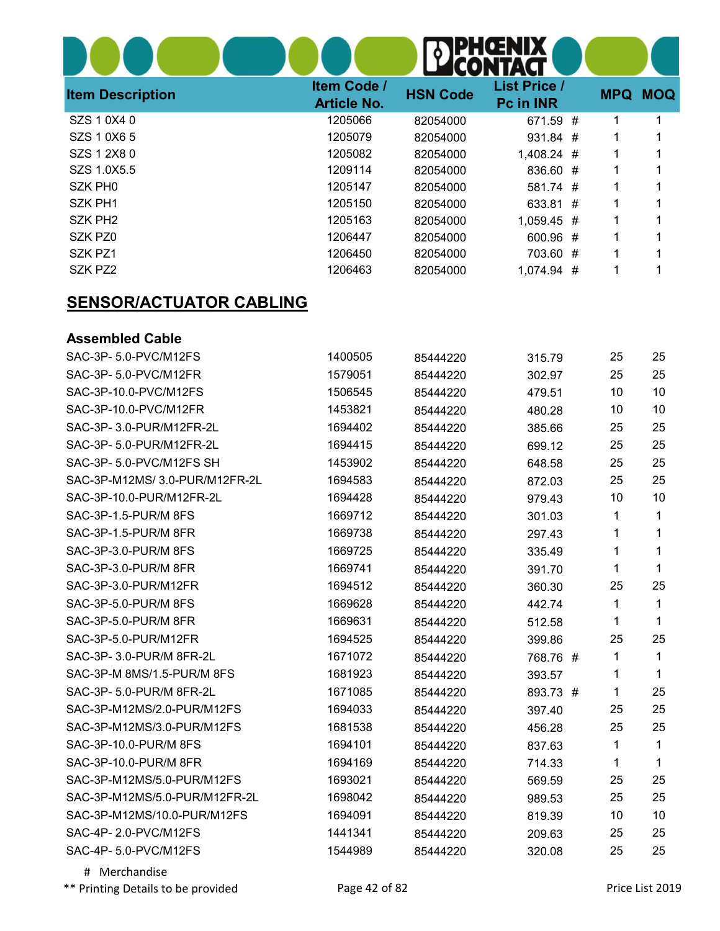| <b>Item Description</b> | Item Code /<br><b>Article No.</b> | <b>HSN Code</b> | <b>List Price /</b><br>Pc in INR | <b>MPQ</b> | <b>MOQ</b> |
|-------------------------|-----------------------------------|-----------------|----------------------------------|------------|------------|
| SZS 10X40               | 1205066                           | 82054000        | 671.59 #                         | 1          | 1          |
| SZS 10X65               | 1205079                           | 82054000        | 931.84 #                         |            |            |
| SZS 1 2X8 0             | 1205082                           | 82054000        | $1,408.24$ #                     |            |            |
| SZS 1.0X5.5             | 1209114                           | 82054000        | 836.60 #                         |            |            |
| SZK PH <sub>0</sub>     | 1205147                           | 82054000        | 581.74 #                         |            |            |
| SZK PH1                 | 1205150                           | 82054000        | 633.81 #                         | 1          |            |
| SZK PH <sub>2</sub>     | 1205163                           | 82054000        | 1,059.45 #                       |            |            |
| SZK PZ0                 | 1206447                           | 82054000        | 600.96 #                         |            |            |
| SZK PZ1                 | 1206450                           | 82054000        | 703.60 #                         |            |            |
| SZK PZ2                 | 1206463                           | 82054000        | 1,074.94                         | #          |            |

## SENSOR/ACTUATOR CABLING

#### Assembled Cable

| SAC-3P-5.0-PVC/M12FS           | 1400505 | 85444220 | 315.79   | 25 | 25           |
|--------------------------------|---------|----------|----------|----|--------------|
| SAC-3P-5.0-PVC/M12FR           | 1579051 | 85444220 | 302.97   | 25 | 25           |
| SAC-3P-10.0-PVC/M12FS          | 1506545 | 85444220 | 479.51   | 10 | 10           |
| SAC-3P-10.0-PVC/M12FR          | 1453821 | 85444220 | 480.28   | 10 | 10           |
| SAC-3P- 3.0-PUR/M12FR-2L       | 1694402 | 85444220 | 385.66   | 25 | 25           |
| SAC-3P- 5.0-PUR/M12FR-2L       | 1694415 | 85444220 | 699.12   | 25 | 25           |
| SAC-3P- 5.0-PVC/M12FS SH       | 1453902 | 85444220 | 648.58   | 25 | 25           |
| SAC-3P-M12MS/ 3.0-PUR/M12FR-2L | 1694583 | 85444220 | 872.03   | 25 | 25           |
| SAC-3P-10.0-PUR/M12FR-2L       | 1694428 | 85444220 | 979.43   | 10 | 10           |
| SAC-3P-1.5-PUR/M 8FS           | 1669712 | 85444220 | 301.03   | 1  | 1            |
| SAC-3P-1.5-PUR/M 8FR           | 1669738 | 85444220 | 297.43   | 1  | 1            |
| SAC-3P-3.0-PUR/M 8FS           | 1669725 | 85444220 | 335.49   | 1  | 1            |
| SAC-3P-3.0-PUR/M 8FR           | 1669741 | 85444220 | 391.70   | 1  | 1            |
| SAC-3P-3.0-PUR/M12FR           | 1694512 | 85444220 | 360.30   | 25 | 25           |
| SAC-3P-5.0-PUR/M 8FS           | 1669628 | 85444220 | 442.74   | 1  | $\mathbf{1}$ |
| SAC-3P-5.0-PUR/M 8FR           | 1669631 | 85444220 | 512.58   | 1  | 1            |
| SAC-3P-5.0-PUR/M12FR           | 1694525 | 85444220 | 399.86   | 25 | 25           |
| SAC-3P- 3.0-PUR/M 8FR-2L       | 1671072 | 85444220 | 768.76 # | 1  | $\mathbf{1}$ |
| SAC-3P-M 8MS/1.5-PUR/M 8FS     | 1681923 | 85444220 | 393.57   | 1  | $\mathbf{1}$ |
| SAC-3P- 5.0-PUR/M 8FR-2L       | 1671085 | 85444220 | 893.73 # | 1  | 25           |
| SAC-3P-M12MS/2.0-PUR/M12FS     | 1694033 | 85444220 | 397.40   | 25 | 25           |
| SAC-3P-M12MS/3.0-PUR/M12FS     | 1681538 | 85444220 | 456.28   | 25 | 25           |
| SAC-3P-10.0-PUR/M 8FS          | 1694101 | 85444220 | 837.63   | 1  | $\mathbf{1}$ |
| SAC-3P-10.0-PUR/M 8FR          | 1694169 | 85444220 | 714.33   | 1  | $\mathbf{1}$ |
| SAC-3P-M12MS/5.0-PUR/M12FS     | 1693021 | 85444220 | 569.59   | 25 | 25           |
| SAC-3P-M12MS/5.0-PUR/M12FR-2L  | 1698042 | 85444220 | 989.53   | 25 | 25           |
| SAC-3P-M12MS/10.0-PUR/M12FS    | 1694091 | 85444220 | 819.39   | 10 | 10           |
| SAC-4P- 2.0-PVC/M12FS          | 1441341 | 85444220 | 209.63   | 25 | 25           |
| SAC-4P- 5.0-PVC/M12FS          | 1544989 | 85444220 | 320.08   | 25 | 25           |
|                                |         |          |          |    |              |

# Merchandise

\*\* Printing Details to be provided **Page 42 of 82** Printing Details to be provided **Page 42 of 82** Price List 2019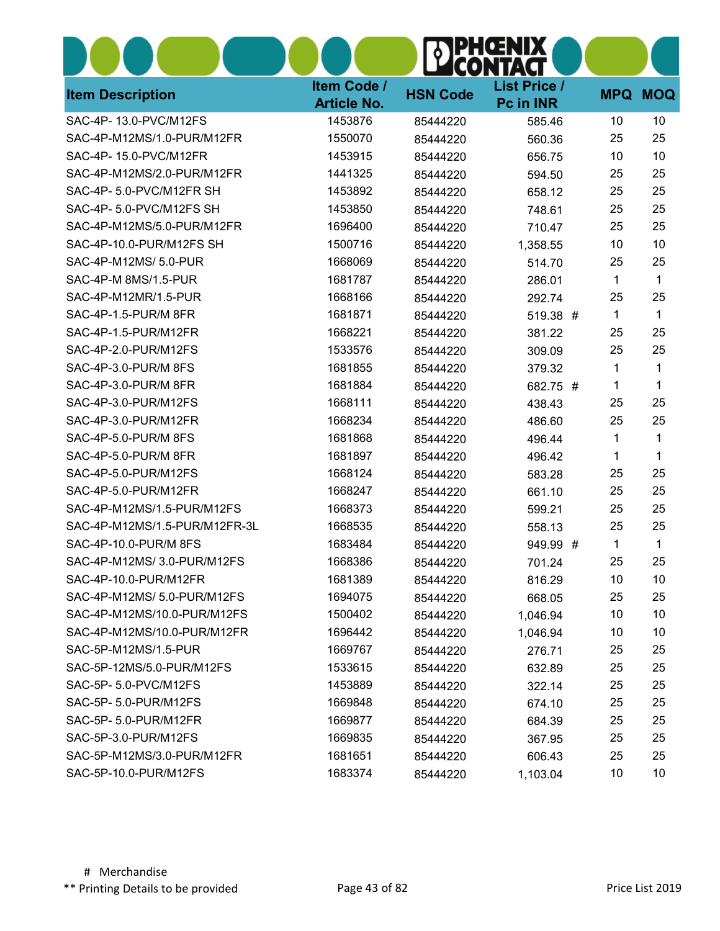| <b>Item Description</b>       | Item Code /<br><b>Article No.</b> | <b>HSN Code</b> | <b>List Price /</b><br>Pc in INR | <b>MPQ</b> | <b>MOQ</b> |
|-------------------------------|-----------------------------------|-----------------|----------------------------------|------------|------------|
| SAC-4P-13.0-PVC/M12FS         | 1453876                           | 85444220        | 585.46                           | 10         | 10         |
| SAC-4P-M12MS/1.0-PUR/M12FR    | 1550070                           | 85444220        | 560.36                           | 25         | 25         |
| SAC-4P-15.0-PVC/M12FR         | 1453915                           | 85444220        | 656.75                           | 10         | 10         |
| SAC-4P-M12MS/2.0-PUR/M12FR    | 1441325                           | 85444220        | 594.50                           | 25         | 25         |
| SAC-4P- 5.0-PVC/M12FR SH      | 1453892                           | 85444220        | 658.12                           | 25         | 25         |
| SAC-4P- 5.0-PVC/M12FS SH      | 1453850                           | 85444220        | 748.61                           | 25         | 25         |
| SAC-4P-M12MS/5.0-PUR/M12FR    | 1696400                           | 85444220        | 710.47                           | 25         | 25         |
| SAC-4P-10.0-PUR/M12FS SH      | 1500716                           | 85444220        | 1,358.55                         | 10         | 10         |
| SAC-4P-M12MS/ 5.0-PUR         | 1668069                           | 85444220        | 514.70                           | 25         | 25         |
| SAC-4P-M 8MS/1.5-PUR          | 1681787                           | 85444220        | 286.01                           | 1          | 1          |
| SAC-4P-M12MR/1.5-PUR          | 1668166                           | 85444220        | 292.74                           | 25         | 25         |
| SAC-4P-1.5-PUR/M 8FR          | 1681871                           | 85444220        | 519.38 #                         | 1          | 1          |
| SAC-4P-1.5-PUR/M12FR          | 1668221                           | 85444220        | 381.22                           | 25         | 25         |
| SAC-4P-2.0-PUR/M12FS          | 1533576                           | 85444220        | 309.09                           | 25         | 25         |
| SAC-4P-3.0-PUR/M 8FS          | 1681855                           | 85444220        | 379.32                           | 1          | 1          |
| SAC-4P-3.0-PUR/M 8FR          | 1681884                           | 85444220        | 682.75 #                         | 1          | 1          |
| SAC-4P-3.0-PUR/M12FS          | 1668111                           | 85444220        | 438.43                           | 25         | 25         |
| SAC-4P-3.0-PUR/M12FR          | 1668234                           | 85444220        | 486.60                           | 25         | 25         |
| SAC-4P-5.0-PUR/M 8FS          | 1681868                           | 85444220        | 496.44                           | 1          | 1          |
| SAC-4P-5.0-PUR/M 8FR          | 1681897                           | 85444220        | 496.42                           | 1          | 1          |
| SAC-4P-5.0-PUR/M12FS          | 1668124                           | 85444220        | 583.28                           | 25         | 25         |
| SAC-4P-5.0-PUR/M12FR          | 1668247                           | 85444220        | 661.10                           | 25         | 25         |
| SAC-4P-M12MS/1.5-PUR/M12FS    | 1668373                           | 85444220        | 599.21                           | 25         | 25         |
| SAC-4P-M12MS/1.5-PUR/M12FR-3L | 1668535                           | 85444220        | 558.13                           | 25         | 25         |
| SAC-4P-10.0-PUR/M 8FS         | 1683484                           | 85444220        | 949.99 #                         | 1          | 1          |
| SAC-4P-M12MS/ 3.0-PUR/M12FS   | 1668386                           | 85444220        | 701.24                           | 25         | 25         |
| SAC-4P-10.0-PUR/M12FR         | 1681389                           | 85444220        | 816.29                           | 10         | 10         |
| SAC-4P-M12MS/ 5.0-PUR/M12FS   | 1694075                           | 85444220        | 668.05                           | 25         | 25         |
| SAC-4P-M12MS/10.0-PUR/M12FS   | 1500402                           | 85444220        | 1,046.94                         | 10         | 10         |
| SAC-4P-M12MS/10.0-PUR/M12FR   | 1696442                           | 85444220        | 1,046.94                         | 10         | 10         |
| SAC-5P-M12MS/1.5-PUR          | 1669767                           | 85444220        | 276.71                           | 25         | 25         |
| SAC-5P-12MS/5.0-PUR/M12FS     | 1533615                           | 85444220        | 632.89                           | 25         | 25         |
| SAC-5P-5.0-PVC/M12FS          | 1453889                           | 85444220        | 322.14                           | 25         | 25         |
| SAC-5P- 5.0-PUR/M12FS         | 1669848                           | 85444220        | 674.10                           | 25         | 25         |
| SAC-5P- 5.0-PUR/M12FR         | 1669877                           | 85444220        | 684.39                           | 25         | 25         |
| SAC-5P-3.0-PUR/M12FS          | 1669835                           | 85444220        | 367.95                           | 25         | 25         |
| SAC-5P-M12MS/3.0-PUR/M12FR    | 1681651                           | 85444220        | 606.43                           | 25         | 25         |
| SAC-5P-10.0-PUR/M12FS         | 1683374                           | 85444220        | 1,103.04                         | 10         | 10         |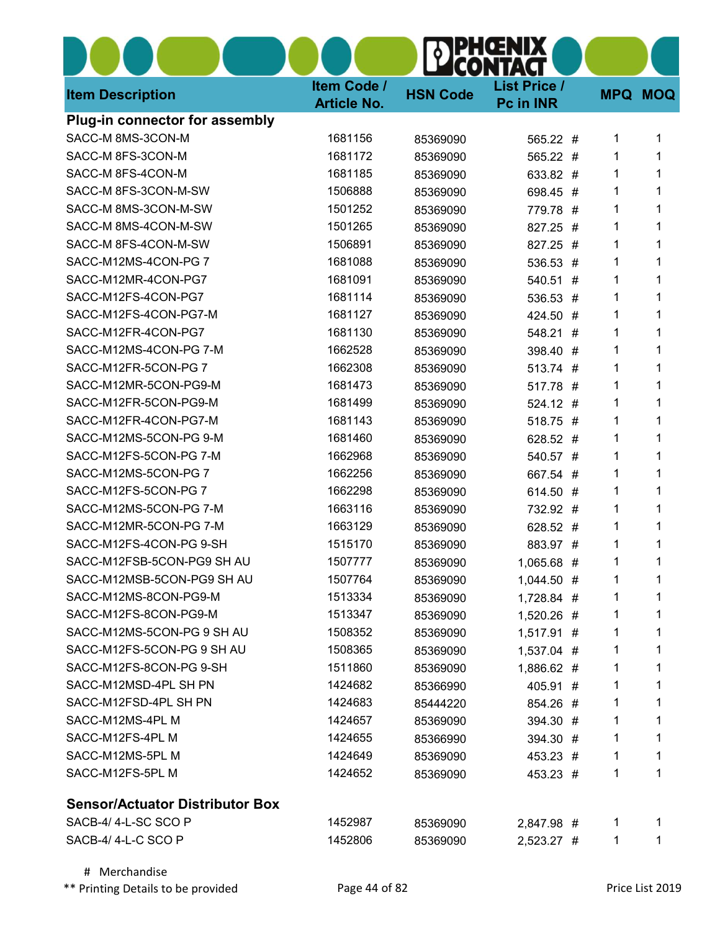|                                        |                                   |                 | HŒNIX                            |   |                |
|----------------------------------------|-----------------------------------|-----------------|----------------------------------|---|----------------|
| <b>Item Description</b>                | Item Code /<br><b>Article No.</b> | <b>HSN Code</b> | <b>List Price /</b><br>Pc in INR |   | <b>MPQ MOQ</b> |
| <b>Plug-in connector for assembly</b>  |                                   |                 |                                  |   |                |
| SACC-M 8MS-3CON-M                      | 1681156                           | 85369090        | 565.22 #                         | 1 | 1              |
| SACC-M 8FS-3CON-M                      | 1681172                           | 85369090        | 565.22 #                         | 1 | 1              |
| SACC-M 8FS-4CON-M                      | 1681185                           | 85369090        | 633.82 #                         | 1 | 1              |
| SACC-M 8FS-3CON-M-SW                   | 1506888                           | 85369090        | 698.45 #                         | 1 | 1              |
| SACC-M 8MS-3CON-M-SW                   | 1501252                           | 85369090        | 779.78 #                         | 1 | 1              |
| SACC-M 8MS-4CON-M-SW                   | 1501265                           | 85369090        | 827.25 #                         | 1 | 1              |
| SACC-M 8FS-4CON-M-SW                   | 1506891                           | 85369090        | 827.25 #                         | 1 | 1              |
| SACC-M12MS-4CON-PG 7                   | 1681088                           | 85369090        | 536.53 #                         | 1 | 1              |
| SACC-M12MR-4CON-PG7                    | 1681091                           | 85369090        | 540.51 #                         | 1 | 1              |
| SACC-M12FS-4CON-PG7                    | 1681114                           | 85369090        | 536.53 #                         | 1 | 1              |
| SACC-M12FS-4CON-PG7-M                  | 1681127                           | 85369090        | 424.50 #                         | 1 | 1              |
| SACC-M12FR-4CON-PG7                    | 1681130                           | 85369090        | 548.21 #                         | 1 | 1              |
| SACC-M12MS-4CON-PG 7-M                 | 1662528                           | 85369090        | 398.40 #                         | 1 | 1              |
| SACC-M12FR-5CON-PG 7                   | 1662308                           | 85369090        | 513.74 #                         | 1 | 1              |
| SACC-M12MR-5CON-PG9-M                  | 1681473                           | 85369090        | 517.78 #                         | 1 | 1              |
| SACC-M12FR-5CON-PG9-M                  | 1681499                           | 85369090        | 524.12 #                         | 1 | 1              |
| SACC-M12FR-4CON-PG7-M                  | 1681143                           | 85369090        | 518.75 #                         | 1 | 1              |
| SACC-M12MS-5CON-PG 9-M                 | 1681460                           | 85369090        | 628.52 #                         | 1 | 1              |
| SACC-M12FS-5CON-PG 7-M                 | 1662968                           | 85369090        | 540.57 #                         | 1 | 1              |
| SACC-M12MS-5CON-PG 7                   | 1662256                           | 85369090        | 667.54 #                         | 1 | 1              |
| SACC-M12FS-5CON-PG 7                   | 1662298                           | 85369090        | 614.50 #                         | 1 | 1              |
| SACC-M12MS-5CON-PG 7-M                 | 1663116                           | 85369090        | 732.92 #                         | 1 | 1              |
| SACC-M12MR-5CON-PG 7-M                 | 1663129                           | 85369090        | 628.52 #                         | 1 | 1              |
| SACC-M12FS-4CON-PG 9-SH                | 1515170                           | 85369090        | 883.97 #                         | 1 | 1              |
| SACC-M12FSB-5CON-PG9 SH AU             | 1507777                           | 85369090        | 1,065.68 #                       | 1 |                |
| SACC-M12MSB-5CON-PG9 SH AU             | 1507764                           | 85369090        | $1,044.50$ #                     | 1 | 1              |
| SACC-M12MS-8CON-PG9-M                  | 1513334                           | 85369090        | 1,728.84 #                       | 1 | 1              |
| SACC-M12FS-8CON-PG9-M                  | 1513347                           | 85369090        | 1,520.26 #                       | 1 | 1              |
| SACC-M12MS-5CON-PG 9 SH AU             | 1508352                           | 85369090        | 1,517.91 #                       | 1 | 1              |
| SACC-M12FS-5CON-PG 9 SH AU             | 1508365                           | 85369090        | 1,537.04 #                       | 1 | 1              |
| SACC-M12FS-8CON-PG 9-SH                | 1511860                           | 85369090        | 1,886.62 #                       | 1 | 1              |
| SACC-M12MSD-4PL SH PN                  | 1424682                           | 85366990        | 405.91 #                         | 1 | 1              |
| SACC-M12FSD-4PL SH PN                  | 1424683                           | 85444220        | 854.26 #                         | 1 | 1              |
| SACC-M12MS-4PL M                       | 1424657                           | 85369090        | 394.30 #                         | 1 | 1              |
| SACC-M12FS-4PL M                       | 1424655                           | 85366990        | 394.30 #                         | 1 | 1              |
| SACC-M12MS-5PL M                       | 1424649                           | 85369090        | 453.23 #                         | 1 | 1              |
| SACC-M12FS-5PL M                       | 1424652                           | 85369090        | 453.23 #                         | 1 | 1              |
| <b>Sensor/Actuator Distributor Box</b> |                                   |                 |                                  |   |                |
| SACB-4/4-L-SC SCO P                    | 1452987                           | 85369090        | 2,847.98 #                       | 1 | 1              |
| SACB-4/4-L-C SCO P                     | 1452806                           | 85369090        | 2,523.27 #                       | 1 | 1              |

 # Merchandise \*\* Printing Details to be provided **Page 44 of 82** Printing Details to be provided **Page 44 of 82** Price List 2019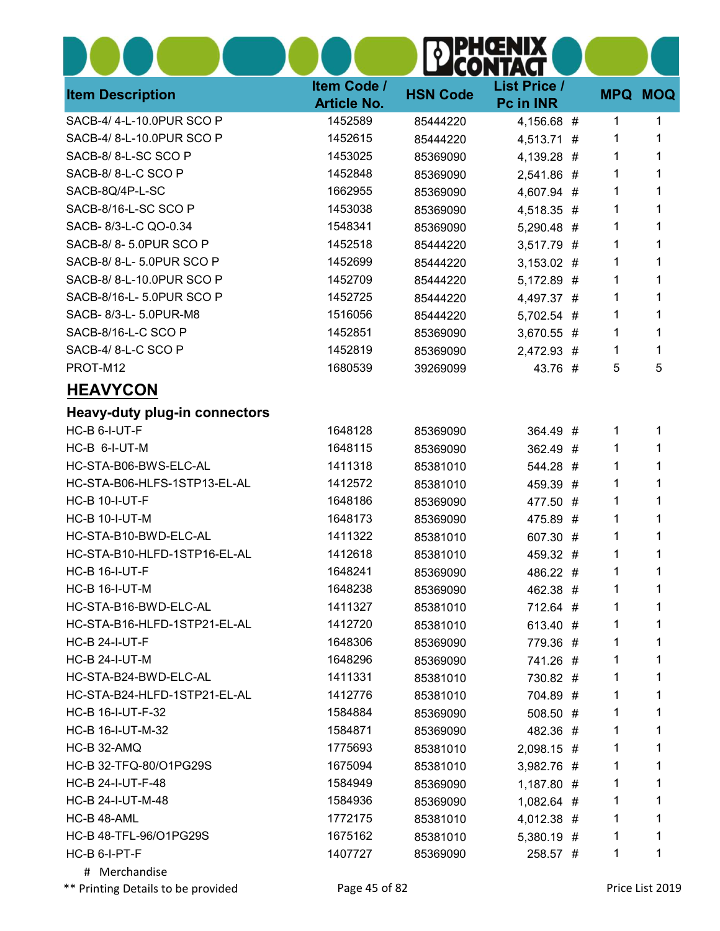| <b>Item Description</b>              | Item Code /<br><b>Article No.</b> | <b>HSN Code</b> | <b>List Price /</b><br>Pc in INR |   | <b>MPQ MOQ</b> |  |
|--------------------------------------|-----------------------------------|-----------------|----------------------------------|---|----------------|--|
| SACB-4/ 4-L-10.0PUR SCO P            | 1452589                           | 85444220        | 4,156.68 #                       | 1 | 1              |  |
| SACB-4/ 8-L-10.0PUR SCO P            | 1452615                           | 85444220        | 4,513.71 #                       | 1 | 1              |  |
| SACB-8/8-L-SC SCO P                  | 1453025                           | 85369090        | 4,139.28 #                       | 1 | 1              |  |
| SACB-8/8-L-C SCO P                   | 1452848                           | 85369090        | 2,541.86 #                       | 1 | 1              |  |
| SACB-8Q/4P-L-SC                      | 1662955                           | 85369090        | 4,607.94 #                       | 1 | 1              |  |
| SACB-8/16-L-SC SCO P                 | 1453038                           | 85369090        | 4,518.35 #                       | 1 | 1              |  |
| SACB-8/3-L-C QO-0.34                 | 1548341                           | 85369090        | 5,290.48 #                       | 1 |                |  |
| SACB-8/8-5.0PUR SCO P                | 1452518                           | 85444220        | 3,517.79 #                       | 1 | 1              |  |
| SACB-8/8-L-5.0PUR SCO P              | 1452699                           | 85444220        | $3,153.02$ #                     | 1 | 1              |  |
| SACB-8/8-L-10.0PUR SCO P             | 1452709                           | 85444220        | 5,172.89 #                       | 1 | 1              |  |
| SACB-8/16-L- 5.0PUR SCO P            | 1452725                           | 85444220        | 4,497.37 #                       | 1 |                |  |
| SACB- 8/3-L- 5.0PUR-M8               | 1516056                           | 85444220        | 5,702.54 #                       | 1 | 1              |  |
| SACB-8/16-L-C SCO P                  | 1452851                           | 85369090        | 3,670.55 #                       | 1 | 1              |  |
| SACB-4/8-L-C SCO P                   | 1452819                           | 85369090        | 2,472.93 #                       | 1 | 1              |  |
| PROT-M12                             | 1680539                           | 39269099        | 43.76 #                          | 5 | 5              |  |
| <b>HEAVYCON</b>                      |                                   |                 |                                  |   |                |  |
| <b>Heavy-duty plug-in connectors</b> |                                   |                 |                                  |   |                |  |
| HC-B 6-I-UT-F                        | 1648128                           | 85369090        | 364.49 #                         | 1 | 1              |  |
| HC-B 6-I-UT-M                        | 1648115                           | 85369090        | 362.49 #                         | 1 | 1              |  |
| HC-STA-B06-BWS-ELC-AL                | 1411318                           | 85381010        | 544.28 #                         | 1 | 1              |  |
| HC-STA-B06-HLFS-1STP13-EL-AL         | 1412572                           | 85381010        | 459.39 #                         | 1 |                |  |
| <b>HC-B 10-I-UT-F</b>                | 1648186                           | 85369090        | 477.50 #                         | 1 |                |  |
| <b>HC-B 10-I-UT-M</b>                | 1648173                           | 85369090        | 475.89 #                         | 1 | 1              |  |
| HC-STA-B10-BWD-ELC-AL                | 1411322                           | 85381010        | 607.30 #                         | 1 |                |  |
| HC-STA-B10-HLFD-1STP16-EL-AL         | 1412618                           | 85381010        | 459.32 #                         | 1 | 1              |  |
| <b>HC-B 16-I-UT-F</b>                | 1648241                           | 85369090        | 486.22 #                         | 1 | 1              |  |
| <b>HC-B 16-I-UT-M</b>                | 1648238                           | 85369090        | 462.38 #                         |   |                |  |
| HC-STA-B16-BWD-ELC-AL                | 1411327                           | 85381010        | 712.64 #                         | 1 | 1              |  |
| HC-STA-B16-HLFD-1STP21-EL-AL         | 1412720                           | 85381010        | 613.40 #                         | 1 | 1              |  |
| <b>HC-B 24-I-UT-F</b>                | 1648306                           | 85369090        | 779.36 #                         | 1 |                |  |
| <b>HC-B 24-I-UT-M</b>                | 1648296                           | 85369090        | 741.26 #                         | 1 |                |  |
| HC-STA-B24-BWD-ELC-AL                | 1411331                           | 85381010        | 730.82 #                         | 1 |                |  |
| HC-STA-B24-HLFD-1STP21-EL-AL         | 1412776                           | 85381010        | 704.89 #                         | 1 | 1              |  |
| HC-B 16-I-UT-F-32                    | 1584884                           | 85369090        | 508.50 #                         |   |                |  |
| HC-B 16-I-UT-M-32                    | 1584871                           | 85369090        | 482.36 #                         | 1 | 1              |  |
| HC-B 32-AMQ                          | 1775693                           | 85381010        | 2,098.15 #                       | 1 | 1              |  |
| HC-B 32-TFQ-80/O1PG29S               | 1675094                           | 85381010        | 3,982.76 #                       | 1 | 1              |  |
| HC-B 24-I-UT-F-48                    | 1584949                           | 85369090        | 1,187.80 #                       | 1 |                |  |
| HC-B 24-I-UT-M-48                    | 1584936                           | 85369090        | 1,082.64 #                       | 1 |                |  |
| HC-B 48-AML                          | 1772175                           | 85381010        | 4,012.38 #                       | 1 | 1              |  |
| HC-B 48-TFL-96/O1PG29S               | 1675162                           | 85381010        | 5,380.19 #                       | 1 | 1              |  |
| HC-B 6-I-PT-F                        | 1407727                           | 85369090        | 258.57 #                         | 1 | 1              |  |
| # Merchandise                        |                                   |                 |                                  |   |                |  |

\*\* Printing Details to be provided **Page 45 of 82** Printing Details to be provided **Page 45 of 82** Price List 2019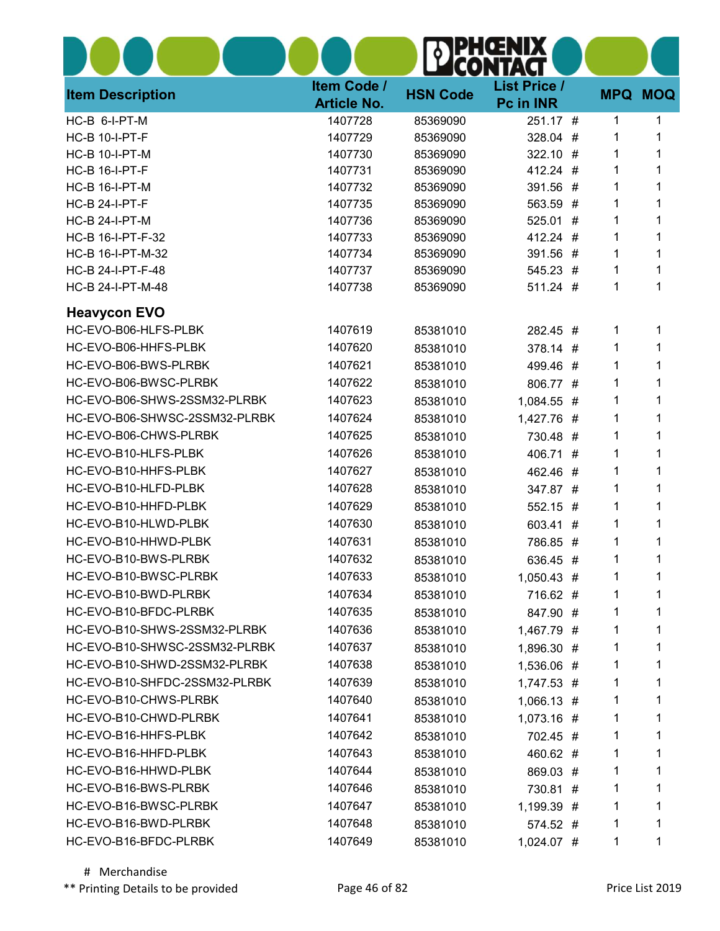|                               |                                   | $\bullet$       | 17 I                             |        |                |
|-------------------------------|-----------------------------------|-----------------|----------------------------------|--------|----------------|
| <b>Item Description</b>       | Item Code /<br><b>Article No.</b> | <b>HSN Code</b> | <b>List Price /</b><br>Pc in INR |        | <b>MPQ MOQ</b> |
| HC-B 6-I-PT-M                 | 1407728                           | 85369090        | 251.17 #                         | 1      | 1              |
| HC-B 10-I-PT-F                | 1407729                           | 85369090        | 328.04                           | 1<br># | 1              |
| <b>HC-B 10-I-PT-M</b>         | 1407730                           | 85369090        | 322.10 #                         | 1      |                |
| <b>HC-B 16-I-PT-F</b>         | 1407731                           | 85369090        | 412.24 #                         | 1      | 1              |
| <b>HC-B 16-I-PT-M</b>         | 1407732                           | 85369090        | 391.56 #                         | 1      |                |
| <b>HC-B 24-I-PT-F</b>         | 1407735                           | 85369090        | 563.59 #                         | 1      |                |
| <b>HC-B 24-I-PT-M</b>         | 1407736                           | 85369090        | 525.01                           | 1<br># | 1              |
| HC-B 16-I-PT-F-32             | 1407733                           | 85369090        | 412.24 #                         | 1      |                |
| HC-B 16-I-PT-M-32             | 1407734                           | 85369090        | 391.56 #                         | 1      |                |
| HC-B 24-I-PT-F-48             | 1407737                           | 85369090        | 545.23 #                         | 1      | 1              |
| HC-B 24-I-PT-M-48             | 1407738                           | 85369090        | 511.24 #                         | 1      | 1              |
| <b>Heavycon EVO</b>           |                                   |                 |                                  |        |                |
| HC-EVO-B06-HLFS-PLBK          | 1407619                           | 85381010        | 282.45 #                         | 1      | 1              |
| HC-EVO-B06-HHFS-PLBK          | 1407620                           | 85381010        | 378.14 #                         | 1      | 1              |
| HC-EVO-B06-BWS-PLRBK          | 1407621                           | 85381010        | 499.46 #                         | 1      | 1              |
| HC-EVO-B06-BWSC-PLRBK         | 1407622                           | 85381010        | 806.77 #                         | 1      | 1              |
| HC-EVO-B06-SHWS-2SSM32-PLRBK  | 1407623                           | 85381010        | 1,084.55 #                       | 1      | 1              |
| HC-EVO-B06-SHWSC-2SSM32-PLRBK | 1407624                           | 85381010        | 1,427.76 #                       | 1      | 1              |
| HC-EVO-B06-CHWS-PLRBK         | 1407625                           | 85381010        | 730.48 #                         | 1      | 1              |
| HC-EVO-B10-HLFS-PLBK          | 1407626                           | 85381010        | 406.71 #                         | 1      | 1              |
| HC-EVO-B10-HHFS-PLBK          | 1407627                           | 85381010        | 462.46 #                         | 1      | 1              |
| HC-EVO-B10-HLFD-PLBK          | 1407628                           | 85381010        | 347.87 #                         | 1      | 1              |
| HC-EVO-B10-HHFD-PLBK          | 1407629                           | 85381010        | 552.15 #                         | 1      | 1              |
| HC-EVO-B10-HLWD-PLBK          | 1407630                           | 85381010        | 603.41 #                         | 1      | 1              |
| HC-EVO-B10-HHWD-PLBK          | 1407631                           | 85381010        | 786.85 #                         | 1      | 1              |
| HC-EVO-B10-BWS-PLRBK          | 1407632                           | 85381010        | 636.45 #                         | 1      | 1              |
| HC-EVO-B10-BWSC-PLRBK         | 1407633                           | 85381010        | $1,050.43$ #                     | 1      | 1              |
| HC-EVO-B10-BWD-PLRBK          | 1407634                           | 85381010        | 716.62 #                         | 1      | 1              |
| HC-EVO-B10-BFDC-PLRBK         | 1407635                           | 85381010        | 847.90 #                         | 1      | 1              |
| HC-EVO-B10-SHWS-2SSM32-PLRBK  | 1407636                           | 85381010        | 1,467.79 #                       | 1      | 1              |
| HC-EVO-B10-SHWSC-2SSM32-PLRBK | 1407637                           | 85381010        | 1,896.30 #                       | 1      | 1              |
| HC-EVO-B10-SHWD-2SSM32-PLRBK  | 1407638                           | 85381010        | 1,536.06 #                       | 1      | 1              |
| HC-EVO-B10-SHFDC-2SSM32-PLRBK | 1407639                           | 85381010        | 1,747.53 #                       | 1      | 1              |
| HC-EVO-B10-CHWS-PLRBK         | 1407640                           | 85381010        | $1,066.13$ #                     | 1      | 1              |
| HC-EVO-B10-CHWD-PLRBK         | 1407641                           | 85381010        | 1,073.16 #                       | 1      | 1              |
| HC-EVO-B16-HHFS-PLBK          | 1407642                           | 85381010        | 702.45 #                         | 1      | 1              |
| HC-EVO-B16-HHFD-PLBK          | 1407643                           | 85381010        | 460.62 #                         | 1      | 1              |
| HC-EVO-B16-HHWD-PLBK          | 1407644                           | 85381010        | 869.03 #                         | 1      | 1              |
| HC-EVO-B16-BWS-PLRBK          | 1407646                           | 85381010        | 730.81 #                         | 1      | 1              |
| HC-EVO-B16-BWSC-PLRBK         | 1407647                           | 85381010        | 1,199.39 #                       | 1      | 1              |
| HC-EVO-B16-BWD-PLRBK          | 1407648                           | 85381010        | 574.52 #                         | 1      | 1              |
| HC-EVO-B16-BFDC-PLRBK         | 1407649                           | 85381010        | 1,024.07 #                       | 1      | 1              |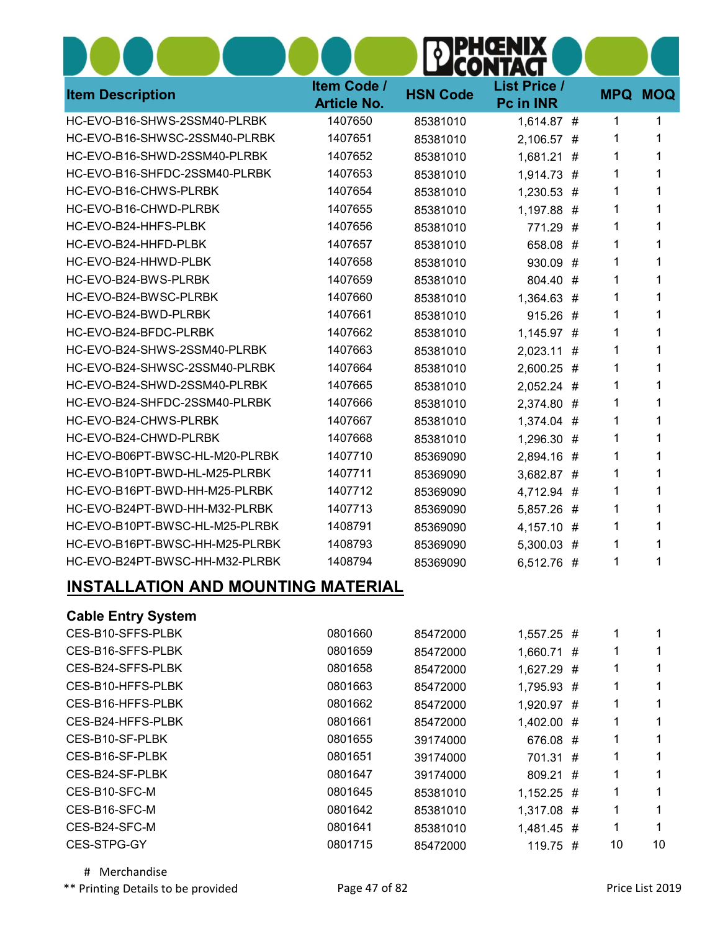| <b>Item Description</b>             | Item Code /<br><b>Article No.</b> | <b>HSN Code</b> | <b>List Price /</b><br><b>Pc in INR</b> | <b>MPQ</b> | <b>MOQ</b> |
|-------------------------------------|-----------------------------------|-----------------|-----------------------------------------|------------|------------|
| HC-EVO-B16-SHWS-2SSM40-PLRBK        | 1407650                           | 85381010        | 1,614.87 #                              | 1          | 1          |
| HC-EVO-B16-SHWSC-2SSM40-PLRBK       | 1407651                           | 85381010        | 2,106.57                                | 1<br>#     |            |
| HC-EVO-B16-SHWD-2SSM40-PLRBK        | 1407652                           | 85381010        | 1,681.21                                | 1<br>#     |            |
| HC-EVO-B16-SHFDC-2SSM40-PLRBK       | 1407653                           | 85381010        | 1,914.73 #                              | 1          |            |
| HC-EVO-B16-CHWS-PLRBK               | 1407654                           | 85381010        | 1,230.53 #                              | 1          |            |
| HC-EVO-B16-CHWD-PLRBK               | 1407655                           | 85381010        | 1,197.88 #                              | 1          | 1          |
| HC-EVO-B24-HHFS-PLBK                | 1407656                           | 85381010        | 771.29                                  | 1<br>#     |            |
| HC-EVO-B24-HHFD-PLBK                | 1407657                           | 85381010        | 658.08 #                                | 1          |            |
| HC-EVO-B24-HHWD-PLBK                | 1407658                           | 85381010        | 930.09                                  | 1<br>#     |            |
| HC-EVO-B24-BWS-PLRBK                | 1407659                           | 85381010        | 804.40 #                                | 1          |            |
| HC-EVO-B24-BWSC-PLRBK               | 1407660                           | 85381010        | 1,364.63 #                              | 1          |            |
| HC-EVO-B24-BWD-PLRBK                | 1407661                           | 85381010        | 915.26 #                                | 1          |            |
| HC-EVO-B24-BFDC-PLRBK               | 1407662                           | 85381010        | 1,145.97 #                              | 1          |            |
| HC-EVO-B24-SHWS-2SSM40-PLRBK        | 1407663                           | 85381010        | 2,023.11                                | 1<br>#     |            |
| HC-EVO-B24-SHWSC-2SSM40-PLRBK       | 1407664                           | 85381010        | 2,600.25 #                              | 1          |            |
| HC-EVO-B24-SHWD-2SSM40-PLRBK        | 1407665                           | 85381010        | 2,052.24 #                              | 1          |            |
| HC-EVO-B24-SHFDC-2SSM40-PLRBK       | 1407666                           | 85381010        | 2,374.80                                | 1<br>#     |            |
| HC-EVO-B24-CHWS-PLRBK               | 1407667                           | 85381010        | 1,374.04 #                              | 1          |            |
| HC-EVO-B24-CHWD-PLRBK               | 1407668                           | 85381010        | 1,296.30 #                              | 1          |            |
| HC-EVO-B06PT-BWSC-HL-M20-PLRBK      | 1407710                           | 85369090        | 2,894.16 #                              | 1          |            |
| HC-EVO-B10PT-BWD-HL-M25-PLRBK       | 1407711                           | 85369090        | 3,682.87 #                              | 1          |            |
| HC-EVO-B16PT-BWD-HH-M25-PLRBK       | 1407712                           | 85369090        | 4,712.94                                | 1<br>#     |            |
| HC-EVO-B24PT-BWD-HH-M32-PLRBK       | 1407713                           | 85369090        | 5,857.26 #                              | 1          |            |
| HC-EVO-B10PT-BWSC-HL-M25-PLRBK      | 1408791                           | 85369090        | 4,157.10 #                              | 1          |            |
| HC-EVO-B16PT-BWSC-HH-M25-PLRBK      | 1408793                           | 85369090        | $5,300.03$ #                            | 1          |            |
| HC-EVO-B24PT-BWSC-HH-M32-PLRBK      | 1408794                           | 85369090        | 6,512.76 #                              | 1          | 1          |
| INCTALL ATION AND MOUNTING MATERIAL |                                   |                 |                                         |            |            |

### INSTALLATION AND MOUNTING MATERIAL

| <b>Cable Entry System</b> |         |          |              |    |    |
|---------------------------|---------|----------|--------------|----|----|
| CES-B10-SFFS-PLBK         | 0801660 | 85472000 | $1,557.25$ # |    |    |
| CES-B16-SFFS-PLBK         | 0801659 | 85472000 | $1,660.71$ # |    |    |
| CES-B24-SFFS-PLBK         | 0801658 | 85472000 | $1,627.29$ # | 1  |    |
| CES-B10-HFFS-PLBK         | 0801663 | 85472000 | 1,795.93 #   |    |    |
| CES-B16-HFFS-PLBK         | 0801662 | 85472000 | $1,920.97$ # |    |    |
| CES-B24-HFFS-PLBK         | 0801661 | 85472000 | $1,402.00$ # | 1  |    |
| CES-B10-SF-PLBK           | 0801655 | 39174000 | 676.08 #     | 1  |    |
| CES-B16-SF-PLBK           | 0801651 | 39174000 | 701.31 #     | 1  |    |
| CES-B24-SF-PLBK           | 0801647 | 39174000 | 809.21 #     | 1  |    |
| CES-B10-SFC-M             | 0801645 | 85381010 | $1,152.25$ # | 1  |    |
| CES-B16-SFC-M             | 0801642 | 85381010 | $1,317.08$ # | 1  |    |
| CES-B24-SFC-M             | 0801641 | 85381010 | 1,481.45 #   | 1  |    |
| CES-STPG-GY               | 0801715 | 85472000 | $119.75$ #   | 10 | 10 |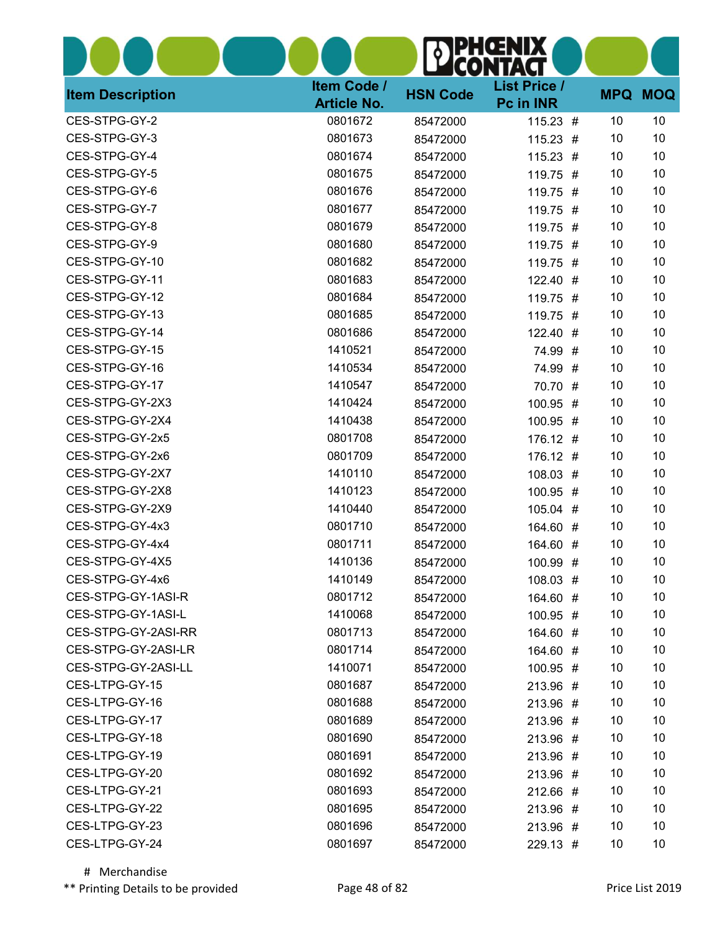|                         |                                   | О               | ∙∃<br>ACI                        |    |                |
|-------------------------|-----------------------------------|-----------------|----------------------------------|----|----------------|
| <b>Item Description</b> | Item Code /<br><b>Article No.</b> | <b>HSN Code</b> | <b>List Price /</b><br>Pc in INR |    | <b>MPQ MOQ</b> |
| CES-STPG-GY-2           | 0801672                           | 85472000        | $115.23$ #                       | 10 | 10             |
| CES-STPG-GY-3           | 0801673                           | 85472000        | $115.23$ #                       | 10 | 10             |
| CES-STPG-GY-4           | 0801674                           | 85472000        | $115.23$ #                       | 10 | 10             |
| CES-STPG-GY-5           | 0801675                           | 85472000        | 119.75 #                         | 10 | 10             |
| CES-STPG-GY-6           | 0801676                           | 85472000        | 119.75 #                         | 10 | 10             |
| CES-STPG-GY-7           | 0801677                           | 85472000        | 119.75 #                         | 10 | 10             |
| CES-STPG-GY-8           | 0801679                           | 85472000        | 119.75 #                         | 10 | 10             |
| CES-STPG-GY-9           | 0801680                           | 85472000        | 119.75 #                         | 10 | 10             |
| CES-STPG-GY-10          | 0801682                           | 85472000        | 119.75 #                         | 10 | 10             |
| CES-STPG-GY-11          | 0801683                           | 85472000        | 122.40 #                         | 10 | 10             |
| CES-STPG-GY-12          | 0801684                           | 85472000        | 119.75 #                         | 10 | 10             |
| CES-STPG-GY-13          | 0801685                           | 85472000        | 119.75 #                         | 10 | 10             |
| CES-STPG-GY-14          | 0801686                           | 85472000        | 122.40 #                         | 10 | 10             |
| CES-STPG-GY-15          | 1410521                           | 85472000        | 74.99 #                          | 10 | 10             |
| CES-STPG-GY-16          | 1410534                           | 85472000        | 74.99 #                          | 10 | 10             |
| CES-STPG-GY-17          | 1410547                           | 85472000        | 70.70 #                          | 10 | 10             |
| CES-STPG-GY-2X3         | 1410424                           | 85472000        | 100.95 #                         | 10 | 10             |
| CES-STPG-GY-2X4         | 1410438                           | 85472000        | 100.95 #                         | 10 | 10             |
| CES-STPG-GY-2x5         | 0801708                           | 85472000        | 176.12 #                         | 10 | 10             |
| CES-STPG-GY-2x6         | 0801709                           | 85472000        | 176.12 #                         | 10 | 10             |
| CES-STPG-GY-2X7         | 1410110                           | 85472000        | $108.03$ #                       | 10 | 10             |
| CES-STPG-GY-2X8         | 1410123                           | 85472000        | 100.95 #                         | 10 | 10             |
| CES-STPG-GY-2X9         | 1410440                           | 85472000        | 105.04 #                         | 10 | 10             |
| CES-STPG-GY-4x3         | 0801710                           | 85472000        | 164.60 #                         | 10 | 10             |
| CES-STPG-GY-4x4         | 0801711                           | 85472000        | 164.60 #                         | 10 | 10             |
| CES-STPG-GY-4X5         | 1410136                           | 85472000        | 100.99 #                         | 10 | 10             |
| CES-STPG-GY-4x6         | 1410149                           | 85472000        | $108.03$ #                       | 10 | 10             |
| CES-STPG-GY-1ASI-R      | 0801712                           | 85472000        | 164.60 #                         | 10 | 10             |
| CES-STPG-GY-1ASI-L      | 1410068                           | 85472000        | $100.95$ #                       | 10 | 10             |
| CES-STPG-GY-2ASI-RR     | 0801713                           | 85472000        | 164.60 #                         | 10 | 10             |
| CES-STPG-GY-2ASI-LR     | 0801714                           | 85472000        | 164.60 #                         | 10 | 10             |
| CES-STPG-GY-2ASI-LL     | 1410071                           | 85472000        | 100.95 #                         | 10 | 10             |
| CES-LTPG-GY-15          | 0801687                           | 85472000        | 213.96 #                         | 10 | 10             |
| CES-LTPG-GY-16          | 0801688                           | 85472000        | 213.96 #                         | 10 | 10             |
| CES-LTPG-GY-17          | 0801689                           | 85472000        | 213.96 #                         | 10 | 10             |
| CES-LTPG-GY-18          | 0801690                           | 85472000        | 213.96 #                         | 10 | 10             |
| CES-LTPG-GY-19          | 0801691                           | 85472000        | 213.96 #                         | 10 | 10             |
| CES-LTPG-GY-20          | 0801692                           | 85472000        | 213.96 #                         | 10 | 10             |
| CES-LTPG-GY-21          | 0801693                           | 85472000        | 212.66 #                         | 10 | 10             |
| CES-LTPG-GY-22          | 0801695                           | 85472000        | 213.96 #                         | 10 | 10             |
| CES-LTPG-GY-23          | 0801696                           | 85472000        | 213.96 #                         | 10 | 10             |
| CES-LTPG-GY-24          | 0801697                           | 85472000        | 229.13 #                         | 10 | 10             |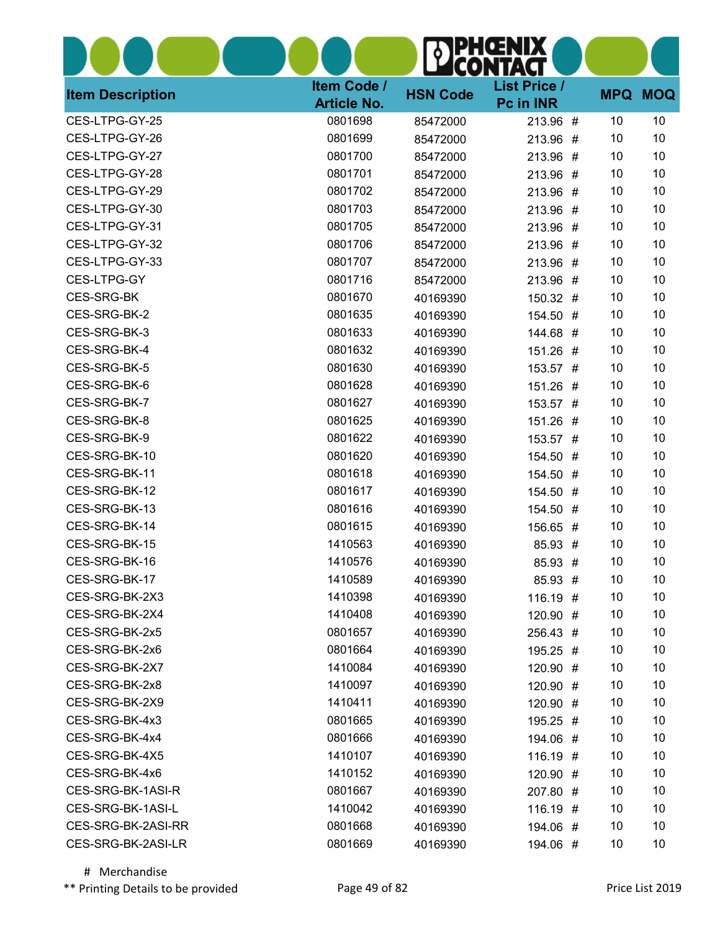|                         |                                   | О               | ∙∃<br>ACI                        |    |                |
|-------------------------|-----------------------------------|-----------------|----------------------------------|----|----------------|
| <b>Item Description</b> | Item Code /<br><b>Article No.</b> | <b>HSN Code</b> | <b>List Price /</b><br>Pc in INR |    | <b>MPQ MOQ</b> |
| CES-LTPG-GY-25          | 0801698                           | 85472000        | 213.96 #                         | 10 | 10             |
| CES-LTPG-GY-26          | 0801699                           | 85472000        | 213.96 #                         | 10 | 10             |
| CES-LTPG-GY-27          | 0801700                           | 85472000        | 213.96 #                         | 10 | 10             |
| CES-LTPG-GY-28          | 0801701                           | 85472000        | 213.96 #                         | 10 | 10             |
| CES-LTPG-GY-29          | 0801702                           | 85472000        | 213.96 #                         | 10 | 10             |
| CES-LTPG-GY-30          | 0801703                           | 85472000        | 213.96 #                         | 10 | 10             |
| CES-LTPG-GY-31          | 0801705                           | 85472000        | 213.96 #                         | 10 | 10             |
| CES-LTPG-GY-32          | 0801706                           | 85472000        | 213.96 #                         | 10 | 10             |
| CES-LTPG-GY-33          | 0801707                           | 85472000        | 213.96 #                         | 10 | 10             |
| CES-LTPG-GY             | 0801716                           | 85472000        | 213.96 #                         | 10 | 10             |
| CES-SRG-BK              | 0801670                           | 40169390        | 150.32 #                         | 10 | 10             |
| CES-SRG-BK-2            | 0801635                           | 40169390        | 154.50 #                         | 10 | 10             |
| CES-SRG-BK-3            | 0801633                           | 40169390        | 144.68 #                         | 10 | 10             |
| CES-SRG-BK-4            | 0801632                           | 40169390        | 151.26 #                         | 10 | 10             |
| CES-SRG-BK-5            | 0801630                           | 40169390        | 153.57 #                         | 10 | 10             |
| CES-SRG-BK-6            | 0801628                           | 40169390        | 151.26 #                         | 10 | 10             |
| CES-SRG-BK-7            | 0801627                           | 40169390        | 153.57 #                         | 10 | 10             |
| CES-SRG-BK-8            | 0801625                           | 40169390        | 151.26 #                         | 10 | 10             |
| CES-SRG-BK-9            | 0801622                           | 40169390        | 153.57 #                         | 10 | 10             |
| CES-SRG-BK-10           | 0801620                           | 40169390        | 154.50 #                         | 10 | 10             |
| CES-SRG-BK-11           | 0801618                           | 40169390        | 154.50 #                         | 10 | 10             |
| CES-SRG-BK-12           | 0801617                           | 40169390        | 154.50 #                         | 10 | 10             |
| CES-SRG-BK-13           | 0801616                           | 40169390        | 154.50 #                         | 10 | 10             |
| CES-SRG-BK-14           | 0801615                           | 40169390        | 156.65 #                         | 10 | 10             |
| CES-SRG-BK-15           | 1410563                           | 40169390        | 85.93 #                          | 10 | 10             |
| CES-SRG-BK-16           | 1410576                           | 40169390        | 85.93 #                          | 10 | 10             |
| CES-SRG-BK-17           | 1410589                           | 40169390        | 85.93 #                          | 10 | 10             |
| CES-SRG-BK-2X3          | 1410398                           | 40169390        | 116.19 #                         | 10 | 10             |
| CES-SRG-BK-2X4          | 1410408                           | 40169390        | 120.90 #                         | 10 | 10             |
| CES-SRG-BK-2x5          | 0801657                           | 40169390        | 256.43 #                         | 10 | 10             |
| CES-SRG-BK-2x6          | 0801664                           | 40169390        | 195.25 #                         | 10 | 10             |
| CES-SRG-BK-2X7          | 1410084                           | 40169390        | 120.90 #                         | 10 | 10             |
| CES-SRG-BK-2x8          | 1410097                           | 40169390        | 120.90 #                         | 10 | 10             |
| CES-SRG-BK-2X9          | 1410411                           | 40169390        | 120.90 #                         | 10 | 10             |
| CES-SRG-BK-4x3          | 0801665                           | 40169390        | 195.25 #                         | 10 | 10             |
| CES-SRG-BK-4x4          | 0801666                           | 40169390        | 194.06 #                         | 10 | 10             |
| CES-SRG-BK-4X5          | 1410107                           | 40169390        | 116.19 #                         | 10 | 10             |
| CES-SRG-BK-4x6          | 1410152                           | 40169390        | 120.90 #                         | 10 | 10             |
| CES-SRG-BK-1ASI-R       | 0801667                           | 40169390        | 207.80 #                         | 10 | 10             |
| CES-SRG-BK-1ASI-L       | 1410042                           | 40169390        | 116.19 #                         | 10 | 10             |
| CES-SRG-BK-2ASI-RR      | 0801668                           | 40169390        | 194.06 #                         | 10 | 10             |
| CES-SRG-BK-2ASI-LR      | 0801669                           | 40169390        | 194.06 #                         | 10 | 10             |

 # Merchandise \*\* Printing Details to be provided **Page 49 of 82** Printing Details to be provided **Page 49 of 82** Price List 2019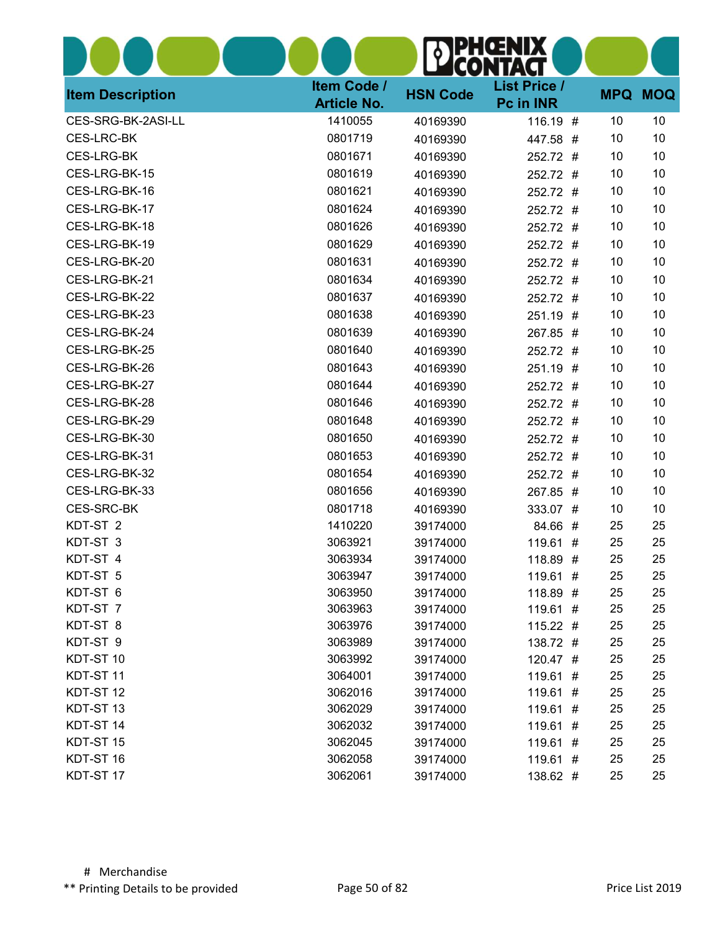| <b>Item Code /</b><br><b>List Price /</b><br><b>HSN Code</b><br><b>MPQ MOQ</b><br><b>Item Description</b><br><b>Article No.</b><br>Pc in INR<br>CES-SRG-BK-2ASI-LL<br>1410055<br>10<br>10<br>40169390<br>116.19 #<br>CES-LRC-BK<br>0801719<br>10<br>10<br>40169390<br>447.58 #<br><b>CES-LRG-BK</b><br>0801671<br>10<br>10<br>252.72 #<br>40169390<br>CES-LRG-BK-15<br>0801619<br>10<br>10<br>40169390<br>252.72 #<br>CES-LRG-BK-16<br>0801621<br>10<br>10<br>40169390<br>252.72 #<br>CES-LRG-BK-17<br>0801624<br>252.72 #<br>10<br>10<br>40169390<br>CES-LRG-BK-18<br>0801626<br>10<br>10<br>252.72 #<br>40169390<br>CES-LRG-BK-19<br>0801629<br>10<br>10<br>40169390<br>252.72 #<br>CES-LRG-BK-20<br>0801631<br>10<br>10<br>40169390<br>252.72 #<br>CES-LRG-BK-21<br>0801634<br>252.72 #<br>10<br>10<br>40169390<br>CES-LRG-BK-22<br>0801637<br>10<br>10<br>40169390<br>252.72 #<br>CES-LRG-BK-23<br>0801638<br>10<br>10<br>40169390<br>251.19 #<br>CES-LRG-BK-24<br>0801639<br>10<br>10<br>40169390<br>267.85 #<br>CES-LRG-BK-25<br>0801640<br>252.72 #<br>10<br>10<br>40169390<br>CES-LRG-BK-26<br>0801643<br>10<br>10<br>40169390<br>251.19 #<br>CES-LRG-BK-27<br>0801644<br>10<br>10<br>40169390<br>252.72 #<br>CES-LRG-BK-28<br>0801646<br>10<br>10<br>40169390<br>252.72 #<br>CES-LRG-BK-29<br>0801648<br>252.72 #<br>10<br>10<br>40169390<br>CES-LRG-BK-30<br>0801650<br>10<br>10<br>40169390<br>252.72 #<br>CES-LRG-BK-31<br>0801653<br>10<br>10<br>40169390<br>252.72 #<br>CES-LRG-BK-32<br>0801654<br>252.72 #<br>10<br>10<br>40169390<br>CES-LRG-BK-33<br>0801656<br>267.85 #<br>10<br>10<br>40169390<br>CES-SRC-BK<br>0801718<br>10<br>10<br>40169390<br>333.07 #<br>KDT-ST 2<br>1410220<br>25<br>25<br>39174000<br>84.66 #<br>KDT-ST 3<br>25<br>25<br>3063921<br>119.61 #<br>39174000<br>KDT-ST 4<br>3063934<br>25<br>118.89 #<br>25<br>39174000<br>KDT-ST 5<br>3063947<br>25<br>119.61 #<br>25<br>39174000<br>KDT-ST 6<br>3063950<br>25<br>25<br>39174000<br>118.89 #<br>KDT-ST 7<br>3063963<br>119.61 #<br>25<br>39174000<br>25<br>KDT-ST 8<br>25<br>25<br>3063976<br>115.22 #<br>39174000<br>KDT-ST 9<br>3063989<br>25<br>39174000<br>138.72 #<br>25<br>KDT-ST 10<br>3063992<br>25<br>25<br>39174000<br>120.47 #<br>25<br>KDT-ST 11<br>3064001<br>25<br>39174000<br>119.61 #<br>KDT-ST 12<br>3062016<br>25<br>25<br>39174000<br>119.61 #<br>KDT-ST 13<br>3062029<br>119.61 #<br>25<br>25<br>39174000<br>25<br>KDT-ST 14<br>3062032<br>25<br>39174000<br>119.61#<br>KDT-ST 15<br>3062045<br>25<br>25<br>39174000<br>119.61 #<br>KDT-ST 16<br>3062058<br>119.61 #<br>25<br>25<br>39174000 |  | NIX<br>lo El<br>ACI |  |
|-----------------------------------------------------------------------------------------------------------------------------------------------------------------------------------------------------------------------------------------------------------------------------------------------------------------------------------------------------------------------------------------------------------------------------------------------------------------------------------------------------------------------------------------------------------------------------------------------------------------------------------------------------------------------------------------------------------------------------------------------------------------------------------------------------------------------------------------------------------------------------------------------------------------------------------------------------------------------------------------------------------------------------------------------------------------------------------------------------------------------------------------------------------------------------------------------------------------------------------------------------------------------------------------------------------------------------------------------------------------------------------------------------------------------------------------------------------------------------------------------------------------------------------------------------------------------------------------------------------------------------------------------------------------------------------------------------------------------------------------------------------------------------------------------------------------------------------------------------------------------------------------------------------------------------------------------------------------------------------------------------------------------------------------------------------------------------------------------------------------------------------------------------------------------------------------------------------------------------------------------------------------------------------------------------------------------------------------------------------------------------------------------------------------------------------------------------------------------------------------------------------------------------------------------------------------------------------------------------------|--|---------------------|--|
|                                                                                                                                                                                                                                                                                                                                                                                                                                                                                                                                                                                                                                                                                                                                                                                                                                                                                                                                                                                                                                                                                                                                                                                                                                                                                                                                                                                                                                                                                                                                                                                                                                                                                                                                                                                                                                                                                                                                                                                                                                                                                                                                                                                                                                                                                                                                                                                                                                                                                                                                                                                                           |  |                     |  |
|                                                                                                                                                                                                                                                                                                                                                                                                                                                                                                                                                                                                                                                                                                                                                                                                                                                                                                                                                                                                                                                                                                                                                                                                                                                                                                                                                                                                                                                                                                                                                                                                                                                                                                                                                                                                                                                                                                                                                                                                                                                                                                                                                                                                                                                                                                                                                                                                                                                                                                                                                                                                           |  |                     |  |
|                                                                                                                                                                                                                                                                                                                                                                                                                                                                                                                                                                                                                                                                                                                                                                                                                                                                                                                                                                                                                                                                                                                                                                                                                                                                                                                                                                                                                                                                                                                                                                                                                                                                                                                                                                                                                                                                                                                                                                                                                                                                                                                                                                                                                                                                                                                                                                                                                                                                                                                                                                                                           |  |                     |  |
|                                                                                                                                                                                                                                                                                                                                                                                                                                                                                                                                                                                                                                                                                                                                                                                                                                                                                                                                                                                                                                                                                                                                                                                                                                                                                                                                                                                                                                                                                                                                                                                                                                                                                                                                                                                                                                                                                                                                                                                                                                                                                                                                                                                                                                                                                                                                                                                                                                                                                                                                                                                                           |  |                     |  |
|                                                                                                                                                                                                                                                                                                                                                                                                                                                                                                                                                                                                                                                                                                                                                                                                                                                                                                                                                                                                                                                                                                                                                                                                                                                                                                                                                                                                                                                                                                                                                                                                                                                                                                                                                                                                                                                                                                                                                                                                                                                                                                                                                                                                                                                                                                                                                                                                                                                                                                                                                                                                           |  |                     |  |
|                                                                                                                                                                                                                                                                                                                                                                                                                                                                                                                                                                                                                                                                                                                                                                                                                                                                                                                                                                                                                                                                                                                                                                                                                                                                                                                                                                                                                                                                                                                                                                                                                                                                                                                                                                                                                                                                                                                                                                                                                                                                                                                                                                                                                                                                                                                                                                                                                                                                                                                                                                                                           |  |                     |  |
|                                                                                                                                                                                                                                                                                                                                                                                                                                                                                                                                                                                                                                                                                                                                                                                                                                                                                                                                                                                                                                                                                                                                                                                                                                                                                                                                                                                                                                                                                                                                                                                                                                                                                                                                                                                                                                                                                                                                                                                                                                                                                                                                                                                                                                                                                                                                                                                                                                                                                                                                                                                                           |  |                     |  |
|                                                                                                                                                                                                                                                                                                                                                                                                                                                                                                                                                                                                                                                                                                                                                                                                                                                                                                                                                                                                                                                                                                                                                                                                                                                                                                                                                                                                                                                                                                                                                                                                                                                                                                                                                                                                                                                                                                                                                                                                                                                                                                                                                                                                                                                                                                                                                                                                                                                                                                                                                                                                           |  |                     |  |
|                                                                                                                                                                                                                                                                                                                                                                                                                                                                                                                                                                                                                                                                                                                                                                                                                                                                                                                                                                                                                                                                                                                                                                                                                                                                                                                                                                                                                                                                                                                                                                                                                                                                                                                                                                                                                                                                                                                                                                                                                                                                                                                                                                                                                                                                                                                                                                                                                                                                                                                                                                                                           |  |                     |  |
|                                                                                                                                                                                                                                                                                                                                                                                                                                                                                                                                                                                                                                                                                                                                                                                                                                                                                                                                                                                                                                                                                                                                                                                                                                                                                                                                                                                                                                                                                                                                                                                                                                                                                                                                                                                                                                                                                                                                                                                                                                                                                                                                                                                                                                                                                                                                                                                                                                                                                                                                                                                                           |  |                     |  |
|                                                                                                                                                                                                                                                                                                                                                                                                                                                                                                                                                                                                                                                                                                                                                                                                                                                                                                                                                                                                                                                                                                                                                                                                                                                                                                                                                                                                                                                                                                                                                                                                                                                                                                                                                                                                                                                                                                                                                                                                                                                                                                                                                                                                                                                                                                                                                                                                                                                                                                                                                                                                           |  |                     |  |
|                                                                                                                                                                                                                                                                                                                                                                                                                                                                                                                                                                                                                                                                                                                                                                                                                                                                                                                                                                                                                                                                                                                                                                                                                                                                                                                                                                                                                                                                                                                                                                                                                                                                                                                                                                                                                                                                                                                                                                                                                                                                                                                                                                                                                                                                                                                                                                                                                                                                                                                                                                                                           |  |                     |  |
|                                                                                                                                                                                                                                                                                                                                                                                                                                                                                                                                                                                                                                                                                                                                                                                                                                                                                                                                                                                                                                                                                                                                                                                                                                                                                                                                                                                                                                                                                                                                                                                                                                                                                                                                                                                                                                                                                                                                                                                                                                                                                                                                                                                                                                                                                                                                                                                                                                                                                                                                                                                                           |  |                     |  |
|                                                                                                                                                                                                                                                                                                                                                                                                                                                                                                                                                                                                                                                                                                                                                                                                                                                                                                                                                                                                                                                                                                                                                                                                                                                                                                                                                                                                                                                                                                                                                                                                                                                                                                                                                                                                                                                                                                                                                                                                                                                                                                                                                                                                                                                                                                                                                                                                                                                                                                                                                                                                           |  |                     |  |
|                                                                                                                                                                                                                                                                                                                                                                                                                                                                                                                                                                                                                                                                                                                                                                                                                                                                                                                                                                                                                                                                                                                                                                                                                                                                                                                                                                                                                                                                                                                                                                                                                                                                                                                                                                                                                                                                                                                                                                                                                                                                                                                                                                                                                                                                                                                                                                                                                                                                                                                                                                                                           |  |                     |  |
|                                                                                                                                                                                                                                                                                                                                                                                                                                                                                                                                                                                                                                                                                                                                                                                                                                                                                                                                                                                                                                                                                                                                                                                                                                                                                                                                                                                                                                                                                                                                                                                                                                                                                                                                                                                                                                                                                                                                                                                                                                                                                                                                                                                                                                                                                                                                                                                                                                                                                                                                                                                                           |  |                     |  |
|                                                                                                                                                                                                                                                                                                                                                                                                                                                                                                                                                                                                                                                                                                                                                                                                                                                                                                                                                                                                                                                                                                                                                                                                                                                                                                                                                                                                                                                                                                                                                                                                                                                                                                                                                                                                                                                                                                                                                                                                                                                                                                                                                                                                                                                                                                                                                                                                                                                                                                                                                                                                           |  |                     |  |
|                                                                                                                                                                                                                                                                                                                                                                                                                                                                                                                                                                                                                                                                                                                                                                                                                                                                                                                                                                                                                                                                                                                                                                                                                                                                                                                                                                                                                                                                                                                                                                                                                                                                                                                                                                                                                                                                                                                                                                                                                                                                                                                                                                                                                                                                                                                                                                                                                                                                                                                                                                                                           |  |                     |  |
|                                                                                                                                                                                                                                                                                                                                                                                                                                                                                                                                                                                                                                                                                                                                                                                                                                                                                                                                                                                                                                                                                                                                                                                                                                                                                                                                                                                                                                                                                                                                                                                                                                                                                                                                                                                                                                                                                                                                                                                                                                                                                                                                                                                                                                                                                                                                                                                                                                                                                                                                                                                                           |  |                     |  |
|                                                                                                                                                                                                                                                                                                                                                                                                                                                                                                                                                                                                                                                                                                                                                                                                                                                                                                                                                                                                                                                                                                                                                                                                                                                                                                                                                                                                                                                                                                                                                                                                                                                                                                                                                                                                                                                                                                                                                                                                                                                                                                                                                                                                                                                                                                                                                                                                                                                                                                                                                                                                           |  |                     |  |
|                                                                                                                                                                                                                                                                                                                                                                                                                                                                                                                                                                                                                                                                                                                                                                                                                                                                                                                                                                                                                                                                                                                                                                                                                                                                                                                                                                                                                                                                                                                                                                                                                                                                                                                                                                                                                                                                                                                                                                                                                                                                                                                                                                                                                                                                                                                                                                                                                                                                                                                                                                                                           |  |                     |  |
|                                                                                                                                                                                                                                                                                                                                                                                                                                                                                                                                                                                                                                                                                                                                                                                                                                                                                                                                                                                                                                                                                                                                                                                                                                                                                                                                                                                                                                                                                                                                                                                                                                                                                                                                                                                                                                                                                                                                                                                                                                                                                                                                                                                                                                                                                                                                                                                                                                                                                                                                                                                                           |  |                     |  |
|                                                                                                                                                                                                                                                                                                                                                                                                                                                                                                                                                                                                                                                                                                                                                                                                                                                                                                                                                                                                                                                                                                                                                                                                                                                                                                                                                                                                                                                                                                                                                                                                                                                                                                                                                                                                                                                                                                                                                                                                                                                                                                                                                                                                                                                                                                                                                                                                                                                                                                                                                                                                           |  |                     |  |
|                                                                                                                                                                                                                                                                                                                                                                                                                                                                                                                                                                                                                                                                                                                                                                                                                                                                                                                                                                                                                                                                                                                                                                                                                                                                                                                                                                                                                                                                                                                                                                                                                                                                                                                                                                                                                                                                                                                                                                                                                                                                                                                                                                                                                                                                                                                                                                                                                                                                                                                                                                                                           |  |                     |  |
|                                                                                                                                                                                                                                                                                                                                                                                                                                                                                                                                                                                                                                                                                                                                                                                                                                                                                                                                                                                                                                                                                                                                                                                                                                                                                                                                                                                                                                                                                                                                                                                                                                                                                                                                                                                                                                                                                                                                                                                                                                                                                                                                                                                                                                                                                                                                                                                                                                                                                                                                                                                                           |  |                     |  |
|                                                                                                                                                                                                                                                                                                                                                                                                                                                                                                                                                                                                                                                                                                                                                                                                                                                                                                                                                                                                                                                                                                                                                                                                                                                                                                                                                                                                                                                                                                                                                                                                                                                                                                                                                                                                                                                                                                                                                                                                                                                                                                                                                                                                                                                                                                                                                                                                                                                                                                                                                                                                           |  |                     |  |
|                                                                                                                                                                                                                                                                                                                                                                                                                                                                                                                                                                                                                                                                                                                                                                                                                                                                                                                                                                                                                                                                                                                                                                                                                                                                                                                                                                                                                                                                                                                                                                                                                                                                                                                                                                                                                                                                                                                                                                                                                                                                                                                                                                                                                                                                                                                                                                                                                                                                                                                                                                                                           |  |                     |  |
|                                                                                                                                                                                                                                                                                                                                                                                                                                                                                                                                                                                                                                                                                                                                                                                                                                                                                                                                                                                                                                                                                                                                                                                                                                                                                                                                                                                                                                                                                                                                                                                                                                                                                                                                                                                                                                                                                                                                                                                                                                                                                                                                                                                                                                                                                                                                                                                                                                                                                                                                                                                                           |  |                     |  |
|                                                                                                                                                                                                                                                                                                                                                                                                                                                                                                                                                                                                                                                                                                                                                                                                                                                                                                                                                                                                                                                                                                                                                                                                                                                                                                                                                                                                                                                                                                                                                                                                                                                                                                                                                                                                                                                                                                                                                                                                                                                                                                                                                                                                                                                                                                                                                                                                                                                                                                                                                                                                           |  |                     |  |
|                                                                                                                                                                                                                                                                                                                                                                                                                                                                                                                                                                                                                                                                                                                                                                                                                                                                                                                                                                                                                                                                                                                                                                                                                                                                                                                                                                                                                                                                                                                                                                                                                                                                                                                                                                                                                                                                                                                                                                                                                                                                                                                                                                                                                                                                                                                                                                                                                                                                                                                                                                                                           |  |                     |  |
|                                                                                                                                                                                                                                                                                                                                                                                                                                                                                                                                                                                                                                                                                                                                                                                                                                                                                                                                                                                                                                                                                                                                                                                                                                                                                                                                                                                                                                                                                                                                                                                                                                                                                                                                                                                                                                                                                                                                                                                                                                                                                                                                                                                                                                                                                                                                                                                                                                                                                                                                                                                                           |  |                     |  |
|                                                                                                                                                                                                                                                                                                                                                                                                                                                                                                                                                                                                                                                                                                                                                                                                                                                                                                                                                                                                                                                                                                                                                                                                                                                                                                                                                                                                                                                                                                                                                                                                                                                                                                                                                                                                                                                                                                                                                                                                                                                                                                                                                                                                                                                                                                                                                                                                                                                                                                                                                                                                           |  |                     |  |
|                                                                                                                                                                                                                                                                                                                                                                                                                                                                                                                                                                                                                                                                                                                                                                                                                                                                                                                                                                                                                                                                                                                                                                                                                                                                                                                                                                                                                                                                                                                                                                                                                                                                                                                                                                                                                                                                                                                                                                                                                                                                                                                                                                                                                                                                                                                                                                                                                                                                                                                                                                                                           |  |                     |  |
|                                                                                                                                                                                                                                                                                                                                                                                                                                                                                                                                                                                                                                                                                                                                                                                                                                                                                                                                                                                                                                                                                                                                                                                                                                                                                                                                                                                                                                                                                                                                                                                                                                                                                                                                                                                                                                                                                                                                                                                                                                                                                                                                                                                                                                                                                                                                                                                                                                                                                                                                                                                                           |  |                     |  |
|                                                                                                                                                                                                                                                                                                                                                                                                                                                                                                                                                                                                                                                                                                                                                                                                                                                                                                                                                                                                                                                                                                                                                                                                                                                                                                                                                                                                                                                                                                                                                                                                                                                                                                                                                                                                                                                                                                                                                                                                                                                                                                                                                                                                                                                                                                                                                                                                                                                                                                                                                                                                           |  |                     |  |
|                                                                                                                                                                                                                                                                                                                                                                                                                                                                                                                                                                                                                                                                                                                                                                                                                                                                                                                                                                                                                                                                                                                                                                                                                                                                                                                                                                                                                                                                                                                                                                                                                                                                                                                                                                                                                                                                                                                                                                                                                                                                                                                                                                                                                                                                                                                                                                                                                                                                                                                                                                                                           |  |                     |  |
|                                                                                                                                                                                                                                                                                                                                                                                                                                                                                                                                                                                                                                                                                                                                                                                                                                                                                                                                                                                                                                                                                                                                                                                                                                                                                                                                                                                                                                                                                                                                                                                                                                                                                                                                                                                                                                                                                                                                                                                                                                                                                                                                                                                                                                                                                                                                                                                                                                                                                                                                                                                                           |  |                     |  |
|                                                                                                                                                                                                                                                                                                                                                                                                                                                                                                                                                                                                                                                                                                                                                                                                                                                                                                                                                                                                                                                                                                                                                                                                                                                                                                                                                                                                                                                                                                                                                                                                                                                                                                                                                                                                                                                                                                                                                                                                                                                                                                                                                                                                                                                                                                                                                                                                                                                                                                                                                                                                           |  |                     |  |
| KDT-ST 17<br>3062061<br>25<br>25<br>39174000<br>138.62 #                                                                                                                                                                                                                                                                                                                                                                                                                                                                                                                                                                                                                                                                                                                                                                                                                                                                                                                                                                                                                                                                                                                                                                                                                                                                                                                                                                                                                                                                                                                                                                                                                                                                                                                                                                                                                                                                                                                                                                                                                                                                                                                                                                                                                                                                                                                                                                                                                                                                                                                                                  |  |                     |  |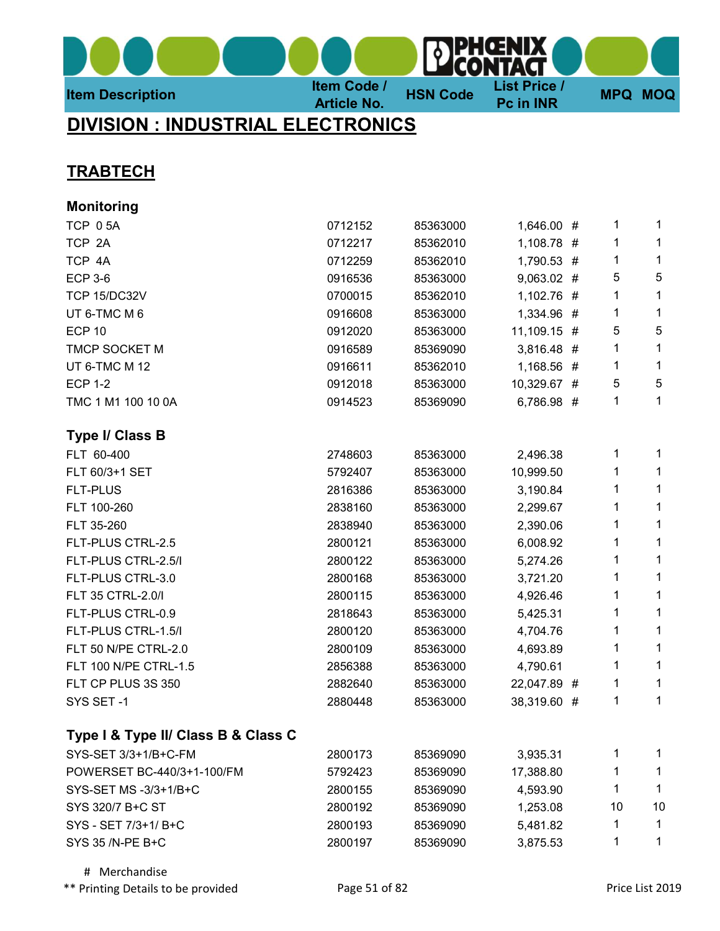# DIVISION : INDUSTRIAL ELECTRONICS

## **TRABTECH**

| <b>Monitoring</b>                   |         |          |              |    |             |
|-------------------------------------|---------|----------|--------------|----|-------------|
| TCP 05A                             | 0712152 | 85363000 | 1,646.00 #   | 1  | 1           |
| TCP 2A                              | 0712217 | 85362010 | 1,108.78 #   | 1  | 1           |
| TCP 4A                              | 0712259 | 85362010 | 1,790.53 #   | 1  | 1           |
| <b>ECP 3-6</b>                      | 0916536 | 85363000 | $9,063.02$ # | 5  | 5           |
| <b>TCP 15/DC32V</b>                 | 0700015 | 85362010 | 1,102.76 #   | 1  | 1           |
| UT 6-TMC M 6                        | 0916608 | 85363000 | 1,334.96 #   | 1  | 1           |
| <b>ECP 10</b>                       | 0912020 | 85363000 | 11,109.15 #  | 5  | 5           |
| <b>TMCP SOCKET M</b>                | 0916589 | 85369090 | 3,816.48 #   | 1  | 1           |
| UT 6-TMC M 12                       | 0916611 | 85362010 | 1,168.56 #   | 1  | 1           |
| <b>ECP 1-2</b>                      | 0912018 | 85363000 | 10,329.67 #  | 5  | 5           |
| TMC 1 M1 100 10 0A                  | 0914523 | 85369090 | 6,786.98 #   | 1  | 1           |
| Type I/ Class B                     |         |          |              |    |             |
| FLT 60-400                          | 2748603 | 85363000 | 2,496.38     | 1  | 1           |
| FLT 60/3+1 SET                      | 5792407 | 85363000 | 10,999.50    | 1  | 1           |
| <b>FLT-PLUS</b>                     | 2816386 | 85363000 | 3,190.84     | 1  | 1           |
| FLT 100-260                         | 2838160 | 85363000 | 2,299.67     | 1  | 1           |
| FLT 35-260                          | 2838940 | 85363000 | 2,390.06     | 1  | 1           |
| FLT-PLUS CTRL-2.5                   | 2800121 | 85363000 | 6,008.92     | 1  | 1           |
| FLT-PLUS CTRL-2.5/I                 | 2800122 | 85363000 | 5,274.26     | 1  | 1           |
| FLT-PLUS CTRL-3.0                   | 2800168 | 85363000 | 3,721.20     | 1  | 1           |
| FLT 35 CTRL-2.0/I                   | 2800115 | 85363000 | 4,926.46     | 1  | 1           |
| FLT-PLUS CTRL-0.9                   | 2818643 | 85363000 | 5,425.31     | 1  | 1           |
| FLT-PLUS CTRL-1.5/I                 | 2800120 | 85363000 | 4,704.76     | 1  | 1           |
| FLT 50 N/PE CTRL-2.0                | 2800109 | 85363000 | 4,693.89     | 1  | 1           |
| FLT 100 N/PE CTRL-1.5               | 2856388 | 85363000 | 4,790.61     | 1  | 1           |
| FLT CP PLUS 3S 350                  | 2882640 | 85363000 | 22,047.89 #  | 1  | 1           |
| SYS SET-1                           | 2880448 | 85363000 | 38,319.60 #  | 1  | 1           |
| Type I & Type II/ Class B & Class C |         |          |              |    |             |
| SYS-SET 3/3+1/B+C-FM                | 2800173 | 85369090 | 3,935.31     | 1  | 1           |
| POWERSET BC-440/3+1-100/FM          | 5792423 | 85369090 | 17,388.80    | 1  | 1           |
| SYS-SET MS -3/3+1/B+C               | 2800155 | 85369090 | 4,593.90     | 1  | $\mathbf 1$ |
| SYS 320/7 B+C ST                    | 2800192 | 85369090 | 1,253.08     | 10 | 10          |
| SYS - SET 7/3+1/B+C                 | 2800193 | 85369090 | 5,481.82     | 1  | 1           |
| SYS 35 /N-PE B+C                    | 2800197 | 85369090 | 3,875.53     | 1  | 1           |
|                                     |         |          |              |    |             |

# Merchandise

\*\* Printing Details to be provided **Page 51 of 82** Printing Details to be provided **Page 51 of 82** Price List 2019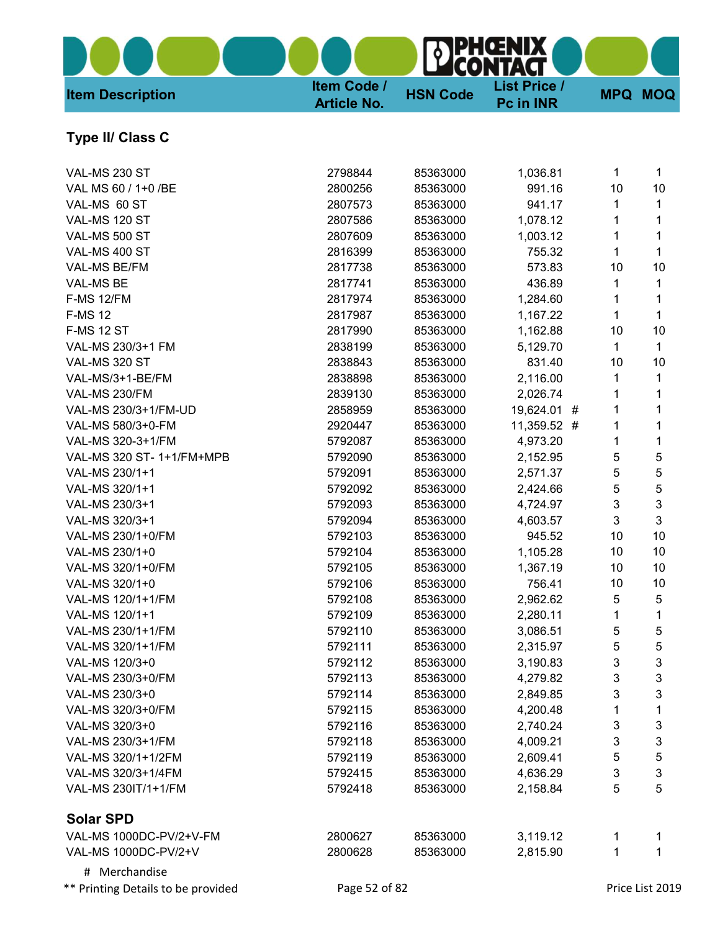| <b>Item Description</b>   | Item Code /<br><b>Article No.</b> | <b>HSN Code</b> | <b>List Price /</b><br>Pc in INR |    | <b>MPQ MOQ</b>            |
|---------------------------|-----------------------------------|-----------------|----------------------------------|----|---------------------------|
| Type II/ Class C          |                                   |                 |                                  |    |                           |
| <b>VAL-MS 230 ST</b>      | 2798844                           | 85363000        | 1,036.81                         | 1  | 1                         |
| VAL MS 60 / 1+0 /BE       | 2800256                           | 85363000        | 991.16                           | 10 | 10                        |
| VAL-MS 60 ST              | 2807573                           | 85363000        | 941.17                           | 1  | 1                         |
| VAL-MS 120 ST             | 2807586                           | 85363000        | 1,078.12                         | 1  | 1                         |
| VAL-MS 500 ST             | 2807609                           | 85363000        | 1,003.12                         | 1  | 1                         |
| VAL-MS 400 ST             | 2816399                           | 85363000        | 755.32                           | 1  | 1                         |
| <b>VAL-MS BE/FM</b>       | 2817738                           | 85363000        | 573.83                           | 10 | 10                        |
| <b>VAL-MS BE</b>          | 2817741                           | 85363000        | 436.89                           | 1  | 1                         |
| <b>F-MS 12/FM</b>         | 2817974                           | 85363000        | 1,284.60                         | 1  | 1                         |
| <b>F-MS 12</b>            | 2817987                           | 85363000        | 1,167.22                         | 1  | 1                         |
| <b>F-MS 12 ST</b>         | 2817990                           | 85363000        | 1,162.88                         | 10 | 10                        |
| VAL-MS 230/3+1 FM         | 2838199                           | 85363000        | 5,129.70                         | 1  | 1                         |
| <b>VAL-MS 320 ST</b>      | 2838843                           | 85363000        | 831.40                           | 10 | 10                        |
| VAL-MS/3+1-BE/FM          | 2838898                           | 85363000        | 2,116.00                         | 1  | 1                         |
| VAL-MS 230/FM             | 2839130                           | 85363000        | 2,026.74                         | 1  | 1                         |
| VAL-MS 230/3+1/FM-UD      | 2858959                           | 85363000        | 19,624.01 #                      | 1  | 1                         |
| VAL-MS 580/3+0-FM         | 2920447                           | 85363000        | 11,359.52 #                      | 1  | 1                         |
| VAL-MS 320-3+1/FM         | 5792087                           | 85363000        | 4,973.20                         | 1  | 1                         |
| VAL-MS 320 ST- 1+1/FM+MPB | 5792090                           | 85363000        | 2,152.95                         | 5  | 5                         |
| VAL-MS 230/1+1            | 5792091                           | 85363000        | 2,571.37                         | 5  | 5                         |
| VAL-MS 320/1+1            | 5792092                           | 85363000        | 2,424.66                         | 5  | 5                         |
| VAL-MS 230/3+1            | 5792093                           | 85363000        | 4,724.97                         | 3  | 3                         |
| VAL-MS 320/3+1            | 5792094                           | 85363000        | 4,603.57                         | 3  | 3                         |
| VAL-MS 230/1+0/FM         | 5792103                           | 85363000        | 945.52                           | 10 | 10                        |
| VAL-MS 230/1+0            | 5792104                           | 85363000        | 1,105.28                         | 10 | 10                        |
| VAL-MS 320/1+0/FM         | 5792105                           | 85363000        | 1,367.19                         | 10 | 10                        |
| VAL-MS 320/1+0            | 5792106                           | 85363000        | 756.41                           | 10 | 10                        |
| VAL-MS 120/1+1/FM         | 5792108                           | 85363000        | 2,962.62                         | 5  | 5                         |
| VAL-MS 120/1+1            | 5792109                           | 85363000        | 2,280.11                         | 1  | 1                         |
| VAL-MS 230/1+1/FM         | 5792110                           | 85363000        | 3,086.51                         | 5  | 5                         |
| VAL-MS 320/1+1/FM         | 5792111                           | 85363000        | 2,315.97                         | 5  | 5                         |
| VAL-MS 120/3+0            | 5792112                           | 85363000        | 3,190.83                         | 3  | $\ensuremath{\mathsf{3}}$ |
| VAL-MS 230/3+0/FM         | 5792113                           | 85363000        | 4,279.82                         | 3  | 3                         |
| VAL-MS 230/3+0            | 5792114                           | 85363000        | 2,849.85                         | 3  | 3                         |
| VAL-MS 320/3+0/FM         | 5792115                           | 85363000        | 4,200.48                         | 1  | 1                         |
| VAL-MS 320/3+0            | 5792116                           | 85363000        | 2,740.24                         | 3  | $\sqrt{3}$                |
| VAL-MS 230/3+1/FM         | 5792118                           | 85363000        | 4,009.21                         | 3  | $\mathbf 3$               |
| VAL-MS 320/1+1/2FM        | 5792119                           | 85363000        | 2,609.41                         | 5  | $\sqrt{5}$                |
| VAL-MS 320/3+1/4FM        | 5792415                           | 85363000        | 4,636.29                         | 3  | $\sqrt{3}$                |
| VAL-MS 230IT/1+1/FM       | 5792418                           | 85363000        | 2,158.84                         | 5  | 5                         |
| <b>Solar SPD</b>          |                                   |                 |                                  |    |                           |
| VAL-MS 1000DC-PV/2+V-FM   | 2800627                           | 85363000        | 3,119.12                         | 1  | 1                         |
| VAL-MS 1000DC-PV/2+V      | 2800628                           | 85363000        | 2,815.90                         | 1  | 1                         |
| # Merchandise             |                                   |                 |                                  |    |                           |

\*\* Printing Details to be provided **Page 52 of 82** Price List 2019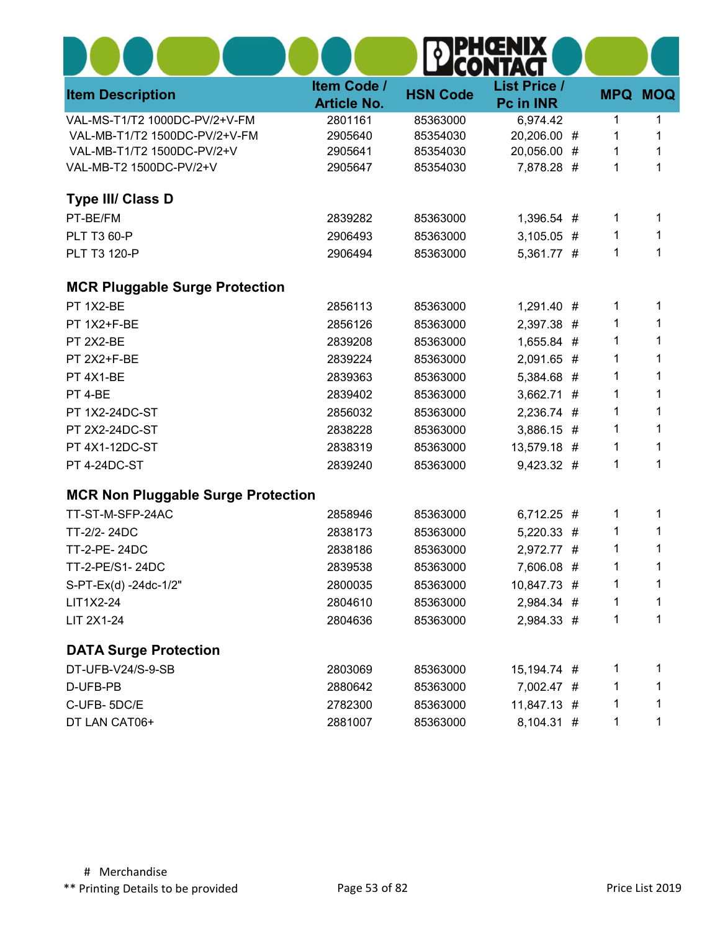| <b>Item Description</b>                   | Item Code /<br><b>Article No.</b> | <b>HSN Code</b> | <b>List Price /</b><br>Pc in INR |   | <b>MPQ</b> | <b>MOQ</b> |
|-------------------------------------------|-----------------------------------|-----------------|----------------------------------|---|------------|------------|
| VAL-MS-T1/T2 1000DC-PV/2+V-FM             | 2801161                           | 85363000        | 6,974.42                         |   | 1          | 1          |
| VAL-MB-T1/T2 1500DC-PV/2+V-FM             | 2905640                           | 85354030        | 20,206.00                        | # | 1          | 1          |
| VAL-MB-T1/T2 1500DC-PV/2+V                | 2905641                           | 85354030        | 20,056.00 #                      |   | 1          | 1          |
| VAL-MB-T2 1500DC-PV/2+V                   | 2905647                           | 85354030        | 7,878.28 #                       |   | 1          | 1          |
| <b>Type III/ Class D</b>                  |                                   |                 |                                  |   |            |            |
| PT-BE/FM                                  | 2839282                           | 85363000        | 1,396.54 #                       |   | 1          | 1          |
| <b>PLT T3 60-P</b>                        | 2906493                           | 85363000        | $3,105.05$ #                     |   | 1          | 1          |
| <b>PLT T3 120-P</b>                       | 2906494                           | 85363000        | 5,361.77 #                       |   | 1          | 1          |
| <b>MCR Pluggable Surge Protection</b>     |                                   |                 |                                  |   |            |            |
| PT 1X2-BE                                 | 2856113                           | 85363000        | 1,291.40 #                       |   | 1          | 1          |
| PT 1X2+F-BE                               | 2856126                           | 85363000        | 2,397.38 #                       |   | 1          | 1          |
| PT 2X2-BE                                 | 2839208                           | 85363000        | 1,655.84 #                       |   | 1          | 1          |
| PT 2X2+F-BE                               | 2839224                           | 85363000        | 2,091.65 #                       |   | 1          | 1          |
| PT 4X1-BE                                 | 2839363                           | 85363000        | 5,384.68 #                       |   | 1          | 1          |
| PT 4-BE                                   | 2839402                           | 85363000        | 3,662.71 #                       |   | 1          | 1          |
| PT 1X2-24DC-ST                            | 2856032                           | 85363000        | 2,236.74 #                       |   | 1          | 1          |
| PT 2X2-24DC-ST                            | 2838228                           | 85363000        | 3,886.15 #                       |   | 1          | 1          |
| PT 4X1-12DC-ST                            | 2838319                           | 85363000        | 13,579.18 #                      |   | 1          | 1          |
| PT 4-24DC-ST                              | 2839240                           | 85363000        | 9,423.32 #                       |   | 1          | 1          |
| <b>MCR Non Pluggable Surge Protection</b> |                                   |                 |                                  |   |            |            |
| TT-ST-M-SFP-24AC                          | 2858946                           | 85363000        | 6,712.25 #                       |   | 1          | 1          |
| TT-2/2-24DC                               | 2838173                           | 85363000        | $5,220.33$ #                     |   | 1          | 1          |
| TT-2-PE-24DC                              | 2838186                           | 85363000        | 2,972.77 #                       |   | 1          | 1          |
| TT-2-PE/S1- 24DC                          | 2839538                           | 85363000        | 7,606.08 #                       |   | 1          |            |
| S-PT-Ex(d) -24dc-1/2"                     | 2800035                           | 85363000        | 10,847.73 #                      |   | 1          | 1          |
| LIT1X2-24                                 | 2804610                           | 85363000        | 2,984.34 #                       |   | 1          | 1          |
| LIT 2X1-24                                | 2804636                           | 85363000        | 2,984.33 #                       |   | 1          | 1          |
| <b>DATA Surge Protection</b>              |                                   |                 |                                  |   |            |            |
| DT-UFB-V24/S-9-SB                         | 2803069                           | 85363000        | 15,194.74 #                      |   | 1          | 1          |
| D-UFB-PB                                  | 2880642                           | 85363000        | 7,002.47 #                       |   | 1          | 1          |
| C-UFB-5DC/E                               | 2782300                           | 85363000        | 11,847.13 #                      |   | 1          | 1          |
| DT LAN CAT06+                             | 2881007                           | 85363000        | 8,104.31 #                       |   | 1          | 1          |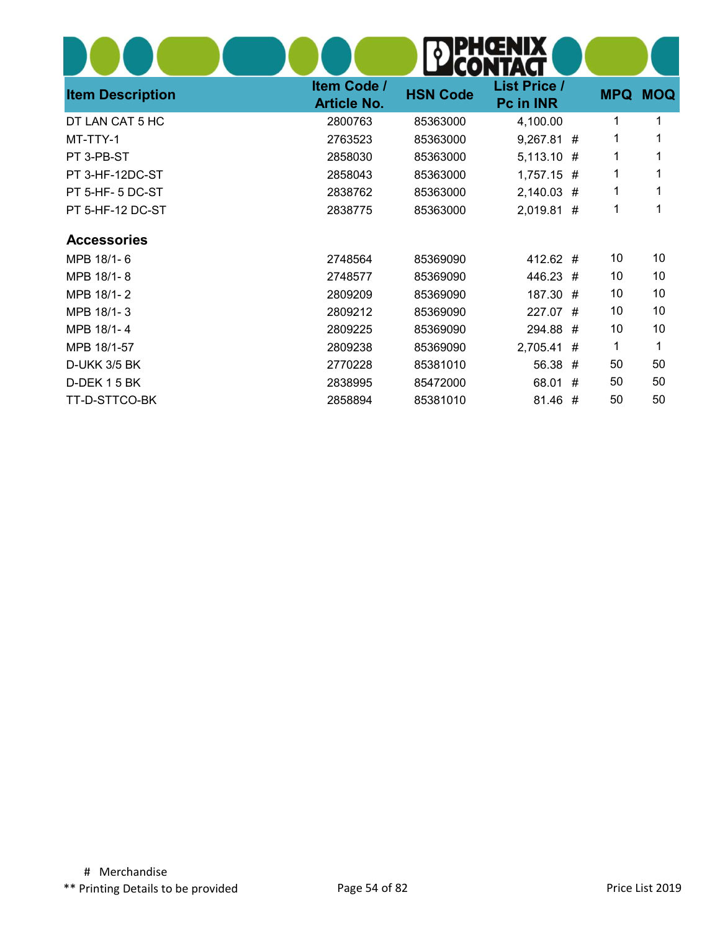| <b>Item Description</b> | Item Code /<br><b>Article No.</b> | <b>HSN Code</b> | <b>List Price /</b><br>Pc in INR |   | <b>MPQ</b> | <b>MOQ</b>      |
|-------------------------|-----------------------------------|-----------------|----------------------------------|---|------------|-----------------|
| DT LAN CAT 5 HC         | 2800763                           | 85363000        | 4,100.00                         |   | 1          | 1               |
| MT-TTY-1                | 2763523                           | 85363000        | 9,267.81 #                       |   | 1          |                 |
| PT 3-PB-ST              | 2858030                           | 85363000        | $5,113.10$ #                     |   | 1          |                 |
| PT 3-HF-12DC-ST         | 2858043                           | 85363000        | $1,757.15$ #                     |   | 1          |                 |
| PT 5-HF-5 DC-ST         | 2838762                           | 85363000        | $2,140.03$ #                     |   | 1          |                 |
| PT 5-HF-12 DC-ST        | 2838775                           | 85363000        | 2,019.81 #                       |   | 1          | 1               |
| <b>Accessories</b>      |                                   |                 |                                  |   |            |                 |
| MPB 18/1-6              | 2748564                           | 85369090        | 412.62 #                         |   | 10         | 10 <sup>°</sup> |
| MPB 18/1-8              | 2748577                           | 85369090        | 446.23 #                         |   | 10         | 10              |
| MPB 18/1-2              | 2809209                           | 85369090        | 187.30                           | # | 10         | 10              |
| MPB 18/1-3              | 2809212                           | 85369090        | 227.07 #                         |   | 10         | 10              |
| MPB 18/1-4              | 2809225                           | 85369090        | 294.88 #                         |   | 10         | 10              |
| MPB 18/1-57             | 2809238                           | 85369090        | 2,705.41                         | # | 1          | 1               |
| D-UKK 3/5 BK            | 2770228                           | 85381010        | 56.38                            | # | 50         | 50              |
| D-DEK 15 BK             | 2838995                           | 85472000        | 68.01                            | # | 50         | 50              |
| TT-D-STTCO-BK           | 2858894                           | 85381010        | 81.46 #                          |   | 50         | 50              |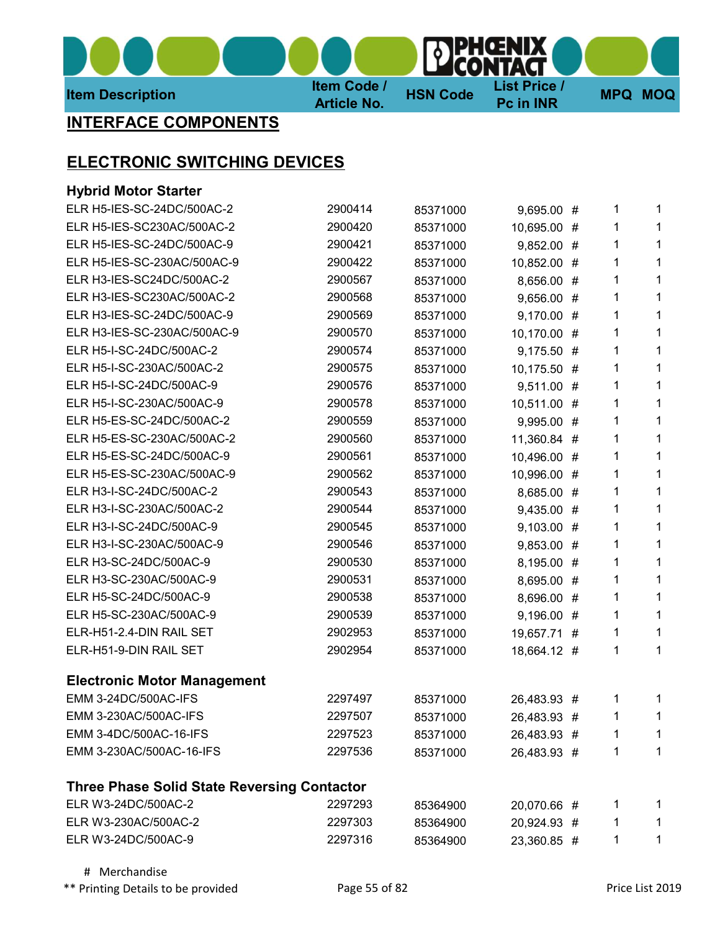

#### INTERFACE COMPONENTS

## ELECTRONIC SWITCHING DEVICES

| <b>Hybrid Motor Starter</b>                        |         |          |              |   |   |   |
|----------------------------------------------------|---------|----------|--------------|---|---|---|
| ELR H5-IES-SC-24DC/500AC-2                         | 2900414 | 85371000 | 9,695.00 #   |   | 1 | 1 |
| ELR H5-IES-SC230AC/500AC-2                         | 2900420 | 85371000 | 10,695.00 #  |   | 1 | 1 |
| ELR H5-IES-SC-24DC/500AC-9                         | 2900421 | 85371000 | 9,852.00 #   |   | 1 | 1 |
| ELR H5-IES-SC-230AC/500AC-9                        | 2900422 | 85371000 | 10,852.00    | # | 1 | 1 |
| ELR H3-IES-SC24DC/500AC-2                          | 2900567 | 85371000 | 8,656.00     | # | 1 | 1 |
| ELR H3-IES-SC230AC/500AC-2                         | 2900568 | 85371000 | 9,656.00 #   |   | 1 | 1 |
| ELR H3-IES-SC-24DC/500AC-9                         | 2900569 | 85371000 | 9,170.00 #   |   | 1 | 1 |
| ELR H3-IES-SC-230AC/500AC-9                        | 2900570 | 85371000 | 10,170.00    | # | 1 | 1 |
| ELR H5-I-SC-24DC/500AC-2                           | 2900574 | 85371000 | 9,175.50 #   |   | 1 | 1 |
| ELR H5-I-SC-230AC/500AC-2                          | 2900575 | 85371000 | 10,175.50 #  |   | 1 | 1 |
| ELR H5-I-SC-24DC/500AC-9                           | 2900576 | 85371000 | 9,511.00 #   |   | 1 | 1 |
| ELR H5-I-SC-230AC/500AC-9                          | 2900578 | 85371000 | 10,511.00 #  |   | 1 | 1 |
| ELR H5-ES-SC-24DC/500AC-2                          | 2900559 | 85371000 | 9,995.00 #   |   | 1 | 1 |
| ELR H5-ES-SC-230AC/500AC-2                         | 2900560 | 85371000 | 11,360.84 #  |   | 1 | 1 |
| ELR H5-ES-SC-24DC/500AC-9                          | 2900561 | 85371000 | 10,496.00 #  |   | 1 | 1 |
| ELR H5-ES-SC-230AC/500AC-9                         | 2900562 | 85371000 | 10,996.00    | # | 1 | 1 |
| ELR H3-I-SC-24DC/500AC-2                           | 2900543 | 85371000 | 8,685.00 #   |   | 1 | 1 |
| ELR H3-I-SC-230AC/500AC-2                          | 2900544 | 85371000 | 9,435.00 #   |   | 1 | 1 |
| ELR H3-I-SC-24DC/500AC-9                           | 2900545 | 85371000 | $9,103.00$ # |   | 1 | 1 |
| ELR H3-I-SC-230AC/500AC-9                          | 2900546 | 85371000 | 9,853.00     | # | 1 | 1 |
| ELR H3-SC-24DC/500AC-9                             | 2900530 | 85371000 | 8,195.00 #   |   | 1 | 1 |
| ELR H3-SC-230AC/500AC-9                            | 2900531 | 85371000 | 8,695.00 #   |   | 1 | 1 |
| ELR H5-SC-24DC/500AC-9                             | 2900538 | 85371000 | 8,696.00 #   |   | 1 | 1 |
| ELR H5-SC-230AC/500AC-9                            | 2900539 | 85371000 | 9,196.00     | # | 1 | 1 |
| ELR-H51-2.4-DIN RAIL SET                           | 2902953 | 85371000 | 19,657.71    | # | 1 | 1 |
| ELR-H51-9-DIN RAIL SET                             | 2902954 | 85371000 | 18,664.12 #  |   | 1 | 1 |
| <b>Electronic Motor Management</b>                 |         |          |              |   |   |   |
| EMM 3-24DC/500AC-IFS                               | 2297497 | 85371000 | 26,483.93 #  |   | 1 | 1 |
| EMM 3-230AC/500AC-IFS                              | 2297507 | 85371000 | 26,483.93 #  |   | 1 | 1 |
| EMM 3-4DC/500AC-16-IFS                             | 2297523 | 85371000 | 26,483.93 #  |   | 1 | 1 |
| EMM 3-230AC/500AC-16-IFS                           | 2297536 | 85371000 | 26,483.93 #  |   | 1 | 1 |
| <b>Three Phase Solid State Reversing Contactor</b> |         |          |              |   |   |   |
| ELR W3-24DC/500AC-2                                | 2297293 | 85364900 | 20,070.66 #  |   | 1 | 1 |
| ELR W3-230AC/500AC-2                               | 2297303 | 85364900 | 20,924.93 #  |   | 1 | 1 |
| ELR W3-24DC/500AC-9                                | 2297316 | 85364900 | 23,360.85 #  |   | 1 | 1 |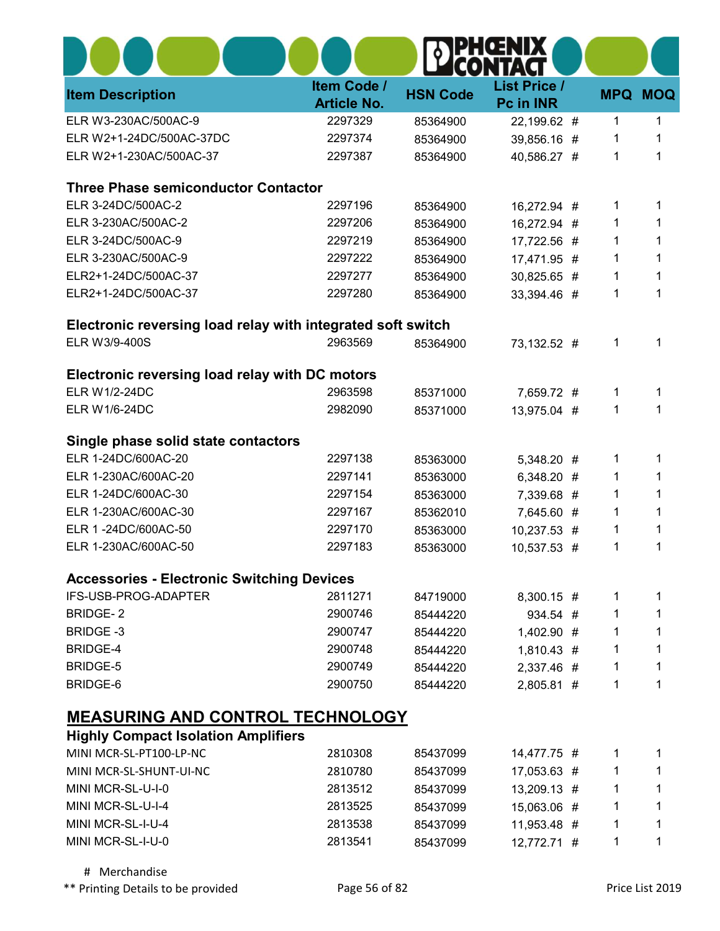| <b>Item Description</b>                                     | Item Code /<br><b>Article No.</b> | <b>HSN Code</b> | <b>List Price /</b><br>Pc in INR | <b>MPQ</b> | <b>MOQ</b> |
|-------------------------------------------------------------|-----------------------------------|-----------------|----------------------------------|------------|------------|
| ELR W3-230AC/500AC-9                                        | 2297329                           | 85364900        | 22,199.62 #                      | 1          | 1          |
| ELR W2+1-24DC/500AC-37DC                                    | 2297374                           | 85364900        | 39,856.16 #                      | 1          | 1          |
| ELR W2+1-230AC/500AC-37                                     | 2297387                           | 85364900        | 40,586.27 #                      | 1          |            |
| <b>Three Phase semiconductor Contactor</b>                  |                                   |                 |                                  |            |            |
| ELR 3-24DC/500AC-2                                          | 2297196                           | 85364900        | 16,272.94 #                      | 1          | 1          |
| ELR 3-230AC/500AC-2                                         | 2297206                           | 85364900        | 16,272.94 #                      | 1          |            |
| ELR 3-24DC/500AC-9                                          | 2297219                           | 85364900        | 17,722.56 #                      | 1          |            |
| ELR 3-230AC/500AC-9                                         | 2297222                           | 85364900        | 17,471.95 #                      | 1          |            |
| ELR2+1-24DC/500AC-37                                        | 2297277                           | 85364900        | 30,825.65 #                      | 1          |            |
| ELR2+1-24DC/500AC-37                                        | 2297280                           | 85364900        | 33,394.46 #                      | 1          | 1          |
| Electronic reversing load relay with integrated soft switch |                                   |                 |                                  |            |            |
| ELR W3/9-400S                                               | 2963569                           | 85364900        | 73,132.52 #                      | 1          | 1          |
| Electronic reversing load relay with DC motors              |                                   |                 |                                  |            |            |
| <b>ELR W1/2-24DC</b>                                        | 2963598                           | 85371000        | 7,659.72 #                       | 1          | 1          |
| <b>ELR W1/6-24DC</b>                                        | 2982090                           | 85371000        | 13,975.04 #                      | 1          | 1          |
| Single phase solid state contactors                         |                                   |                 |                                  |            |            |
| ELR 1-24DC/600AC-20                                         | 2297138                           | 85363000        | 5,348.20 #                       | 1          |            |
| ELR 1-230AC/600AC-20                                        | 2297141                           | 85363000        | 6,348.20 #                       | 1          | 1          |
| ELR 1-24DC/600AC-30                                         | 2297154                           | 85363000        | 7,339.68 #                       | 1          |            |
| ELR 1-230AC/600AC-30                                        | 2297167                           | 85362010        | 7,645.60 #                       | 1          |            |
| ELR 1-24DC/600AC-50                                         | 2297170                           | 85363000        | 10,237.53 #                      | 1          |            |
| ELR 1-230AC/600AC-50                                        | 2297183                           | 85363000        | 10,537.53 #                      | 1          |            |
| <b>Accessories - Electronic Switching Devices</b>           |                                   |                 |                                  |            |            |
| IFS-USB-PROG-ADAPTER                                        | 2811271                           | 84719000        | 8,300.15 #                       | 1          | 1          |
| <b>BRIDGE-2</b>                                             | 2900746                           | 85444220        | 934.54 #                         | 1          | 1          |
| <b>BRIDGE-3</b>                                             | 2900747                           | 85444220        | 1,402.90 #                       | 1          | 1          |
| <b>BRIDGE-4</b>                                             | 2900748                           | 85444220        | $1,810.43$ #                     | 1          | 1          |
| <b>BRIDGE-5</b>                                             | 2900749                           | 85444220        | 2,337.46 #                       | 1          | 1          |
| BRIDGE-6                                                    | 2900750                           | 85444220        | 2,805.81 #                       | 1          | 1          |
| <b>MEASURING AND CONTROL TECHNOLOGY</b>                     |                                   |                 |                                  |            |            |
| <b>Highly Compact Isolation Amplifiers</b>                  |                                   |                 |                                  |            |            |
| MINI MCR-SL-PT100-LP-NC                                     | 2810308                           | 85437099        | 14,477.75 #                      | 1          | 1          |
| MINI MCR-SL-SHUNT-UI-NC                                     | 2810780                           | 85437099        | 17,053.63 #                      | 1          | 1          |
| MINI MCR-SL-U-I-0                                           | 2813512                           | 85437099        | 13,209.13 #                      | 1          | 1          |
| MINI MCR-SL-U-I-4                                           | 2813525                           | 85437099        | 15,063.06 #                      | 1          | 1          |
| MINI MCR-SL-I-U-4                                           | 2813538                           | 85437099        | 11,953.48 #                      | 1          | 1          |
| MINI MCR-SL-I-U-0                                           | 2813541                           | 85437099        | 12,772.71 #                      | 1          | 1          |

\*\* Printing Details to be provided **Page 56 of 82** Printing Details to be provided **Page 56 of 82** Price List 2019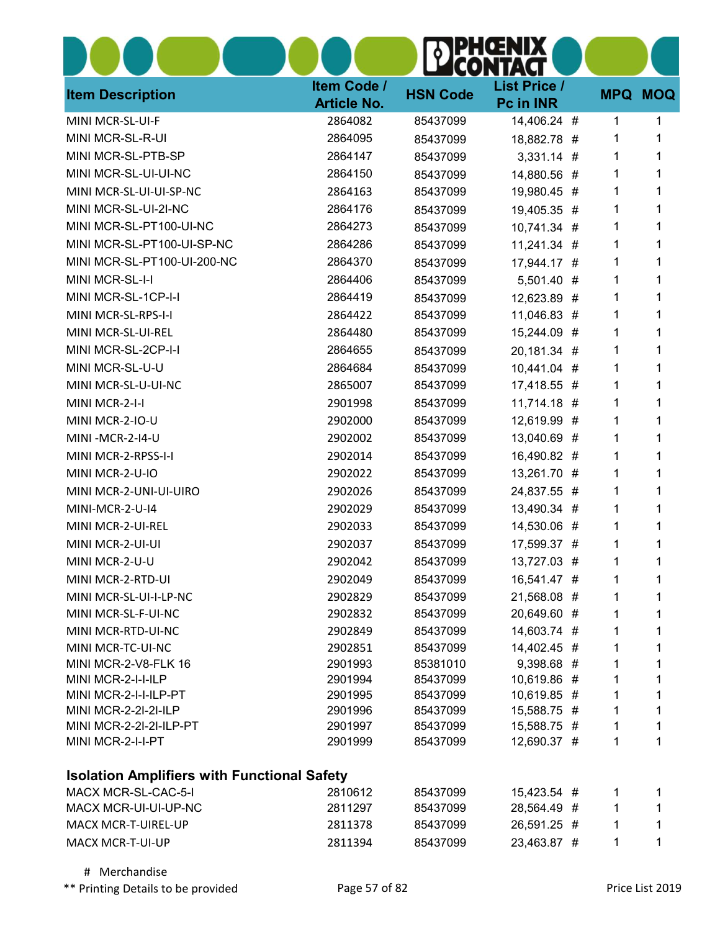|                                                    |                                   |                 | ICENIX<br>IACI                   |   |                |
|----------------------------------------------------|-----------------------------------|-----------------|----------------------------------|---|----------------|
| <b>Item Description</b>                            | Item Code /<br><b>Article No.</b> | <b>HSN Code</b> | <b>List Price /</b><br>Pc in INR |   | <b>MPQ MOQ</b> |
| MINI MCR-SL-UI-F                                   | 2864082                           | 85437099        | 14,406.24 #                      | 1 | 1              |
| MINI MCR-SL-R-UI                                   | 2864095                           | 85437099        | 18,882.78 #                      | 1 | 1              |
| MINI MCR-SL-PTB-SP                                 | 2864147                           | 85437099        | $3,331.14$ #                     | 1 |                |
| MINI MCR-SL-UI-UI-NC                               | 2864150                           | 85437099        | 14,880.56 #                      | 1 | 1              |
| MINI MCR-SL-UI-UI-SP-NC                            | 2864163                           | 85437099        | 19,980.45 #                      | 1 | 1              |
| MINI MCR-SL-UI-2I-NC                               | 2864176                           | 85437099        | 19,405.35 #                      | 1 |                |
| MINI MCR-SL-PT100-UI-NC                            | 2864273                           | 85437099        | 10,741.34 #                      | 1 | 1              |
| MINI MCR-SL-PT100-UI-SP-NC                         | 2864286                           | 85437099        | 11,241.34 #                      | 1 |                |
| MINI MCR-SL-PT100-UI-200-NC                        | 2864370                           | 85437099        | 17,944.17 #                      | 1 |                |
| <b>MINI MCR-SL-I-I</b>                             | 2864406                           | 85437099        | 5,501.40 #                       | 1 |                |
| MINI MCR-SL-1CP-I-I                                | 2864419                           | 85437099        | 12,623.89 #                      | 1 |                |
| MINI MCR-SL-RPS-I-I                                | 2864422                           | 85437099        | 11,046.83 #                      | 1 | 1              |
| MINI MCR-SL-UI-REL                                 | 2864480                           | 85437099        | 15,244.09 #                      | 1 | 1              |
| MINI MCR-SL-2CP-I-I                                | 2864655                           | 85437099        | 20,181.34 #                      | 1 |                |
| MINI MCR-SL-U-U                                    | 2864684                           | 85437099        | 10,441.04 #                      | 1 | 1              |
| MINI MCR-SL-U-UI-NC                                | 2865007                           | 85437099        | 17,418.55 #                      | 1 |                |
| MINI MCR-2-I-I                                     | 2901998                           | 85437099        | 11,714.18 #                      | 1 | 1              |
| MINI MCR-2-IO-U                                    | 2902000                           | 85437099        | 12,619.99 #                      | 1 | 1              |
| MINI-MCR-2-I4-U                                    | 2902002                           | 85437099        | 13,040.69 #                      | 1 |                |
| MINI MCR-2-RPSS-I-I                                | 2902014                           | 85437099        | 16,490.82 #                      | 1 |                |
| MINI MCR-2-U-IO                                    | 2902022                           | 85437099        | 13,261.70 #                      | 1 | 1              |
| MINI MCR-2-UNI-UI-UIRO                             | 2902026                           | 85437099        | 24,837.55 #                      | 1 |                |
| MINI-MCR-2-U-I4                                    | 2902029                           | 85437099        | 13,490.34 #                      | 1 |                |
| MINI MCR-2-UI-REL                                  | 2902033                           | 85437099        | 14,530.06 #                      | 1 | 1              |
| MINI MCR-2-UI-UI                                   | 2902037                           | 85437099        | 17,599.37 #                      | 1 |                |
| MINI MCR-2-U-U                                     | 2902042                           | 85437099        | 13,727.03 #                      | 1 |                |
| MINI MCR-2-RTD-UI                                  | 2902049                           | 85437099        | 16,541.47 #                      | 1 | 1              |
| MINI MCR-SL-UI-I-LP-NC                             | 2902829                           | 85437099        | 21,568.08 #                      | 1 | 1              |
| MINI MCR-SL-F-UI-NC                                | 2902832                           | 85437099        | 20,649.60 #                      | 1 | 1              |
| MINI MCR-RTD-UI-NC                                 | 2902849                           | 85437099        | 14,603.74 #                      | 1 | 1              |
| MINI MCR-TC-UI-NC                                  | 2902851                           | 85437099        | 14,402.45 #                      |   |                |
| MINI MCR-2-V8-FLK 16                               | 2901993                           | 85381010        | 9,398.68 #                       | 1 | 1              |
| MINI MCR-2-I-I-ILP                                 | 2901994                           | 85437099        | 10,619.86 #                      | 1 | 1              |
| MINI MCR-2-I-I-ILP-PT                              | 2901995                           | 85437099        | 10,619.85 #                      | 1 | 1              |
| MINI MCR-2-2I-2I-ILP                               | 2901996                           | 85437099        | 15,588.75 #                      |   |                |
| MINI MCR-2-2I-2I-ILP-PT                            | 2901997                           | 85437099        | 15,588.75 #                      | 1 | 1              |
| MINI MCR-2-I-I-PT                                  | 2901999                           | 85437099        | 12,690.37 #                      | 1 | 1              |
| <b>Isolation Amplifiers with Functional Safety</b> |                                   |                 |                                  |   |                |
| MACX MCR-SL-CAC-5-I                                | 2810612                           | 85437099        | 15,423.54 #                      | 1 | 1              |
| MACX MCR-UI-UI-UP-NC                               | 2811297                           | 85437099        | 28,564.49 #                      | 1 | 1              |
| MACX MCR-T-UIREL-UP                                | 2811378                           | 85437099        | 26,591.25 #                      | 1 | 1              |
| <b>MACX MCR-T-UI-UP</b>                            | 2811394                           | 85437099        | 23,463.87 #                      | 1 | 1              |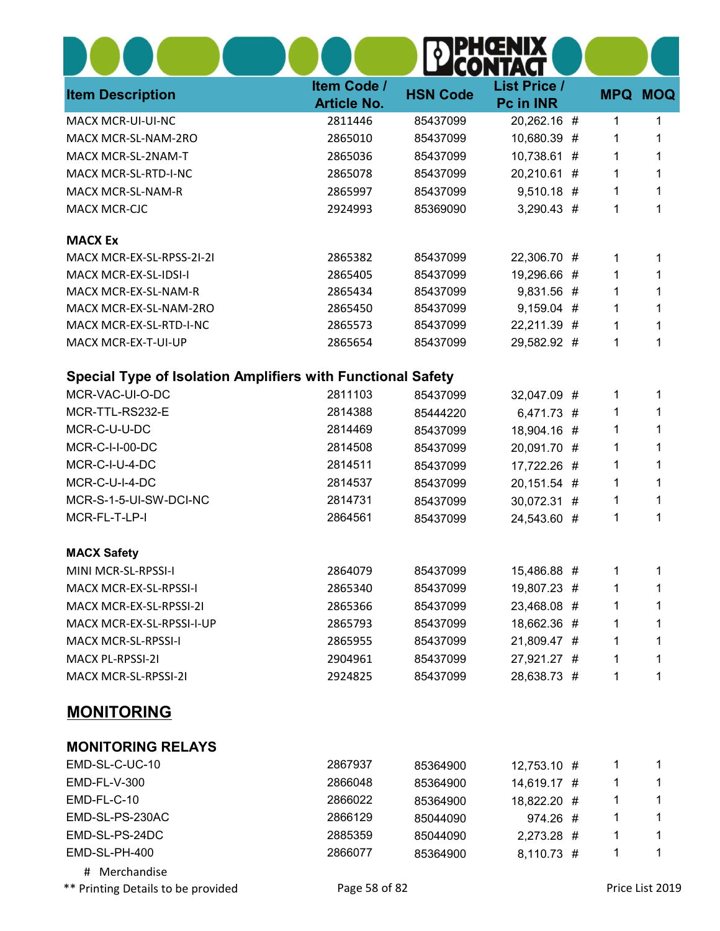| <b>Item Description</b>                                     | Item Code /<br><b>Article No.</b> | <b>HSN Code</b> | <b>List Price /</b><br>Pc in INR | <b>MPQ</b> | <b>MOQ</b> |
|-------------------------------------------------------------|-----------------------------------|-----------------|----------------------------------|------------|------------|
| MACX MCR-UI-UI-NC                                           | 2811446                           | 85437099        | 20,262.16 #                      | 1          | 1          |
| MACX MCR-SL-NAM-2RO                                         | 2865010                           | 85437099        | 10,680.39 #                      | 1          | 1          |
| <b>MACX MCR-SL-2NAM-T</b>                                   | 2865036                           | 85437099        | 10,738.61 #                      | 1          | 1          |
| MACX MCR-SL-RTD-I-NC                                        | 2865078                           | 85437099        | 20,210.61 #                      | 1          | 1          |
| MACX MCR-SL-NAM-R                                           | 2865997                           | 85437099        | $9,510.18$ #                     | 1          | 1          |
| <b>MACX MCR-CJC</b>                                         | 2924993                           | 85369090        | $3,290.43$ #                     | 1          | 1          |
| <b>MACX Ex</b>                                              |                                   |                 |                                  |            |            |
| MACX MCR-EX-SL-RPSS-2I-2I                                   | 2865382                           | 85437099        | 22,306.70 #                      | 1          | 1          |
| MACX MCR-EX-SL-IDSI-I                                       | 2865405                           | 85437099        | 19,296.66 #                      | 1          | 1          |
| MACX MCR-EX-SL-NAM-R                                        | 2865434                           | 85437099        | 9,831.56 #                       | 1          | 1          |
| MACX MCR-EX-SL-NAM-2RO                                      | 2865450                           | 85437099        | 9,159.04 #                       | 1          | 1          |
| MACX MCR-EX-SL-RTD-I-NC                                     | 2865573                           | 85437099        | 22,211.39 #                      | 1          | 1          |
| MACX MCR-EX-T-UI-UP                                         | 2865654                           | 85437099        | 29,582.92 #                      | 1          | 1          |
| Special Type of Isolation Amplifiers with Functional Safety |                                   |                 |                                  |            |            |
| MCR-VAC-UI-O-DC                                             | 2811103                           | 85437099        | 32,047.09 #                      | 1          | 1          |
| MCR-TTL-RS232-E                                             | 2814388                           | 85444220        | 6,471.73 #                       | 1          | 1          |
| MCR-C-U-U-DC                                                | 2814469                           | 85437099        | 18,904.16 #                      | 1          |            |
| MCR-C-I-I-00-DC                                             | 2814508                           | 85437099        | 20,091.70 #                      | 1          |            |
| MCR-C-I-U-4-DC                                              | 2814511                           | 85437099        | 17,722.26 #                      | 1          |            |
| MCR-C-U-I-4-DC                                              | 2814537                           | 85437099        | 20,151.54 #                      | 1          |            |
| MCR-S-1-5-UI-SW-DCI-NC                                      | 2814731                           | 85437099        | 30,072.31 #                      | 1          | 1          |
| MCR-FL-T-LP-I                                               | 2864561                           | 85437099        | 24,543.60 #                      | 1          | 1          |
| <b>MACX Safety</b>                                          |                                   |                 |                                  |            |            |
| MINI MCR-SL-RPSSI-I                                         | 2864079                           | 85437099        | 15,486.88 #                      | 1          | 1          |
| <b>MACX MCR-EX-SL-RPSSI-I</b>                               | 2865340                           | 85437099        | 19,807.23 #                      | 1          |            |
| MACX MCR-EX-SL-RPSSI-21                                     | 2865366                           | 85437099        | 23,468.08 #                      | 1          | 1          |
| MACX MCR-EX-SL-RPSSI-I-UP                                   | 2865793                           | 85437099        | 18,662.36 #                      | 1          | 1          |
| MACX MCR-SL-RPSSI-I                                         | 2865955                           | 85437099        | 21,809.47 #                      | 1          | 1          |
| <b>MACX PL-RPSSI-2I</b>                                     | 2904961                           | 85437099        | 27,921.27 #                      | 1          |            |
| MACX MCR-SL-RPSSI-21                                        | 2924825                           | 85437099        | 28,638.73 #                      | 1          | 1          |
| <b>MONITORING</b>                                           |                                   |                 |                                  |            |            |
| <b>MONITORING RELAYS</b>                                    |                                   |                 |                                  |            |            |
| EMD-SL-C-UC-10                                              | 2867937                           | 85364900        | 12,753.10 #                      | 1          | 1          |
| EMD-FL-V-300                                                | 2866048                           | 85364900        | 14,619.17 #                      | 1          | 1          |
| EMD-FL-C-10                                                 | 2866022                           | 85364900        | 18,822.20 #                      | 1          | 1          |
| EMD-SL-PS-230AC                                             | 2866129                           | 85044090        | 974.26 #                         | 1          | 1          |
| EMD-SL-PS-24DC                                              | 2885359                           | 85044090        | 2,273.28 #                       | 1          | 1          |
| EMD-SL-PH-400                                               | 2866077                           | 85364900        | 8,110.73 #                       | 1          | 1          |
| # Merchandise                                               |                                   |                 |                                  |            |            |

\*\* Printing Details to be provided **Page 58 of 82** Printing Details to be provided **Page 58 of 82** Price List 2019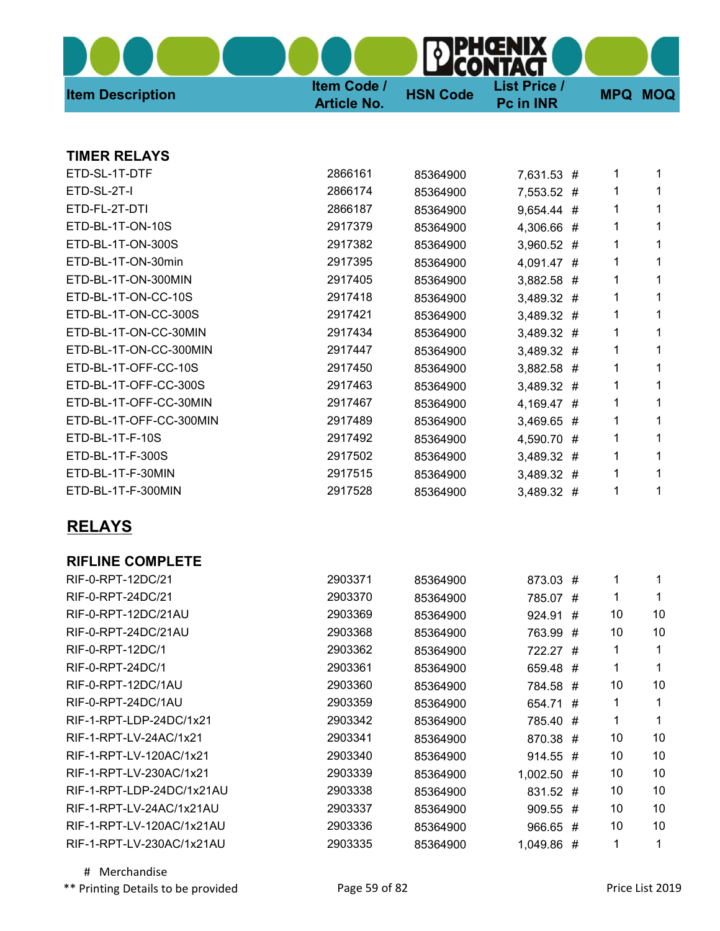| <b>Item Description</b>   | Item Code /<br><b>Article No.</b> | <b>HSN Code</b> | <b>List Price /</b><br>Pc in INR |    | <b>MPQ MOQ</b> |
|---------------------------|-----------------------------------|-----------------|----------------------------------|----|----------------|
|                           |                                   |                 |                                  |    |                |
| <b>TIMER RELAYS</b>       |                                   |                 |                                  |    |                |
| ETD-SL-1T-DTF             | 2866161                           | 85364900        | 7,631.53 #                       | 1  | 1              |
| ETD-SL-2T-I               | 2866174                           | 85364900        | 7,553.52 #                       | 1  | 1              |
| ETD-FL-2T-DTI             | 2866187                           | 85364900        | 9,654.44 #                       | 1  | 1              |
| ETD-BL-1T-ON-10S          | 2917379                           | 85364900        | 4,306.66 #                       | 1  | 1              |
| ETD-BL-1T-ON-300S         | 2917382                           | 85364900        | 3,960.52 #                       | 1  | 1              |
| ETD-BL-1T-ON-30min        | 2917395                           | 85364900        | 4,091.47 #                       | 1  | 1              |
| ETD-BL-1T-ON-300MIN       | 2917405                           | 85364900        | 3,882.58 #                       | 1  | 1              |
| ETD-BL-1T-ON-CC-10S       | 2917418                           | 85364900        | 3,489.32 #                       | 1  | 1              |
| ETD-BL-1T-ON-CC-300S      | 2917421                           | 85364900        | 3,489.32 #                       | 1  | 1              |
| ETD-BL-1T-ON-CC-30MIN     | 2917434                           | 85364900        | 3,489.32 #                       | 1  | 1              |
| ETD-BL-1T-ON-CC-300MIN    | 2917447                           | 85364900        | 3,489.32 #                       | 1  | 1              |
| ETD-BL-1T-OFF-CC-10S      | 2917450                           | 85364900        | 3,882.58 #                       | 1  | 1              |
| ETD-BL-1T-OFF-CC-300S     | 2917463                           | 85364900        | 3,489.32 #                       | 1  | 1              |
| ETD-BL-1T-OFF-CC-30MIN    | 2917467                           | 85364900        | 4,169.47 #                       | 1  | 1              |
| ETD-BL-1T-OFF-CC-300MIN   | 2917489                           | 85364900        | 3,469.65 #                       | 1  | 1              |
| ETD-BL-1T-F-10S           | 2917492                           | 85364900        | 4,590.70 #                       | 1  | 1              |
| ETD-BL-1T-F-300S          | 2917502                           | 85364900        | 3,489.32 #                       | 1  | 1              |
| ETD-BL-1T-F-30MIN         | 2917515                           | 85364900        | 3,489.32 #                       | 1  | 1              |
| ETD-BL-1T-F-300MIN        | 2917528                           | 85364900        | 3,489.32 #                       | 1  | 1              |
| <b>RELAYS</b>             |                                   |                 |                                  |    |                |
| <b>RIFLINE COMPLETE</b>   |                                   |                 |                                  |    |                |
| RIF-0-RPT-12DC/21         | 2903371                           | 85364900        | 873.03 #                         | 1  | 1              |
| RIF-0-RPT-24DC/21         | 2903370                           | 85364900        | 785.07 #                         | 1  | 1              |
| RIF-0-RPT-12DC/21AU       | 2903369                           | 85364900        | 924.91 #                         | 10 | 10             |
| RIF-0-RPT-24DC/21AU       | 2903368                           | 85364900        | 763.99 #                         | 10 | 10             |
| RIF-0-RPT-12DC/1          | 2903362                           | 85364900        | 722.27 #                         | 1  | 1              |
| RIF-0-RPT-24DC/1          | 2903361                           | 85364900        | 659.48 #                         | 1  | 1              |
| RIF-0-RPT-12DC/1AU        | 2903360                           | 85364900        | 784.58 #                         | 10 | 10             |
| RIF-0-RPT-24DC/1AU        | 2903359                           | 85364900        | 654.71 #                         | 1  | 1              |
| RIF-1-RPT-LDP-24DC/1x21   | 2903342                           | 85364900        | 785.40 #                         | 1  | 1              |
| RIF-1-RPT-LV-24AC/1x21    | 2903341                           | 85364900        | 870.38 #                         | 10 | 10             |
| RIF-1-RPT-LV-120AC/1x21   | 2903340                           | 85364900        | 914.55 #                         | 10 | 10             |
| RIF-1-RPT-LV-230AC/1x21   | 2903339                           | 85364900        | 1,002.50 #                       | 10 | 10             |
| RIF-1-RPT-LDP-24DC/1x21AU | 2903338                           | 85364900        | 831.52 #                         | 10 | 10             |
| RIF-1-RPT-LV-24AC/1x21AU  | 2903337                           | 85364900        | 909.55 #                         | 10 | 10             |
| RIF-1-RPT-LV-120AC/1x21AU | 2903336                           | 85364900        | 966.65 #                         | 10 | 10             |
| RIF-1-RPT-LV-230AC/1x21AU | 2903335                           | 85364900        | 1,049.86 #                       | 1  | 1              |

 # Merchandise \*\* Printing Details to be provided **Page 59 of 82** Printing Details to be provided **Page 59 of 82** Price List 2019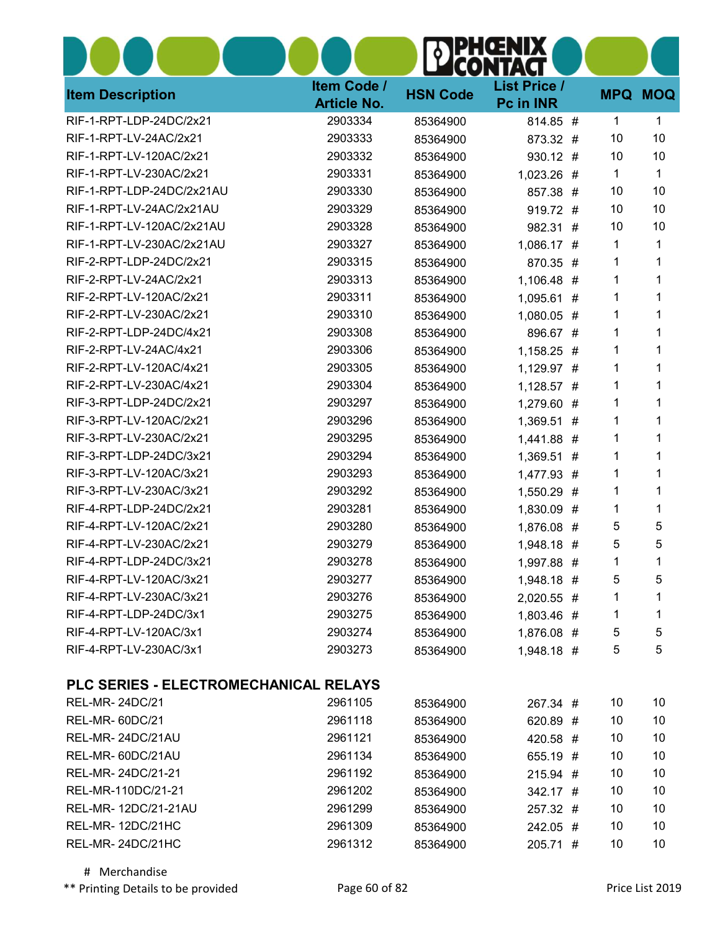|                                       |                                   |                 | HOENIX                           |    |                |
|---------------------------------------|-----------------------------------|-----------------|----------------------------------|----|----------------|
| <b>Item Description</b>               | Item Code /<br><b>Article No.</b> | <b>HSN Code</b> | <b>List Price /</b><br>Pc in INR |    | <b>MPQ MOQ</b> |
| RIF-1-RPT-LDP-24DC/2x21               | 2903334                           | 85364900        | 814.85 #                         | 1  | 1              |
| RIF-1-RPT-LV-24AC/2x21                | 2903333                           | 85364900        | 873.32 #                         | 10 | 10             |
| RIF-1-RPT-LV-120AC/2x21               | 2903332                           | 85364900        | 930.12 #                         | 10 | 10             |
| RIF-1-RPT-LV-230AC/2x21               | 2903331                           | 85364900        | 1,023.26 #                       | 1  | 1              |
| RIF-1-RPT-LDP-24DC/2x21AU             | 2903330                           | 85364900        | 857.38 #                         | 10 | 10             |
| RIF-1-RPT-LV-24AC/2x21AU              | 2903329                           | 85364900        | 919.72 #                         | 10 | 10             |
| RIF-1-RPT-LV-120AC/2x21AU             | 2903328                           | 85364900        | 982.31 #                         | 10 | 10             |
| RIF-1-RPT-LV-230AC/2x21AU             | 2903327                           | 85364900        | 1,086.17 #                       | 1  | 1              |
| RIF-2-RPT-LDP-24DC/2x21               | 2903315                           | 85364900        | 870.35 #                         | 1  | 1              |
| RIF-2-RPT-LV-24AC/2x21                | 2903313                           | 85364900        | 1,106.48 #                       | 1  |                |
| RIF-2-RPT-LV-120AC/2x21               | 2903311                           | 85364900        | 1,095.61 #                       | 1  |                |
| RIF-2-RPT-LV-230AC/2x21               | 2903310                           | 85364900        | 1,080.05 #                       | 1  |                |
| RIF-2-RPT-LDP-24DC/4x21               | 2903308                           | 85364900        | 896.67 #                         | 1  |                |
| RIF-2-RPT-LV-24AC/4x21                | 2903306                           | 85364900        | 1,158.25 #                       | 1  |                |
| RIF-2-RPT-LV-120AC/4x21               | 2903305                           | 85364900        | 1,129.97 #                       | 1  |                |
| RIF-2-RPT-LV-230AC/4x21               | 2903304                           | 85364900        | 1,128.57 #                       | 1  |                |
| RIF-3-RPT-LDP-24DC/2x21               | 2903297                           | 85364900        | 1,279.60 #                       | 1  |                |
| RIF-3-RPT-LV-120AC/2x21               | 2903296                           | 85364900        | 1,369.51 #                       | 1  |                |
| RIF-3-RPT-LV-230AC/2x21               | 2903295                           | 85364900        | 1,441.88 #                       | 1  |                |
| RIF-3-RPT-LDP-24DC/3x21               | 2903294                           | 85364900        | 1,369.51 #                       | 1  |                |
| RIF-3-RPT-LV-120AC/3x21               | 2903293                           | 85364900        | 1,477.93 #                       | 1  |                |
| RIF-3-RPT-LV-230AC/3x21               | 2903292                           | 85364900        | 1,550.29 #                       | 1  | 1              |
| RIF-4-RPT-LDP-24DC/2x21               | 2903281                           | 85364900        | 1,830.09 #                       | 1  | 1              |
| RIF-4-RPT-LV-120AC/2x21               | 2903280                           | 85364900        | 1,876.08 #                       | 5  | 5              |
| RIF-4-RPT-LV-230AC/2x21               | 2903279                           | 85364900        | 1,948.18 #                       | 5  | 5              |
| $RIF-4-RPT-LDP-24DC/3x21$             | 2903278                           | 85364900        | 1,997.88 #                       | 1  | 1              |
| RIF-4-RPT-LV-120AC/3x21               | 2903277                           | 85364900        | 1,948.18 #                       | 5  | 5              |
| RIF-4-RPT-LV-230AC/3x21               | 2903276                           | 85364900        | 2,020.55 #                       | 1  | 1              |
| RIF-4-RPT-LDP-24DC/3x1                | 2903275                           | 85364900        | 1,803.46 #                       | 1  | 1              |
| RIF-4-RPT-LV-120AC/3x1                | 2903274                           | 85364900        | 1,876.08 #                       | 5  | 5              |
| RIF-4-RPT-LV-230AC/3x1                | 2903273                           | 85364900        | 1,948.18 #                       | 5  | 5              |
| PLC SERIES - ELECTROMECHANICAL RELAYS |                                   |                 |                                  |    |                |
| <b>REL-MR-24DC/21</b>                 | 2961105                           | 85364900        | 267.34 #                         | 10 | 10             |
| <b>REL-MR- 60DC/21</b>                | 2961118                           | 85364900        | 620.89 #                         | 10 | 10             |
| REL-MR-24DC/21AU                      | 2961121                           | 85364900        | 420.58 #                         | 10 | 10             |
| REL-MR- 60DC/21AU                     | 2961134                           | 85364900        | 655.19 #                         | 10 | 10             |
| REL-MR-24DC/21-21                     | 2961192                           | 85364900        | 215.94 #                         | 10 | 10             |
| REL-MR-110DC/21-21                    | 2961202                           | 85364900        | 342.17 #                         | 10 | 10             |
| REL-MR- 12DC/21-21AU                  | 2961299                           | 85364900        | 257.32 #                         | 10 | 10             |
| REL-MR-12DC/21HC                      | 2961309                           | 85364900        | 242.05 #                         | 10 | 10             |
| REL-MR-24DC/21HC                      | 2961312                           | 85364900        | 205.71 #                         | 10 | 10             |

\*\* Printing Details to be provided **Page 60 of 82** Printing Details to be provided **Page 60 of 82** Price List 2019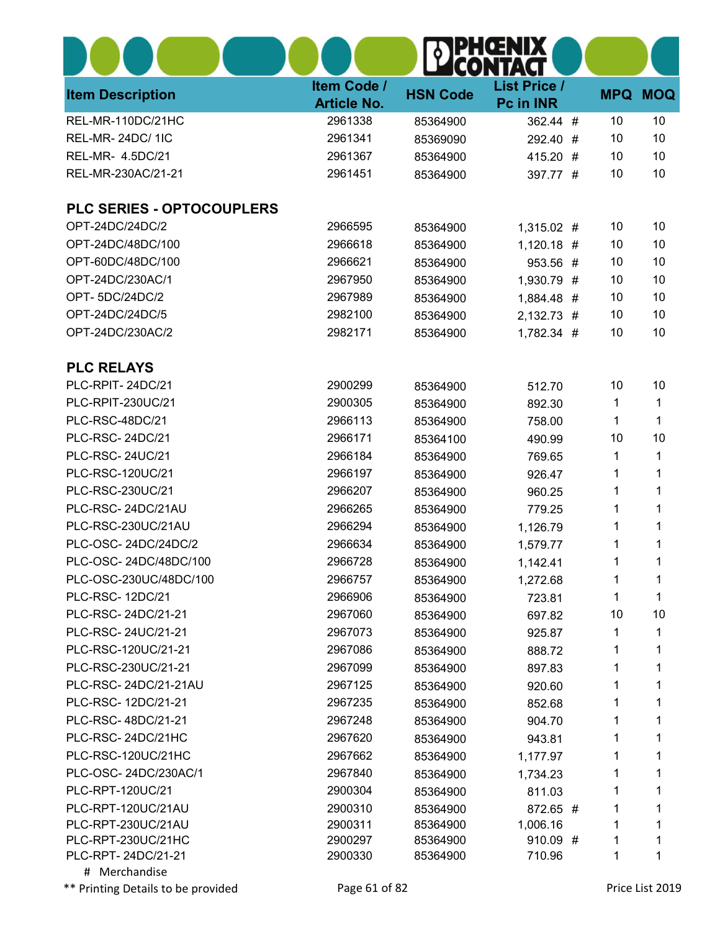|                                                     |                    | $\bullet$       |                     |    |                 |
|-----------------------------------------------------|--------------------|-----------------|---------------------|----|-----------------|
|                                                     | Item Code /        | <b>HSN Code</b> | <b>List Price /</b> |    |                 |
| <b>Item Description</b>                             | <b>Article No.</b> |                 | Pc in INR           |    | <b>MPQ MOQ</b>  |
| REL-MR-110DC/21HC                                   | 2961338            | 85364900        | 362.44 #            | 10 | 10              |
| <b>REL-MR-24DC/1IC</b>                              | 2961341            | 85369090        | 292.40 #            | 10 | 10              |
| REL-MR- 4.5DC/21                                    | 2961367            | 85364900        | 415.20 #            | 10 | 10              |
| REL-MR-230AC/21-21                                  | 2961451            | 85364900        | 397.77 #            | 10 | 10              |
| <b>PLC SERIES - OPTOCOUPLERS</b>                    |                    |                 |                     |    |                 |
| OPT-24DC/24DC/2                                     | 2966595            | 85364900        | 1,315.02 #          | 10 | 10              |
| OPT-24DC/48DC/100                                   | 2966618            | 85364900        | $1,120.18$ #        | 10 | 10              |
| OPT-60DC/48DC/100                                   | 2966621            | 85364900        | 953.56 #            | 10 | 10              |
| OPT-24DC/230AC/1                                    | 2967950            | 85364900        | 1,930.79 #          | 10 | 10              |
| OPT-5DC/24DC/2                                      | 2967989            | 85364900        | 1,884.48 #          | 10 | 10              |
| OPT-24DC/24DC/5                                     | 2982100            | 85364900        | 2,132.73 #          | 10 | 10              |
| OPT-24DC/230AC/2                                    | 2982171            | 85364900        | 1,782.34 #          | 10 | 10              |
| <b>PLC RELAYS</b>                                   |                    |                 |                     |    |                 |
| PLC-RPIT-24DC/21                                    | 2900299            | 85364900        | 512.70              | 10 | 10              |
| PLC-RPIT-230UC/21                                   | 2900305            | 85364900        | 892.30              | 1  | 1               |
| PLC-RSC-48DC/21                                     | 2966113            | 85364900        | 758.00              | 1  | 1               |
| PLC-RSC-24DC/21                                     | 2966171            | 85364100        | 490.99              | 10 | 10              |
| PLC-RSC-24UC/21                                     | 2966184            | 85364900        | 769.65              | 1  | 1               |
| PLC-RSC-120UC/21                                    | 2966197            | 85364900        | 926.47              | 1  | 1               |
| PLC-RSC-230UC/21                                    | 2966207            | 85364900        | 960.25              | 1  | 1               |
| PLC-RSC-24DC/21AU                                   | 2966265            | 85364900        | 779.25              | 1  | 1               |
| PLC-RSC-230UC/21AU                                  | 2966294            | 85364900        | 1,126.79            | 1  | 1               |
| PLC-OSC-24DC/24DC/2                                 | 2966634            | 85364900        | 1,579.77            | 1  | 1               |
| PLC-OSC-24DC/48DC/100                               | 2966728            | 85364900        | 1,142.41            | 1  | 1               |
| PLC-OSC-230UC/48DC/100                              | 2966757            | 85364900        | 1,272.68            | 1  | 1               |
| PLC-RSC- 12DC/21                                    | 2966906            | 85364900        | 723.81              | 1  | 1               |
| PLC-RSC-24DC/21-21                                  | 2967060            | 85364900        | 697.82              | 10 | 10              |
| PLC-RSC-24UC/21-21                                  | 2967073            | 85364900        | 925.87              | 1  | 1               |
| PLC-RSC-120UC/21-21                                 | 2967086            | 85364900        | 888.72              | 1  |                 |
| PLC-RSC-230UC/21-21                                 | 2967099            | 85364900        | 897.83              | 1  |                 |
| PLC-RSC-24DC/21-21AU                                | 2967125            | 85364900        | 920.60              | 1  |                 |
| PLC-RSC- 12DC/21-21                                 | 2967235            | 85364900        | 852.68              | 1  |                 |
| PLC-RSC-48DC/21-21                                  | 2967248            | 85364900        | 904.70              | 1  |                 |
| PLC-RSC-24DC/21HC                                   | 2967620            | 85364900        | 943.81              | 1  |                 |
| PLC-RSC-120UC/21HC                                  | 2967662            | 85364900        | 1,177.97            | 1  | 1.              |
| PLC-OSC-24DC/230AC/1                                | 2967840            | 85364900        | 1,734.23            | 1  | 1               |
| PLC-RPT-120UC/21                                    | 2900304            | 85364900        | 811.03              | 1  | 1               |
| PLC-RPT-120UC/21AU                                  | 2900310            | 85364900        | 872.65 #            | 1  |                 |
| PLC-RPT-230UC/21AU                                  | 2900311            | 85364900        | 1,006.16            | 1  | 1               |
| PLC-RPT-230UC/21HC                                  | 2900297            | 85364900        | $910.09$ #          | 1  | 1               |
| PLC-RPT-24DC/21-21                                  | 2900330            | 85364900        | 710.96              | 1  | 1               |
| # Merchandise<br>** Printing Details to be provided | Page 61 of 82      |                 |                     |    | Price List 2019 |
|                                                     |                    |                 |                     |    |                 |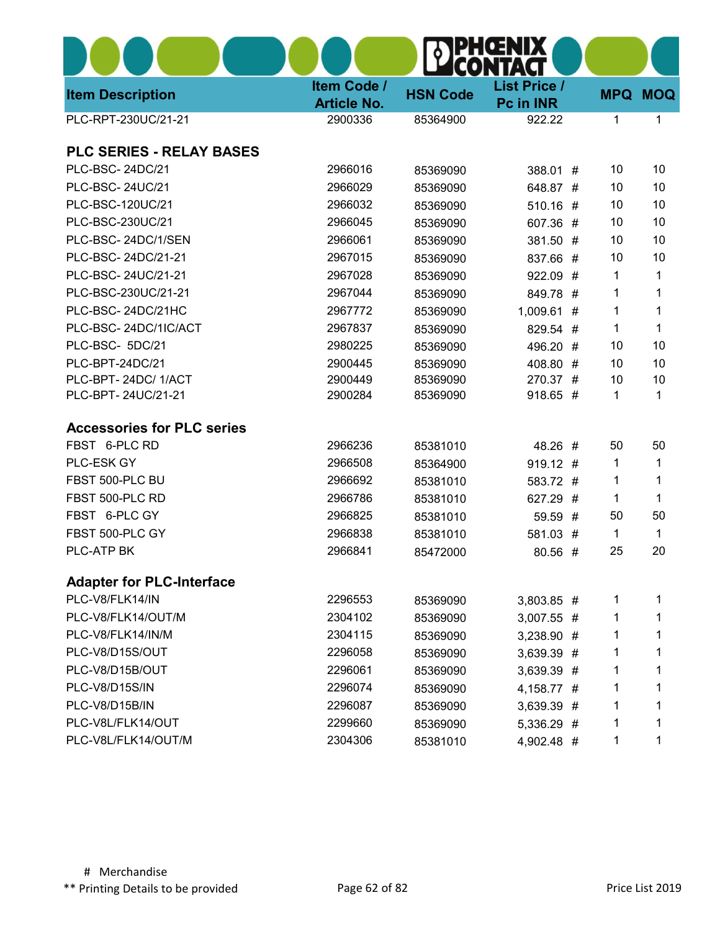| <b>Item Description</b>           | Item Code /<br><b>Article No.</b> | <b>HSN Code</b> | <b>List Price /</b><br>Pc in INR | <b>MPQ</b> | <b>MOQ</b> |
|-----------------------------------|-----------------------------------|-----------------|----------------------------------|------------|------------|
| PLC-RPT-230UC/21-21               | 2900336                           | 85364900        | 922.22                           | 1          | 1          |
| <b>PLC SERIES - RELAY BASES</b>   |                                   |                 |                                  |            |            |
| PLC-BSC-24DC/21                   | 2966016                           | 85369090        | 388.01 #                         | 10         | 10         |
| PLC-BSC-24UC/21                   | 2966029                           | 85369090        | 648.87 #                         | 10         | 10         |
| PLC-BSC-120UC/21                  | 2966032                           | 85369090        | $510.16$ #                       | 10         | 10         |
| PLC-BSC-230UC/21                  | 2966045                           | 85369090        | 607.36 #                         | 10         | 10         |
| PLC-BSC-24DC/1/SEN                | 2966061                           | 85369090        | 381.50 #                         | 10         | 10         |
| PLC-BSC-24DC/21-21                | 2967015                           | 85369090        | 837.66 #                         | 10         | 10         |
| PLC-BSC-24UC/21-21                | 2967028                           | 85369090        | 922.09 #                         | 1          | 1          |
| PLC-BSC-230UC/21-21               | 2967044                           | 85369090        | 849.78 #                         | 1          | 1          |
| PLC-BSC-24DC/21HC                 | 2967772                           | 85369090        | 1,009.61 #                       | 1          | 1          |
| PLC-BSC-24DC/1IC/ACT              | 2967837                           | 85369090        | 829.54 #                         | 1          | 1          |
| PLC-BSC- 5DC/21                   | 2980225                           | 85369090        | 496.20 #                         | 10         | 10         |
| PLC-BPT-24DC/21                   | 2900445                           | 85369090        | 408.80 #                         | 10         | 10         |
| PLC-BPT-24DC/1/ACT                | 2900449                           | 85369090        | 270.37 #                         | 10         | 10         |
| PLC-BPT-24UC/21-21                | 2900284                           | 85369090        | 918.65 #                         | 1          | 1          |
| <b>Accessories for PLC series</b> |                                   |                 |                                  |            |            |
| FBST 6-PLC RD                     | 2966236                           | 85381010        | 48.26 #                          | 50         | 50         |
| PLC-ESK GY                        | 2966508                           | 85364900        | $919.12$ #                       | 1          | 1          |
| FBST 500-PLC BU                   | 2966692                           | 85381010        | 583.72 #                         | 1          | 1          |
| FBST 500-PLC RD                   | 2966786                           | 85381010        | 627.29 #                         | 1          | 1          |
| FBST 6-PLC GY                     | 2966825                           | 85381010        | 59.59 #                          | 50         | 50         |
| FBST 500-PLC GY                   | 2966838                           | 85381010        | 581.03 #                         | 1          | 1          |
| PLC-ATP BK                        | 2966841                           | 85472000        | 80.56 #                          | 25         | 20         |
| <b>Adapter for PLC-Interface</b>  |                                   |                 |                                  |            |            |
| PLC-V8/FLK14/IN                   | 2296553                           | 85369090        | 3,803.85 #                       | 1          | 1          |
| PLC-V8/FLK14/OUT/M                | 2304102                           | 85369090        | 3,007.55 #                       | 1          | 1          |
| PLC-V8/FLK14/IN/M                 | 2304115                           | 85369090        | 3,238.90 #                       | 1          | 1          |
| PLC-V8/D15S/OUT                   | 2296058                           | 85369090        | 3,639.39 #                       | 1          | 1          |
| PLC-V8/D15B/OUT                   | 2296061                           | 85369090        | 3,639.39 #                       | 1          |            |
| PLC-V8/D15S/IN                    | 2296074                           | 85369090        | 4,158.77 #                       | 1          |            |
| PLC-V8/D15B/IN                    | 2296087                           | 85369090        | 3,639.39 #                       | 1          |            |
| PLC-V8L/FLK14/OUT                 | 2299660                           | 85369090        | 5,336.29 #                       | 1          | 1          |
| PLC-V8L/FLK14/OUT/M               | 2304306                           | 85381010        | 4,902.48 #                       | 1          | 1          |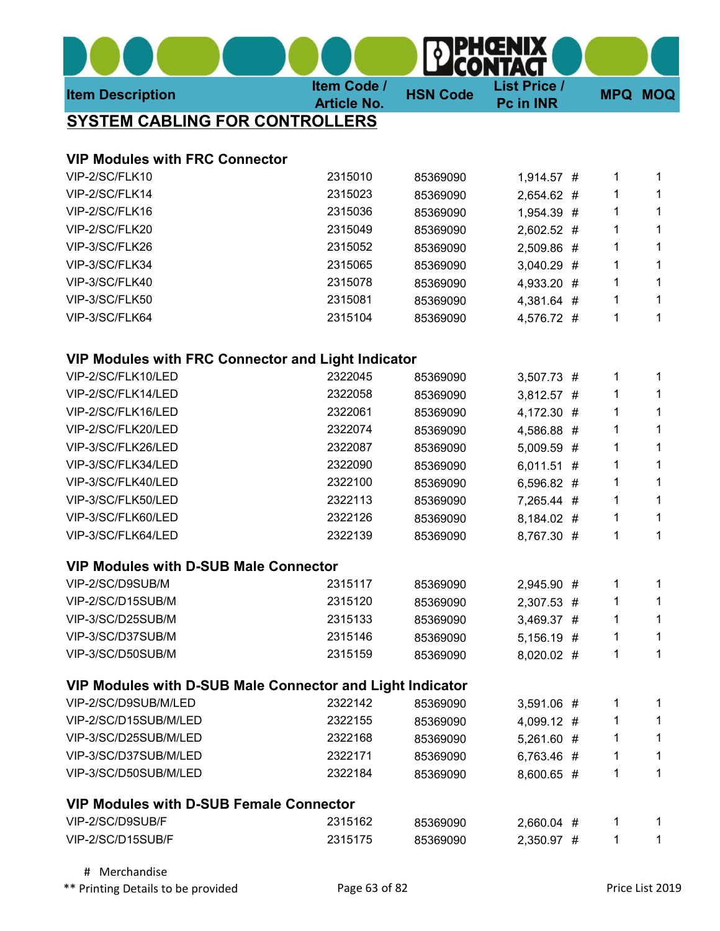| <b>Item Description</b>                                   | Item Code /<br><b>Article No.</b> | <b>HSN Code</b> | <b>List Price /</b><br>Pc in INR |   | <b>MPQ MOQ</b> |
|-----------------------------------------------------------|-----------------------------------|-----------------|----------------------------------|---|----------------|
| <b>SYSTEM CABLING FOR CONTROLLERS</b>                     |                                   |                 |                                  |   |                |
| <b>VIP Modules with FRC Connector</b>                     |                                   |                 |                                  |   |                |
| VIP-2/SC/FLK10                                            | 2315010                           | 85369090        | 1,914.57 #                       | 1 | 1              |
| VIP-2/SC/FLK14                                            | 2315023                           | 85369090        | 2,654.62 #                       | 1 | 1              |
| VIP-2/SC/FLK16                                            | 2315036                           | 85369090        | 1,954.39 #                       | 1 | 1              |
| VIP-2/SC/FLK20                                            | 2315049                           | 85369090        | 2,602.52 #                       | 1 | 1              |
| VIP-3/SC/FLK26                                            | 2315052                           | 85369090        | 2,509.86 #                       | 1 | 1              |
| VIP-3/SC/FLK34                                            | 2315065                           | 85369090        | 3,040.29 #                       | 1 | 1              |
| VIP-3/SC/FLK40                                            | 2315078                           | 85369090        | 4,933.20 #                       | 1 | 1              |
| VIP-3/SC/FLK50                                            | 2315081                           | 85369090        | 4,381.64 #                       | 1 | 1              |
| VIP-3/SC/FLK64                                            | 2315104                           | 85369090        | 4,576.72 #                       | 1 | 1              |
| <b>VIP Modules with FRC Connector and Light Indicator</b> |                                   |                 |                                  |   |                |
| VIP-2/SC/FLK10/LED                                        | 2322045                           | 85369090        | 3,507.73 #                       | 1 | 1              |
| VIP-2/SC/FLK14/LED                                        | 2322058                           | 85369090        | 3,812.57 #                       | 1 | 1              |
| VIP-2/SC/FLK16/LED                                        | 2322061                           | 85369090        | 4,172.30 #                       | 1 | 1              |
| VIP-2/SC/FLK20/LED                                        | 2322074                           | 85369090        | 4,586.88 #                       | 1 | 1              |
| VIP-3/SC/FLK26/LED                                        | 2322087                           | 85369090        | 5,009.59 #                       | 1 |                |
| VIP-3/SC/FLK34/LED                                        | 2322090                           | 85369090        | 6,011.51 #                       | 1 |                |
| VIP-3/SC/FLK40/LED                                        | 2322100                           | 85369090        | 6,596.82 #                       | 1 | 1              |
| VIP-3/SC/FLK50/LED                                        | 2322113                           | 85369090        | 7,265.44 #                       | 1 | 1              |
| VIP-3/SC/FLK60/LED                                        | 2322126                           | 85369090        | 8,184.02 #                       | 1 | 1              |
| VIP-3/SC/FLK64/LED                                        | 2322139                           | 85369090        | 8,767.30 #                       | 1 | 1              |
| <b>VIP Modules with D-SUB Male Connector</b>              |                                   |                 |                                  |   |                |
| VIP-2/SC/D9SUB/M                                          | 2315117                           | 85369090        | 2,945.90 #                       | 1 | 1              |
| VIP-2/SC/D15SUB/M                                         | 2315120                           | 85369090        | 2,307.53 #                       | 1 | 1              |
| VIP-3/SC/D25SUB/M                                         | 2315133                           | 85369090        | 3,469.37 #                       | 1 | 1              |
| VIP-3/SC/D37SUB/M                                         | 2315146                           | 85369090        | 5,156.19 #                       | 1 | 1              |
| VIP-3/SC/D50SUB/M                                         | 2315159                           | 85369090        | 8,020.02 #                       | 1 | 1              |
| VIP Modules with D-SUB Male Connector and Light Indicator |                                   |                 |                                  |   |                |
| VIP-2/SC/D9SUB/M/LED                                      | 2322142                           | 85369090        | 3,591.06 #                       | 1 | 1              |
| VIP-2/SC/D15SUB/M/LED                                     | 2322155                           | 85369090        | 4,099.12 #                       | 1 | 1              |
| VIP-3/SC/D25SUB/M/LED                                     | 2322168                           | 85369090        | 5,261.60 #                       | 1 | 1              |
| VIP-3/SC/D37SUB/M/LED                                     | 2322171                           | 85369090        | 6,763.46 #                       | 1 | 1              |
| VIP-3/SC/D50SUB/M/LED                                     | 2322184                           | 85369090        | 8,600.65 #                       | 1 | 1              |
| <b>VIP Modules with D-SUB Female Connector</b>            |                                   |                 |                                  |   |                |
| VIP-2/SC/D9SUB/F                                          | 2315162                           | 85369090        | 2,660.04 #                       | 1 | 1              |
| VIP-2/SC/D15SUB/F                                         | 2315175                           | 85369090        | 2,350.97 #                       | 1 | 1              |

 # Merchandise \*\* Printing Details to be provided **Page 63 of 82** Printing Details to be provided **Page 63 of 82** Price List 2019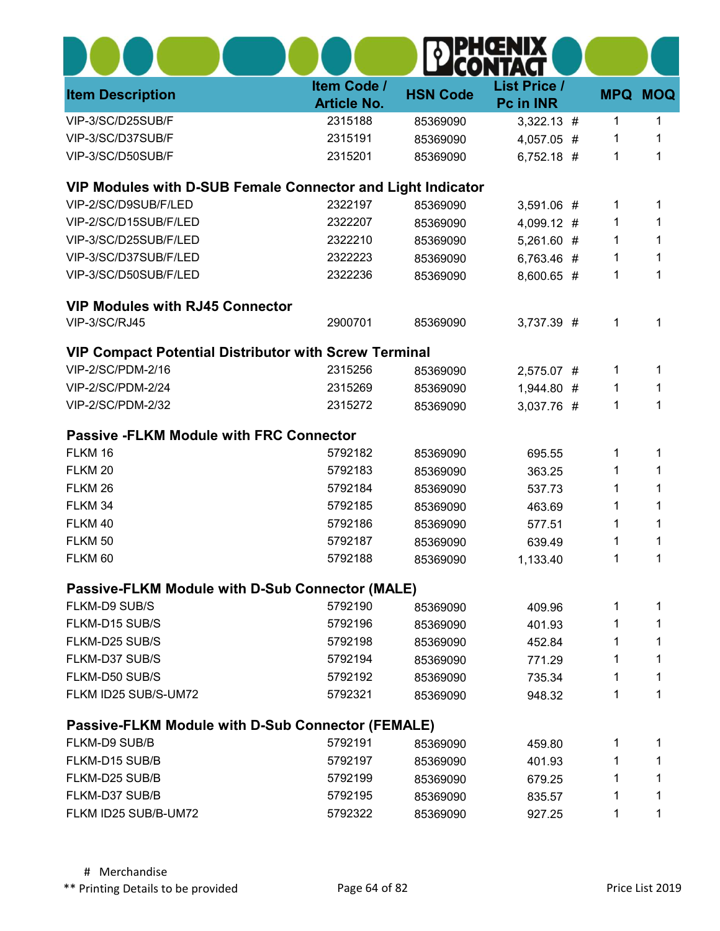| <b>Item Description</b>                                      | Item Code /<br><b>Article No.</b> | <b>HSN Code</b> | <b>List Price /</b><br>Pc in INR | <b>MPQ</b> | <b>MOQ</b> |
|--------------------------------------------------------------|-----------------------------------|-----------------|----------------------------------|------------|------------|
| VIP-3/SC/D25SUB/F                                            | 2315188                           | 85369090        | $3,322.13$ #                     | 1          | 1          |
| VIP-3/SC/D37SUB/F                                            | 2315191                           | 85369090        | 4,057.05 #                       | 1          | 1          |
| VIP-3/SC/D50SUB/F                                            | 2315201                           | 85369090        | 6,752.18 #                       | 1          | 1          |
| VIP Modules with D-SUB Female Connector and Light Indicator  |                                   |                 |                                  |            |            |
| VIP-2/SC/D9SUB/F/LED                                         | 2322197                           | 85369090        | 3,591.06 #                       | 1          | 1          |
| VIP-2/SC/D15SUB/F/LED                                        | 2322207                           | 85369090        | 4,099.12 #                       | 1          | 1          |
| VIP-3/SC/D25SUB/F/LED                                        | 2322210                           | 85369090        | 5,261.60 #                       | 1          | 1          |
| VIP-3/SC/D37SUB/F/LED                                        | 2322223                           | 85369090        | 6,763.46 #                       | 1          | 1          |
| VIP-3/SC/D50SUB/F/LED                                        | 2322236                           | 85369090        | 8,600.65 #                       | 1          | 1          |
| <b>VIP Modules with RJ45 Connector</b>                       |                                   |                 |                                  |            |            |
| VIP-3/SC/RJ45                                                | 2900701                           | 85369090        | 3,737.39 #                       | 1          | 1          |
| <b>VIP Compact Potential Distributor with Screw Terminal</b> |                                   |                 |                                  |            |            |
| VIP-2/SC/PDM-2/16                                            | 2315256                           | 85369090        | 2,575.07 #                       | 1          | 1          |
| VIP-2/SC/PDM-2/24                                            | 2315269                           | 85369090        | 1,944.80 #                       | 1          | 1          |
| VIP-2/SC/PDM-2/32                                            | 2315272                           | 85369090        | 3,037.76 #                       | 1          | 1          |
| <b>Passive -FLKM Module with FRC Connector</b>               |                                   |                 |                                  |            |            |
| FLKM 16                                                      | 5792182                           | 85369090        | 695.55                           | 1          | 1          |
| FLKM 20                                                      | 5792183                           | 85369090        | 363.25                           | 1          | 1          |
| FLKM 26                                                      | 5792184                           | 85369090        | 537.73                           | 1          | 1          |
| FLKM 34                                                      | 5792185                           | 85369090        | 463.69                           | 1          | 1          |
| FLKM 40                                                      | 5792186                           | 85369090        | 577.51                           | 1          | 1          |
| FLKM 50                                                      | 5792187                           | 85369090        | 639.49                           | 1          | 1          |
| FLKM 60                                                      | 5792188                           | 85369090        | 1,133.40                         | 1          | 1          |
| Passive-FLKM Module with D-Sub Connector (MALE)              |                                   |                 |                                  |            |            |
| FLKM-D9 SUB/S                                                | 5792190                           | 85369090        | 409.96                           | 1          | 1          |
| FLKM-D15 SUB/S                                               | 5792196                           | 85369090        | 401.93                           | 1          | 1          |
| FLKM-D25 SUB/S                                               | 5792198                           | 85369090        | 452.84                           | 1          | 1          |
| FLKM-D37 SUB/S                                               | 5792194                           | 85369090        | 771.29                           | 1          | 1          |
| FLKM-D50 SUB/S                                               | 5792192                           | 85369090        | 735.34                           | 1          | 1          |
| FLKM ID25 SUB/S-UM72                                         | 5792321                           | 85369090        | 948.32                           | 1          | 1          |
| <b>Passive-FLKM Module with D-Sub Connector (FEMALE)</b>     |                                   |                 |                                  |            |            |
| FLKM-D9 SUB/B                                                | 5792191                           | 85369090        | 459.80                           | 1          | 1          |
| FLKM-D15 SUB/B                                               | 5792197                           | 85369090        | 401.93                           | 1          |            |
| FLKM-D25 SUB/B                                               | 5792199                           | 85369090        | 679.25                           | 1          |            |
| FLKM-D37 SUB/B                                               | 5792195                           | 85369090        | 835.57                           | 1          |            |
| FLKM ID25 SUB/B-UM72                                         | 5792322                           | 85369090        | 927.25                           | 1          | 1          |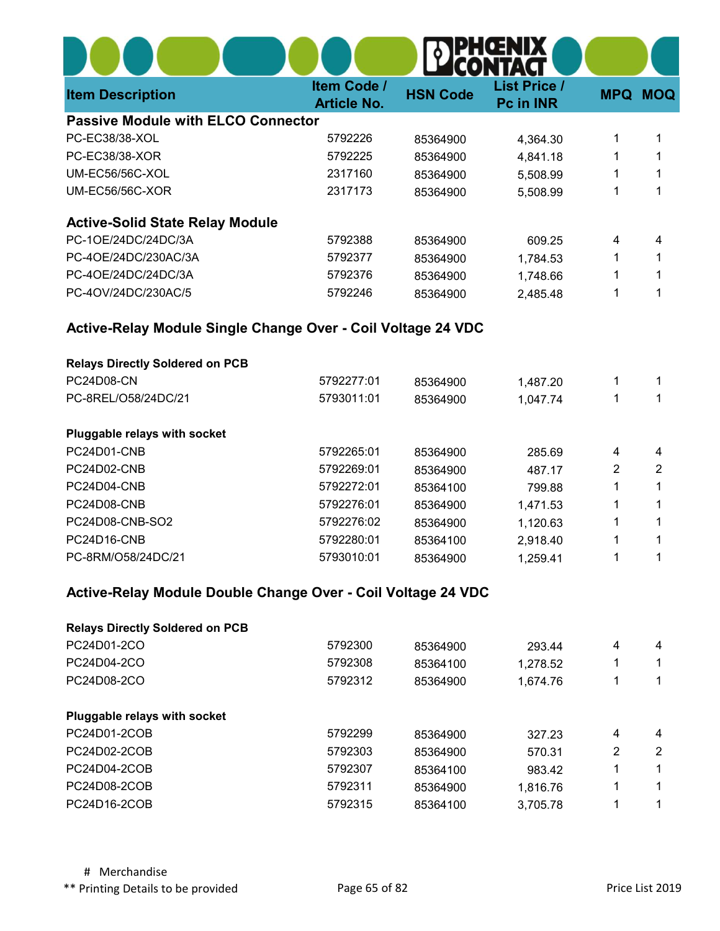|                                                              |                                   |                 | HŒNIX                            |                |                |
|--------------------------------------------------------------|-----------------------------------|-----------------|----------------------------------|----------------|----------------|
| <b>Item Description</b>                                      | Item Code /<br><b>Article No.</b> | <b>HSN Code</b> | <b>List Price /</b><br>Pc in INR | <b>MPQ</b>     | <b>MOQ</b>     |
| <b>Passive Module with ELCO Connector</b>                    |                                   |                 |                                  |                |                |
| PC-EC38/38-XOL                                               | 5792226                           | 85364900        | 4,364.30                         | 1              | 1              |
| PC-EC38/38-XOR                                               | 5792225                           | 85364900        | 4,841.18                         | 1              | 1              |
| <b>UM-EC56/56C-XOL</b>                                       | 2317160                           | 85364900        | 5,508.99                         | 1              | 1              |
| <b>UM-EC56/56C-XOR</b>                                       | 2317173                           | 85364900        | 5,508.99                         | 1              | 1              |
| <b>Active-Solid State Relay Module</b>                       |                                   |                 |                                  |                |                |
| PC-10E/24DC/24DC/3A                                          | 5792388                           | 85364900        | 609.25                           | 4              | 4              |
| PC-40E/24DC/230AC/3A                                         | 5792377                           | 85364900        | 1,784.53                         | 1              | 1              |
| PC-40E/24DC/24DC/3A                                          | 5792376                           | 85364900        | 1,748.66                         | 1              | 1              |
| PC-4OV/24DC/230AC/5                                          | 5792246                           | 85364900        | 2,485.48                         | 1              | 1              |
| Active-Relay Module Single Change Over - Coil Voltage 24 VDC |                                   |                 |                                  |                |                |
| <b>Relays Directly Soldered on PCB</b>                       |                                   |                 |                                  |                |                |
| <b>PC24D08-CN</b>                                            | 5792277:01                        | 85364900        | 1,487.20                         | 1              | 1              |
| PC-8REL/O58/24DC/21                                          | 5793011:01                        | 85364900        | 1,047.74                         | 1              | 1              |
| Pluggable relays with socket                                 |                                   |                 |                                  |                |                |
| PC24D01-CNB                                                  | 5792265:01                        | 85364900        | 285.69                           | 4              | 4              |
| PC24D02-CNB                                                  | 5792269:01                        | 85364900        | 487.17                           | 2              | $\overline{2}$ |
| PC24D04-CNB                                                  | 5792272:01                        | 85364100        | 799.88                           | 1              | 1              |
| PC24D08-CNB                                                  | 5792276:01                        | 85364900        | 1,471.53                         | 1              | 1              |
| PC24D08-CNB-SO2                                              | 5792276:02                        | 85364900        | 1,120.63                         | 1              |                |
| PC24D16-CNB                                                  | 5792280:01                        | 85364100        | 2,918.40                         |                |                |
| PC-8RM/O58/24DC/21                                           | 5793010:01                        | 85364900        | 1,259.41                         |                |                |
| Active-Relay Module Double Change Over - Coil Voltage 24 VDC |                                   |                 |                                  |                |                |
| <b>Relays Directly Soldered on PCB</b>                       |                                   |                 |                                  |                |                |
| PC24D01-2CO                                                  | 5792300                           | 85364900        | 293.44                           | 4              | 4              |
| PC24D04-2CO                                                  | 5792308                           | 85364100        | 1,278.52                         | 1              | 1              |
| PC24D08-2CO                                                  | 5792312                           | 85364900        | 1,674.76                         | 1              | 1              |
| Pluggable relays with socket                                 |                                   |                 |                                  |                |                |
| PC24D01-2COB                                                 | 5792299                           | 85364900        | 327.23                           | 4              | 4              |
| PC24D02-2COB                                                 | 5792303                           | 85364900        | 570.31                           | $\overline{2}$ | $\overline{2}$ |
| PC24D04-2COB                                                 | 5792307                           | 85364100        | 983.42                           | 1              | 1              |

PC24D08-2COB 5792311 85364900 1,816.76 1 1 PC24D16-2COB 5792315 85364100 3,705.78 1 1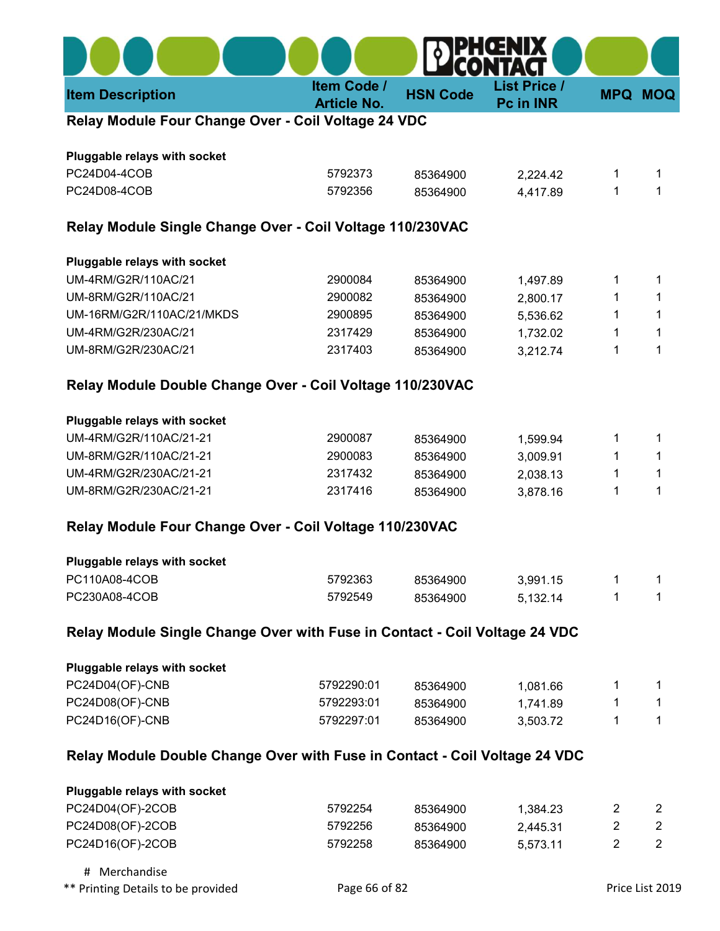| Item Code /<br><b>List Price /</b><br><b>HSN Code</b><br><b>Item Description</b><br>Pc in INR<br><b>Article No.</b> |                | <b>MPQ MOQ</b> |
|---------------------------------------------------------------------------------------------------------------------|----------------|----------------|
| Relay Module Four Change Over - Coil Voltage 24 VDC                                                                 |                |                |
| Pluggable relays with socket                                                                                        |                |                |
| PC24D04-4COB<br>5792373<br>85364900<br>2,224.42                                                                     | 1              | 1              |
| PC24D08-4COB<br>5792356<br>4,417.89<br>85364900                                                                     | 1              | 1              |
| Relay Module Single Change Over - Coil Voltage 110/230VAC                                                           |                |                |
| Pluggable relays with socket                                                                                        |                |                |
| UM-4RM/G2R/110AC/21<br>2900084<br>85364900<br>1,497.89                                                              | 1              | 1              |
| UM-8RM/G2R/110AC/21<br>2900082<br>85364900<br>2,800.17                                                              | 1              | 1              |
| UM-16RM/G2R/110AC/21/MKDS<br>2900895<br>5,536.62<br>85364900                                                        | 1              | 1              |
| UM-4RM/G2R/230AC/21<br>2317429<br>85364900<br>1,732.02                                                              | 1              | 1              |
| UM-8RM/G2R/230AC/21<br>2317403<br>85364900<br>3,212.74                                                              | 1              | 1              |
| Relay Module Double Change Over - Coil Voltage 110/230VAC                                                           |                |                |
| Pluggable relays with socket                                                                                        |                |                |
| UM-4RM/G2R/110AC/21-21<br>2900087<br>85364900<br>1,599.94                                                           | 1              | 1              |
| UM-8RM/G2R/110AC/21-21<br>2900083<br>3,009.91<br>85364900                                                           | 1              | 1              |
| UM-4RM/G2R/230AC/21-21<br>2317432<br>85364900<br>2,038.13                                                           | 1              | 1              |
| UM-8RM/G2R/230AC/21-21<br>2317416<br>3,878.16<br>85364900                                                           | 1              | 1              |
| Relay Module Four Change Over - Coil Voltage 110/230VAC                                                             |                |                |
| Pluggable relays with socket                                                                                        |                |                |
| PC110A08-4COB<br>5792363<br>3,991.15<br>85364900                                                                    | 1              | 1              |
| PC230A08-4COB<br>5792549<br>85364900<br>5,132.14                                                                    | 1              | 1              |
| Relay Module Single Change Over with Fuse in Contact - Coil Voltage 24 VDC                                          |                |                |
| Pluggable relays with socket                                                                                        |                |                |
| PC24D04(OF)-CNB<br>5792290:01<br>1,081.66<br>85364900                                                               | 1              | 1              |
| PC24D08(OF)-CNB<br>5792293:01<br>85364900<br>1,741.89                                                               | 1              | 1              |
| PC24D16(OF)-CNB<br>5792297:01<br>85364900<br>3,503.72                                                               | 1              | 1              |
| Relay Module Double Change Over with Fuse in Contact - Coil Voltage 24 VDC                                          |                |                |
| Pluggable relays with socket                                                                                        |                |                |
| PC24D04(OF)-2COB<br>5792254<br>85364900<br>1,384.23                                                                 | $\overline{2}$ | $\overline{2}$ |
| PC24D08(OF)-2COB<br>5792256<br>2,445.31<br>85364900                                                                 | $\overline{2}$ | $\overline{2}$ |
| PC24D16(OF)-2COB<br>5792258<br>5,573.11<br>85364900                                                                 | $\overline{2}$ | $\overline{2}$ |

\*\* Printing Details to be provided **Page 66 of 82** Printing Details to be provided **Page 66 of 82** Price List 2019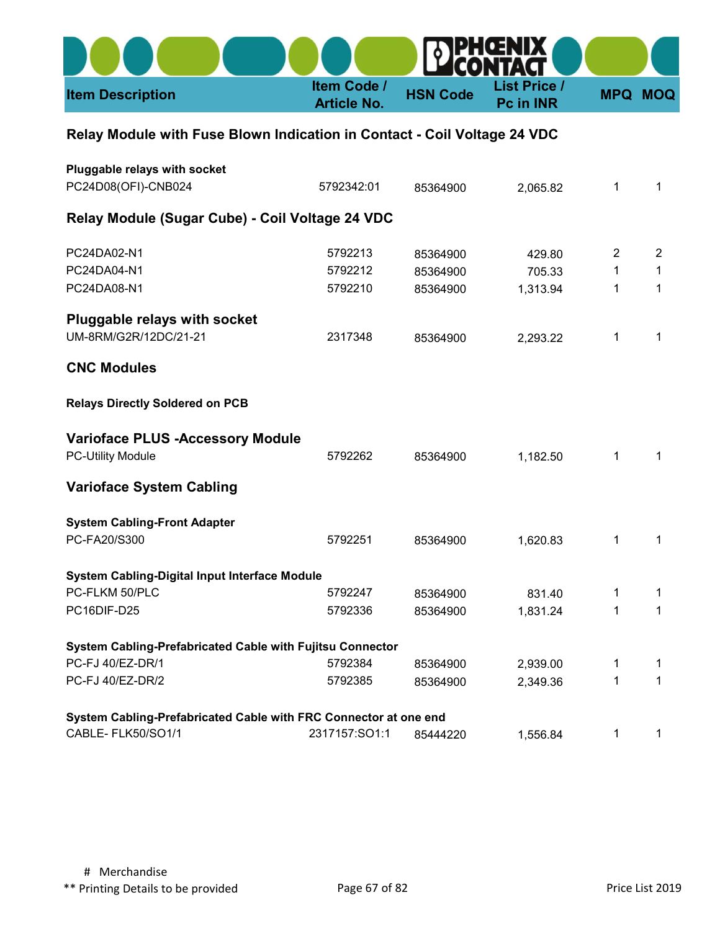|                         |                    |                 | <b>DPHŒNIX</b>      |                |
|-------------------------|--------------------|-----------------|---------------------|----------------|
| <b>Item Description</b> | <b>Item Code /</b> | <b>HSN Code</b> | <b>List Price /</b> | <b>MPQ MOQ</b> |
|                         | <b>Article No.</b> |                 | <b>Pc in INR</b>    |                |

## Relay Module with Fuse Blown Indication in Contact - Coil Voltage 24 VDC

| Pluggable relays with socket                                        |               |          |          |                |                |
|---------------------------------------------------------------------|---------------|----------|----------|----------------|----------------|
| PC24D08(OFI)-CNB024                                                 | 5792342:01    | 85364900 | 2,065.82 | 1              | $\mathbf{1}$   |
| Relay Module (Sugar Cube) - Coil Voltage 24 VDC                     |               |          |          |                |                |
| PC24DA02-N1                                                         | 5792213       | 85364900 | 429.80   | $\overline{2}$ | $\overline{2}$ |
| PC24DA04-N1                                                         | 5792212       | 85364900 | 705.33   | 1              | 1              |
| PC24DA08-N1                                                         | 5792210       | 85364900 | 1,313.94 | 1              | 1              |
| Pluggable relays with socket                                        |               |          |          |                |                |
| UM-8RM/G2R/12DC/21-21                                               | 2317348       | 85364900 | 2,293.22 | 1              | $\mathbf 1$    |
| <b>CNC Modules</b>                                                  |               |          |          |                |                |
| <b>Relays Directly Soldered on PCB</b>                              |               |          |          |                |                |
| <b>Varioface PLUS -Accessory Module</b><br><b>PC-Utility Module</b> | 5792262       | 85364900 | 1,182.50 | 1              | $\mathbf 1$    |
| <b>Varioface System Cabling</b>                                     |               |          |          |                |                |
| <b>System Cabling-Front Adapter</b>                                 |               |          |          |                |                |
| PC-FA20/S300                                                        | 5792251       | 85364900 | 1,620.83 | 1              | $\mathbf{1}$   |
| System Cabling-Digital Input Interface Module                       |               |          |          |                |                |
| PC-FLKM 50/PLC                                                      | 5792247       | 85364900 | 831.40   | 1              | 1              |
| PC16DIF-D25                                                         | 5792336       | 85364900 | 1,831.24 | 1              | 1              |
| System Cabling-Prefabricated Cable with Fujitsu Connector           |               |          |          |                |                |
| PC-FJ 40/EZ-DR/1                                                    | 5792384       | 85364900 | 2,939.00 | 1              | $\mathbf{1}$   |
| PC-FJ 40/EZ-DR/2                                                    | 5792385       | 85364900 | 2,349.36 | 1              | 1              |
| System Cabling-Prefabricated Cable with FRC Connector at one end    |               |          |          |                |                |
| CABLE- FLK50/SO1/1                                                  | 2317157:SO1:1 | 85444220 | 1,556.84 | 1              | 1              |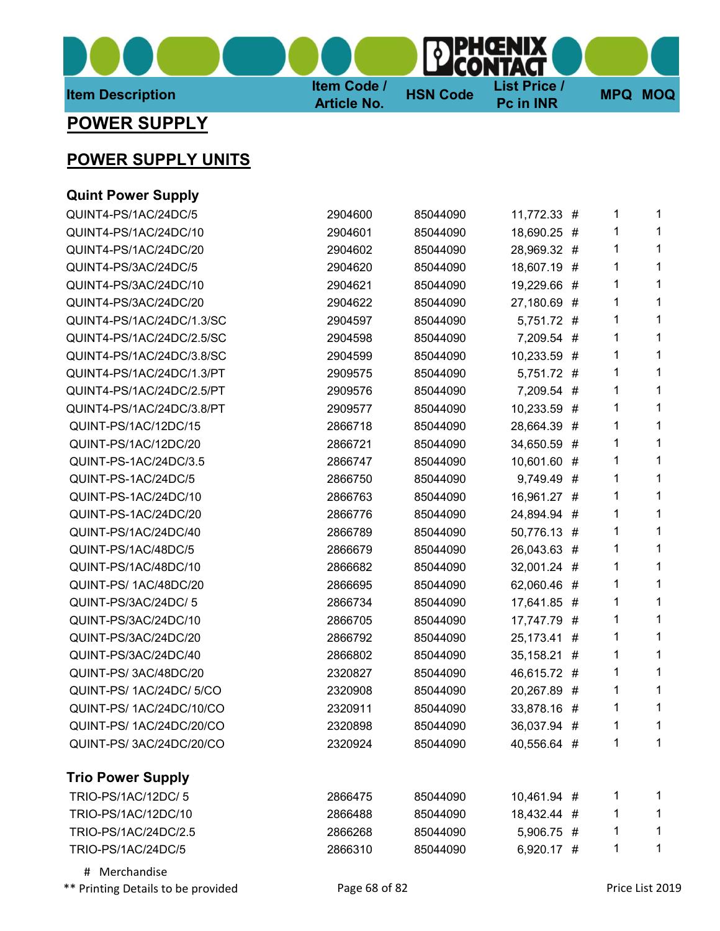Item Description **Item Code** /<br>Article No.

HSN Code List Price /<br>Pc in INR

Х

**MPQ MOQ** 

## POWER SUPPLY

## POWER SUPPLY UNITS

| <b>Quint Power Supply</b> |         |          |             |        |   |
|---------------------------|---------|----------|-------------|--------|---|
| QUINT4-PS/1AC/24DC/5      | 2904600 | 85044090 | 11,772.33 # | 1      | 1 |
| QUINT4-PS/1AC/24DC/10     | 2904601 | 85044090 | 18,690.25 # | 1      | 1 |
| QUINT4-PS/1AC/24DC/20     | 2904602 | 85044090 | 28,969.32 # | 1      | 1 |
| QUINT4-PS/3AC/24DC/5      | 2904620 | 85044090 | 18,607.19 # | 1      | 1 |
| QUINT4-PS/3AC/24DC/10     | 2904621 | 85044090 | 19,229.66   | 1<br># | 1 |
| QUINT4-PS/3AC/24DC/20     | 2904622 | 85044090 | 27,180.69   | 1<br># | 1 |
| QUINT4-PS/1AC/24DC/1.3/SC | 2904597 | 85044090 | 5,751.72 #  | 1      | 1 |
| QUINT4-PS/1AC/24DC/2.5/SC | 2904598 | 85044090 | 7,209.54 #  | 1      | 1 |
| QUINT4-PS/1AC/24DC/3.8/SC | 2904599 | 85044090 | 10,233.59   | 1<br># | 1 |
| QUINT4-PS/1AC/24DC/1.3/PT | 2909575 | 85044090 | 5,751.72 #  | 1      | 1 |
| QUINT4-PS/1AC/24DC/2.5/PT | 2909576 | 85044090 | 7,209.54 #  | 1      | 1 |
| QUINT4-PS/1AC/24DC/3.8/PT | 2909577 | 85044090 | 10,233.59 # | 1      | 1 |
| QUINT-PS/1AC/12DC/15      | 2866718 | 85044090 | 28,664.39   | 1<br># | 1 |
| QUINT-PS/1AC/12DC/20      | 2866721 | 85044090 | 34,650.59 # | 1      | 1 |
| QUINT-PS-1AC/24DC/3.5     | 2866747 | 85044090 | 10,601.60 # | 1      | 1 |
| QUINT-PS-1AC/24DC/5       | 2866750 | 85044090 | 9,749.49 #  | 1      | 1 |
| QUINT-PS-1AC/24DC/10      | 2866763 | 85044090 | 16,961.27   | 1<br># | 1 |
| QUINT-PS-1AC/24DC/20      | 2866776 | 85044090 | 24,894.94 # | 1      | 1 |
| QUINT-PS/1AC/24DC/40      | 2866789 | 85044090 | 50,776.13 # | 1      | 1 |
| QUINT-PS/1AC/48DC/5       | 2866679 | 85044090 | 26,043.63 # | 1      | 1 |
| QUINT-PS/1AC/48DC/10      | 2866682 | 85044090 | 32,001.24   | 1<br># | 1 |
| QUINT-PS/1AC/48DC/20      | 2866695 | 85044090 | 62,060.46 # | 1      | 1 |
| QUINT-PS/3AC/24DC/5       | 2866734 | 85044090 | 17,641.85 # | 1      | 1 |
| QUINT-PS/3AC/24DC/10      | 2866705 | 85044090 | 17,747.79 # | 1      | 1 |
| QUINT-PS/3AC/24DC/20      | 2866792 | 85044090 | 25,173.41   | 1<br># | 1 |
| QUINT-PS/3AC/24DC/40      | 2866802 | 85044090 | 35,158.21   | 1<br># | 1 |
| QUINT-PS/3AC/48DC/20      | 2320827 | 85044090 | 46,615.72 # | 1      | 1 |
| QUINT-PS/ 1AC/24DC/ 5/CO  | 2320908 | 85044090 | 20,267.89 # | 1      | 1 |
| QUINT-PS/1AC/24DC/10/CO   | 2320911 | 85044090 | 33,878.16 # | 1      | 1 |
| QUINT-PS/1AC/24DC/20/CO   | 2320898 | 85044090 | 36,037.94 # | 1      | 1 |
| QUINT-PS/3AC/24DC/20/CO   | 2320924 | 85044090 | 40,556.64 # | 1      | 1 |
| <b>Trio Power Supply</b>  |         |          |             |        |   |
| TRIO-PS/1AC/12DC/5        | 2866475 | 85044090 | 10,461.94 # | 1      | 1 |
| TRIO-PS/1AC/12DC/10       | 2866488 | 85044090 | 18,432.44 # | 1      | 1 |
| TRIO-PS/1AC/24DC/2.5      | 2866268 | 85044090 | 5,906.75 #  | 1      | 1 |
| TRIO-PS/1AC/24DC/5        | 2866310 | 85044090 | 6,920.17 #  | 1      | 1 |
| # Merchandise             |         |          |             |        |   |

\*\* Printing Details to be provided **Page 68 of 82** Printing Details to be provided **Page 68 of 82** Price List 2019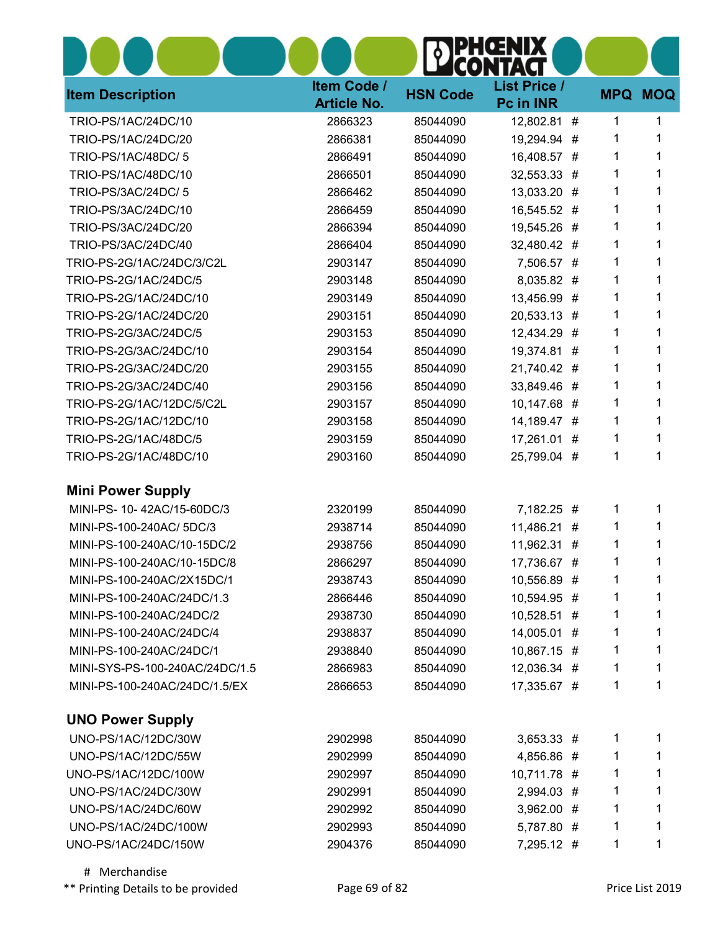|                                | HOENIX                            |                 |                                  |   |                |
|--------------------------------|-----------------------------------|-----------------|----------------------------------|---|----------------|
| <b>Item Description</b>        | Item Code /<br><b>Article No.</b> | <b>HSN Code</b> | <b>List Price /</b><br>Pc in INR |   | <b>MPQ MOQ</b> |
| TRIO-PS/1AC/24DC/10            | 2866323                           | 85044090        | 12,802.81 #                      | 1 | 1              |
| TRIO-PS/1AC/24DC/20            | 2866381                           | 85044090        | 19,294.94 #                      | 1 | 1              |
| TRIO-PS/1AC/48DC/ 5            | 2866491                           | 85044090        | 16,408.57 #                      | 1 | 1              |
| TRIO-PS/1AC/48DC/10            | 2866501                           | 85044090        | 32,553.33 #                      | 1 | 1              |
| TRIO-PS/3AC/24DC/ 5            | 2866462                           | 85044090        | 13,033.20 #                      | 1 |                |
| TRIO-PS/3AC/24DC/10            | 2866459                           | 85044090        | 16,545.52 #                      | 1 | 1              |
| TRIO-PS/3AC/24DC/20            | 2866394                           | 85044090        | 19,545.26 #                      | 1 |                |
| TRIO-PS/3AC/24DC/40            | 2866404                           | 85044090        | 32,480.42 #                      | 1 | 1              |
| TRIO-PS-2G/1AC/24DC/3/C2L      | 2903147                           | 85044090        | 7,506.57 #                       | 1 |                |
| TRIO-PS-2G/1AC/24DC/5          | 2903148                           | 85044090        | 8,035.82 #                       | 1 |                |
| TRIO-PS-2G/1AC/24DC/10         | 2903149                           | 85044090        | 13,456.99 #                      | 1 |                |
| TRIO-PS-2G/1AC/24DC/20         | 2903151                           | 85044090        | 20,533.13 #                      | 1 | 1              |
| TRIO-PS-2G/3AC/24DC/5          | 2903153                           | 85044090        | 12,434.29 #                      | 1 |                |
| TRIO-PS-2G/3AC/24DC/10         | 2903154                           | 85044090        | 19,374.81 #                      | 1 | 1              |
| TRIO-PS-2G/3AC/24DC/20         | 2903155                           | 85044090        | 21,740.42 #                      | 1 |                |
| TRIO-PS-2G/3AC/24DC/40         | 2903156                           | 85044090        | 33,849.46 #                      | 1 | 1              |
| TRIO-PS-2G/1AC/12DC/5/C2L      | 2903157                           | 85044090        | 10,147.68 #                      | 1 | 1              |
| TRIO-PS-2G/1AC/12DC/10         | 2903158                           | 85044090        | 14,189.47 #                      | 1 | 1              |
| TRIO-PS-2G/1AC/48DC/5          | 2903159                           | 85044090        | 17,261.01 #                      | 1 | 1              |
| TRIO-PS-2G/1AC/48DC/10         | 2903160                           | 85044090        | 25,799.04 #                      | 1 | 1              |
| <b>Mini Power Supply</b>       |                                   |                 |                                  |   |                |
| MINI-PS- 10-42AC/15-60DC/3     | 2320199                           | 85044090        | 7,182.25 #                       | 1 | 1              |
| MINI-PS-100-240AC/ 5DC/3       | 2938714                           | 85044090        | 11,486.21 #                      | 1 | 1              |
| MINI-PS-100-240AC/10-15DC/2    | 2938756                           | 85044090        | 11,962.31 #                      | 1 |                |
| MINI-PS-100-240AC/10-15DC/8    | 2866297                           | 85044090        | 17,736.67 #                      | 1 |                |
| MINI-PS-100-240AC/2X15DC/1     | 2938743                           | 85044090        | 10,556.89 #                      | 1 | 1              |
| MINI-PS-100-240AC/24DC/1.3     | 2866446                           | 85044090        | 10,594.95 #                      | 1 | 1              |
| MINI-PS-100-240AC/24DC/2       | 2938730                           | 85044090        | 10,528.51 #                      | 1 | 1              |
| MINI-PS-100-240AC/24DC/4       | 2938837                           | 85044090        | 14,005.01 #                      | 1 | 1              |
| MINI-PS-100-240AC/24DC/1       | 2938840                           | 85044090        | 10,867.15 #                      | 1 | 1              |
| MINI-SYS-PS-100-240AC/24DC/1.5 | 2866983                           | 85044090        | 12,036.34 #                      | 1 | 1              |
| MINI-PS-100-240AC/24DC/1.5/EX  | 2866653                           | 85044090        | 17,335.67 #                      | 1 | 1              |
| <b>UNO Power Supply</b>        |                                   |                 |                                  |   |                |
| UNO-PS/1AC/12DC/30W            | 2902998                           | 85044090        | $3,653.33$ #                     | 1 | 1              |
| UNO-PS/1AC/12DC/55W            | 2902999                           | 85044090        | 4,856.86 #                       | 1 | 1              |
| UNO-PS/1AC/12DC/100W           | 2902997                           | 85044090        | 10,711.78 #                      | 1 | 1              |
| UNO-PS/1AC/24DC/30W            | 2902991                           | 85044090        | 2,994.03 #                       | 1 | 1              |
| UNO-PS/1AC/24DC/60W            | 2902992                           | 85044090        | 3,962.00 #                       | 1 | 1              |
| UNO-PS/1AC/24DC/100W           | 2902993                           | 85044090        | 5,787.80 #                       | 1 | 1              |
| UNO-PS/1AC/24DC/150W           | 2904376                           | 85044090        | 7,295.12 #                       | 1 | 1              |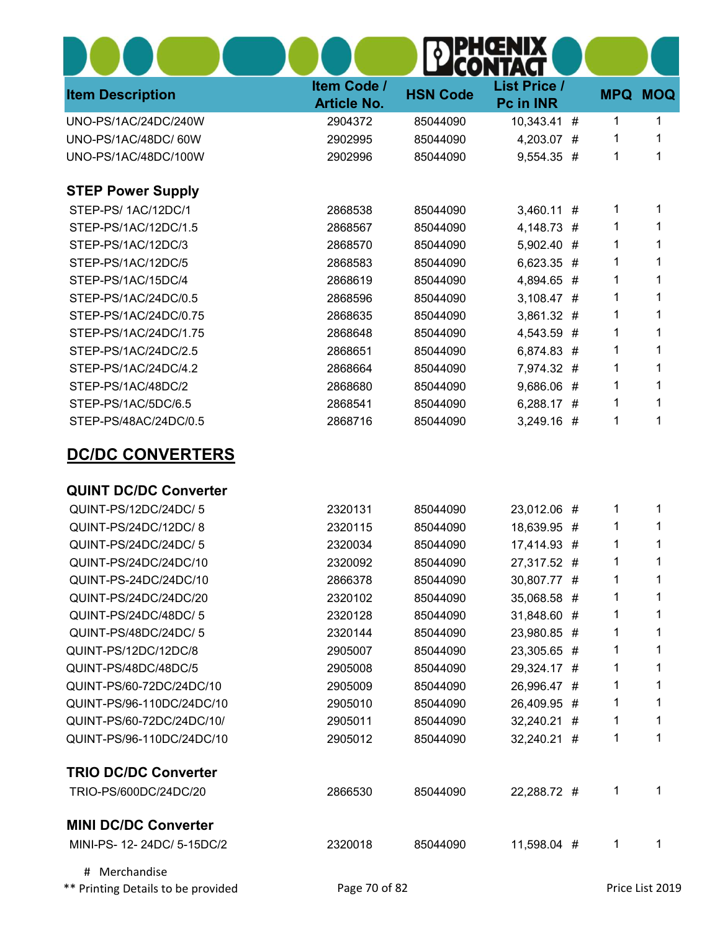|                              |                                   | OEN<br>$\bullet$<br>ITACI |                                  |            |            |
|------------------------------|-----------------------------------|---------------------------|----------------------------------|------------|------------|
| <b>Item Description</b>      | Item Code /<br><b>Article No.</b> | <b>HSN Code</b>           | <b>List Price /</b><br>Pc in INR | <b>MPQ</b> | <b>MOQ</b> |
| UNO-PS/1AC/24DC/240W         | 2904372                           | 85044090                  | 10,343.41 #                      | 1          | 1          |
| UNO-PS/1AC/48DC/60W          | 2902995                           | 85044090                  | 4,203.07 #                       | 1          | 1          |
| UNO-PS/1AC/48DC/100W         | 2902996                           | 85044090                  | 9,554.35 #                       | 1          | 1          |
| <b>STEP Power Supply</b>     |                                   |                           |                                  |            |            |
| STEP-PS/1AC/12DC/1           | 2868538                           | 85044090                  | $3,460.11$ #                     | 1          | 1          |
| STEP-PS/1AC/12DC/1.5         | 2868567                           | 85044090                  | 4,148.73 #                       | 1          | 1          |
| STEP-PS/1AC/12DC/3           | 2868570                           | 85044090                  | 5,902.40 #                       | 1          | 1          |
| STEP-PS/1AC/12DC/5           | 2868583                           | 85044090                  | 6,623.35 #                       | 1          | 1          |
| STEP-PS/1AC/15DC/4           | 2868619                           | 85044090                  | 4,894.65 #                       | 1          | 1          |
| STEP-PS/1AC/24DC/0.5         | 2868596                           | 85044090                  | $3,108.47$ #                     | 1          | 1          |
| STEP-PS/1AC/24DC/0.75        | 2868635                           | 85044090                  | 3,861.32 #                       | 1          | 1          |
| STEP-PS/1AC/24DC/1.75        | 2868648                           | 85044090                  | 4,543.59 #                       | 1          | 1          |
| STEP-PS/1AC/24DC/2.5         | 2868651                           | 85044090                  | 6,874.83 #                       | 1          | 1          |
| STEP-PS/1AC/24DC/4.2         | 2868664                           | 85044090                  | 7,974.32 #                       | 1          | 1          |
| STEP-PS/1AC/48DC/2           | 2868680                           | 85044090                  | 9,686.06 #                       | 1          | 1          |
| STEP-PS/1AC/5DC/6.5          | 2868541                           | 85044090                  | 6,288.17 #                       | 1          | 1          |
| STEP-PS/48AC/24DC/0.5        | 2868716                           | 85044090                  | 3,249.16 #                       | 1          | 1          |
| <b>DC/DC CONVERTERS</b>      |                                   |                           |                                  |            |            |
| <b>QUINT DC/DC Converter</b> |                                   |                           |                                  |            |            |
| QUINT-PS/12DC/24DC/5         | 2320131                           | 85044090                  | 23,012.06 #                      | 1          | 1          |
| QUINT-PS/24DC/12DC/8         | 2320115                           | 85044090                  | 18,639.95 #                      | 1          | 1          |
| QUINT-PS/24DC/24DC/5         | 2320034                           | 85044090                  | 17,414.93 #                      | 1          | 1          |
| QUINT-PS/24DC/24DC/10        | 2320092                           | 85044090                  | 27,317.52 #                      | 1          | 1          |
| QUINT-PS-24DC/24DC/10        | 2866378                           | 85044090                  | 30,807.77 #                      | 1          | 1          |
| QUINT-PS/24DC/24DC/20        | 2320102                           | 85044090                  | 35,068.58 #                      | 1          | 1          |
| QUINT-PS/24DC/48DC/5         | 2320128                           | 85044090                  | 31,848.60 #                      | 1          | 1          |
| QUINT-PS/48DC/24DC/5         | 2320144                           | 85044090                  | 23,980.85 #                      | 1          | 1          |
| QUINT-PS/12DC/12DC/8         | 2905007                           | 85044090                  | 23,305.65 #                      | 1          | 1          |
| QUINT-PS/48DC/48DC/5         | 2905008                           | 85044090                  | 29,324.17 #                      | 1          | 1          |
| QUINT-PS/60-72DC/24DC/10     | 2905009                           | 85044090                  | 26,996.47 #                      | 1          | 1          |
| QUINT-PS/96-110DC/24DC/10    | 2905010                           | 85044090                  | 26,409.95 #                      | 1          | 1          |
| QUINT-PS/60-72DC/24DC/10/    | 2905011                           | 85044090                  | 32,240.21 #                      | 1          | 1          |
| QUINT-PS/96-110DC/24DC/10    | 2905012                           | 85044090                  | 32,240.21 #                      | 1          | 1          |
| <b>TRIO DC/DC Converter</b>  |                                   |                           |                                  |            |            |
| TRIO-PS/600DC/24DC/20        | 2866530                           | 85044090                  | 22,288.72 #                      | 1          | 1          |
| <b>MINI DC/DC Converter</b>  |                                   |                           |                                  |            |            |
| MINI-PS- 12-24DC/ 5-15DC/2   | 2320018                           | 85044090                  | 11,598.04 #                      | 1          | 1          |
| # Merchandise                |                                   |                           |                                  |            |            |

\*\* Printing Details to be provided **Page 70 of 82** Printing Details to be provided **Page 70 of 82** Price List 2019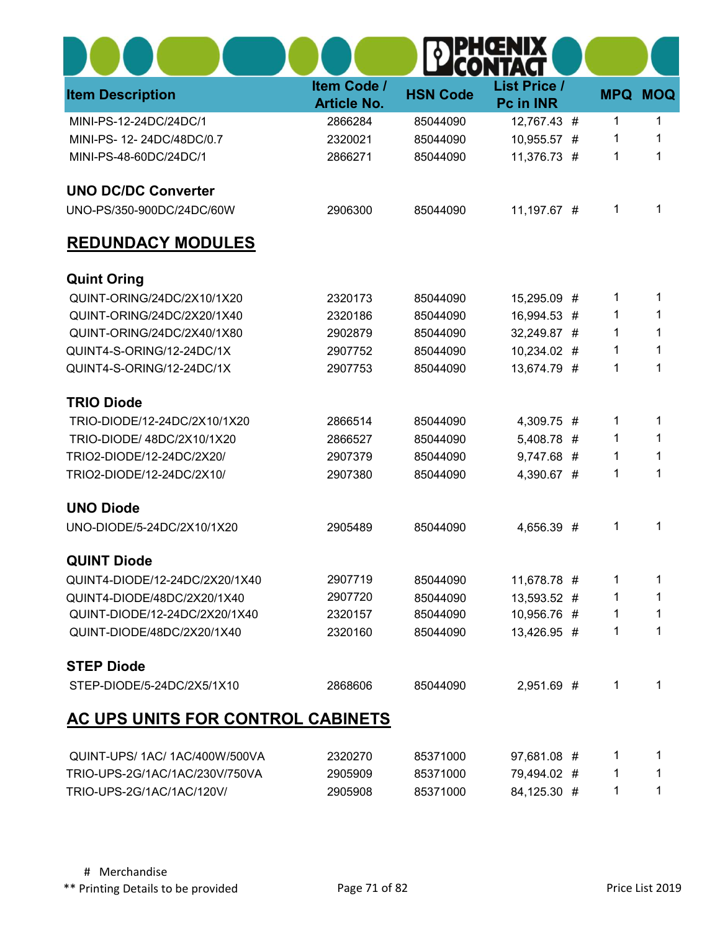| <b>Item Description</b>           | Item Code /<br><b>Article No.</b> | <b>HSN Code</b> | <b>List Price /</b><br>Pc in INR | <b>MPQ</b> | <b>MOQ</b> |  |
|-----------------------------------|-----------------------------------|-----------------|----------------------------------|------------|------------|--|
| MINI-PS-12-24DC/24DC/1            | 2866284                           | 85044090        | 12,767.43 #                      | 1          | 1          |  |
| MINI-PS- 12-24DC/48DC/0.7         | 2320021                           | 85044090        | 10,955.57 #                      | 1          | 1          |  |
| MINI-PS-48-60DC/24DC/1            | 2866271                           | 85044090        | 11,376.73 #                      | 1          | 1          |  |
| <b>UNO DC/DC Converter</b>        |                                   |                 |                                  |            |            |  |
| UNO-PS/350-900DC/24DC/60W         | 2906300                           | 85044090        | 11,197.67 #                      | 1          | 1          |  |
| <b>REDUNDACY MODULES</b>          |                                   |                 |                                  |            |            |  |
| <b>Quint Oring</b>                |                                   |                 |                                  |            |            |  |
| QUINT-ORING/24DC/2X10/1X20        | 2320173                           | 85044090        | 15,295.09 #                      | 1          | 1          |  |
| QUINT-ORING/24DC/2X20/1X40        | 2320186                           | 85044090        | 16,994.53 #                      | 1          | 1          |  |
| QUINT-ORING/24DC/2X40/1X80        | 2902879                           | 85044090        | 32,249.87 #                      | 1          | 1          |  |
| QUINT4-S-ORING/12-24DC/1X         | 2907752                           | 85044090        | 10,234.02 #                      | 1          | 1          |  |
| QUINT4-S-ORING/12-24DC/1X         | 2907753                           | 85044090        | 13,674.79 #                      | 1          | 1          |  |
| <b>TRIO Diode</b>                 |                                   |                 |                                  |            |            |  |
| TRIO-DIODE/12-24DC/2X10/1X20      | 2866514                           | 85044090        | 4,309.75 #                       | 1          | 1          |  |
| TRIO-DIODE/ 48DC/2X10/1X20        | 2866527                           | 85044090        | 5,408.78 #                       | 1          | 1          |  |
| TRIO2-DIODE/12-24DC/2X20/         | 2907379                           | 85044090        | 9,747.68 #                       | 1          | 1          |  |
| TRIO2-DIODE/12-24DC/2X10/         | 2907380                           | 85044090        | 4,390.67 #                       | 1          | 1          |  |
| <b>UNO Diode</b>                  |                                   |                 |                                  |            |            |  |
| UNO-DIODE/5-24DC/2X10/1X20        | 2905489                           | 85044090        | 4,656.39 #                       | 1          | 1          |  |
| <b>QUINT Diode</b>                |                                   |                 |                                  |            |            |  |
| QUINT4-DIODE/12-24DC/2X20/1X40    | 2907719                           | 85044090        | 11,678.78 #                      | 1          | 1          |  |
| QUINT4-DIODE/48DC/2X20/1X40       | 2907720                           | 85044090        | 13,593.52 #                      | 1          | 1          |  |
| QUINT-DIODE/12-24DC/2X20/1X40     | 2320157                           | 85044090        | 10,956.76 #                      | 1          | 1          |  |
| QUINT-DIODE/48DC/2X20/1X40        | 2320160                           | 85044090        | 13,426.95 #                      | 1          | 1          |  |
| <b>STEP Diode</b>                 |                                   |                 |                                  |            |            |  |
| STEP-DIODE/5-24DC/2X5/1X10        | 2868606                           | 85044090        | 2,951.69 #                       | 1          | 1          |  |
| AC UPS UNITS FOR CONTROL CABINETS |                                   |                 |                                  |            |            |  |
| QUINT-UPS/ 1AC/ 1AC/400W/500VA    | 2320270                           | 85371000        | 97,681.08 #                      | 1          | 1          |  |
| TRIO-UPS-2G/1AC/1AC/230V/750VA    | 2905909                           | 85371000        | 79,494.02 #                      | 1          | 1          |  |
| TRIO-UPS-2G/1AC/1AC/120V/         | 2905908                           | 85371000        | 84,125.30 #                      | 1          | 1          |  |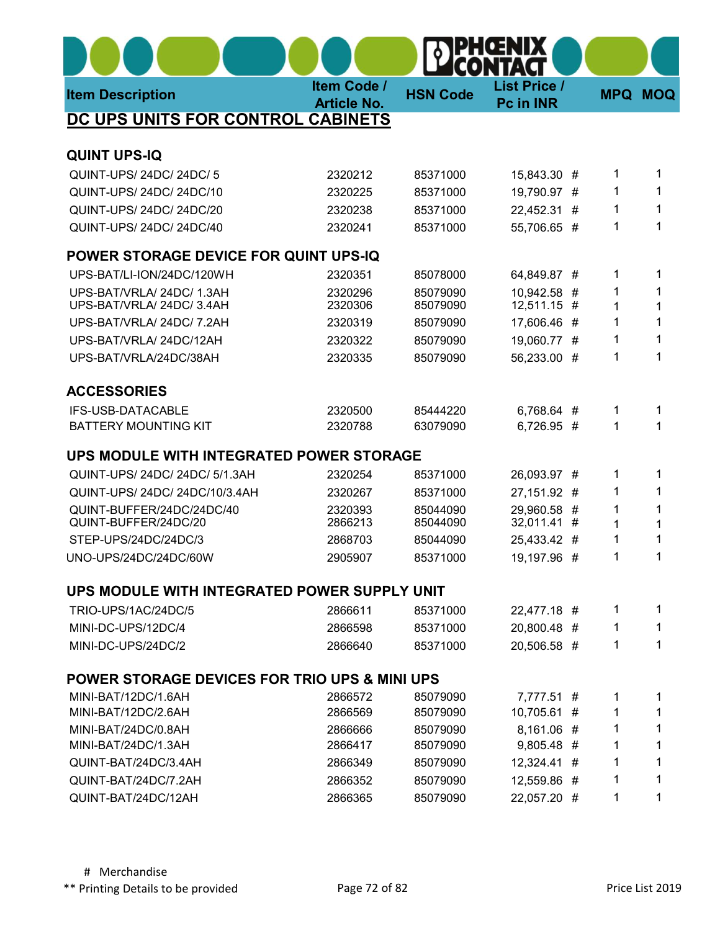| <b>Item Description</b>                                  | Item Code /<br><b>Article No.</b> | <b>HSN Code</b>      | <b>List Price /</b><br><b>Pc in INR</b> | <b>MPQ MOQ</b> |        |  |
|----------------------------------------------------------|-----------------------------------|----------------------|-----------------------------------------|----------------|--------|--|
| DC UPS UNITS FOR CONTROL CABINETS                        |                                   |                      |                                         |                |        |  |
| <b>QUINT UPS-IQ</b>                                      |                                   |                      |                                         |                |        |  |
| QUINT-UPS/24DC/24DC/5                                    | 2320212                           | 85371000             | 15,843.30 #                             | 1              | 1      |  |
| QUINT-UPS/24DC/24DC/10                                   | 2320225                           | 85371000             | 19,790.97 #                             | 1              | 1      |  |
| QUINT-UPS/24DC/24DC/20                                   | 2320238                           | 85371000             | 22,452.31 #                             | 1              | 1      |  |
| QUINT-UPS/24DC/24DC/40                                   | 2320241                           | 85371000             | 55,706.65 #                             | 1              | 1      |  |
| POWER STORAGE DEVICE FOR QUINT UPS-IQ                    |                                   |                      |                                         |                |        |  |
| UPS-BAT/LI-ION/24DC/120WH                                | 2320351                           | 85078000             | 64,849.87 #                             | 1              | 1      |  |
| UPS-BAT/VRLA/24DC/1.3AH                                  | 2320296                           | 85079090             | 10,942.58 #                             | 1              | 1      |  |
| UPS-BAT/VRLA/24DC/3.4AH                                  | 2320306                           | 85079090             | 12,511.15 #                             | 1              | 1      |  |
| UPS-BAT/VRLA/24DC/7.2AH                                  | 2320319                           | 85079090             | 17,606.46 #                             | 1              | 1      |  |
| UPS-BAT/VRLA/24DC/12AH                                   | 2320322                           | 85079090             | 19,060.77 #                             | 1              | 1      |  |
| UPS-BAT/VRLA/24DC/38AH                                   | 2320335                           | 85079090             | 56,233.00 #                             | 1              | 1      |  |
| <b>ACCESSORIES</b>                                       |                                   |                      |                                         |                |        |  |
| IFS-USB-DATACABLE                                        | 2320500                           | 85444220             | 6,768.64 #                              | 1              | 1      |  |
| <b>BATTERY MOUNTING KIT</b>                              | 2320788                           | 63079090             | 6,726.95 #                              | 1              | 1      |  |
| UPS MODULE WITH INTEGRATED POWER STORAGE                 |                                   |                      |                                         |                |        |  |
| QUINT-UPS/24DC/24DC/5/1.3AH                              | 2320254                           | 85371000             | 26,093.97 #                             | 1              | 1      |  |
| QUINT-UPS/24DC/24DC/10/3.4AH                             | 2320267                           | 85371000             | 27,151.92 #                             | 1              | 1      |  |
| QUINT-BUFFER/24DC/24DC/40<br>QUINT-BUFFER/24DC/20        | 2320393<br>2866213                | 85044090<br>85044090 | 29,960.58 #<br>32,011.41 #              | 1<br>1         | 1<br>1 |  |
| STEP-UPS/24DC/24DC/3                                     | 2868703                           | 85044090             | 25,433.42 #                             | 1              | 1      |  |
| UNO-UPS/24DC/24DC/60W                                    | 2905907                           | 85371000             | 19,197.96 #                             | 1              | 1      |  |
|                                                          |                                   |                      |                                         |                |        |  |
| UPS MODULE WITH INTEGRATED POWER SUPPLY UNIT             |                                   |                      |                                         |                |        |  |
| TRIO-UPS/1AC/24DC/5                                      | 2866611                           | 85371000             | 22,477.18 #                             | 1              | 1      |  |
| MINI-DC-UPS/12DC/4                                       | 2866598                           | 85371000             | 20,800.48 #                             | 1              | 1      |  |
| MINI-DC-UPS/24DC/2                                       | 2866640                           | 85371000             | 20,506.58 #                             | 1              | 1      |  |
| <b>POWER STORAGE DEVICES FOR TRIO UPS &amp; MINI UPS</b> |                                   |                      |                                         |                |        |  |
| MINI-BAT/12DC/1.6AH                                      | 2866572                           | 85079090             | 7,777.51 #                              | 1              | 1      |  |
| MINI-BAT/12DC/2.6AH                                      | 2866569                           | 85079090             | 10,705.61 #                             | 1              | 1      |  |
| MINI-BAT/24DC/0.8AH                                      | 2866666                           | 85079090             | 8,161.06 #                              | 1              | 1      |  |
| MINI-BAT/24DC/1.3AH                                      | 2866417                           | 85079090             | 9,805.48 #                              | 1              | 1      |  |
| QUINT-BAT/24DC/3.4AH                                     | 2866349                           | 85079090             | 12,324.41 #                             | 1              | 1      |  |
| QUINT-BAT/24DC/7.2AH                                     | 2866352                           | 85079090             | 12,559.86 #                             | 1              | 1      |  |
| QUINT-BAT/24DC/12AH                                      | 2866365                           | 85079090             | 22,057.20 #                             | 1              | 1      |  |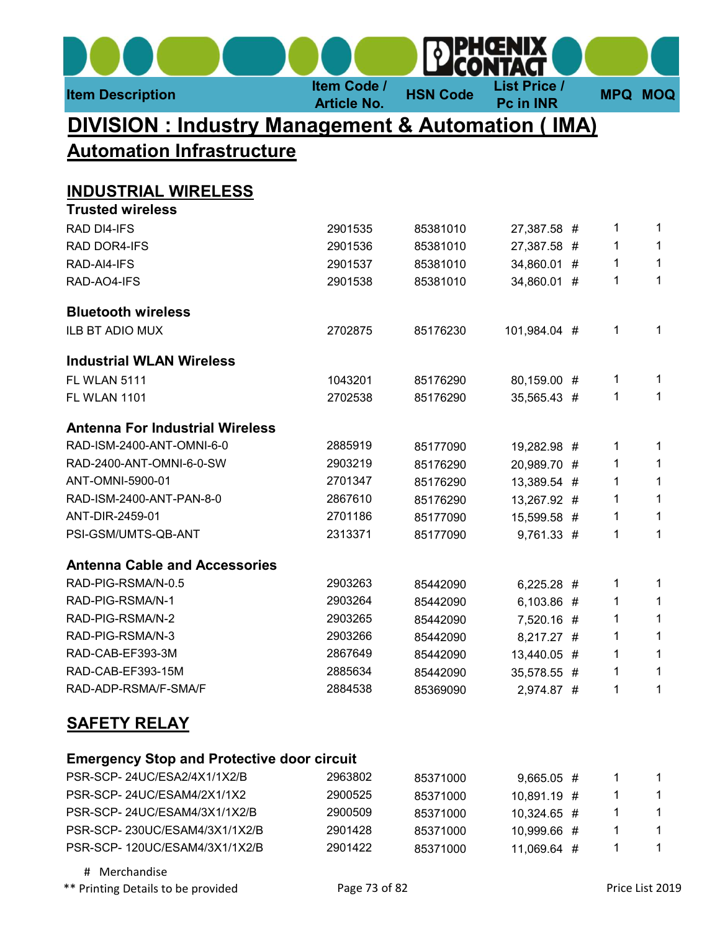Item Description **Item Code** /<br>Article No.

## HSN Code List Price /<br>Pc in INR

**MPQ MOQ** 

## DIVISION : Industry Management & Automation ( IMA)

Automation Infrastructure

| <b>INDUSTRIAL WIRELESS</b>                        |         |          |              |    |              |
|---------------------------------------------------|---------|----------|--------------|----|--------------|
| <b>Trusted wireless</b>                           |         |          |              |    |              |
| RAD DI4-IFS                                       | 2901535 | 85381010 | 27,387.58 #  | 1  | $\mathbf{1}$ |
| <b>RAD DOR4-IFS</b>                               | 2901536 | 85381010 | 27,387.58 #  | 1. | 1            |
| RAD-AI4-IFS                                       | 2901537 | 85381010 | 34,860.01 #  | 1  | 1            |
| RAD-AO4-IFS                                       | 2901538 | 85381010 | 34,860.01 #  | 1  | 1            |
| <b>Bluetooth wireless</b>                         |         |          |              |    |              |
| <b>ILB BT ADIO MUX</b>                            | 2702875 | 85176230 | 101,984.04 # | 1  | 1            |
| <b>Industrial WLAN Wireless</b>                   |         |          |              |    |              |
| <b>FL WLAN 5111</b>                               | 1043201 | 85176290 | 80,159.00 #  | 1  | 1            |
| <b>FL WLAN 1101</b>                               | 2702538 | 85176290 | 35,565.43 #  | 1  | 1            |
| <b>Antenna For Industrial Wireless</b>            |         |          |              |    |              |
| RAD-ISM-2400-ANT-OMNI-6-0                         | 2885919 | 85177090 | 19,282.98 #  | 1  | 1            |
| RAD-2400-ANT-OMNI-6-0-SW                          | 2903219 | 85176290 | 20,989.70 #  | 1  | 1            |
| ANT-OMNI-5900-01                                  | 2701347 | 85176290 | 13,389.54 #  | 1  | 1            |
| RAD-ISM-2400-ANT-PAN-8-0                          | 2867610 | 85176290 | 13,267.92 #  | 1  | 1            |
| ANT-DIR-2459-01                                   | 2701186 | 85177090 | 15,599.58 #  | 1  | 1            |
| PSI-GSM/UMTS-QB-ANT                               | 2313371 | 85177090 | $9,761.33$ # | 1  | 1            |
| <b>Antenna Cable and Accessories</b>              |         |          |              |    |              |
| RAD-PIG-RSMA/N-0.5                                | 2903263 | 85442090 | $6,225.28$ # | 1  | 1            |
| RAD-PIG-RSMA/N-1                                  | 2903264 | 85442090 | 6,103.86 #   | 1  | 1            |
| RAD-PIG-RSMA/N-2                                  | 2903265 | 85442090 | 7,520.16 #   | 1  | 1            |
| RAD-PIG-RSMA/N-3                                  | 2903266 | 85442090 | 8,217.27 #   | 1  | 1            |
| RAD-CAB-EF393-3M                                  | 2867649 | 85442090 | 13,440.05 #  | 1  | 1            |
| RAD-CAB-EF393-15M                                 | 2885634 | 85442090 | 35,578.55 #  | 1  | 1            |
| RAD-ADP-RSMA/F-SMA/F                              | 2884538 | 85369090 | 2,974.87 #   | 1  | 1            |
| <b>SAFETY RELAY</b>                               |         |          |              |    |              |
| <b>Emergency Stop and Protective door circuit</b> |         |          |              |    |              |
| PSR-SCP-24UC/ESA2/4X1/1X2/B                       | 2963802 | 85371000 | 9,665.05 #   | 1  | 1            |
| PSR-SCP-24UC/ESAM4/2X1/1X2                        | 2900525 | 85371000 | 10,891.19 #  | 1  | 1            |
| PSR-SCP-24UC/ESAM4/3X1/1X2/B                      | 2900509 | 85371000 | 10,324.65 #  | 1  | 1            |
| PSR-SCP-230UC/ESAM4/3X1/1X2/B                     | 2901428 | 85371000 | 10,999.66 #  | 1  | 1            |
| PSR-SCP-120UC/ESAM4/3X1/1X2/B                     | 2901422 | 85371000 | 11,069.64 #  | 1  | 1            |

# Merchandise

\*\* Printing Details to be provided **Page 73 of 82** Printing Details to be provided **Page 73 of 82** Price List 2019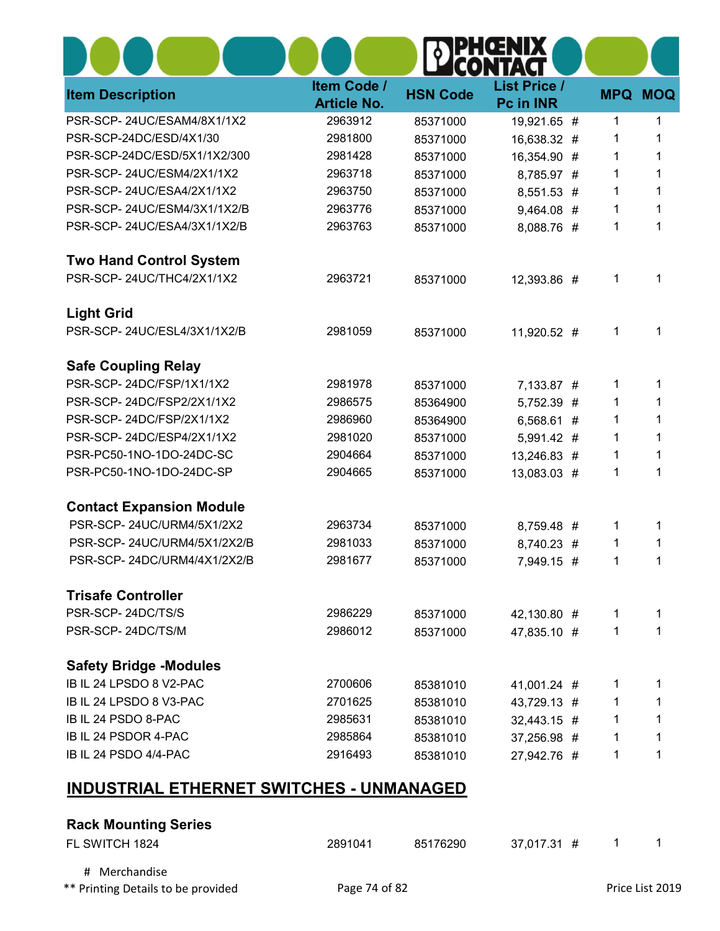|                                                 |                                   |                 | HŒNIX                            |            |            |
|-------------------------------------------------|-----------------------------------|-----------------|----------------------------------|------------|------------|
| <b>Item Description</b>                         | Item Code /<br><b>Article No.</b> | <b>HSN Code</b> | <b>List Price /</b><br>Pc in INR | <b>MPQ</b> | <b>MOQ</b> |
| PSR-SCP-24UC/ESAM4/8X1/1X2                      | 2963912                           | 85371000        | 19,921.65 #                      | 1          | 1          |
| PSR-SCP-24DC/ESD/4X1/30                         | 2981800                           | 85371000        | 16,638.32 #                      | 1          | 1          |
| PSR-SCP-24DC/ESD/5X1/1X2/300                    | 2981428                           | 85371000        | 16,354.90 #                      | 1          | 1          |
| PSR-SCP-24UC/ESM4/2X1/1X2                       | 2963718                           | 85371000        | 8,785.97 #                       | 1          | 1          |
| PSR-SCP-24UC/ESA4/2X1/1X2                       | 2963750                           | 85371000        | 8,551.53 #                       | 1          | 1          |
| PSR-SCP-24UC/ESM4/3X1/1X2/B                     | 2963776                           | 85371000        | 9,464.08 #                       | 1          | 1          |
| PSR-SCP-24UC/ESA4/3X1/1X2/B                     | 2963763                           | 85371000        | 8,088.76 #                       | 1          | 1          |
| <b>Two Hand Control System</b>                  |                                   |                 |                                  |            |            |
| PSR-SCP-24UC/THC4/2X1/1X2                       | 2963721                           | 85371000        | 12,393.86 #                      | 1          | 1          |
| <b>Light Grid</b>                               |                                   |                 |                                  |            |            |
| PSR-SCP-24UC/ESL4/3X1/1X2/B                     | 2981059                           | 85371000        | 11,920.52 #                      | 1          | 1          |
| <b>Safe Coupling Relay</b>                      |                                   |                 |                                  |            |            |
| PSR-SCP-24DC/FSP/1X1/1X2                        | 2981978                           | 85371000        | 7,133.87 #                       | 1          | 1          |
| PSR-SCP-24DC/FSP2/2X1/1X2                       | 2986575                           | 85364900        | 5,752.39 #                       | 1          | 1          |
| PSR-SCP-24DC/FSP/2X1/1X2                        | 2986960                           | 85364900        | 6,568.61 #                       | 1          | 1          |
| PSR-SCP-24DC/ESP4/2X1/1X2                       | 2981020                           | 85371000        | 5,991.42 #                       | 1          | 1          |
| PSR-PC50-1NO-1DO-24DC-SC                        | 2904664                           | 85371000        | 13,246.83 #                      | 1          | 1          |
| PSR-PC50-1NO-1DO-24DC-SP                        | 2904665                           | 85371000        | 13,083.03 #                      | 1          | 1          |
| <b>Contact Expansion Module</b>                 |                                   |                 |                                  |            |            |
| PSR-SCP-24UC/URM4/5X1/2X2                       | 2963734                           | 85371000        | 8,759.48 #                       | 1          | 1          |
| PSR-SCP-24UC/URM4/5X1/2X2/B                     | 2981033                           | 85371000        | 8,740.23 #                       | 1          | 1          |
| PSR-SCP-24DC/URM4/4X1/2X2/B                     | 2981677                           | 85371000        | 7,949.15 #                       | 1          | 1          |
| <b>Trisafe Controller</b>                       |                                   |                 |                                  |            |            |
| PSR-SCP-24DC/TS/S                               | 2986229                           | 85371000        | 42,130.80 #                      | 1          | 1          |
| PSR-SCP-24DC/TS/M                               | 2986012                           | 85371000        | 47,835.10 #                      | 1          | 1          |
| <b>Safety Bridge -Modules</b>                   |                                   |                 |                                  |            |            |
| IB IL 24 LPSDO 8 V2-PAC                         | 2700606                           | 85381010        | 41,001.24 #                      | 1          | 1          |
| IB IL 24 LPSDO 8 V3-PAC                         | 2701625                           | 85381010        | 43,729.13 #                      | 1          | 1          |
| IB IL 24 PSDO 8-PAC                             | 2985631                           | 85381010        | 32,443.15 #                      | 1          | 1          |
| IB IL 24 PSDOR 4-PAC                            | 2985864                           | 85381010        | 37,256.98 #                      | 1          | 1          |
| IB IL 24 PSDO 4/4-PAC                           | 2916493                           | 85381010        | 27,942.76 #                      | 1          | 1          |
| <b>INDUSTRIAL ETHERNET SWITCHES - UNMANAGED</b> |                                   |                 |                                  |            |            |
|                                                 |                                   |                 |                                  |            |            |

| <b>Rack Mounting Series</b>        |               |          |             |                 |
|------------------------------------|---------------|----------|-------------|-----------------|
| FL SWITCH 1824                     | 2891041       | 85176290 | 37.017.31 # |                 |
| # Merchandise                      |               |          |             |                 |
| ** Printing Details to be provided | Page 74 of 82 |          |             | Price List 2019 |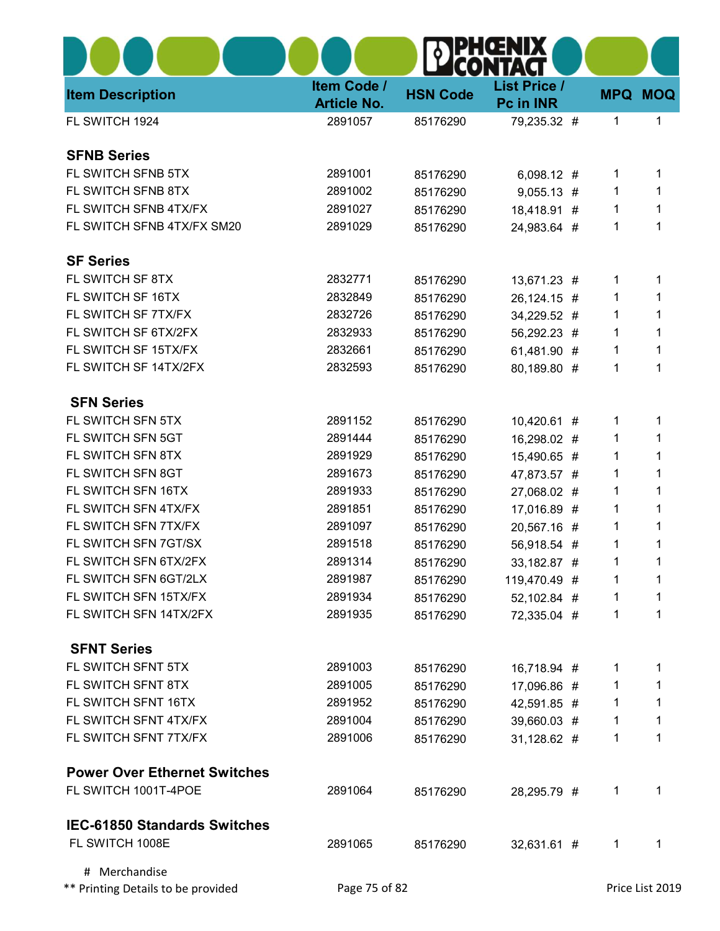| <b>Item Description</b>             | Item Code /<br><b>Article No.</b> | <b>HSN Code</b> | <b>List Price /</b><br>Pc in INR |              | <b>MPQ MOQ</b>  |
|-------------------------------------|-----------------------------------|-----------------|----------------------------------|--------------|-----------------|
| FL SWITCH 1924                      | 2891057                           | 85176290        | 79,235.32 #                      | 1            | 1               |
| <b>SFNB Series</b>                  |                                   |                 |                                  |              |                 |
| FL SWITCH SFNB 5TX                  | 2891001                           | 85176290        | 6,098.12 #                       | 1            | 1               |
| FL SWITCH SFNB 8TX                  | 2891002                           | 85176290        | $9,055.13$ #                     | 1            | 1               |
| FL SWITCH SFNB 4TX/FX               | 2891027                           | 85176290        | 18,418.91 #                      | 1            | 1               |
| FL SWITCH SFNB 4TX/FX SM20          | 2891029                           | 85176290        | 24,983.64 #                      | 1            | 1               |
| <b>SF Series</b>                    |                                   |                 |                                  |              |                 |
| FL SWITCH SF 8TX                    | 2832771                           | 85176290        | 13,671.23 #                      | 1            | 1               |
| FL SWITCH SF 16TX                   | 2832849                           | 85176290        | 26,124.15 #                      | 1            | 1               |
| FL SWITCH SF 7TX/FX                 | 2832726                           | 85176290        | 34,229.52 #                      | 1            | 1               |
| FL SWITCH SF 6TX/2FX                | 2832933                           | 85176290        | 56,292.23 #                      | 1            | 1               |
| FL SWITCH SF 15TX/FX                | 2832661                           | 85176290        | 61,481.90 #                      | 1            | 1               |
| FL SWITCH SF 14TX/2FX               | 2832593                           | 85176290        | 80,189.80 #                      | 1            | 1               |
| <b>SFN Series</b>                   |                                   |                 |                                  |              |                 |
| FL SWITCH SFN 5TX                   | 2891152                           | 85176290        | 10,420.61 #                      | 1            | 1               |
| FL SWITCH SFN 5GT                   | 2891444                           | 85176290        | 16,298.02 #                      | 1            |                 |
| FL SWITCH SFN 8TX                   | 2891929                           | 85176290        | 15,490.65 #                      | 1            | 1               |
| FL SWITCH SFN 8GT                   | 2891673                           | 85176290        | 47,873.57 #                      | 1            | 1               |
| FL SWITCH SFN 16TX                  | 2891933                           | 85176290        | 27,068.02 #                      | 1            | 1               |
| FL SWITCH SFN 4TX/FX                | 2891851                           | 85176290        | 17,016.89 #                      | 1            | 1               |
| FL SWITCH SFN 7TX/FX                | 2891097                           | 85176290        | 20,567.16 #                      | 1            | 1               |
| FL SWITCH SFN 7GT/SX                | 2891518                           | 85176290        | 56,918.54 #                      | 1            | 1               |
| FL SWITCH SFN 6TX/2FX               | 2891314                           | 85176290        | 33,182.87 #                      | 1            | 1               |
| FL SWITCH SFN 6GT/2LX               | 2891987                           | 85176290        | 119,470.49 #                     | 1            | 1               |
| FL SWITCH SFN 15TX/FX               | 2891934                           | 85176290        | 52,102.84 #                      | $\mathbf 1$  | 1               |
| FL SWITCH SFN 14TX/2FX              | 2891935                           | 85176290        | 72,335.04 #                      | 1            | 1               |
| <b>SFNT Series</b>                  |                                   |                 |                                  |              |                 |
| FL SWITCH SFNT 5TX                  | 2891003                           | 85176290        | 16,718.94 #                      | 1            | 1               |
| FL SWITCH SFNT 8TX                  | 2891005                           | 85176290        | 17,096.86 #                      | $\mathbf 1$  | 1               |
| FL SWITCH SFNT 16TX                 | 2891952                           | 85176290        | 42,591.85 #                      | 1            | 1               |
| FL SWITCH SFNT 4TX/FX               | 2891004                           | 85176290        | 39,660.03 #                      | $\mathbf{1}$ | 1               |
| FL SWITCH SFNT 7TX/FX               | 2891006                           | 85176290        | 31,128.62 #                      | 1            | 1               |
| <b>Power Over Ethernet Switches</b> |                                   |                 |                                  |              |                 |
| FL SWITCH 1001T-4POE                | 2891064                           | 85176290        | 28,295.79 #                      | 1            | 1               |
| <b>IEC-61850 Standards Switches</b> |                                   |                 |                                  |              |                 |
| FL SWITCH 1008E                     | 2891065                           | 85176290        | 32,631.61 #                      | $\mathbf 1$  | $\mathbf{1}$    |
| # Merchandise                       |                                   |                 |                                  |              |                 |
| ** Printing Details to be provided  | Page 75 of 82                     |                 |                                  |              | Price List 2019 |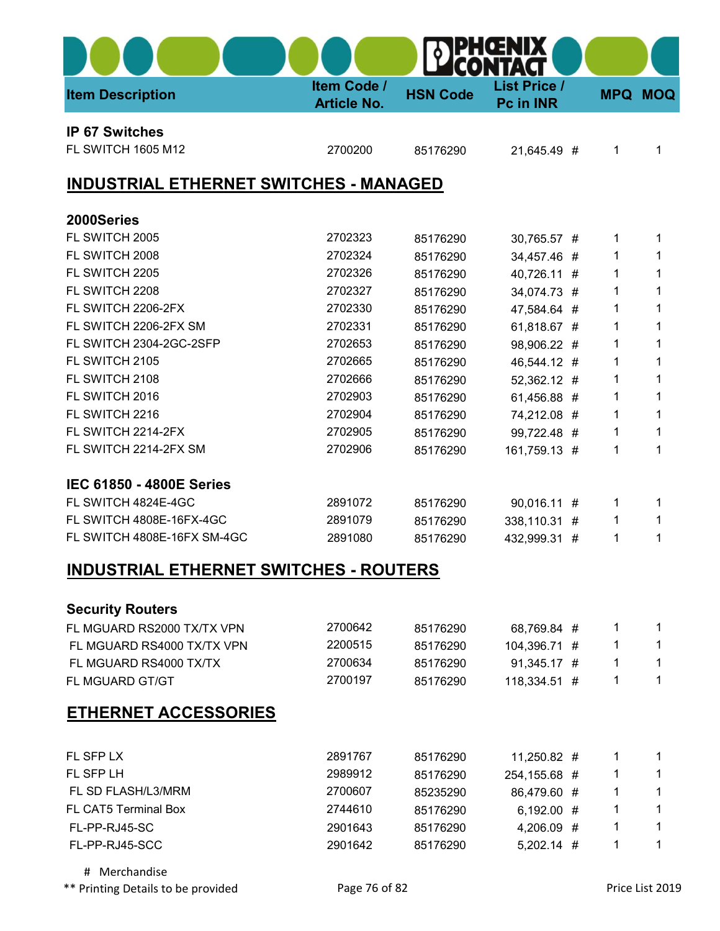| <b>Item Description</b>                       | Item Code /<br><b>Article No.</b> | <b>HSN Code</b> | <b>List Price /</b><br>Pc in INR | <b>MPQ</b> | <b>MOQ</b> |
|-----------------------------------------------|-----------------------------------|-----------------|----------------------------------|------------|------------|
| <b>IP 67 Switches</b>                         |                                   |                 |                                  |            |            |
| <b>FL SWITCH 1605 M12</b>                     | 2700200                           | 85176290        | 21,645.49 #                      | 1          | 1          |
| <b>INDUSTRIAL ETHERNET SWITCHES - MANAGED</b> |                                   |                 |                                  |            |            |
| 2000Series                                    |                                   |                 |                                  |            |            |
| FL SWITCH 2005                                | 2702323                           | 85176290        | 30,765.57 #                      | 1          | 1          |
| FL SWITCH 2008                                | 2702324                           | 85176290        | 34,457.46 #                      | 1          | 1          |
| FL SWITCH 2205                                | 2702326                           | 85176290        | 40,726.11 #                      | 1          | 1          |
| FL SWITCH 2208                                | 2702327                           | 85176290        | 34,074.73 #                      | 1          | 1          |
| FL SWITCH 2206-2FX                            | 2702330                           | 85176290        | 47,584.64 #                      | 1          | 1          |
| FL SWITCH 2206-2FX SM                         | 2702331                           | 85176290        | 61,818.67 #                      | 1          | 1          |
| FL SWITCH 2304-2GC-2SFP                       | 2702653                           | 85176290        | 98,906.22 #                      | 1          |            |
| FL SWITCH 2105                                | 2702665                           | 85176290        | 46,544.12 #                      | 1          | 1          |
| FL SWITCH 2108                                | 2702666                           | 85176290        | 52,362.12 #                      | 1          | 1          |
| FL SWITCH 2016                                | 2702903                           | 85176290        | 61,456.88 #                      | 1          |            |
| FL SWITCH 2216                                | 2702904                           | 85176290        | 74,212.08 #                      | 1          | 1          |
| FL SWITCH 2214-2FX                            | 2702905                           | 85176290        | 99,722.48 #                      | 1          | 1          |
| FL SWITCH 2214-2FX SM                         | 2702906                           | 85176290        | 161,759.13 #                     | 1          | 1          |
| <b>IEC 61850 - 4800E Series</b>               |                                   |                 |                                  |            |            |
| FL SWITCH 4824E-4GC                           | 2891072                           | 85176290        | 90,016.11 #                      | 1          | 1          |
| FL SWITCH 4808E-16FX-4GC                      | 2891079                           | 85176290        | 338,110.31                       | 1<br>#     | 1          |
| FL SWITCH 4808E-16FX SM-4GC                   | 2891080                           | 85176290        | 432,999.31 #                     | 1          | 1          |
| <b>INDUSTRIAL ETHERNET SWITCHES - ROUTERS</b> |                                   |                 |                                  |            |            |
| <b>Security Routers</b>                       |                                   |                 |                                  |            |            |
| FL MGUARD RS2000 TX/TX VPN                    | 2700642                           | 85176290        | 68,769.84 #                      | 1          | 1          |
| FL MGUARD RS4000 TX/TX VPN                    | 2200515                           | 85176290        | 104,396.71 #                     | 1          | 1          |
| FL MGUARD RS4000 TX/TX                        | 2700634                           | 85176290        | 91,345.17 #                      | 1          | 1          |
| FL MGUARD GT/GT                               | 2700197                           | 85176290        | 118,334.51 #                     | 1          | 1          |
| <b>ETHERNET ACCESSORIES</b>                   |                                   |                 |                                  |            |            |
| FL SFP LX                                     | 2891767                           | 85176290        | 11,250.82 #                      | 1          | 1          |
| FL SFP LH                                     | 2989912                           | 85176290        | 254,155.68 #                     | 1          | 1          |
| FL SD FLASH/L3/MRM                            | 2700607                           | 85235290        | 86,479.60 #                      | 1          | 1          |
| FL CAT5 Terminal Box                          | 2744610                           | 85176290        | $6,192.00$ #                     | 1          | 1          |
| FL-PP-RJ45-SC                                 | 2901643                           | 85176290        | 4,206.09 #                       | 1          | 1          |
| FL-PP-RJ45-SCC                                | 2901642                           | 85176290        | $5,202.14$ #                     | 1          | 1          |
| # Merchandise                                 |                                   |                 |                                  |            |            |

\*\* Printing Details to be provided **Page 76 of 82** Price List 2019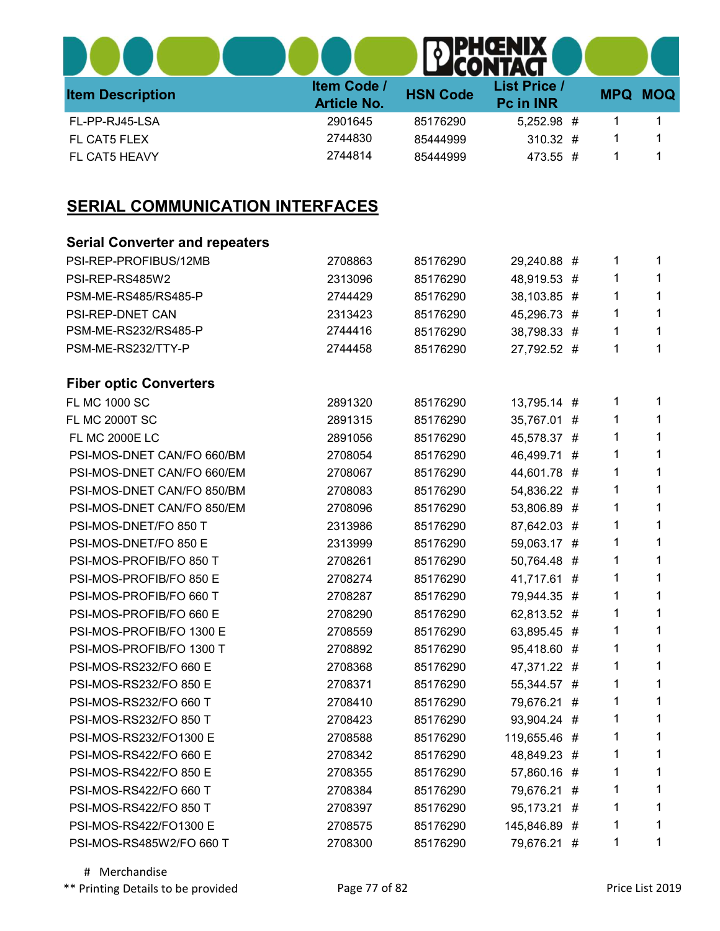| <b>Item Description</b> | Item Code /<br><b>Article No.</b> | <b>HSN Code</b> | <b>List Price /</b><br>Pc in INR | <b>MPQ MOQ</b> |
|-------------------------|-----------------------------------|-----------------|----------------------------------|----------------|
| FL-PP-RJ45-LSA          | 2901645                           | 85176290        | 5,252.98 #                       |                |
| FL CAT5 FLEX            | 2744830                           | 85444999        | 310.32#                          |                |
| FL CAT5 HEAVY           | 2744814                           | 85444999        | 473.55 #                         |                |

## **SERIAL COMMUNICATION INTERFACES**

| <b>Serial Converter and repeaters</b> |         |          |              |   |   |   |
|---------------------------------------|---------|----------|--------------|---|---|---|
| PSI-REP-PROFIBUS/12MB                 | 2708863 | 85176290 | 29,240.88 #  |   | 1 | 1 |
| PSI-REP-RS485W2                       | 2313096 | 85176290 | 48,919.53 #  |   | 1 | 1 |
| PSM-ME-RS485/RS485-P                  | 2744429 | 85176290 | 38,103.85 #  |   | 1 | 1 |
| PSI-REP-DNET CAN                      | 2313423 | 85176290 | 45,296.73 #  |   | 1 | 1 |
| PSM-ME-RS232/RS485-P                  | 2744416 | 85176290 | 38,798.33 #  |   | 1 | 1 |
| PSM-ME-RS232/TTY-P                    | 2744458 | 85176290 | 27,792.52 #  |   | 1 | 1 |
| <b>Fiber optic Converters</b>         |         |          |              |   |   |   |
| <b>FL MC 1000 SC</b>                  | 2891320 | 85176290 | 13,795.14 #  |   | 1 | 1 |
| <b>FL MC 2000T SC</b>                 | 2891315 | 85176290 | 35,767.01 #  |   | 1 | 1 |
| <b>FL MC 2000E LC</b>                 | 2891056 | 85176290 | 45,578.37 #  |   | 1 | 1 |
| PSI-MOS-DNET CAN/FO 660/BM            | 2708054 | 85176290 | 46,499.71 #  |   | 1 | 1 |
| PSI-MOS-DNET CAN/FO 660/EM            | 2708067 | 85176290 | 44,601.78 #  |   | 1 | 1 |
| PSI-MOS-DNET CAN/FO 850/BM            | 2708083 | 85176290 | 54,836.22 #  |   | 1 | 1 |
| PSI-MOS-DNET CAN/FO 850/EM            | 2708096 | 85176290 | 53,806.89 #  |   | 1 | 1 |
| PSI-MOS-DNET/FO 850 T                 | 2313986 | 85176290 | 87,642.03 #  |   | 1 | 1 |
| PSI-MOS-DNET/FO 850 E                 | 2313999 | 85176290 | 59,063.17 #  |   | 1 | 1 |
| PSI-MOS-PROFIB/FO 850 T               | 2708261 | 85176290 | 50,764.48 #  |   | 1 | 1 |
| PSI-MOS-PROFIB/FO 850 E               | 2708274 | 85176290 | 41,717.61 #  |   | 1 | 1 |
| PSI-MOS-PROFIB/FO 660 T               | 2708287 | 85176290 | 79,944.35 #  |   | 1 | 1 |
| PSI-MOS-PROFIB/FO 660 E               | 2708290 | 85176290 | 62,813.52 #  |   | 1 | 1 |
| PSI-MOS-PROFIB/FO 1300 E              | 2708559 | 85176290 | 63,895.45 #  |   | 1 | 1 |
| PSI-MOS-PROFIB/FO 1300 T              | 2708892 | 85176290 | 95,418.60 #  |   | 1 | 1 |
| PSI-MOS-RS232/FO 660 E                | 2708368 | 85176290 | 47,371.22 #  |   | 1 | 1 |
| PSI-MOS-RS232/FO 850 E                | 2708371 | 85176290 | 55,344.57 #  |   | 1 | 1 |
| PSI-MOS-RS232/FO 660 T                | 2708410 | 85176290 | 79,676.21 #  |   | 1 | 1 |
| PSI-MOS-RS232/FO 850 T                | 2708423 | 85176290 | 93,904.24 #  |   | 1 | 1 |
| PSI-MOS-RS232/FO1300 E                | 2708588 | 85176290 | 119,655.46 # |   | 1 | 1 |
| PSI-MOS-RS422/FO 660 E                | 2708342 | 85176290 | 48,849.23 #  |   | 1 | 1 |
| PSI-MOS-RS422/FO 850 E                | 2708355 | 85176290 | 57,860.16 #  |   | 1 | 1 |
| PSI-MOS-RS422/FO 660 T                | 2708384 | 85176290 | 79,676.21    | # | 1 | 1 |
| PSI-MOS-RS422/FO 850 T                | 2708397 | 85176290 | 95,173.21    | # | 1 | 1 |
| PSI-MOS-RS422/FO1300 E                | 2708575 | 85176290 | 145,846.89 # |   | 1 | 1 |
| PSI-MOS-RS485W2/FO 660 T              | 2708300 | 85176290 | 79,676.21 #  |   | 1 | 1 |

 # Merchandise \*\* Printing Details to be provided **Page 77 of 82** Printing Details to be provided **Page 77 of 82** Price List 2019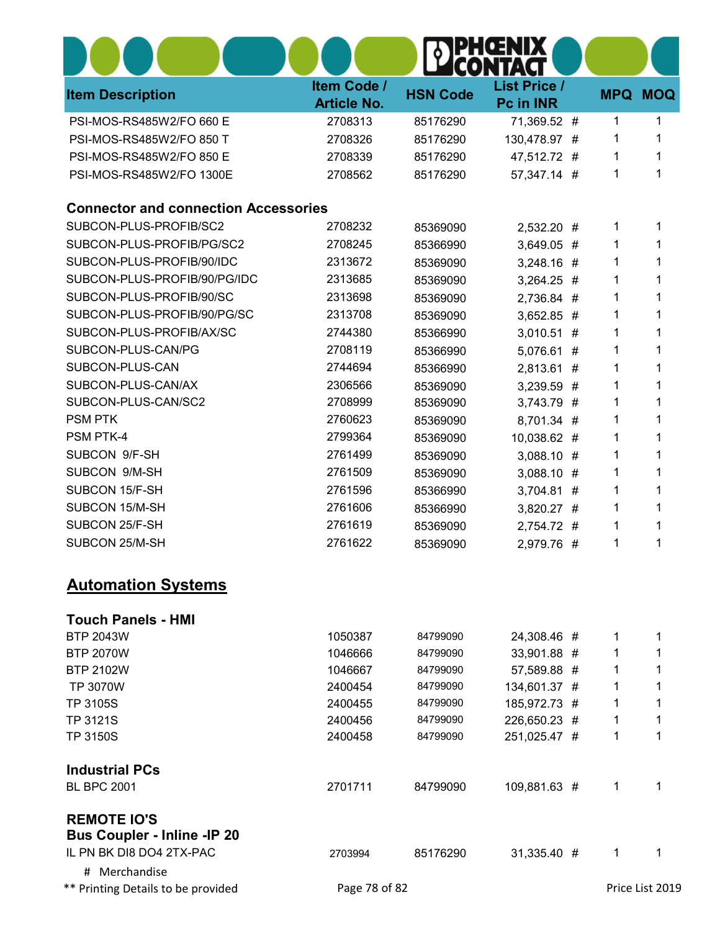| <b>Item Description</b>                     | Item Code /<br><b>Article No.</b> | <b>HSN Code</b> | <b>List Price /</b><br>Pc in INR |   |   | <b>MPQ MOQ</b>  |
|---------------------------------------------|-----------------------------------|-----------------|----------------------------------|---|---|-----------------|
| PSI-MOS-RS485W2/FO 660 E                    | 2708313                           | 85176290        | 71,369.52 #                      |   | 1 | 1               |
| PSI-MOS-RS485W2/FO 850 T                    | 2708326                           | 85176290        | 130,478.97 #                     |   | 1 |                 |
| PSI-MOS-RS485W2/FO 850 E                    | 2708339                           | 85176290        | 47,512.72 #                      |   | 1 | 1               |
| PSI-MOS-RS485W2/FO 1300E                    | 2708562                           | 85176290        | 57,347.14 #                      |   | 1 | 1               |
| <b>Connector and connection Accessories</b> |                                   |                 |                                  |   |   |                 |
| SUBCON-PLUS-PROFIB/SC2                      | 2708232                           | 85369090        | 2,532.20 #                       |   | 1 | 1               |
| SUBCON-PLUS-PROFIB/PG/SC2                   | 2708245                           | 85366990        | 3,649.05 #                       |   | 1 | 1               |
| SUBCON-PLUS-PROFIB/90/IDC                   | 2313672                           | 85369090        | 3,248.16 #                       |   | 1 | 1               |
| SUBCON-PLUS-PROFIB/90/PG/IDC                | 2313685                           | 85369090        | 3,264.25 #                       |   | 1 | 1               |
| SUBCON-PLUS-PROFIB/90/SC                    | 2313698                           | 85369090        | 2,736.84 #                       |   | 1 | 1               |
| SUBCON-PLUS-PROFIB/90/PG/SC                 | 2313708                           | 85369090        | 3,652.85 #                       |   | 1 | 1               |
| SUBCON-PLUS-PROFIB/AX/SC                    | 2744380                           | 85366990        | 3,010.51                         | # | 1 | 1               |
| SUBCON-PLUS-CAN/PG                          | 2708119                           | 85366990        | 5,076.61                         | # | 1 | 1               |
| SUBCON-PLUS-CAN                             | 2744694                           | 85366990        | 2,813.61 #                       |   | 1 | 1               |
| SUBCON-PLUS-CAN/AX                          | 2306566                           | 85369090        | 3,239.59 #                       |   | 1 | 1               |
| SUBCON-PLUS-CAN/SC2                         | 2708999                           | 85369090        | 3,743.79 #                       |   | 1 | 1               |
| <b>PSM PTK</b>                              | 2760623                           | 85369090        | 8,701.34 #                       |   | 1 | 1               |
| PSM PTK-4                                   | 2799364                           | 85369090        | 10,038.62 #                      |   | 1 | 1               |
| SUBCON 9/F-SH                               | 2761499                           | 85369090        | 3,088.10 #                       |   | 1 | 1               |
| SUBCON 9/M-SH                               | 2761509                           | 85369090        | 3,088.10 #                       |   | 1 | 1               |
| SUBCON 15/F-SH                              | 2761596                           | 85366990        | 3,704.81 #                       |   | 1 |                 |
| SUBCON 15/M-SH                              | 2761606                           | 85366990        | 3,820.27 #                       |   | 1 |                 |
| SUBCON 25/F-SH                              | 2761619                           | 85369090        | 2,754.72 #                       |   | 1 |                 |
| SUBCON 25/M-SH                              | 2761622                           | 85369090        | 2,979.76 #                       |   | 1 | 1               |
| <b>Automation Systems</b>                   |                                   |                 |                                  |   |   |                 |
| <b>Touch Panels - HMI</b>                   |                                   |                 |                                  |   |   |                 |
| <b>BTP 2043W</b>                            | 1050387                           | 84799090        | 24,308.46 #                      |   | 1 | 1               |
| <b>BTP 2070W</b>                            | 1046666                           | 84799090        | 33,901.88 #                      |   | 1 | 1               |
| <b>BTP 2102W</b>                            | 1046667                           | 84799090        | 57,589.88 #                      |   | 1 | 1               |
| <b>TP 3070W</b>                             | 2400454                           | 84799090        | 134,601.37 #                     |   | 1 |                 |
| <b>TP 3105S</b>                             | 2400455                           | 84799090        | 185,972.73 #                     |   | 1 | 1               |
| TP 3121S                                    | 2400456                           | 84799090        | 226,650.23 #                     |   | 1 | 1               |
| <b>TP 3150S</b>                             | 2400458                           | 84799090        | 251,025.47 #                     |   | 1 | 1               |
| <b>Industrial PCs</b>                       |                                   |                 |                                  |   |   |                 |
| <b>BL BPC 2001</b>                          | 2701711                           | 84799090        | 109,881.63 #                     |   | 1 | 1               |
| <b>REMOTE IO'S</b>                          |                                   |                 |                                  |   |   |                 |
| <b>Bus Coupler - Inline -IP 20</b>          |                                   |                 |                                  |   |   |                 |
| IL PN BK DI8 DO4 2TX-PAC                    | 2703994                           | 85176290        | 31,335.40 #                      |   | 1 | 1               |
| # Merchandise                               |                                   |                 |                                  |   |   |                 |
| ** Printing Details to be provided          | Page 78 of 82                     |                 |                                  |   |   | Price List 2019 |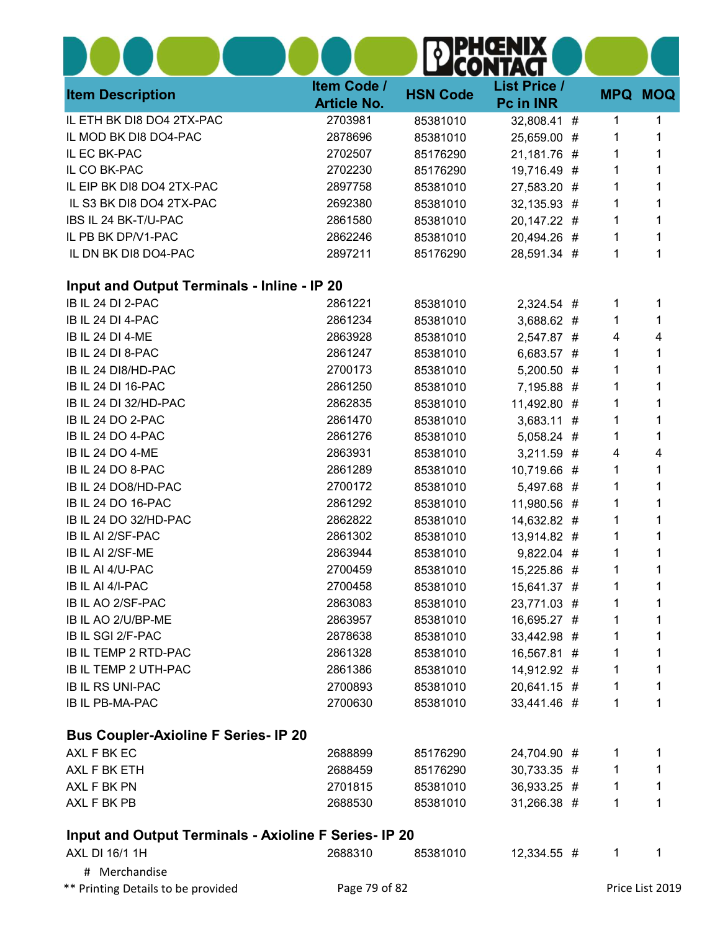|                                                              |                    |                 | PHŒNIX<br><b>CONTACT</b> |              |                 |
|--------------------------------------------------------------|--------------------|-----------------|--------------------------|--------------|-----------------|
|                                                              | Item Code /        |                 | <b>List Price /</b>      |              |                 |
| <b>Item Description</b>                                      | <b>Article No.</b> | <b>HSN Code</b> | Pc in INR                |              | <b>MPQ MOQ</b>  |
| IL ETH BK DI8 DO4 2TX-PAC                                    | 2703981            | 85381010        | 32,808.41 #              | 1            | 1               |
| IL MOD BK DI8 DO4-PAC                                        | 2878696            | 85381010        | 25,659.00 #              | 1            | 1               |
| IL EC BK-PAC                                                 | 2702507            | 85176290        | 21,181.76 #              | 1            |                 |
| IL CO BK-PAC                                                 | 2702230            | 85176290        | 19,716.49 #              | 1            | 1               |
| IL EIP BK DI8 DO4 2TX-PAC                                    | 2897758            | 85381010        | 27,583.20 #              | 1            |                 |
| IL S3 BK DI8 DO4 2TX-PAC                                     | 2692380            | 85381010        | 32,135.93 #              | 1            |                 |
| IBS IL 24 BK-T/U-PAC                                         | 2861580            | 85381010        | 20,147.22 #              | 1            | 1               |
| IL PB BK DP/V1-PAC                                           | 2862246            | 85381010        | 20,494.26 #              | 1            | 1               |
| IL DN BK DI8 DO4-PAC                                         | 2897211            | 85176290        | 28,591.34 #              | 1            | 1               |
| Input and Output Terminals - Inline - IP 20                  |                    |                 |                          |              |                 |
| IB IL 24 DI 2-PAC                                            | 2861221            | 85381010        | 2,324.54 #               | 1            | 1               |
| IB IL 24 DI 4-PAC                                            | 2861234            | 85381010        | 3,688.62 #               | 1            |                 |
| <b>IB IL 24 DI 4-ME</b>                                      | 2863928            | 85381010        | 2,547.87 #               | 4            | 4               |
| IB IL 24 DI 8-PAC                                            | 2861247            | 85381010        | 6,683.57 #               | 1            | 1               |
| IB IL 24 DI8/HD-PAC                                          | 2700173            | 85381010        | 5,200.50 #               | 1            | 1               |
| <b>IB IL 24 DI 16-PAC</b>                                    | 2861250            | 85381010        | 7,195.88 #               | 1            |                 |
| IB IL 24 DI 32/HD-PAC                                        | 2862835            | 85381010        | 11,492.80 #              | 1            | 1               |
| IB IL 24 DO 2-PAC                                            | 2861470            | 85381010        | 3,683.11 #               | 1            | 1               |
| IB IL 24 DO 4-PAC                                            | 2861276            | 85381010        | 5,058.24 #               | 1            | 1               |
| IB IL 24 DO 4-ME                                             | 2863931            | 85381010        | 3,211.59 #               | 4            | 4               |
| IB IL 24 DO 8-PAC                                            | 2861289            | 85381010        | 10,719.66 #              | 1            |                 |
| IB IL 24 DO8/HD-PAC                                          | 2700172            | 85381010        | 5,497.68 #               | 1            | 1               |
| <b>IB IL 24 DO 16-PAC</b>                                    | 2861292            | 85381010        | 11,980.56 #              | 1            |                 |
| IB IL 24 DO 32/HD-PAC                                        | 2862822            | 85381010        | 14,632.82 #              | 1            |                 |
| IB IL AI 2/SF-PAC                                            | 2861302            | 85381010        | 13,914.82 #              | 1            | 1               |
| IB IL AI 2/SF-ME                                             | 2863944            | 85381010        | 9,822.04 #               | 1            | 1               |
| IB IL AI 4/U-PAC                                             | 2700459            | 85381010        | 15,225.86 #              | 1            |                 |
| IB IL AI 4/I-PAC                                             | 2700458            | 85381010        | 15,641.37 #              | 1            | 1               |
| IB IL AO 2/SF-PAC                                            | 2863083            | 85381010        | 23,771.03 #              | 1            | 1               |
| IB IL AO 2/U/BP-ME                                           | 2863957            | 85381010        | 16,695.27 #              | 1            |                 |
| IB IL SGI 2/F-PAC                                            | 2878638            | 85381010        | 33,442.98 #              | 1            | 1               |
| <b>IB IL TEMP 2 RTD-PAC</b>                                  | 2861328            | 85381010        | 16,567.81 #              | 1            | 1               |
| <b>IB IL TEMP 2 UTH-PAC</b>                                  | 2861386            | 85381010        | 14,912.92 #              | $\mathbf 1$  | 1               |
| <b>IB IL RS UNI-PAC</b>                                      | 2700893            | 85381010        | 20,641.15 #              | $\mathbf{1}$ | 1               |
| IB IL PB-MA-PAC                                              | 2700630            | 85381010        | 33,441.46 #              | 1            | 1               |
| <b>Bus Coupler-Axioline F Series- IP 20</b>                  |                    |                 |                          |              |                 |
| AXL F BK EC                                                  | 2688899            | 85176290        | 24,704.90 #              | 1            | 1               |
| AXL F BK ETH                                                 | 2688459            | 85176290        | $30,733.35$ #            | $\mathbf 1$  | 1               |
| AXL F BK PN                                                  | 2701815            | 85381010        | 36,933.25 #              | $\mathbf 1$  | 1               |
| AXL F BK PB                                                  | 2688530            | 85381010        | 31,266.38 #              | 1            | 1               |
| <b>Input and Output Terminals - Axioline F Series- IP 20</b> |                    |                 |                          |              |                 |
| AXL DI 16/1 1H                                               | 2688310            | 85381010        | 12,334.55 #              | $\mathbf 1$  | 1               |
| # Merchandise                                                |                    |                 |                          |              |                 |
| ** Printing Details to be provided                           | Page 79 of 82      |                 |                          |              | Price List 2019 |

 $\overline{\phantom{a}}$ 

. . . .

٠

**.....** 

,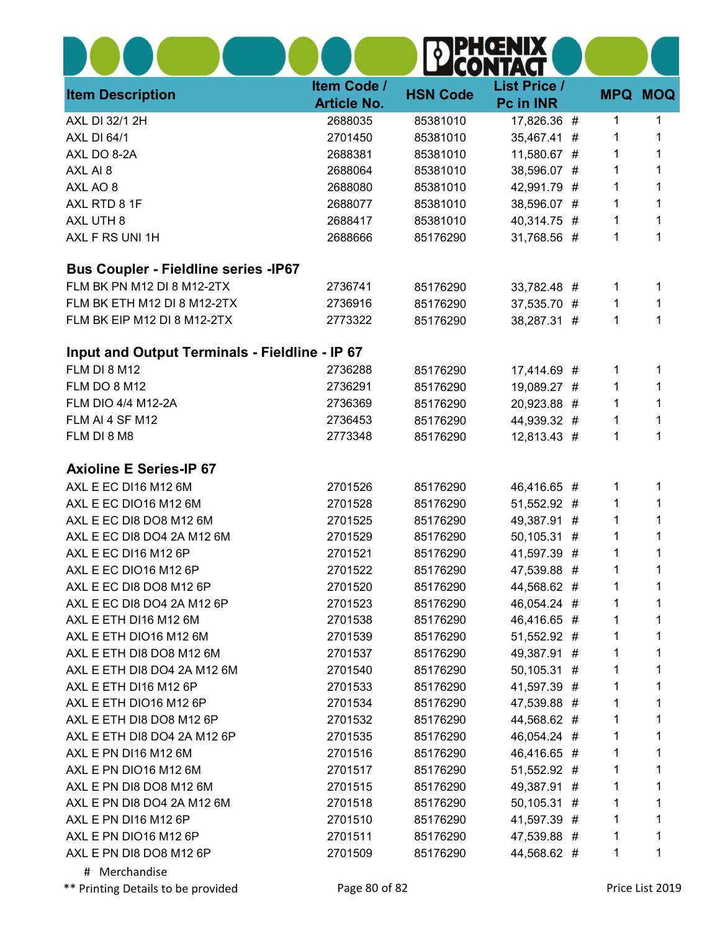|                                                |                    |                 | HOENIX<br>CONTACT   |            |            |
|------------------------------------------------|--------------------|-----------------|---------------------|------------|------------|
|                                                | Item Code /        |                 | <b>List Price /</b> |            |            |
| <b>Item Description</b>                        | <b>Article No.</b> | <b>HSN Code</b> | Pc in INR           | <b>MPQ</b> | <b>MOQ</b> |
| AXL DI 32/1 2H                                 | 2688035            | 85381010        | 17,826.36 #         | 1          | 1          |
| <b>AXL DI 64/1</b>                             | 2701450            | 85381010        | 35,467.41 #         | 1          | 1          |
| AXL DO 8-2A                                    | 2688381            | 85381010        | 11,580.67 #         | 1          | 1          |
| AXL AI 8                                       | 2688064            | 85381010        | 38,596.07 #         | 1          | 1          |
| AXL AO 8                                       | 2688080            | 85381010        | 42,991.79 #         | 1          | 1          |
| AXL RTD 8 1F                                   | 2688077            | 85381010        | 38,596.07 #         | 1          | 1          |
| AXL UTH 8                                      | 2688417            | 85381010        | 40,314.75 #         | 1          | 1          |
| AXL F RS UNI 1H                                | 2688666            | 85176290        | 31,768.56 #         | 1          | 1          |
| <b>Bus Coupler - Fieldline series -IP67</b>    |                    |                 |                     |            |            |
| FLM BK PN M12 DI 8 M12-2TX                     | 2736741            | 85176290        | 33,782.48 #         | 1          | 1          |
| FLM BK ETH M12 DI 8 M12-2TX                    | 2736916            | 85176290        | 37,535.70 #         | 1          | 1          |
| FLM BK EIP M12 DI 8 M12-2TX                    | 2773322            | 85176290        | 38,287.31 #         | 1          | 1          |
| Input and Output Terminals - Fieldline - IP 67 |                    |                 |                     |            |            |
| FLM DI 8 M12                                   | 2736288            | 85176290        | 17,414.69 #         | 1          | 1          |
| FLM DO 8 M12                                   | 2736291            | 85176290        | 19,089.27 #         | 1          | 1          |
| FLM DIO 4/4 M12-2A                             | 2736369            | 85176290        | 20,923.88 #         | 1          | 1          |
| FLM AI 4 SF M12                                | 2736453            | 85176290        | 44,939.32 #         | 1          | 1          |
| FLM DI 8 M8                                    | 2773348            | 85176290        | 12,813.43 #         | 1          | 1          |
| <b>Axioline E Series-IP 67</b>                 |                    |                 |                     |            |            |
| AXL E EC DI16 M12 6M                           | 2701526            | 85176290        | 46,416.65 #         | 1          | 1          |
| AXL E EC DIO16 M12 6M                          | 2701528            | 85176290        | 51,552.92 #         | 1          | 1          |
| AXL E EC DI8 DO8 M12 6M                        | 2701525            | 85176290        | 49,387.91 #         | 1          | 1          |
| AXL E EC DI8 DO4 2A M12 6M                     | 2701529            | 85176290        | 50,105.31 #         | 1          | 1          |
| AXL E EC DI16 M12 6P                           | 2701521            | 85176290        | 41,597.39 #         | 1          | 1          |
| AXL E EC DIO16 M12 6P                          | 2701522            | 85176290        | 47,539.88 #         |            |            |
| AXL E EC DI8 DO8 M12 6P                        | 2701520            | 85176290        | 44,568.62 #         | 1          | 1          |
| AXL E EC DI8 DO4 2A M12 6P                     | 2701523            | 85176290        | 46,054.24 #         | 1          | 1          |
| AXL E ETH DI16 M12 6M                          | 2701538            | 85176290        | 46,416.65 #         | 1          | 1          |
| AXL E ETH DIO16 M12 6M                         | 2701539            | 85176290        | 51,552.92 #         | 1          | 1          |
| AXL E ETH DI8 DO8 M12 6M                       | 2701537            | 85176290        | 49,387.91 #         | 1          | 1          |
| AXL E ETH DI8 DO4 2A M12 6M                    | 2701540            | 85176290        | 50,105.31 #         | 1          | 1          |
| AXL E ETH DI16 M12 6P                          | 2701533            | 85176290        | 41,597.39 #         | 1          | 1          |
| AXL E ETH DIO16 M12 6P                         | 2701534            | 85176290        | 47,539.88 #         | 1          | 1          |
| AXL E ETH DI8 DO8 M12 6P                       | 2701532            | 85176290        | 44,568.62 #         | 1          | 1          |
| AXL E ETH DI8 DO4 2A M12 6P                    | 2701535            | 85176290        | 46,054.24 #         | 1          | 1          |
| AXL E PN DI16 M12 6M                           | 2701516            | 85176290        | 46,416.65 #         | 1          | 1          |
| AXL E PN DIO16 M12 6M                          | 2701517            | 85176290        | 51,552.92 #         | 1          | 1          |
| AXL E PN DI8 DO8 M12 6M                        | 2701515            | 85176290        | 49,387.91 #         | 1          | 1          |
| AXL E PN DI8 DO4 2A M12 6M                     | 2701518            | 85176290        | 50,105.31 #         | 1          | 1          |
| AXL E PN DI16 M12 6P                           | 2701510            | 85176290        | 41,597.39 #         | 1          | 1          |
| AXL E PN DIO16 M12 6P                          | 2701511            | 85176290        | 47,539.88 #         | 1          | 1          |
| AXL E PN DI8 DO8 M12 6P                        | 2701509            | 85176290        | 44,568.62 #         | 1          | 1          |
| # Merchandise                                  |                    |                 |                     |            |            |

. . .

**. ...** 

\*\* Printing Details to be provided **Page 80 of 82** Printing Details to be provided **Page 80 of 82** Price List 2019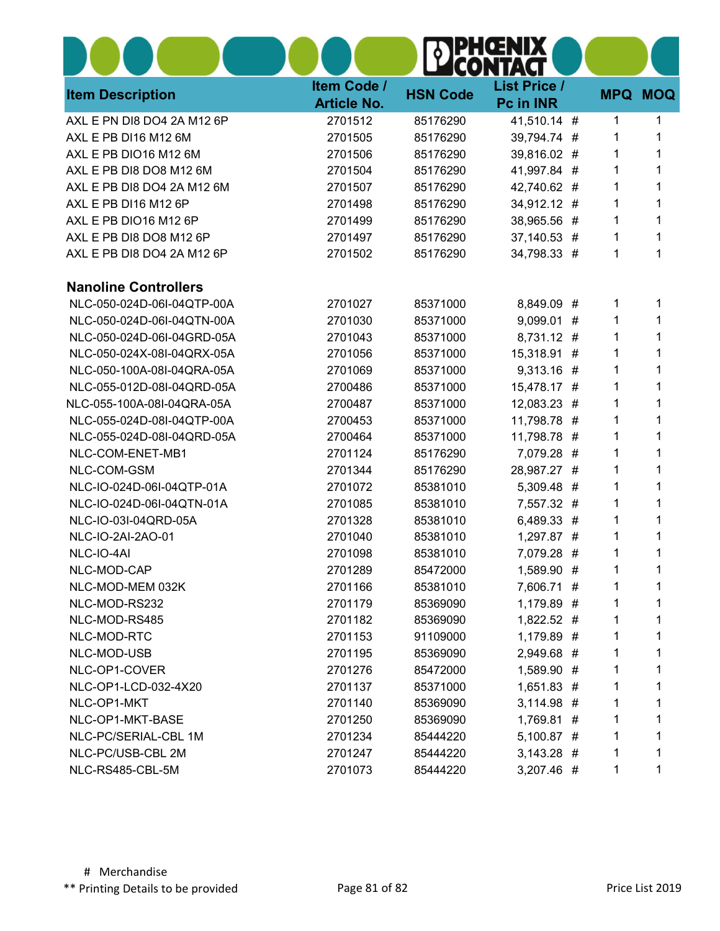| <b>Item Description</b>     | Item Code /<br><b>Article No.</b> | <b>HSN Code</b> | <b>List Price /</b><br>Pc in INR | <b>MPQ</b> | <b>MOQ</b> |
|-----------------------------|-----------------------------------|-----------------|----------------------------------|------------|------------|
| AXL E PN DI8 DO4 2A M12 6P  | 2701512                           | 85176290        | 41,510.14 #                      | 1          | 1          |
| AXL E PB DI16 M12 6M        | 2701505                           | 85176290        | 39,794.74 #                      | 1          | 1          |
| AXL E PB DIO16 M12 6M       | 2701506                           | 85176290        | 39,816.02 #                      | 1          | 1          |
| AXL E PB DI8 DO8 M12 6M     | 2701504                           | 85176290        | 41,997.84 #                      | 1          |            |
| AXL E PB DI8 DO4 2A M12 6M  | 2701507                           | 85176290        | 42,740.62 #                      | 1          |            |
| AXL E PB DI16 M12 6P        | 2701498                           | 85176290        | 34,912.12 #                      | 1          | 1          |
| AXL E PB DIO16 M12 6P       | 2701499                           | 85176290        | 38,965.56 #                      | 1          |            |
| AXL E PB DI8 DO8 M12 6P     | 2701497                           | 85176290        | 37,140.53 #                      | 1          | 1          |
| AXL E PB DI8 DO4 2A M12 6P  | 2701502                           | 85176290        | 34,798.33 #                      | 1          | 1          |
| <b>Nanoline Controllers</b> |                                   |                 |                                  |            |            |
| NLC-050-024D-06I-04QTP-00A  | 2701027                           | 85371000        | 8,849.09 #                       | 1          | 1          |
| NLC-050-024D-06I-04QTN-00A  | 2701030                           | 85371000        | 9,099.01                         | 1<br>#     | 1          |
| NLC-050-024D-06I-04GRD-05A  | 2701043                           | 85371000        | 8,731.12 #                       | 1          |            |
| NLC-050-024X-08I-04QRX-05A  | 2701056                           | 85371000        | 15,318.91 #                      | 1          |            |
| NLC-050-100A-08I-04QRA-05A  | 2701069                           | 85371000        | 9,313.16 #                       | 1          | 1          |
| NLC-055-012D-08I-04QRD-05A  | 2700486                           | 85371000        | 15,478.17 #                      | 1          | 1          |
| NLC-055-100A-08I-04QRA-05A  | 2700487                           | 85371000        | 12,083.23 #                      | 1          |            |
| NLC-055-024D-08I-04QTP-00A  | 2700453                           | 85371000        | 11,798.78 #                      | 1          |            |
| NLC-055-024D-08I-04QRD-05A  | 2700464                           | 85371000        | 11,798.78 #                      | 1          |            |
| NLC-COM-ENET-MB1            | 2701124                           | 85176290        | 7,079.28 #                       | 1          |            |
| NLC-COM-GSM                 | 2701344                           | 85176290        | 28,987.27 #                      | 1          |            |
| NLC-IO-024D-06I-04QTP-01A   | 2701072                           | 85381010        | 5,309.48 #                       | 1          | 1          |
| NLC-IO-024D-06I-04QTN-01A   | 2701085                           | 85381010        | 7,557.32 #                       | 1          |            |
| NLC-IO-03I-04QRD-05A        | 2701328                           | 85381010        | 6,489.33 #                       | 1          |            |
| NLC-IO-2AI-2AO-01           | 2701040                           | 85381010        | 1,297.87 #                       | 1          | 1          |
| NLC-IO-4AI                  | 2701098                           | 85381010        | 7,079.28 #                       | 1          | 1          |
| NLC-MOD-CAP                 | 2701289                           | 85472000        | 1,589.90 #                       | 1          | 1          |
| NLC-MOD-MEM 032K            | 2701166                           | 85381010        | 7,606.71 #                       |            |            |
| NLC-MOD-RS232               | 2701179                           | 85369090        | 1,179.89 #                       | 1          |            |
| NLC-MOD-RS485               | 2701182                           | 85369090        | 1,822.52 #                       | 1          | 1          |
| NLC-MOD-RTC                 | 2701153                           | 91109000        | 1,179.89 #                       | 1          |            |
| NLC-MOD-USB                 | 2701195                           | 85369090        | 2,949.68 #                       | 1          |            |
| NLC-OP1-COVER               | 2701276                           | 85472000        | 1,589.90 #                       | 1          | 1          |
| NLC-OP1-LCD-032-4X20        | 2701137                           | 85371000        | 1,651.83 #                       | 1          | 1          |
| NLC-OP1-MKT                 | 2701140                           | 85369090        | 3,114.98 #                       | 1          |            |
| NLC-OP1-MKT-BASE            | 2701250                           | 85369090        | 1,769.81 #                       | 1          | 1          |
| NLC-PC/SERIAL-CBL 1M        | 2701234                           | 85444220        | $5,100.87$ #                     | 1          | 1          |
| NLC-PC/USB-CBL 2M           | 2701247                           | 85444220        | $3,143.28$ #                     | 1          | 1          |
| NLC-RS485-CBL-5M            | 2701073                           | 85444220        | 3,207.46 #                       | 1          | 1          |